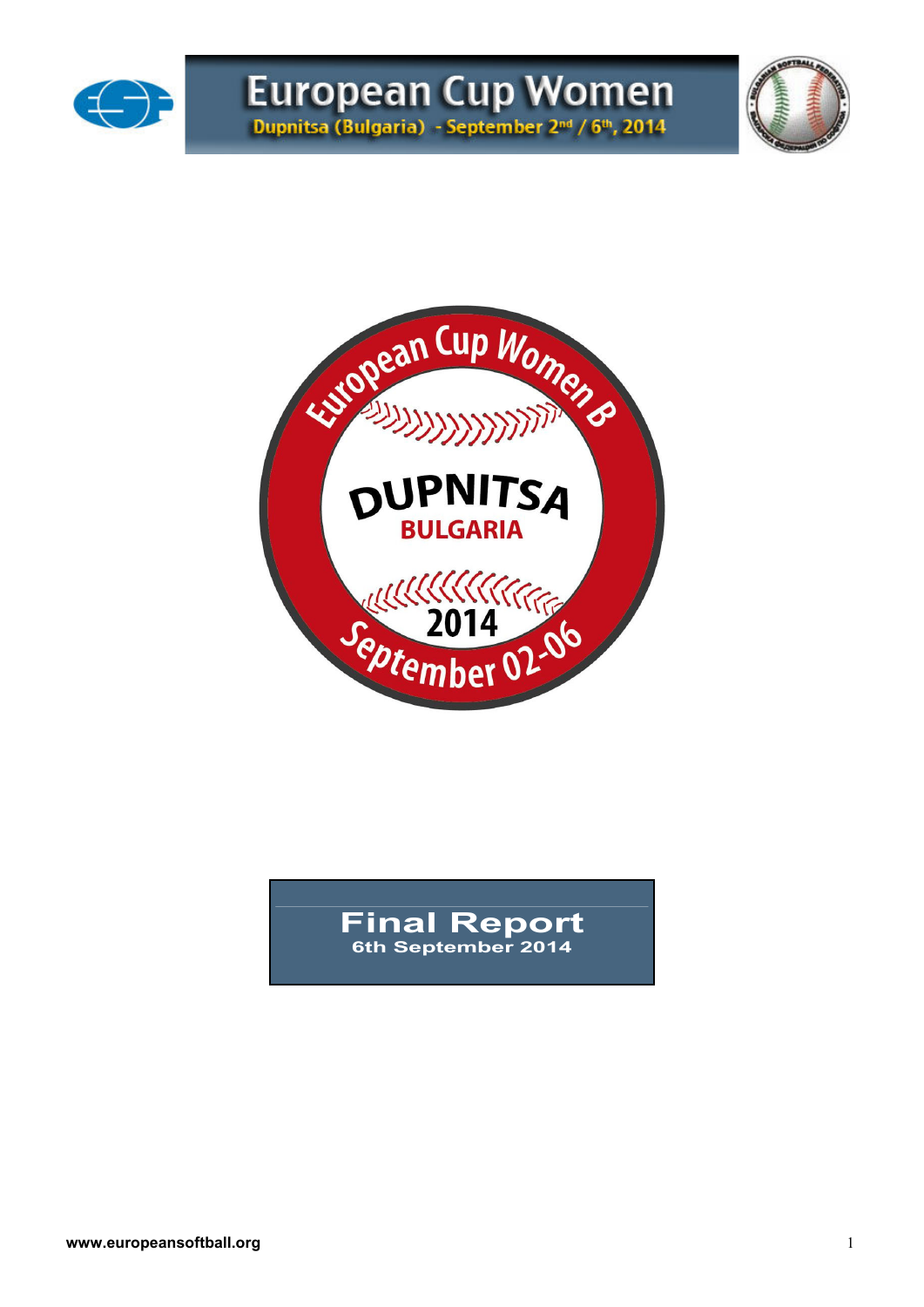





### **Final Report 6th September 2014**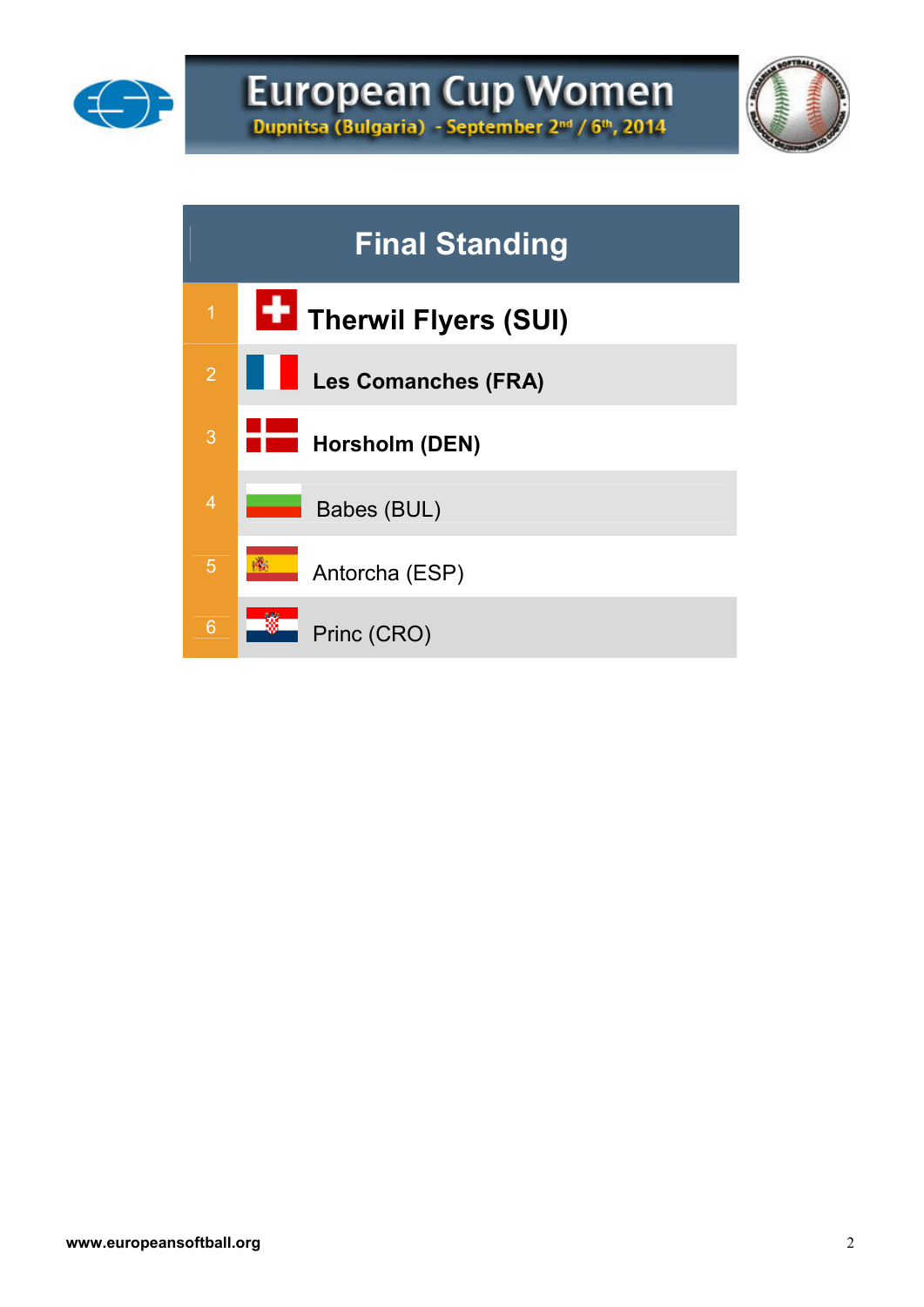



# **Final Standing**  <sup>1</sup> **Therwil Flyers (SUI) Les Comanches (FRA)** <sup>3</sup> **Horsholm (DEN)** 4 Babes (BUL) Antorcha (ESP) 6 Princ (CRO)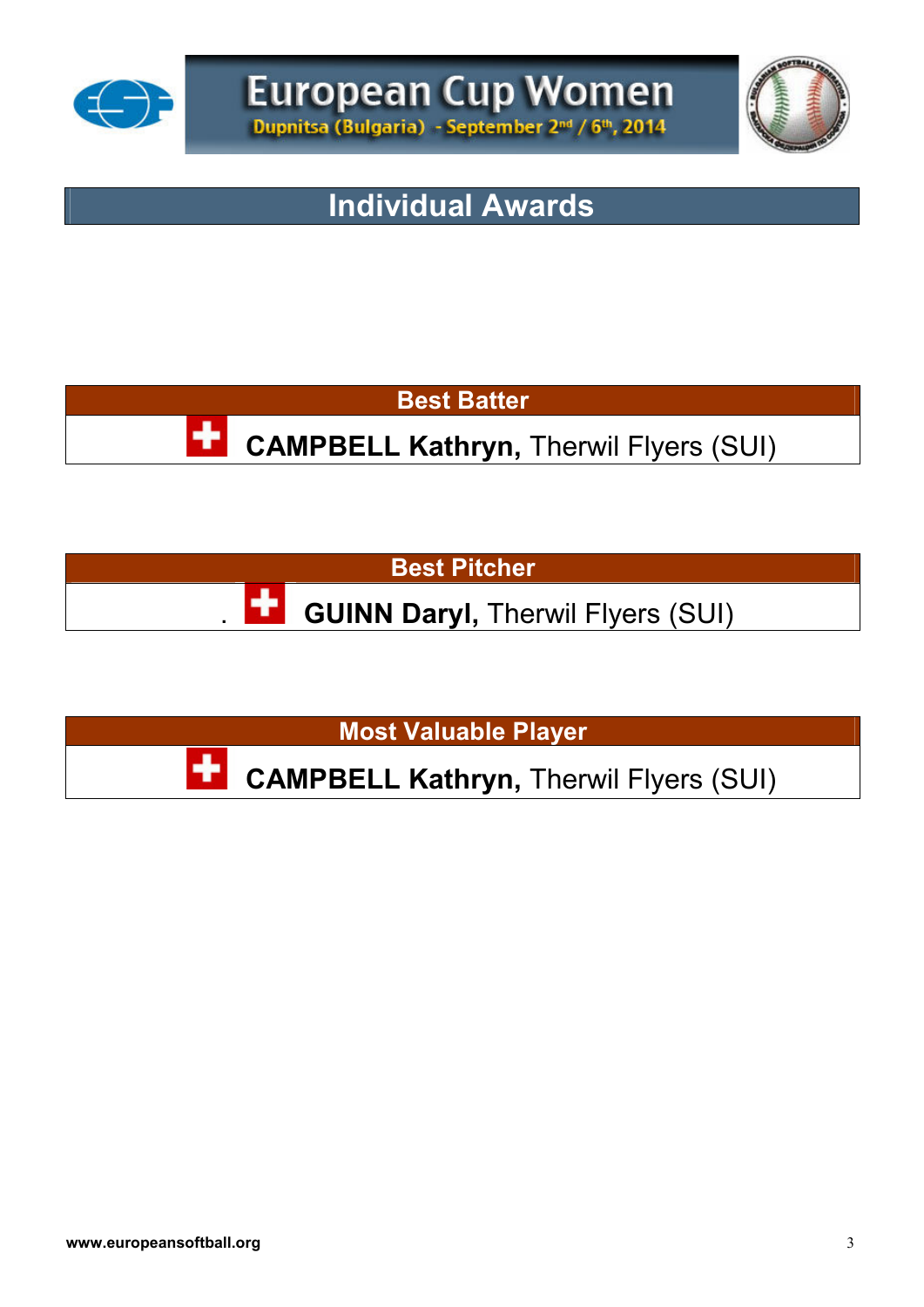



## **Individual Awards**

**Best Batter**

**CAMPBELL Kathryn, Therwil Flyers (SUI)** 

**Best Pitcher** 

**GUINN Daryl, Therwil Flyers (SUI)** 

**Most Valuable Player**

**CAMPBELL Kathryn,** Therwil Flyers (SUI)

٠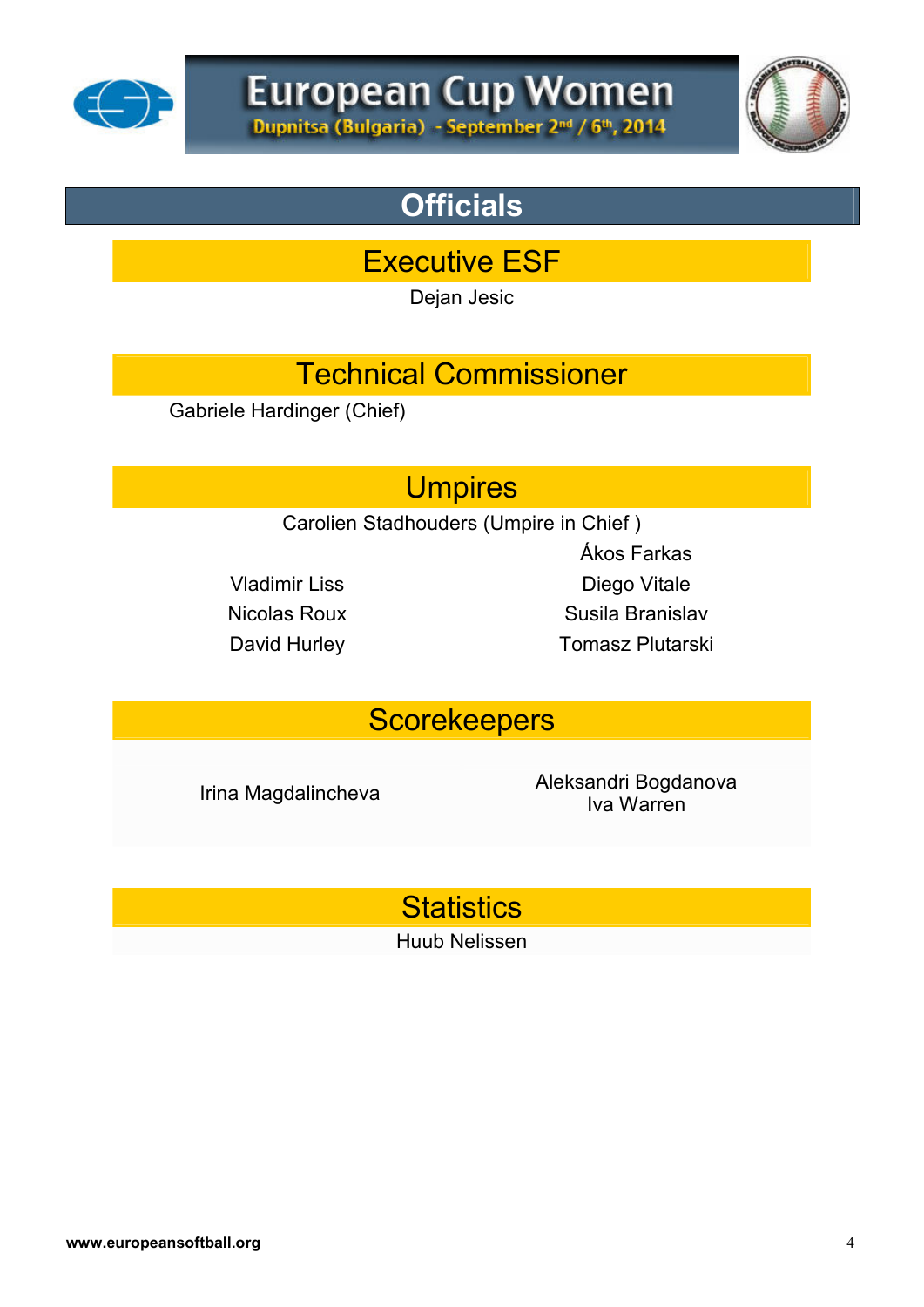



# **Officials**

Executive ESF

Dejan Jesic

# Technical Commissioner

Gabriele Hardinger (Chief)

## **Umpires**

Carolien Stadhouders (Umpire in Chief )

Ákos Farkas Vladimir Liss Diego Vitale Nicolas Roux Susila Branislav David Hurley **Tomasz Plutarski** 

## **Scorekeepers**

Irina Magdalincheva<br>
International Aleksandri Bogdanova Iva Warren

**Statistics** 

Huub Nelissen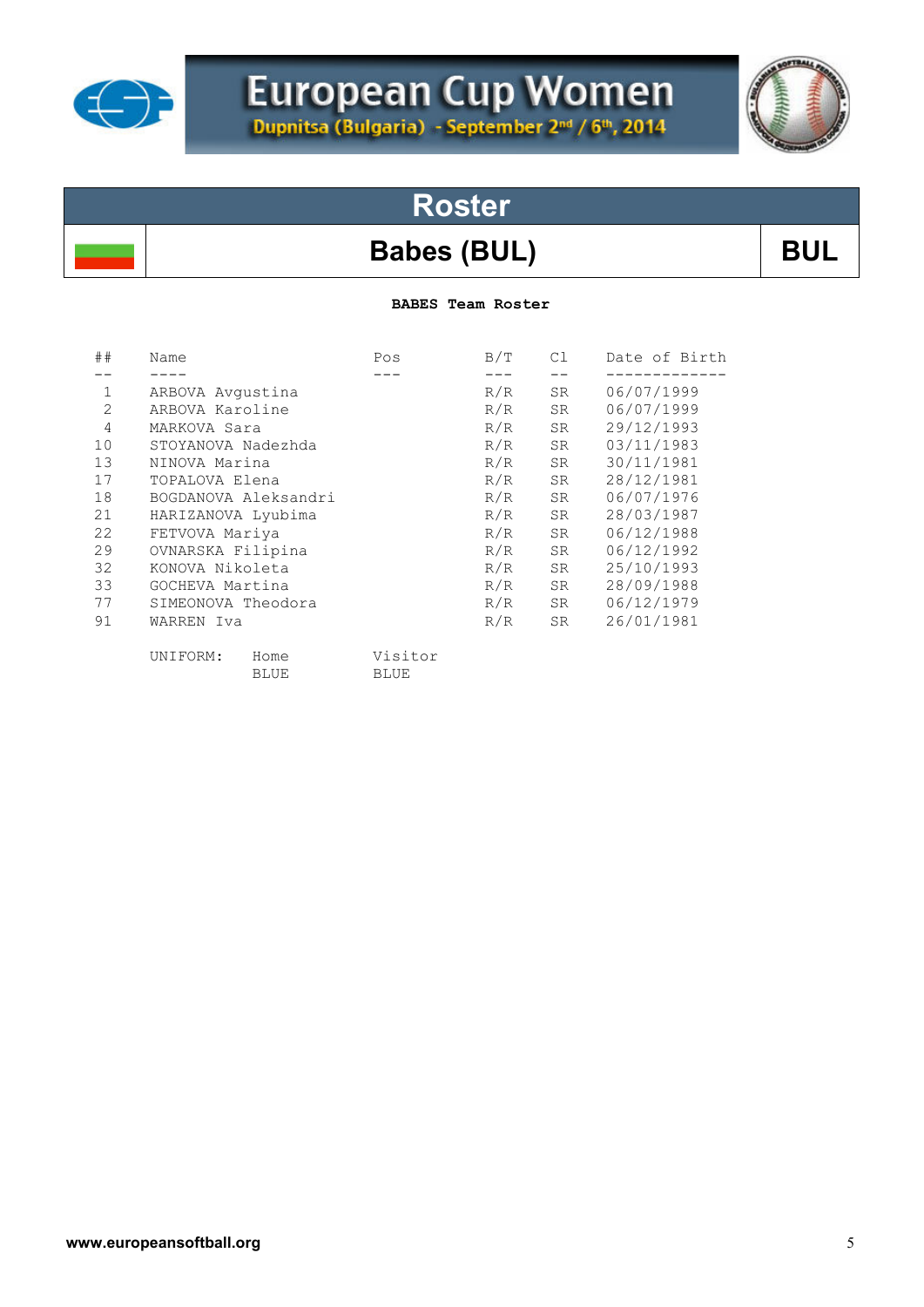

# European Cup Women

# **Roster**

## Babes (BUL) BUL

**BABES Team Roster** 

| ##             | Name                 | Pos         | B/T | C1 | Date of Birth |
|----------------|----------------------|-------------|-----|----|---------------|
|                |                      |             |     |    |               |
| 1              | ARBOVA Avgustina     |             | R/R | SR | 06/07/1999    |
| $\overline{2}$ | ARBOVA Karoline      |             | R/R | SR | 06/07/1999    |
| 4              | MARKOVA Sara         |             | R/R | SR | 29/12/1993    |
| 10             | STOYANOVA Nadezhda   |             | R/R | SR | 03/11/1983    |
| 13             | NINOVA Marina        |             | R/R | SR | 30/11/1981    |
| 17             | TOPALOVA Elena       |             | R/R | SR | 28/12/1981    |
| 18             | BOGDANOVA Aleksandri |             | R/R | SR | 06/07/1976    |
| 21             | HARIZANOVA Lyubima   |             | R/R | SR | 28/03/1987    |
| 22             | FETVOVA Mariya       |             | R/R | SR | 06/12/1988    |
| 29             | OVNARSKA Filipina    |             | R/R | SR | 06/12/1992    |
| 32             | KONOVA Nikoleta      |             | R/R | SR | 25/10/1993    |
| 33             | GOCHEVA Martina      |             | R/R | SR | 28/09/1988    |
| 77             | SIMEONOVA Theodora   |             | R/R | SR | 06/12/1979    |
| 91             | WARREN Iva           |             | R/R | SR | 26/01/1981    |
|                | UNIFORM:<br>Home     | Visitor     |     |    |               |
|                | <b>BLUE</b>          | <b>BLUE</b> |     |    |               |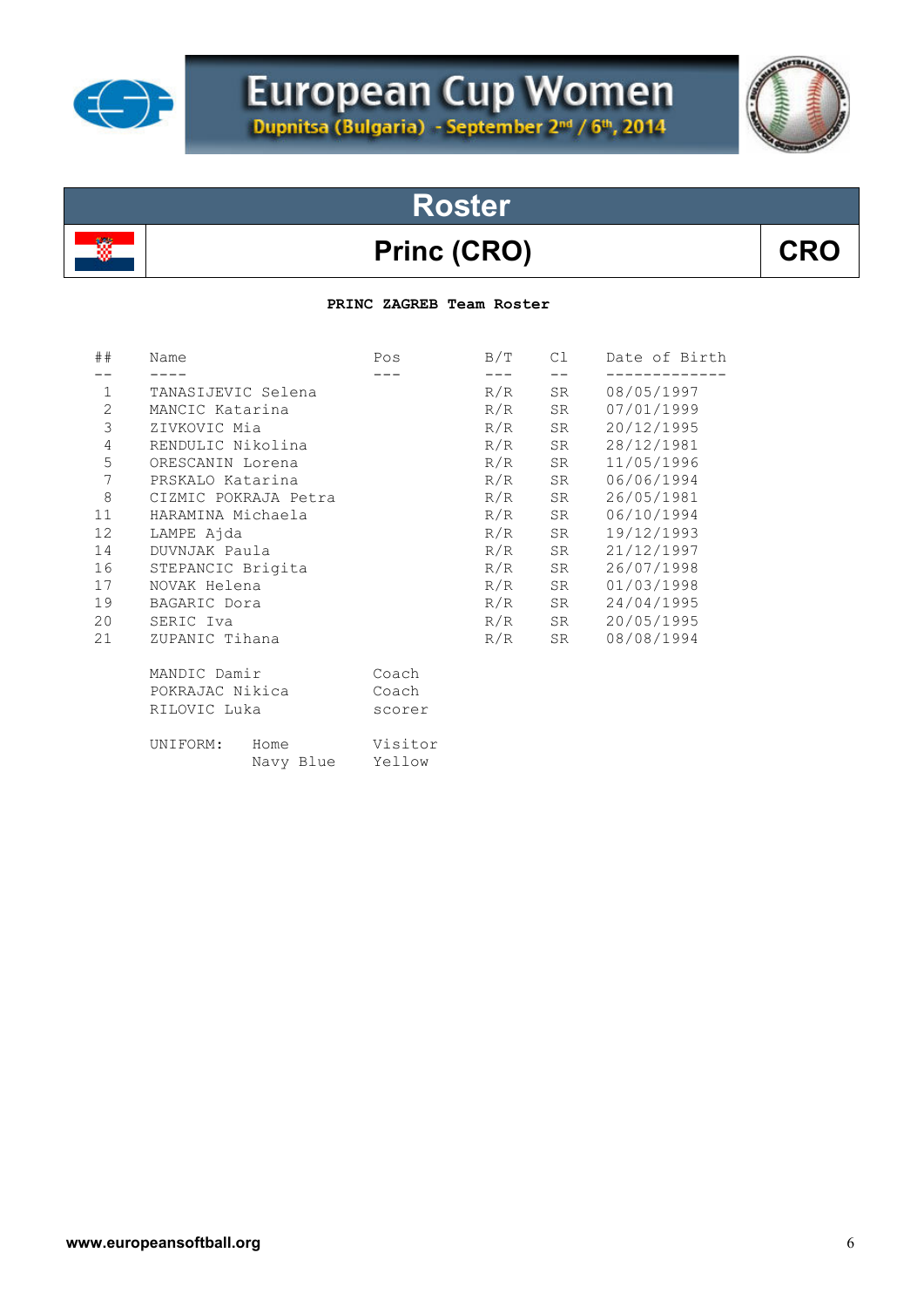

# **Roster**

## Princ (CRO) CRO

### **PRINC ZAGREB Team Roster**

| ##               | Name                 | Pos     | B/T   | C1    | Date of Birth |
|------------------|----------------------|---------|-------|-------|---------------|
|                  |                      |         | $---$ | $- -$ |               |
| $\mathbf{1}$     | TANASIJEVIC Selena   |         | R/R   | SR    | 08/05/1997    |
| $\mathbf{2}$     | MANCIC Katarina      |         | R/R   | SR    | 07/01/1999    |
| 3                | ZIVKOVIC Mia         |         | R/R   | SR    | 20/12/1995    |
| $\overline{4}$   | RENDULIC Nikolina    |         | R/R   | SR    | 28/12/1981    |
| 5                | ORESCANIN Lorena     |         | R/R   | SR    | 11/05/1996    |
| $\boldsymbol{7}$ | PRSKALO Katarina     |         | R/R   | SR    | 06/06/1994    |
| $\,8\,$          | CIZMIC POKRAJA Petra |         | R/R   | SR    | 26/05/1981    |
| 11               | HARAMINA Michaela    |         | R/R   | SR    | 06/10/1994    |
| 12               | LAMPE Ajda           |         | R/R   | SR    | 19/12/1993    |
| 14               | DUVNJAK Paula        |         | R/R   | SR    | 21/12/1997    |
| 16               | STEPANCIC Brigita    |         | R/R   | SR    | 26/07/1998    |
| 17               | NOVAK Helena         |         | R/R   | SR    | 01/03/1998    |
| 19               | BAGARIC Dora         |         | R/R   | SR    | 24/04/1995    |
| 20               | SERIC Iva            |         | R/R   | SR    | 20/05/1995    |
| 21               | ZUPANIC Tihana       |         | R/R   | SR    | 08/08/1994    |
|                  | MANDIC Damir         | Coach   |       |       |               |
|                  | POKRAJAC Nikica      | Coach   |       |       |               |
|                  | RILOVIC Luka         | scorer  |       |       |               |
|                  | UNIFORM:<br>Home     | Visitor |       |       |               |
|                  | Navy Blue            | Yellow  |       |       |               |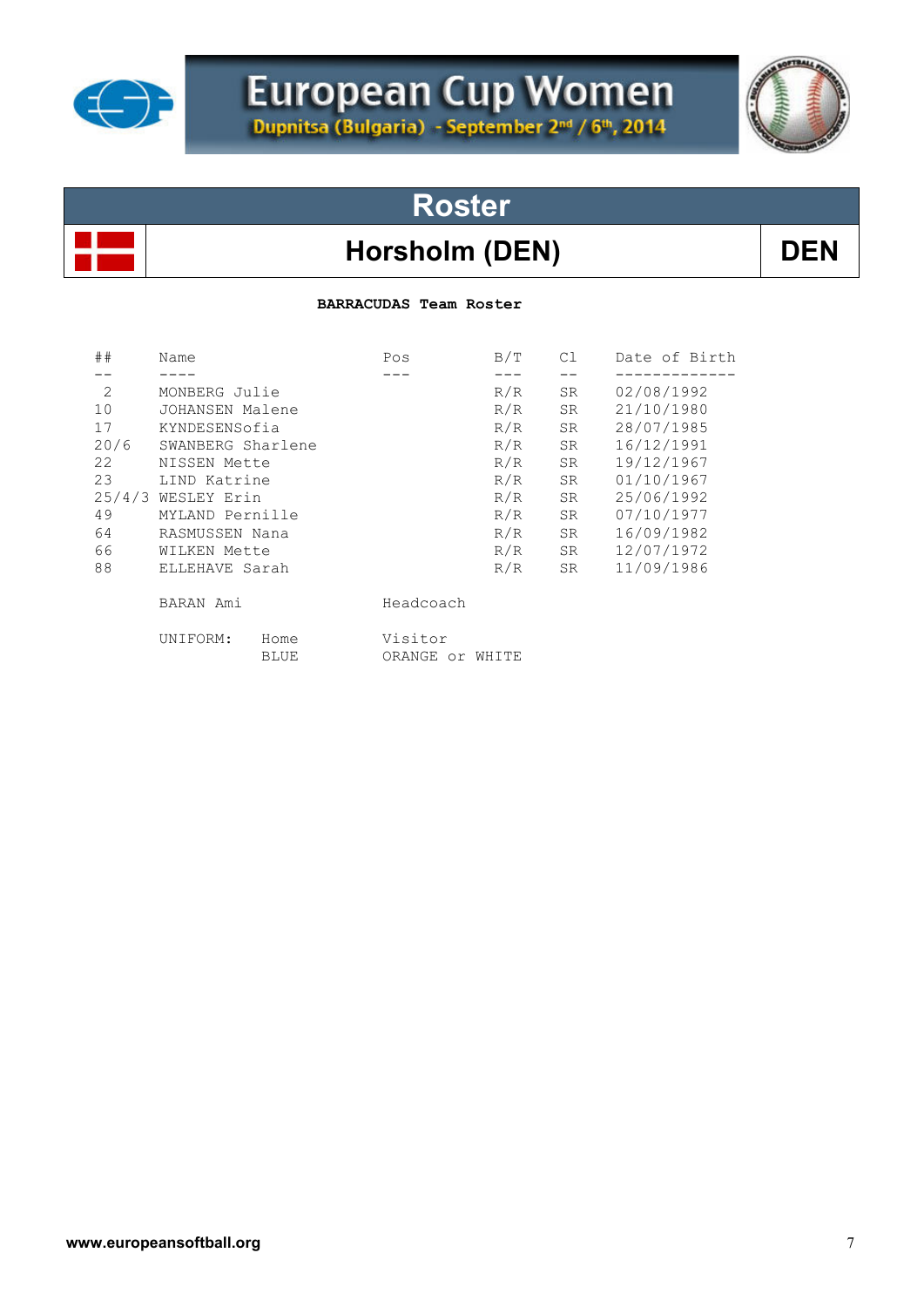

# European Cup Women



# **Roster**

### Horsholm (DEN) DEN

### **BARRACUDAS Team Roster**

| ##   | Name               |              | Pos                        | B/T | C1        | Date of Birth |  |
|------|--------------------|--------------|----------------------------|-----|-----------|---------------|--|
|      |                    |              |                            |     |           |               |  |
| 2    | MONBERG Julie      |              |                            | R/R | SR.       | 02/08/1992    |  |
| 10   | JOHANSEN Malene    |              |                            | R/R | SR        | 21/10/1980    |  |
| 17   | KYNDESENSofia      |              |                            | R/R | SR        | 28/07/1985    |  |
| 20/6 | SWANBERG Sharlene  |              |                            | R/R | SR        | 16/12/1991    |  |
| 22   | NISSEN Mette       |              |                            | R/R | <b>SR</b> | 19/12/1967    |  |
| 23   | LIND Katrine       |              |                            | R/R | <b>SR</b> | 01/10/1967    |  |
|      | 25/4/3 WESLEY Erin |              |                            | R/R | SR.       | 25/06/1992    |  |
| 49   | MYLAND Pernille    |              |                            | R/R | SR.       | 07/10/1977    |  |
| 64   | RASMUSSEN Nana     |              |                            | R/R | SR        | 16/09/1982    |  |
| 66   | WILKEN Mette       |              |                            | R/R | SR        | 12/07/1972    |  |
| 88   | ELLEHAVE Sarah     |              |                            | R/R | SR        | 11/09/1986    |  |
|      | BARAN Ami          |              | Headcoach                  |     |           |               |  |
|      | UNIFORM:           | Home<br>BLUE | Visitor<br>ORANGE or WHITE |     |           |               |  |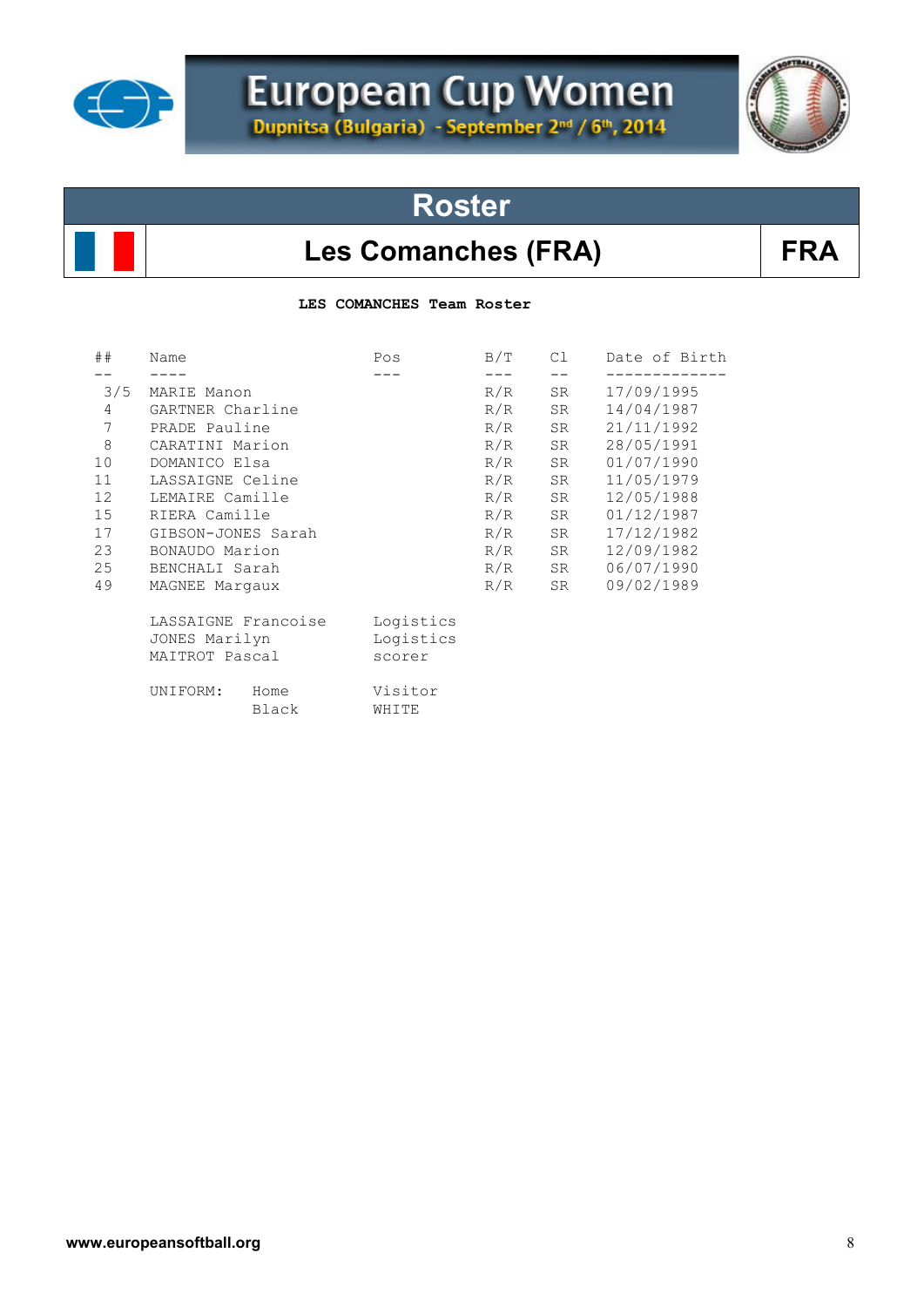

# European Cup Women



# **Roster**

### Les Comanches (FRA) FRA

**LES COMANCHES Team Roster** 

| ##             | Name                                                   | Pos                              | B/T | C1 | Date of Birth |
|----------------|--------------------------------------------------------|----------------------------------|-----|----|---------------|
|                |                                                        |                                  |     |    |               |
| 3/5            | MARIE Manon                                            |                                  | R/R | SR | 17/09/1995    |
| $\overline{4}$ | GARTNER Charline                                       |                                  | R/R | SR | 14/04/1987    |
| 7              | PRADE Pauline                                          |                                  | R/R | SR | 21/11/1992    |
| $\,8\,$        | CARATINI Marion                                        |                                  | R/R | SR | 28/05/1991    |
| 10             | DOMANICO Elsa                                          |                                  | R/R | SR | 01/07/1990    |
| 11             | LASSAIGNE Celine                                       |                                  | R/R | SR | 11/05/1979    |
| 12             | LEMAIRE Camille                                        |                                  | R/R | SR | 12/05/1988    |
| 15             | RIERA Camille                                          |                                  | R/R | SR | 01/12/1987    |
| 17             | GIBSON-JONES Sarah                                     |                                  | R/R | SR | 17/12/1982    |
| 23             | BONAUDO Marion                                         |                                  | R/R | SR | 12/09/1982    |
| 25             | BENCHALI Sarah                                         |                                  | R/R | SR | 06/07/1990    |
| 49             | MAGNEE Margaux                                         |                                  | R/R | SR | 09/02/1989    |
|                | LASSAIGNE Francoise<br>JONES Marilyn<br>MAITROT Pascal | Logistics<br>Logistics<br>scorer |     |    |               |
|                | UNIFORM:<br>Home<br>Black                              | Visitor<br>WHITE                 |     |    |               |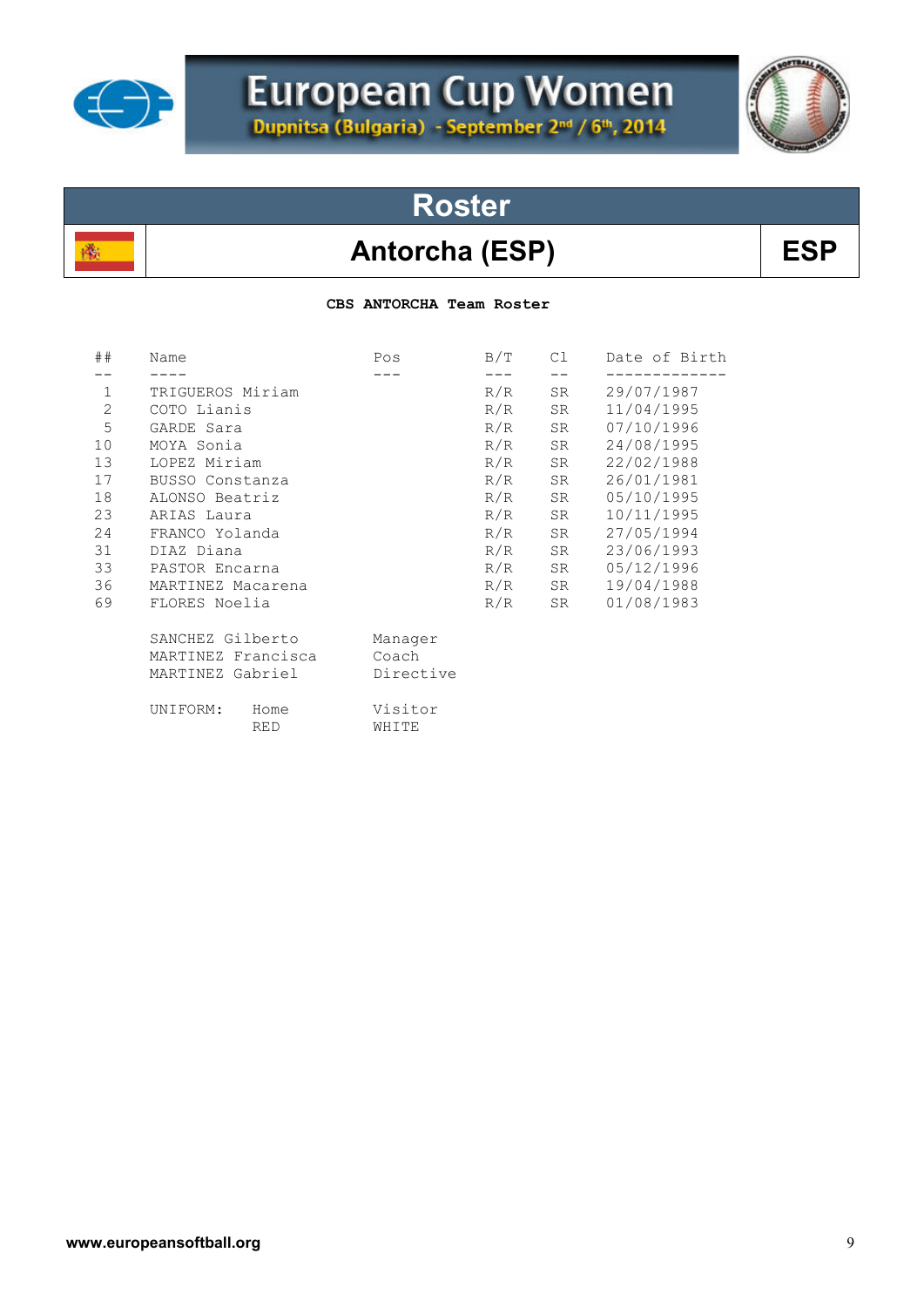

殲

# European Cup Women



**Roster**

## Antorcha (ESP) BSP

 **CBS ANTORCHA Team Roster** 

| ##             | Name                           | Pos              | B/T | C1 | Date of Birth |
|----------------|--------------------------------|------------------|-----|----|---------------|
|                |                                |                  |     |    |               |
| $\mathbf 1$    | TRIGUEROS Miriam               |                  | R/R | SR | 29/07/1987    |
| $\overline{c}$ | COTO Lianis                    |                  | R/R | SR | 11/04/1995    |
| 5              | GARDE Sara                     |                  | R/R | SR | 07/10/1996    |
| 10             | MOYA Sonia                     |                  | R/R | SR | 24/08/1995    |
| 13             | LOPEZ Miriam                   |                  | R/R | SR | 22/02/1988    |
| 17             | BUSSO Constanza                |                  | R/R | SR | 26/01/1981    |
| 18             | ALONSO Beatriz                 |                  | R/R | SR | 05/10/1995    |
| 23             | ARIAS Laura                    |                  | R/R | SR | 10/11/1995    |
| 24             | FRANCO Yolanda                 |                  | R/R | SR | 27/05/1994    |
| 31             | DIAZ Diana                     |                  | R/R | SR | 23/06/1993    |
| 33             | PASTOR Encarna                 |                  | R/R | SR | 05/12/1996    |
| 36             | MARTINEZ Macarena              |                  | R/R | SR | 19/04/1988    |
| 69             | FLORES Noelia                  |                  | R/R | SR | 01/08/1983    |
|                | SANCHEZ Gilberto               | Manager          |     |    |               |
|                | MARTINEZ Francisca             | Coach            |     |    |               |
|                | MARTINEZ Gabriel               | Directive        |     |    |               |
|                | UNIFORM:<br>Home<br><b>RED</b> | Visitor<br>WHITE |     |    |               |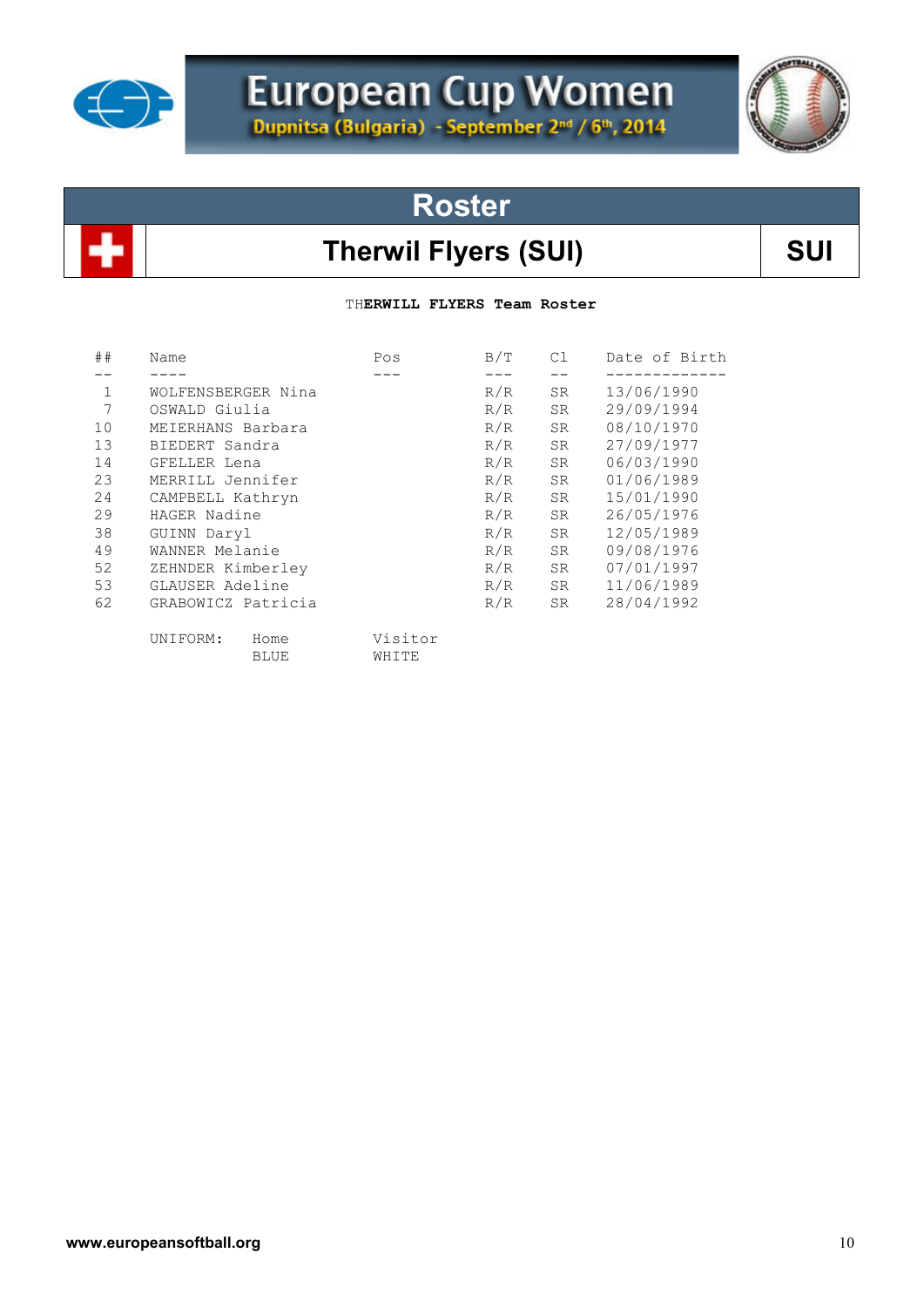

# European Cup Women

# **Roster**

### Therwil Flyers (SUI) **SUI**

TH**ERWILL FLYERS Team Roster**

| ##          | Name               | Pos     | B/T | C1        | Date of Birth |
|-------------|--------------------|---------|-----|-----------|---------------|
|             |                    |         |     |           |               |
| $\mathbf 1$ | WOLFENSBERGER Nina |         | R/R | SR        | 13/06/1990    |
| 7           | OSWALD Giulia      |         | R/R | SR        | 29/09/1994    |
| 10          | MEIERHANS Barbara  |         | R/R | SR.       | 08/10/1970    |
| 13          | BIEDERT Sandra     |         | R/R | SR.       | 27/09/1977    |
| 14          | GFELLER Lena       |         | R/R | SR.       | 06/03/1990    |
| 23          | MERRILL Jennifer   |         | R/R | <b>SR</b> | 01/06/1989    |
| 24          | CAMPBELL Kathryn   |         | R/R | SR.       | 15/01/1990    |
| 29          | HAGER Nadine       |         | R/R | SR        | 26/05/1976    |
| 38          | GUINN Daryl        |         | R/R | SR        | 12/05/1989    |
| 49          | WANNER Melanie     |         | R/R | SR        | 09/08/1976    |
| 52          | ZEHNDER Kimberley  |         | R/R | SR        | 07/01/1997    |
| 53          | GLAUSER Adeline    |         | R/R | SR        | 11/06/1989    |
| 62          | GRABOWICZ Patricia |         | R/R | SR        | 28/04/1992    |
|             | UNIFORM:<br>Home   | Visitor |     |           |               |
|             | <b>BLUE</b>        | WHITE   |     |           |               |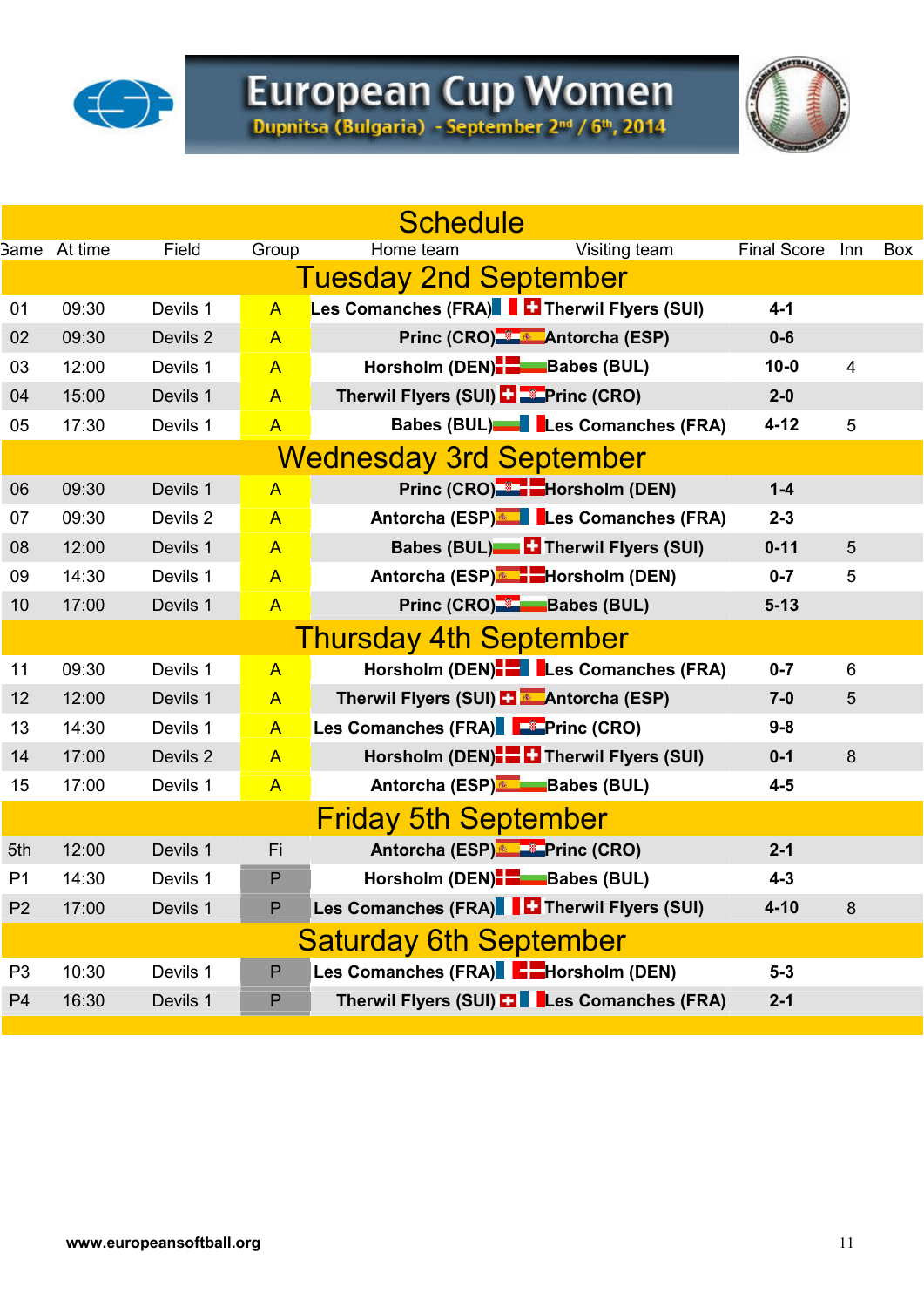

# European Cup Women<br>Dupnitsa (Bulgaria) - September 2nd / 6th, 2014

|                |                     |          |                | <b>Schedule</b>                                    |                    |                         |     |
|----------------|---------------------|----------|----------------|----------------------------------------------------|--------------------|-------------------------|-----|
|                | <b>Game</b> At time | Field    | Group          | Home team<br>Visiting team                         | <b>Final Score</b> | Inn                     | Box |
|                |                     |          |                | <b>Tuesday 2nd September</b>                       |                    |                         |     |
| 01             | 09:30               | Devils 1 | $\mathsf{A}$   | Les Comanches (FRA) <b>Therwil Flyers (SUI)</b>    | $4 - 1$            |                         |     |
| 02             | 09:30               | Devils 2 | $\mathsf{A}$   | Princ (CRO) <b>Antorcha</b> (ESP)                  | $0-6$              |                         |     |
| 03             | 12:00               | Devils 1 | $\overline{A}$ | Horsholm (DEN) <b>B</b> Babes (BUL)                | $10 - 0$           | $\overline{\mathbf{4}}$ |     |
| 04             | 15:00               | Devils 1 | $\mathsf{A}$   | Therwil Flyers (SUI) <b>El Etercial</b> (CRO)      | $2-0$              |                         |     |
| 05             | 17:30               | Devils 1 | $\overline{A}$ | Babes (BUL)   Les Comanches (FRA)                  | $4 - 12$           | 5                       |     |
|                |                     |          |                | <b>Wednesday 3rd September</b>                     |                    |                         |     |
| 06             | 09:30               | Devils 1 | $\overline{A}$ | Princ (CRO) <sup>-3</sup> -Horsholm (DEN)          | $1-4$              |                         |     |
| 07             | 09:30               | Devils 2 | $\overline{A}$ | Antorcha (ESP) Les Comanches (FRA)                 | $2 - 3$            |                         |     |
| 08             | 12:00               | Devils 1 | $\mathsf{A}$   | Babes (BUL) <sup>1</sup> Therwil Flyers (SUI)      | $0 - 11$           | 5                       |     |
| 09             | 14:30               | Devils 1 | $\mathsf{A}$   | Antorcha (ESP) <sup>®</sup> FHorsholm (DEN)        | $0 - 7$            | 5                       |     |
| 10             | 17:00               | Devils 1 | $\mathsf{A}$   | Princ (CRO) <sup>-2</sup> -Babes (BUL)             | $5 - 13$           |                         |     |
|                |                     |          |                | <b>Thursday 4th September</b>                      |                    |                         |     |
| 11             | 09:30               | Devils 1 | $\overline{A}$ | Horsholm (DEN). Les Comanches (FRA)                | $0 - 7$            | 6                       |     |
| 12             | 12:00               | Devils 1 | $\mathsf{A}$   | Therwil Flyers (SUI) <b>El *</b> Antorcha (ESP)    | $7-0$              | 5                       |     |
| 13             | 14:30               | Devils 1 | $\mathsf{A}$   | Les Comanches (FRA) Fortinc (CRO)                  | $9 - 8$            |                         |     |
| 14             | 17:00               | Devils 2 | $\mathsf{A}$   | Horsholm (DEN)- Therwil Flyers (SUI)               | $0 - 1$            | $\bf 8$                 |     |
| 15             | 17:00               | Devils 1 | $\mathsf{A}$   | Antorcha (ESP) Babes (BUL)                         | $4-5$              |                         |     |
|                |                     |          |                | <b>Friday 5th September</b>                        |                    |                         |     |
| 5th            | 12:00               | Devils 1 | Fi             | Antorcha (ESP) <b>Example 2</b> Princ (CRO)        | $2 - 1$            |                         |     |
| P <sub>1</sub> | 14:30               | Devils 1 | P              | Horsholm (DEN). Babes (BUL)                        | $4 - 3$            |                         |     |
| P <sub>2</sub> | 17:00               | Devils 1 | P              | Les Comanches (FRA)   Therwil Flyers (SUI)         | $4 - 10$           | 8                       |     |
|                |                     |          |                | <b>Saturday 6th September</b>                      |                    |                         |     |
| P <sub>3</sub> | 10:30               | Devils 1 | ${\sf P}$      | Les Comanches (FRA) Factor Horsholm (DEN)          | $5-3$              |                         |     |
| P <sub>4</sub> | 16:30               | Devils 1 | P              | Therwil Flyers (SUI) <b>ET Les Comanches (FRA)</b> | $2 - 1$            |                         |     |
|                |                     |          |                |                                                    |                    |                         |     |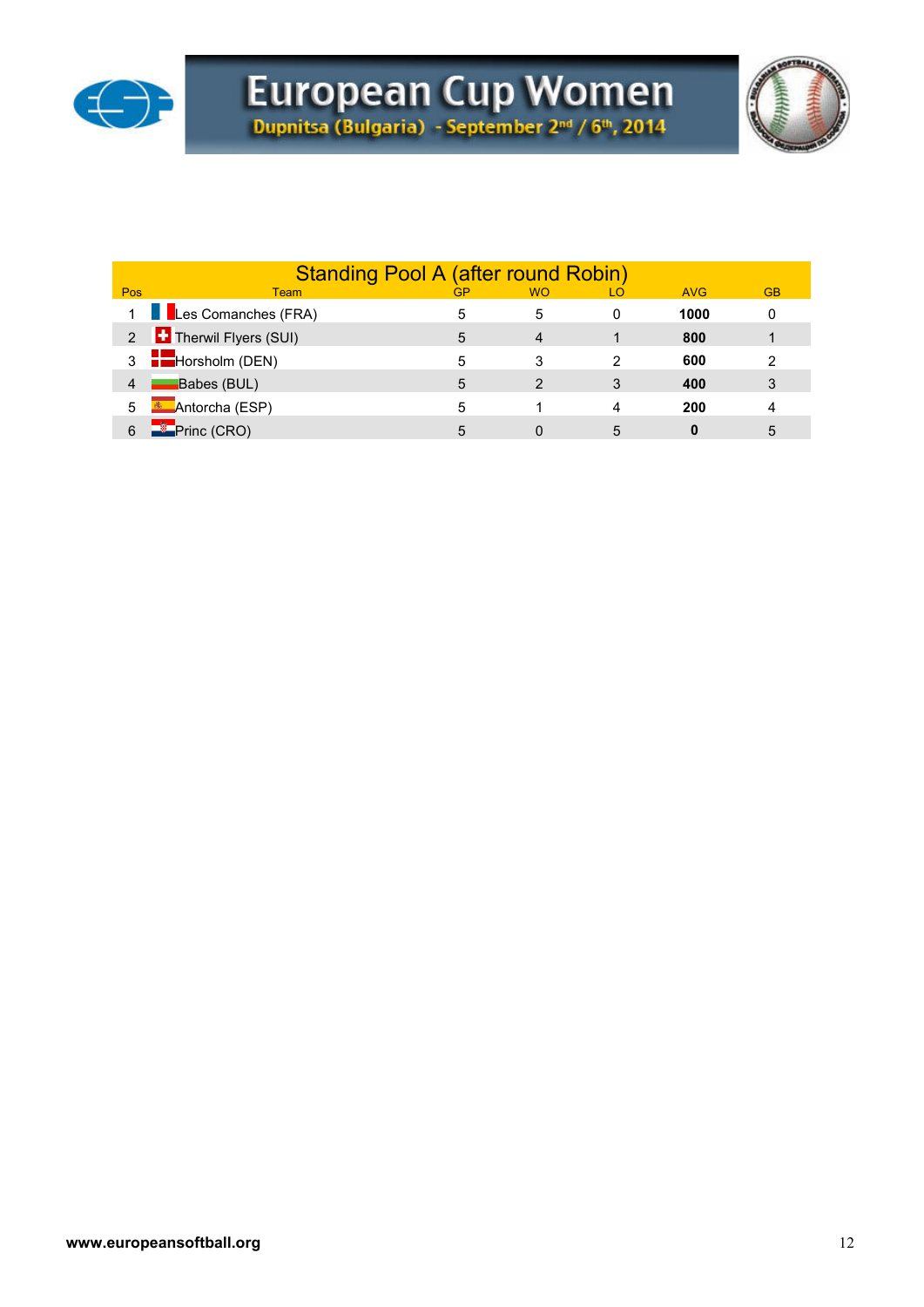



|     | <b>Standing Pool A (after round Robin)</b> |    |               |    |            |           |
|-----|--------------------------------------------|----|---------------|----|------------|-----------|
| Pos | Team                                       | GP | <b>WO</b>     | LO | <b>AVG</b> | <b>GB</b> |
|     | 1 Les Comanches (FRA)                      |    | 5             | 0  | 1000       | 0         |
|     | 2 <b>Therwil Flyers (SUI)</b>              | 5  | 4             |    | 800        |           |
|     | $3 -$ Horsholm (DEN)                       |    | 3             | 2  | 600        | 2         |
| 4   | Babes (BUL)                                | 5  | $\mathcal{P}$ | 3  | 400        | 3         |
| 5   | <b>KET</b> Antorcha (ESP)                  | 5  |               | 4  | 200        | 4         |
|     | Princ (CRO)                                | 5  |               | 5  | 0          | 5         |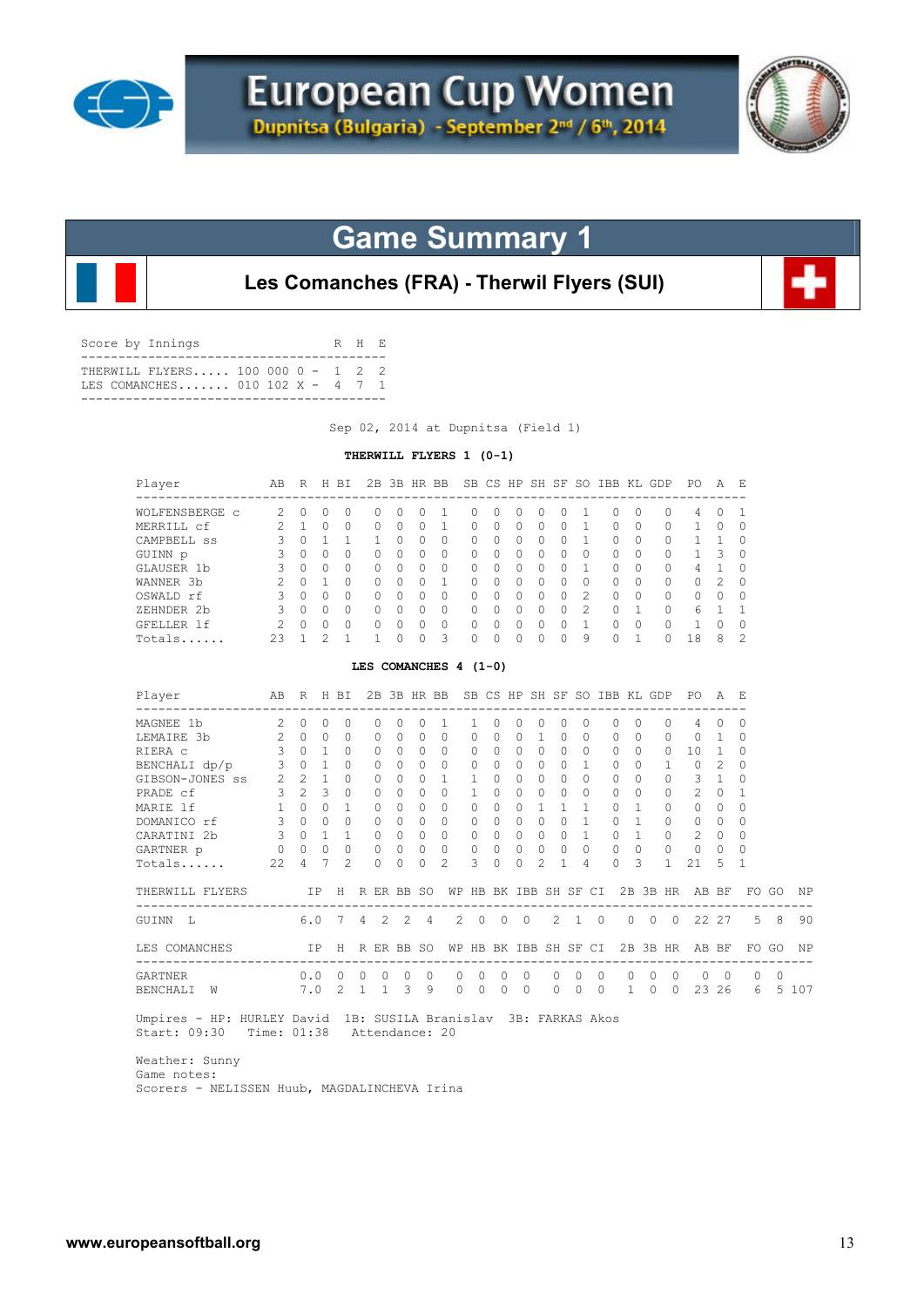



**Les Comanches (FRA) - Therwil Flyers (SUI)**

| Score by Innings                                                     | R H R |  |
|----------------------------------------------------------------------|-------|--|
| THERWILL FLYERS 100 000 0 - 1 2 2<br>TES COMANCHES 010 102 X - 4 7 1 |       |  |
|                                                                      |       |  |

Sep 02, 2014 at Dupnitsa (Field 1)

### **THERWILL FLYERS 1 (0-1)**

| Player                                                                          | AB                         |                     |                | R H BI         |                |                |                 |                   | 2B 3B HR BB SB CS HP SH SF SO IBB KL GDP |              |                     |                |                |                       |                |                |            |                      |                | PO A E                                                    |                |                |                |         |
|---------------------------------------------------------------------------------|----------------------------|---------------------|----------------|----------------|----------------|----------------|-----------------|-------------------|------------------------------------------|--------------|---------------------|----------------|----------------|-----------------------|----------------|----------------|------------|----------------------|----------------|-----------------------------------------------------------|----------------|----------------|----------------|---------|
| WOLFENSBERGE C                                                                  | $2 \quad 0$                |                     | $\circ$        | 0              |                | 0              | $\circ$         | 0                 | 1                                        | $\circ$      | 0                   | $\circ$        | 0              | $\Omega$              | 1              |                | 0          | $\Omega$             | $\circ$        | 4                                                         | 0              | 1              |                |         |
| MERRILL cf                                                                      | 2                          | $\mathbf{1}$        | $\circ$        | $\Omega$       |                | 0              | $\Omega$        | $\Omega$          | $\mathbf{1}$                             | $\circ$      | $\Omega$            | $\Omega$       | $\Omega$       | $\Omega$              | $\mathbf{1}$   |                | $\circ$    | $\Omega$             | 0              | $\mathbf{1}$                                              | $\Omega$       | $\circ$        |                |         |
| CAMPBELL ss                                                                     | 3                          | $\Omega$            | $\mathbf{1}$   | 1              |                | 1              | $\Omega$        | $\Omega$          | $\Omega$                                 | $\Omega$     | $\Omega$            | $\Omega$       | $\Omega$       | $\Omega$              | $\mathbf{1}$   |                | $\Omega$   | $\Omega$             | $\Omega$       | $\mathbf{1}$                                              | 1              | $\Omega$       |                |         |
| GUINN p                                                                         | 3                          | $\Omega$            | $\Omega$       | $\Omega$       |                | $\Omega$       | $\Omega$        | $\Omega$          | $\Omega$                                 | $\Omega$     | $\Omega$            | $\Omega$       | $\Omega$       | $\Omega$              | $\Omega$       |                | $\Omega$   | $\Omega$             | $\Omega$       | $\mathbf{1}$                                              | 3              | $\Omega$       |                |         |
| GLAUSER 1b                                                                      | 3                          | $\Omega$            | $\overline{0}$ | $\Omega$       |                | $\Omega$       | $\Omega$        | 0                 | $\mathbf{0}$                             | 0            | $\Omega$            | $\Omega$       | $\Omega$       | $\Omega$              | 1              |                | $\circ$    | $\Omega$             | 0              | 4                                                         | $\mathbf{1}$   | 0              |                |         |
| WANNER 3b                                                                       | 2                          |                     | $0\quad1$      | $\Omega$       |                | 0              | $\Omega$        | $\Omega$          | $\mathbf{1}$                             | $\circ$      | $\Omega$            | $\Omega$       | $\Omega$       | $\Omega$              | $\Omega$       |                | 0          | $\Omega$             | $\circ$        | 0                                                         | 2              | $\circ$        |                |         |
| OSWALD rf                                                                       | $\mathbf{3}$               | $\Omega$            | $\Omega$       | $\Omega$       |                | $\mathbf 0$    | $\Omega$        | $\circ$           | $\mathbf{0}$                             | $\circ$      | $\Omega$            |                | $0 \quad 0$    | $\Omega$              | $\overline{2}$ |                | $\circ$    | $\Omega$             | 0              | 0                                                         | $\Omega$       | $\circ$        |                |         |
| ZEHNDER 2b                                                                      |                            | 3 0 0 0             |                |                |                | $0\quad 0$     |                 | $\circ$           | $\overline{0}$                           | $\circ$      | $\circ$             |                | $0\quad 0$     | $\Omega$              | $\overline{2}$ |                | $0\quad 1$ |                      | 0              | 6                                                         | $\overline{1}$ | 1              |                |         |
| GFELLER 1f                                                                      | 2                          | $0\quad 0$          |                | $\bigcirc$     |                | $\circ$        | $\circ$         | $\circ$           | $\circ$                                  | $\circ$      | $\Omega$            | $\Omega$       | $\circ$        | $\Omega$              | $\overline{1}$ |                | $\circ$    | $\Omega$             | $\circ$        | $\mathbf{1}$                                              | $\Omega$       | $\circ$        |                |         |
| Totals                                                                          | 23                         | $\sim$ 1            | 2              | $\mathbf{1}$   |                | $\mathbf{1}$   | $\Omega$        | $\Omega$          | 3                                        | $\Omega$     | $\Omega$            | $\Omega$       | $\Omega$       | $\Omega$              | -9             |                | $\bigcirc$ | $\mathbf{1}$         | $\Omega$       | 18                                                        | 8              | $\overline{2}$ |                |         |
|                                                                                 |                            |                     |                |                |                |                |                 |                   | LES COMANCHES $4(1-0)$                   |              |                     |                |                |                       |                |                |            |                      |                |                                                           |                |                |                |         |
| Player                                                                          |                            |                     |                |                |                |                |                 |                   |                                          |              |                     |                |                |                       |                |                |            |                      |                | AB R H BI 2B 3B HR BB SB CS HP SH SF SO IBB KL GDP PO A E |                |                |                |         |
| MAGNEE 1b                                                                       |                            | $2 \quad 0$         | 0              | $\circ$        |                | $\mathbf{0}$   | $\circ$         | $\circ$           | $\mathbf{1}$                             | 1            | 0                   | $\circ$        | $\circ$        | $\mathbf{0}$          | $\circ$        |                | 0          | $\mathbf{0}$         | 0              | 4                                                         | $\mathbf{0}$   | $\circ$        |                |         |
| LEMAIRE 3b                                                                      |                            | $2 \quad 0 \quad 0$ |                | $\Omega$       |                | $\Omega$       | $\Omega$        | $\Omega$          | $\Omega$                                 | $\Omega$     | $\Omega$            | $\Omega$       | $\overline{1}$ | $\Omega$              | $\Omega$       |                | $\Omega$   | $\Omega$             | $\Omega$       | $\Omega$                                                  | $\mathbf{1}$   | $\Omega$       |                |         |
| RIERA C                                                                         | 3 <sup>7</sup>             | $0\quad1$           |                | $\circ$        |                | 0              | $\circ$         | 0                 | 0                                        | $\mathbf{0}$ | 0                   | 0              | $\circ$        | $\Omega$              | $\circ$        |                | 0          | $\Omega$             | 0              | 10                                                        | 1              | 0              |                |         |
| BENCHALI dp/p                                                                   | $3 -$                      |                     | $0\quad 1$     | $\Omega$       |                | $\circ$        | $\Omega$        | $\Omega$          | $\mathbf{0}$                             | $\circ$      | $\Omega$            | $\Omega$       | $\Omega$       | $\Omega$              | $\mathbf{1}$   |                | $\circ$    | $\Omega$             | $\mathbf{1}$   | $\circ$                                                   | 2              | $\circ$        |                |         |
| GIBSON-JONES ss                                                                 | $2\quad 2\quad 1$          |                     |                | $\Omega$       |                | $\circ$        | $\Omega$        | $\circ$           | $\mathbf{1}$                             | $\mathbf{1}$ | $\Omega$            | $\Omega$       | $\Omega$       | $\Omega$              | $\Omega$       |                | $\Omega$   | $\Omega$             | $\circ$        | 3                                                         | $\mathbf{1}$   | $\Omega$       |                |         |
| $3 \quad 2 \quad 3$<br>PRADE cf                                                 |                            |                     |                | $\Omega$       |                | $\Omega$       | $\Omega$        | $\Omega$          | $\circ$                                  | $\mathbf{1}$ | $\Omega$            | $\Omega$       | $\overline{0}$ | $\Omega$              | $\Omega$       |                | $\Omega$   | $\Omega$             | 0              | 2                                                         | $\Omega$       | $\mathbf{1}$   |                |         |
| MARIE 1f                                                                        |                            | $1 \quad 0 \quad 0$ |                | $\mathbf{1}$   |                | $\Omega$       | $\bigcirc$      | $\Omega$          | $\Omega$                                 | $\circ$      | $\Omega$            | $\Omega$       | $\overline{1}$ | $\mathbf{1}$          | $\mathbf{1}$   |                | $\Omega$   | $\mathbf{1}$         | 0              | 0                                                         | $\bigcirc$     | $\Omega$       |                |         |
| DOMANICO rf                                                                     | 3 0 0                      |                     |                | $\bigcirc$     |                | $\Omega$       | $\bigcirc$      | $\Omega$          | 0                                        | $\Omega$     | $\Omega$            |                | $0 \quad 0$    | $\Omega$              | $\overline{1}$ |                | $\Omega$   | $\overline{1}$       |                | $0\qquad 0$                                               | $\Omega$       | $\Omega$       |                |         |
| CARATINI 2b                                                                     | 3 0 1 1                    |                     |                |                |                | $0\quad 0$     |                 | 0                 | $0\qquad 0$                              |              | $\Omega$            | $\overline{0}$ | $\bigcirc$     | $\Omega$              | $\overline{1}$ |                | $\circ$    | $\overline{1}$       |                | $0 \qquad 2$                                              | $\Omega$       | $\Omega$       |                |         |
| $\begin{array}{ccccccccc}\n0 & 0 & 0 & 0\n\end{array}$<br>GARTNER p             |                            |                     |                | $\Omega$       |                | $\mathbf 0$    | $\circ$         | 0                 | $\mathbf{0}$                             | $\circ$      | 0                   | $\Omega$       | $\Omega$       | $\Omega$              | $\Omega$       |                | $\circ$    | $\Omega$             | $\circ$        | 0                                                         | $\Omega$       | $\Omega$       |                |         |
| Totals                                                                          | $2.2 -$                    | 4                   | $\overline{7}$ | $\mathfrak{D}$ |                | $\Omega$       | $\Omega$        | $\Omega$          | $\mathfrak{D}$                           | 3            | $\Omega$            | $\Omega$       | $\mathfrak{D}$ | 1                     | 4              |                | $\Omega$   | 3                    | $\mathbf{1}$   | 21                                                        | 5              | 1              |                |         |
| THERWILL FLYERS                                                                 |                            |                     |                |                |                |                | IP H R ER BB SO |                   |                                          |              |                     |                |                | WP HB BK IBB SH SF CI |                |                |            |                      |                | 2B 3B HR AB BF                                            |                |                | FO GO          | ΝP      |
| --------------------<br>GUINN L                                                 |                            | 6.0                 |                | 7              | $4\phantom{0}$ | $\overline{2}$ | 2               | $\overline{4}$    |                                          | 2            | 0<br>$\overline{0}$ |                | $\mathbf 0$    | $\mathbf{2}^{\prime}$ | 1              | $\overline{0}$ | $\circ$    | ---------<br>$\circ$ | $\mathbf{0}$   |                                                           | 22 27          | 5              | 8              | 90      |
| LES COMANCHES                                                                   |                            |                     |                |                |                |                | IP H R ER BB SO |                   |                                          |              |                     |                |                | WP HB BK IBB SH SF CI |                |                |            | 2B 3B HR             |                |                                                           | AB BF          |                | FO GO          | ΝP      |
| GARTNER                                                                         |                            |                     |                | 0.0 0 0 0      |                |                | $\overline{0}$  | $\overline{0}$    |                                          | 0<br>0       | $\circ$             |                | $\circ$        | $\circ$               | $\circ$        | $\circ$        | $\circ$    | $\overline{0}$       | $\overline{0}$ | $\circ$                                                   | $\overline{0}$ | $\mathbf{0}$   | $\overline{0}$ |         |
| BENCHALI W                                                                      |                            |                     |                | $7.0$ 2 1 1    |                |                |                 | 9<br>$\mathbf{3}$ |                                          | 0            | $\overline{0}$<br>0 |                | $\overline{0}$ |                       |                |                |            |                      |                | 0 0 0 1 0 0 23 26                                         |                |                |                | 6 5 107 |
| Umpires - HP: HURLEY David 1B: SUSILA Branislav 3B: FARKAS Akos<br>Start: 09:30 | Time: 01:38 Attendance: 20 |                     |                |                |                |                |                 |                   |                                          |              |                     |                |                |                       |                |                |            |                      |                |                                                           |                |                |                |         |

 Weather: Sunny Game notes: Scorers - NELISSEN Huub, MAGDALINCHEVA Irina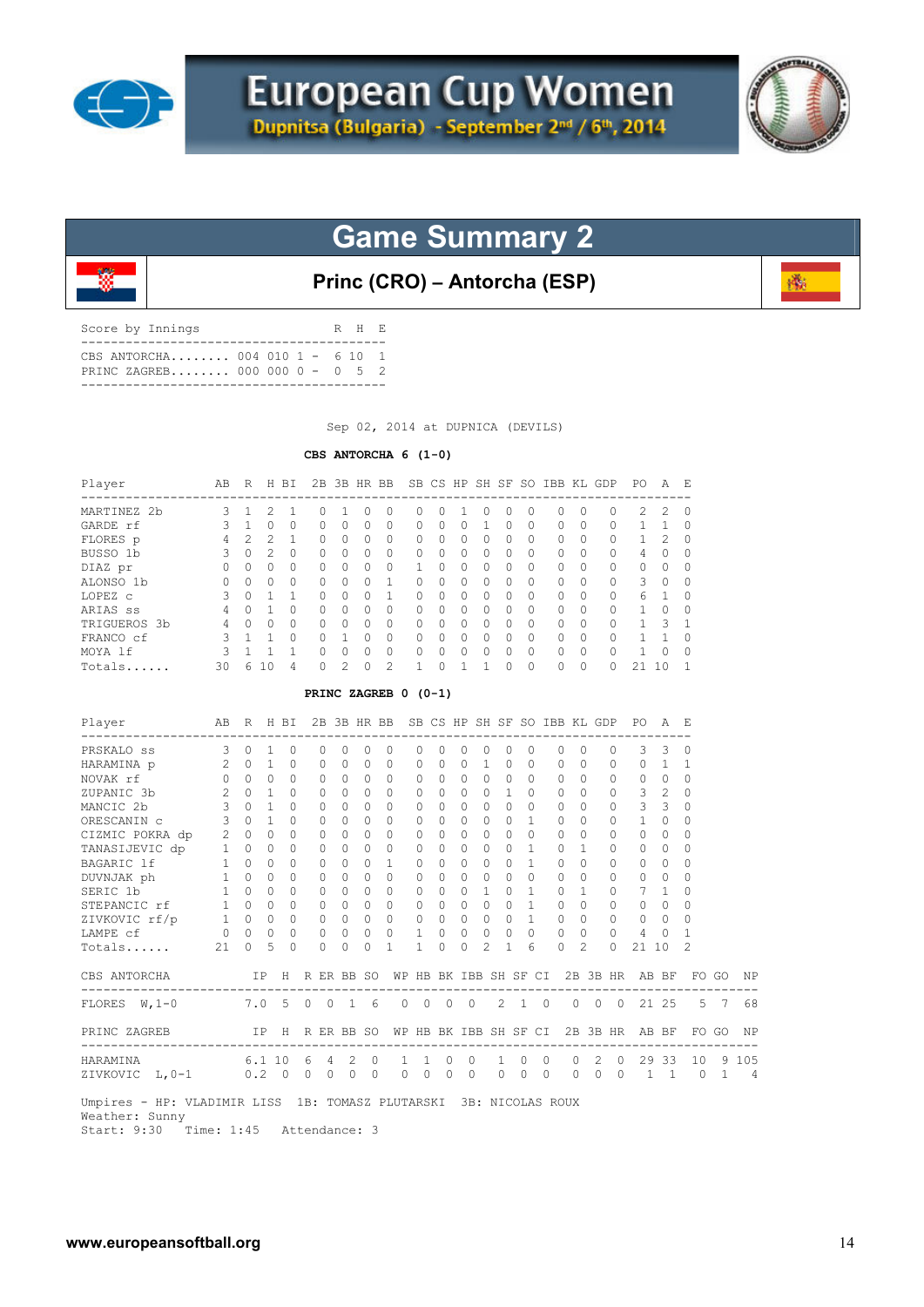



**Princ (CRO) – Antorcha (ESP)**

磷

| CBS ANTORCHA 004 010 1 - 6 10 1<br>PRINC ZAGREB 000 000 0 - 0 5 2 | Score by Innings |  | R H E |  |
|-------------------------------------------------------------------|------------------|--|-------|--|
|                                                                   |                  |  |       |  |

Sep 02, 2014 at DUPNICA (DEVILS)

### **CBS ANTORCHA 6 (1-0)**

| Player       | AВ | R              | Н                | ВI       | 2 B |          | 3B HR BB  |          |              |        |   | SB CS HP SH SF |          | SO.       | IBB          | KL       | GDP      | PО            | А              | Е        |
|--------------|----|----------------|------------------|----------|-----|----------|-----------|----------|--------------|--------|---|----------------|----------|-----------|--------------|----------|----------|---------------|----------------|----------|
| MARTINEZ 2b  | 3. |                |                  |          |     |          |           |          | 0            | O      |   | $^{()}$        | 0        | 0         |              |          | $\Omega$ | $\mathcal{L}$ | $\mathcal{L}$  | 0        |
| GARDE rf     | ς  |                | <sup>0</sup>     | $\Omega$ | 0   | 0        | $\Omega$  | $\cap$   | $\Omega$     | O.     | 0 |                | 0        | $\Omega$  | <sup>0</sup> | $\Omega$ | $\Omega$ |               |                | $\Omega$ |
| FLORES p     | 4  | $\mathfrak{D}$ | 2                |          | O.  | $\Omega$ | $\Omega$  | O.       | $\bigcap$    | O.     | 0 | $\Omega$       | 0        | $\Omega$  | $\Omega$     |          | $\Omega$ |               | $\mathfrak{D}$ | $\Omega$ |
| BUSSO 1b     | 3  | 0              | 2                | 0        | O.  | 0        | $\Omega$  | U        | $\Omega$     | O.     | 0 | 0              | 0        | $\Omega$  | <sup>0</sup> | $\Omega$ | $\Omega$ | 4             | $\Omega$       | $\Omega$ |
| DIAZ pr      |    | N              | 0                | $\Omega$ | 0   | $\Omega$ | $\Omega$  | $\Omega$ |              | U      | 0 | $\bigcap$      | 0        | $\Omega$  | <sup>0</sup> | $\Omega$ | $\Omega$ | $\Omega$      | <sup>0</sup>   | $\Omega$ |
| ALONSO 1b    |    | 0              | <sup>0</sup>     | $\Omega$ | O.  | 0        | $\Omega$  |          | <sup>0</sup> | O      | 0 | 0              | 0        | $\Omega$  | $\Omega$     | $\Omega$ | $\Omega$ | 3             | $\Omega$       | $\Omega$ |
| LOPEZ c      | 3  | $\Omega$       |                  |          |     | $\Omega$ | $\bigcap$ |          | $\cap$       | O.     | 0 | <sup>0</sup>   | $\Omega$ | $\Omega$  | $\cap$       | $\Omega$ | $\Omega$ | 6             |                | $\Omega$ |
| ARIAS ss     | 4  | Λ              |                  | $\Omega$ | 0   | $\Omega$ | $\Omega$  | U        | $\Omega$     | U      | 0 | 0              | $\Omega$ | $\Omega$  | $\cap$       | $\Omega$ | $\Omega$ |               | <sup>0</sup>   | $\Omega$ |
| TRIGUEROS 3b | 4  | O              | 0                | $\Omega$ | 0   | $\Omega$ | $\Omega$  | n        | $\bigcap$    | O      | 0 | 0              | 0        | $\Omega$  | $\cap$       | $\Omega$ | $\Omega$ |               | २              |          |
| FRANCO cf    | ς  |                |                  | $\Omega$ |     |          |           | U        | <sup>n</sup> | $\cap$ | O | O.             | $\Omega$ | $\bigcap$ | $\cap$       | $\Omega$ | $\Omega$ |               |                | $\Omega$ |
| MOYA 1f      | ২  |                |                  |          | O.  | $\Omega$ | $\bigcap$ | U        | $\cap$       | U      | O | <sup>0</sup>   | $\Omega$ | $\Omega$  | $\cap$       | $\Omega$ | $\Omega$ |               | ∩              | $\Omega$ |
| Totals       | 30 | 6              | $\left( \right)$ | 4        |     | っ        |           | っ        |              |        |   |                |          | $\Omega$  |              | $\Omega$ |          |               |                |          |

### **PRINC ZAGREB 0 (0-1)**

| Player<br>--------------                                                                                     | AB R H BI             |             |                |              |          |                | 2B 3B HR BB  |           |                                        |              |                                         |                |               |                    |               | SB CS HP SH SF SO IBB KL GDP |           |                |                     | PO.                                  | A              | - E            |                |                |
|--------------------------------------------------------------------------------------------------------------|-----------------------|-------------|----------------|--------------|----------|----------------|--------------|-----------|----------------------------------------|--------------|-----------------------------------------|----------------|---------------|--------------------|---------------|------------------------------|-----------|----------------|---------------------|--------------------------------------|----------------|----------------|----------------|----------------|
| PRSKALO ss                                                                                                   | 3                     | $\Omega$    | 1              | $\circ$      |          |                |              | $\Omega$  | $\Omega$                               | $\Omega$     | $\Omega$                                | $\Omega$       | $\Omega$      | $\Omega$           | $\Omega$      |                              | $\Omega$  | $\Omega$       | $\Omega$            | 3                                    | 3              | $\Omega$       |                |                |
| HARAMINA p                                                                                                   |                       | $2 \quad 0$ | $\overline{1}$ | $\Omega$     |          | $\Omega$       | $\Omega$     | $\circ$   | $\Omega$                               | $\Omega$     | $\Omega$                                | $\Omega$       | $\mathbf{1}$  | $\Omega$           | $\Omega$      |                              | $\Omega$  | $\Omega$       | $\mathbf{0}$        | $\circ$                              | $\mathbf{1}$   | -1             |                |                |
| NOVAK rf                                                                                                     | $\Omega$              | $\cap$      | $\Omega$       | $\Omega$     |          | $\bigcap$      | $\Omega$     | $\Omega$  | $\bigcap$                              | 0            | $\Omega$                                | $\cap$         | $\Omega$      | $\Omega$           | $\Omega$      |                              | $\Omega$  | $\Omega$       | $\Omega$            | $\Omega$                             | $\Omega$       | $\Omega$       |                |                |
| ZUPANIC 3b                                                                                                   | $\mathbf{2}^{\prime}$ | $\Omega$    | $\overline{1}$ | $\Omega$     |          |                | $\Omega$     | $\Omega$  | $\Omega$                               | $\Omega$     | $\Omega$                                | $\Omega$       | $\Omega$      | 1                  | $\Omega$      |                              | $\Omega$  | $\Omega$       | 0                   | 3                                    | 2              | $\Omega$       |                |                |
| MANCIC 2b                                                                                                    | $3 -$                 | $\cap$      | $\mathbf{1}$   | <sup>0</sup> |          | $\Omega$       | $\bigcap$    | $\Omega$  | $\bigcap$                              | 0            | <sup>0</sup>                            | $\Omega$       | $\Omega$      | $\Omega$           | $\Omega$      |                              | $\bigcap$ | $\Omega$       | 0                   | 3                                    | 3              | $\Omega$       |                |                |
| ORESCANIN C                                                                                                  | $\sim$ 3              | $\Omega$    | $\mathbf{1}$   | $\Omega$     |          | 0              | $\Omega$     | $\bigcap$ | $\bigcap$                              | $\Omega$     | $\Omega$                                | 0              | $\Omega$      | $\bigcap$          | 1             |                              | $\bigcap$ | $\bigcap$      | 0                   | 1                                    | $\Omega$       | 0              |                |                |
| CIZMIC POKRA dp 2 0                                                                                          |                       |             | $\Omega$       | $\Omega$     |          |                | $\Omega$     | $\Omega$  | $\Omega$                               | $\Omega$     | $\Omega$                                | $\Omega$       | $\Omega$      | $\Omega$           | $\Omega$      |                              | $\Omega$  | $\Omega$       | $\Omega$            | $\Omega$                             | $\Omega$       | $\Omega$       |                |                |
| TANASIJEVIC dp                                                                                               | $\mathbf{1}$          | $\circ$     | $\Omega$       | $\Omega$     |          | $\Omega$       | $\bigcap$    | $\Omega$  | $\Omega$                               | 0            | $\Omega$                                | $\Omega$       | $\Omega$      | $\Omega$           | $\mathbf{1}$  |                              | $\Omega$  | $\mathbf{1}$   | $\Omega$            | $\Omega$                             | $\Omega$       | $\Omega$       |                |                |
|                                                                                                              |                       |             | $\Omega$       | $\Omega$     |          | $\Omega$       | $\bigcap$    | $\Omega$  | 1                                      | 0            | $\Omega$                                | 0              | $\Omega$      | $\Omega$           | 1             |                              | $\Omega$  | $\bigcap$      | 0                   | $\Omega$                             | $\Omega$       | 0              |                |                |
| BAGARIC 1f 1 0<br>DUVNJAK ph 1 0                                                                             |                       |             | $\Omega$       | $\circ$      |          | 0              | $\Omega$     | $\Omega$  | $\Omega$                               | $\Omega$     | $\Omega$                                | $\Omega$       | 0             | $\Omega$           | $\Omega$      |                              | 0         | $\Omega$       | 0                   | 0                                    | $\circ$        | $\Omega$       |                |                |
| SERIC 1b 1 0<br>STEPANCIC rf 1 0                                                                             |                       |             | $\Omega$       | $\Omega$     |          |                | $\Omega$     | $\Omega$  | $\Omega$                               | $\Omega$     | $\Omega$                                | $\cap$         | $\mathbf{1}$  | $\Omega$           | 1             |                              | $\Omega$  | 1              | 0                   | 7                                    | 1              | $\Omega$       |                |                |
|                                                                                                              |                       |             | $\Omega$       | $\Omega$     |          | $\bigcap$      | $\Omega$     | $\Omega$  | $\Omega$                               | $\Omega$     | $\Omega$                                | $\Omega$       | $\Omega$      | $\Omega$           | 1             |                              | $\Omega$  | $\Omega$       | $\Omega$            | $\Omega$                             | $\Omega$       | O              |                |                |
| ZIVKOVIC $rf/p$ 1 0 0                                                                                        |                       |             |                | $\circ$      |          | $\circ$        | $\Omega$     | $\circ$   | $\circ$                                | $\mathbf{0}$ | $\circ$                                 | $\Omega$       | $\Omega$      | $\Omega$           | $\mathbf{1}$  |                              | $\circ$   | $\Omega$       | 0                   | 0                                    | $\Omega$       | $\Omega$       |                |                |
| $\begin{tabular}{lllllll} \texttt{LAMPE} & \texttt{cf} & \texttt{0} & \texttt{0} & \texttt{0} \end{tabular}$ |                       |             |                | $\circ$      |          | $\circ$        | $\Omega$     | $\circ$   | $\circ$                                | $\mathbf{1}$ | $\circ$                                 | $\overline{0}$ | $\circ$       | $\circ$            | $\circ$       |                              | $\circ$   | $\Omega$       | $\mathbf{0}$        | 4                                    | $\mathbf{0}$   | 1              |                |                |
| $Totals$ 21                                                                                                  |                       | $\Omega$    | .5             | $\Omega$     |          | $\Omega$       | $\cap$       | $\Omega$  | 1                                      | $\mathbf{1}$ | $\Omega$                                | 0              | $\mathcal{L}$ | 1                  | 6             |                              | $\Omega$  | $\mathcal{L}$  | $\cap$              | 21                                   | 10             | $\mathfrak{D}$ |                |                |
| CBS ANTORCHA                                                                                                 |                       |             | IP             |              |          |                | H R ER BB SO |           |                                        |              |                                         |                |               |                    |               |                              |           |                |                     | WP HB BK IBB SH SF CI 2B 3B HR AB BF |                |                | FO GO          | ΝP             |
| FLORES W, 1-0 7.0 5 0 0                                                                                      |                       |             |                |              |          |                |              | 16        | $\Omega$                               |              | $\begin{matrix} 0 & 0 & 0 \end{matrix}$ |                |               |                    | $2 \t 1 \t 0$ |                              |           |                | $0 \quad 0 \quad 0$ | 21 25                                |                |                | 5 7            | 68             |
| PRINC ZAGREB                                                                                                 | IP H R ER BB SO       |             |                |              |          |                |              |           | WР                                     |              |                                         |                |               | HB BK IBB SH SF CI |               |                              |           |                |                     | 2B 3B HR AB BF                       |                |                | FO GO          | <b>NP</b>      |
| --------------<br>HARAMINA 6.1 10                                                                            |                       |             |                |              | 6        | $\overline{4}$ |              | 2 0       | ----------------------<br>$\mathbf{1}$ |              | 1 0 0                                   |                |               | 1                  | $\Omega$      | $\Omega$                     | $\Omega$  | $\overline{2}$ | $\Omega$            |                                      |                | 29 33 10 9 105 |                |                |
| ZIVKOVIC L, 0-1 0.2 0                                                                                        |                       |             |                |              | $\Omega$ | $\circ$        | $\Omega$     | $\Omega$  | $\circ$                                | $\Omega$     | $\circ$                                 | $\Omega$       |               | $\Omega$           | $\circ$       | $\Omega$                     | $\Omega$  | $\Omega$       | $\Omega$            | $\mathbf{1}$                         | $\overline{1}$ | $\Omega$       | $\overline{1}$ | $\overline{4}$ |
| Umpires - HP: VLADIMIR LISS 1B: TOMASZ PLUTARSKI 3B: NICOLAS ROUX                                            |                       |             |                |              |          |                |              |           |                                        |              |                                         |                |               |                    |               |                              |           |                |                     |                                      |                |                |                |                |

Weather: Sunny

Start: 9:30 Time: 1:45 Attendance: 3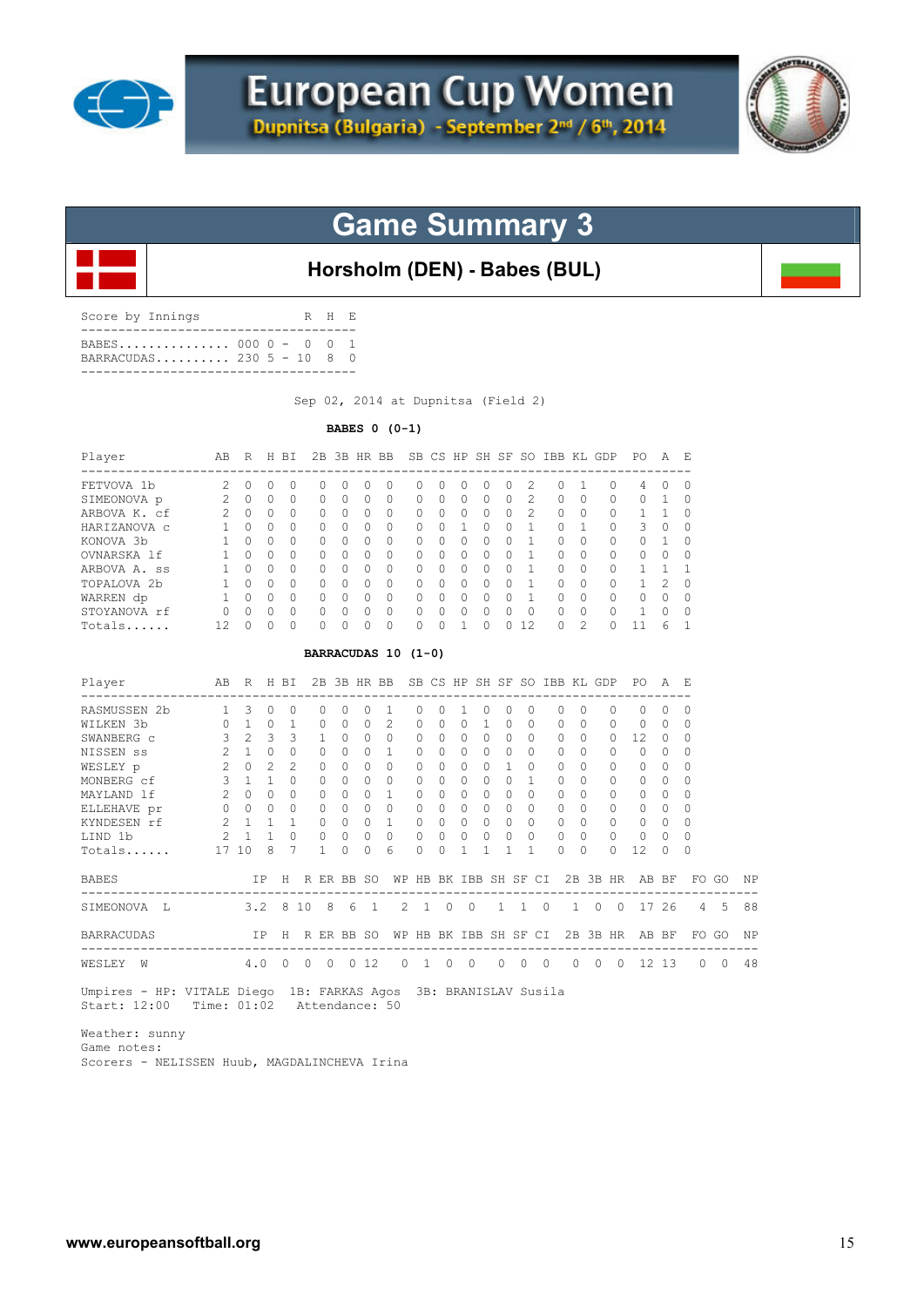



### **Horsholm (DEN) - Babes (BUL)**

| Score by Innings                               |  |  | R H E |  |
|------------------------------------------------|--|--|-------|--|
| BABES 000 0 - 0 0 1<br>BARRACUDAS 230 5 - 10 8 |  |  |       |  |

Sep 02, 2014 at Dupnitsa (Field 2)

**BABES 0 (0-1)** 

| Player                 | AB  | R         | H        | BT.       |                     |          |           | 2B 3B HR BB |              |           |                   |          |          |                | SB CS HP SH SF SO IBB KL GDP |               |          | PO.          | A              | F. |
|------------------------|-----|-----------|----------|-----------|---------------------|----------|-----------|-------------|--------------|-----------|-------------------|----------|----------|----------------|------------------------------|---------------|----------|--------------|----------------|----|
| FETVOVA 1b             | 2   | $\bigcap$ | $\Omega$ | $\bigcap$ | $\bigcap$           | $\Omega$ | $\cap$    | O           | <sup>n</sup> | $\bigcap$ | U                 | $\Omega$ | 0        | 2              | $\cap$                       |               | $\Omega$ | 4            | <sup>0</sup>   | U  |
| SIMEONOVA p            | 2   | $\Omega$  | $\Omega$ | $\Omega$  | $\Omega$            | $\Omega$ | $\bigcap$ | $\Omega$    | $\Omega$     | $\Omega$  | $\Omega$          | $\Omega$ | $\Omega$ | $\mathfrak{D}$ | $\Omega$                     | $\Omega$      | $\Omega$ | $\Omega$     |                | U  |
| ARBOVA K. cf           | 2   | $\bigcap$ | $\Omega$ | $\Omega$  | $\bigcap$           | $\Omega$ | $\Omega$  | $\Omega$    | $\Omega$     | $\bigcap$ | 0                 | $\Omega$ | 0        | $\mathfrak{D}$ | $\Omega$                     | 0             | $\Omega$ |              |                |    |
| HARIZANOVA C           |     | $\Omega$  | $\Omega$ | $\Omega$  | $\cap$              | $\Omega$ | $\bigcap$ | O           | $\Omega$     | $\cap$    |                   | $\Omega$ | $\Omega$ | 1              | $\Omega$                     |               | $\Omega$ | 3.           | $\Omega$       |    |
| KONOVA 3b              |     | $\Omega$  | $\Omega$ | $\Omega$  | $\Omega$            | $\Omega$ | $\bigcap$ | O           | $\Omega$     | $\cap$    | 0                 | $\Omega$ | $\Omega$ |                | $\Omega$                     | 0             | $\Omega$ | $\Omega$     |                | Ω  |
| OVNARSKA 1f            |     | $\Omega$  | $\Omega$ | $\Omega$  | $\Omega$            | $\Omega$ | $\bigcap$ | $\Omega$    | $\Omega$     | $\cap$    | 0                 | $\Omega$ | $\Omega$ |                | $\Omega$                     | $\Omega$      | 0        | 0            | $\Omega$       |    |
| ARBOVA A. ss           |     | $\Omega$  | $\Omega$ | $\Omega$  | $\Omega$            | $\Omega$ | $\Omega$  | O           | $\Omega$     | $\cap$    | $\Omega$          | $\Omega$ | 0        |                | $\Omega$                     | $\Omega$      | $\Omega$ |              |                |    |
| TOPALOVA <sub>2b</sub> |     | $\Omega$  | $\Omega$ | $\Omega$  | $\bigcap$           | $\Omega$ | $\Omega$  | $\Omega$    | $\Omega$     | $\bigcap$ | 0                 | $\Omega$ | 0        |                | $\Omega$                     | 0             | $\Omega$ |              | $\mathfrak{D}$ | Ω  |
| WARREN dp              |     | $\Omega$  | $\Omega$ | $\Omega$  | $\Omega$            | $\Omega$ | $\Omega$  | O           | $\Omega$     | $\bigcap$ | 0                 | $\Omega$ | $\Omega$ |                | $\Omega$                     | $\Omega$      | 0        | 0            | $\Omega$       | U  |
| STOYANOVA rf           | 0   | $\cap$    | $\Omega$ | $\Omega$  | $\Omega$            | $\Omega$ | $\bigcap$ | $\Omega$    | $\Omega$     | $\Omega$  | $\Omega$          | $\Omega$ | $\Omega$ | $\Omega$       | $\Omega$                     | $\Omega$      | $\Omega$ | $\mathbf{1}$ | $\Omega$       | 0  |
| Totals                 | 12. | $\cap$    | $\Omega$ | $\bigcap$ | $\Omega$            | $\Omega$ | $\bigcap$ | $\Omega$    | $\Omega$     | $\bigcap$ |                   | $\Omega$ | $\Omega$ | 12             | $\Omega$                     | $\mathcal{L}$ | $\Omega$ | 11           | 6              |    |
|                        |     |           |          |           | BARRACUDAS 10 (1-0) |          |           |             |              |           |                   |          |          |                |                              |               |          |              |                |    |
| Player                 | AB  | R         | H        | BT.       | 2B                  |          |           | 3B HR BB    |              |           | SB CS HP SH SF SO |          |          |                | <b>TBB</b>                   | KT.           | GDP      | PO.          | A              | F. |

| RASMUSSEN 2b      |                | 3         |    | 0              |          |          |           |                |                |              |          |              |   |                    |              |              |           | $\Omega$     | $\Omega$ |                  | $\Omega$    |          |           |
|-------------------|----------------|-----------|----|----------------|----------|----------|-----------|----------------|----------------|--------------|----------|--------------|---|--------------------|--------------|--------------|-----------|--------------|----------|------------------|-------------|----------|-----------|
| WILKEN 3b         |                |           |    |                |          |          |           | 0              | 2              | 0            | 0        |              |   |                    | 0            | 0            | 0         | $\Omega$     | 0        | $^{()}$          | 0           |          |           |
| SWANBERG c        | 3              |           |    | 3              |          |          |           |                | $\Omega$       |              |          | 0            | n |                    | $\Omega$     | 0            | $\Omega$  | $\Omega$     | 12.      | $\left( \right)$ | $\Omega$    |          |           |
| NISSEN SS         |                |           |    | 0              |          |          |           | O              |                | 0            | O        |              | U |                    | $\Omega$     | O.           | O.        | $\Omega$     | $\Omega$ |                  | $\Omega$    |          |           |
| WESLEY p          | $\mathfrak{D}$ |           |    | $\mathfrak{D}$ |          |          |           | $\Omega$       | O              | <sup>n</sup> | 0        | U            | U |                    | ∩            | O.           | U         | $\Omega$     | $\Omega$ | $\Omega$         | $\Omega$    |          |           |
| MONBERG cf        | 3              |           |    | O              |          |          |           | O              | O              | 0            | O        |              |   |                    |              | U            |           | $\Omega$     | $\Omega$ | 0                | $\Omega$    |          |           |
| MAYLAND 1f        | 2              |           |    | $\Omega$       |          |          |           | $\Omega$       |                | 0            | O        | 0            | U |                    | $\Omega$     | O.           | $\Omega$  | 0            | $\Omega$ | 0                | $\Omega$    |          |           |
| ELLEHAVE pr       | U              | $\bigcap$ | 0  | $\Omega$       |          |          | $\bigcap$ | $\Omega$       | $\Omega$       | 0            | $\Omega$ | 0            | 0 | O.                 | $\Omega$     | 0            | $\Omega$  | $\Omega$     | $\Omega$ | $\Omega$         | $\Omega$    |          |           |
| KYNDESEN rf       |                |           |    |                |          |          |           | 0              |                | 0            | 0        | O.           | U |                    | $\Omega$     | O            | 0         | $\Omega$     | $\Omega$ | 0                | $\Omega$    |          |           |
| LIND 1b           |                |           |    | 0              |          |          |           | 0              | 0              |              | 0        | 0            | 0 |                    | $\Omega$     | 0            | $\Omega$  | $\mathbf{0}$ | $\Omega$ | $\left( \right)$ | 0           |          |           |
| Totals            | 17             | 10        | 8  | 7              |          |          | $\bigcap$ | $\Omega$       | 6              | 0            | $\Omega$ |              |   |                    |              | O.           | $\Omega$  | $\Omega$     | 12       | 0                | 0           |          |           |
| <b>BABES</b>      |                |           | ΙP | Н              | R        | ER.      | BB        | SO.            | WΡ             | HB           |          | BK TBB       |   | SH SF              | CI.          | 2B           | 3B        | HR           | AB       | BF               | FO.         | GO       | <b>NP</b> |
| SIMEONOVA<br>. т. |                | 3.2       |    | -8             | 10       | 8        | 6         | $\overline{1}$ | $\mathfrak{D}$ | 1            | $\Omega$ | $\Omega$     |   | $\mathbf{1}$<br>-1 | $\Omega$     | $\mathbf{1}$ | $\Omega$  | $\Omega$     | 17       | 26               | 4           | -5       | 88        |
| <b>BARRACUDAS</b> |                |           | ΙP | H              | R        | ER BB    |           | <b>SO</b>      | WΡ             | HB           |          | BK IBB SH SF |   |                    | CI.          | 2B           |           | 3B HR        | AB       | BF               | $_{\rm FO}$ | GO       | ΝP        |
| WESLEY<br>W       |                | 4.0       |    |                | $\Omega$ | $\Omega$ | $\bigcap$ | 12             | $\cap$         |              | O.       |              | 0 |                    | O.<br>$\cap$ | 0            | $\bigcap$ | $\bigcap$    | 12.      | 13               | O.          | $\Omega$ | 48        |

 Umpires - HP: VITALE Diego 1B: FARKAS Agos 3B: BRANISLAV Susila Start: 12:00 Time: 01:02 Attendance: 50

 Weather: sunny Game notes:

Scorers - NELISSEN Huub, MAGDALINCHEVA Irina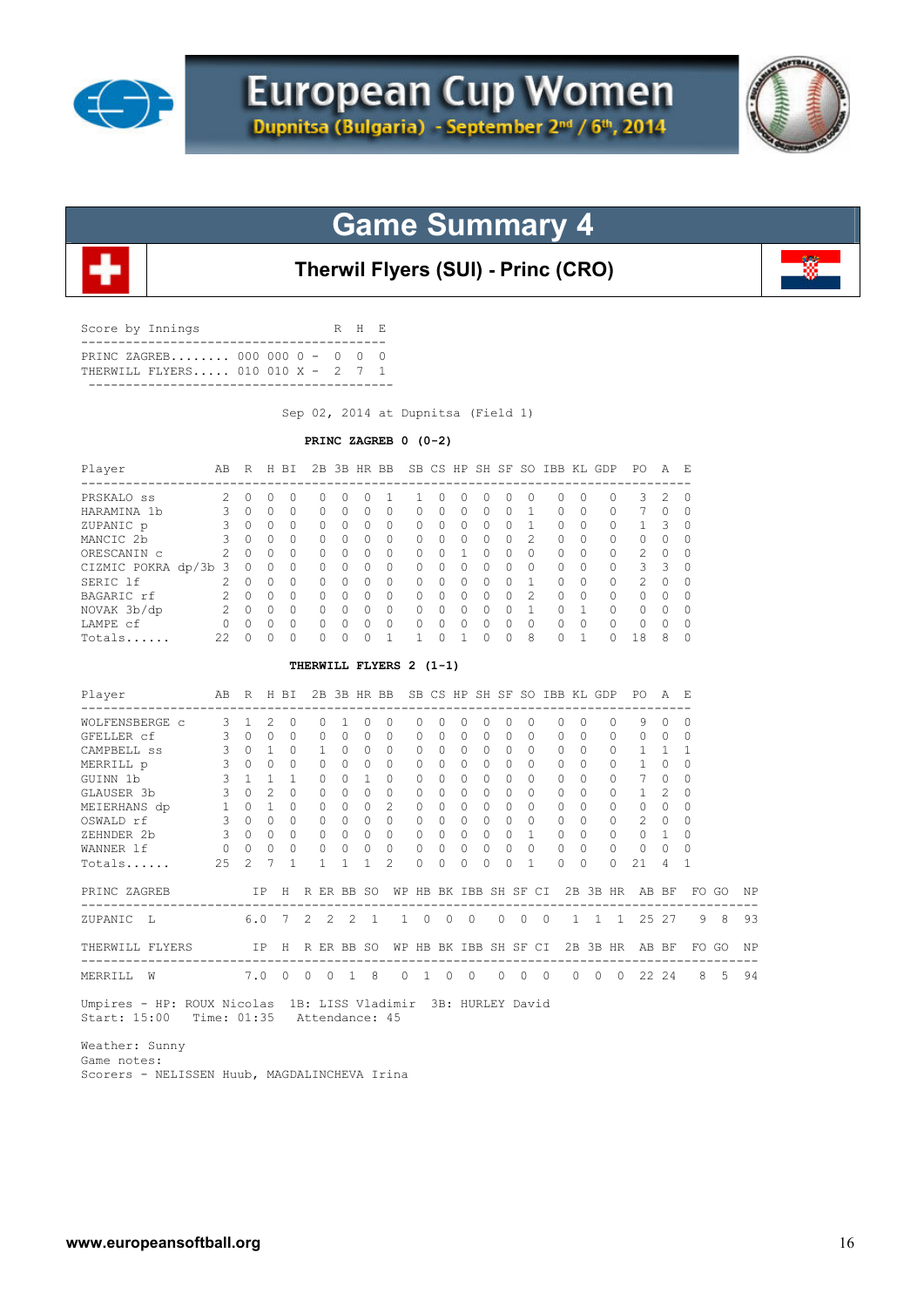



**Therwil Flyers (SUI) - Princ (CRO)**

| Score by Innings               | R H E |  |
|--------------------------------|-------|--|
| PRINC ZAGREB 000 000 0 - 0 0 0 |       |  |
|                                |       |  |

Sep 02, 2014 at Dupnitsa (Field 1)

#### **PRINC ZAGREB 0 (0-2)**

| $\Omega$<br>$\Omega$<br>$\Omega$<br>$\Omega$<br>$\Omega$<br>$\Omega$<br>$\bigcap$<br>$\Omega$<br>$\bigcirc$<br>$\Omega$<br>$\Omega$<br>THERWILL FLYERS 2 (1-1)<br>2B 3B HR BB SB CS HP SH SF SO IBB KL GDP<br>R H BI<br>$\Omega$<br>$\Omega$ |
|----------------------------------------------------------------------------------------------------------------------------------------------------------------------------------------------------------------------------------------------|
|                                                                                                                                                                                                                                              |
|                                                                                                                                                                                                                                              |
|                                                                                                                                                                                                                                              |
|                                                                                                                                                                                                                                              |
|                                                                                                                                                                                                                                              |
|                                                                                                                                                                                                                                              |
|                                                                                                                                                                                                                                              |
|                                                                                                                                                                                                                                              |
|                                                                                                                                                                                                                                              |
|                                                                                                                                                                                                                                              |
|                                                                                                                                                                                                                                              |
|                                                                                                                                                                                                                                              |
|                                                                                                                                                                                                                                              |
|                                                                                                                                                                                                                                              |
|                                                                                                                                                                                                                                              |
| $\Omega$                                                                                                                                                                                                                                     |
| $\Omega$                                                                                                                                                                                                                                     |
| 1                                                                                                                                                                                                                                            |
| $\bigcap$                                                                                                                                                                                                                                    |
| $\Omega$                                                                                                                                                                                                                                     |
| $\Omega$                                                                                                                                                                                                                                     |
| $\bigcirc$                                                                                                                                                                                                                                   |
| $\Omega$                                                                                                                                                                                                                                     |
| $\mathbf{1}$                                                                                                                                                                                                                                 |
| H R ER BB SO                                                                                                                                                                                                                                 |
| $2 \quad 2$<br>7                                                                                                                                                                                                                             |
| IP H R ER BB SO                                                                                                                                                                                                                              |
| -----------------------------------                                                                                                                                                                                                          |
|                                                                                                                                                                                                                                              |

Weather: Sunny

 Game notes: Scorers - NELISSEN Huub, MAGDALINCHEVA Irina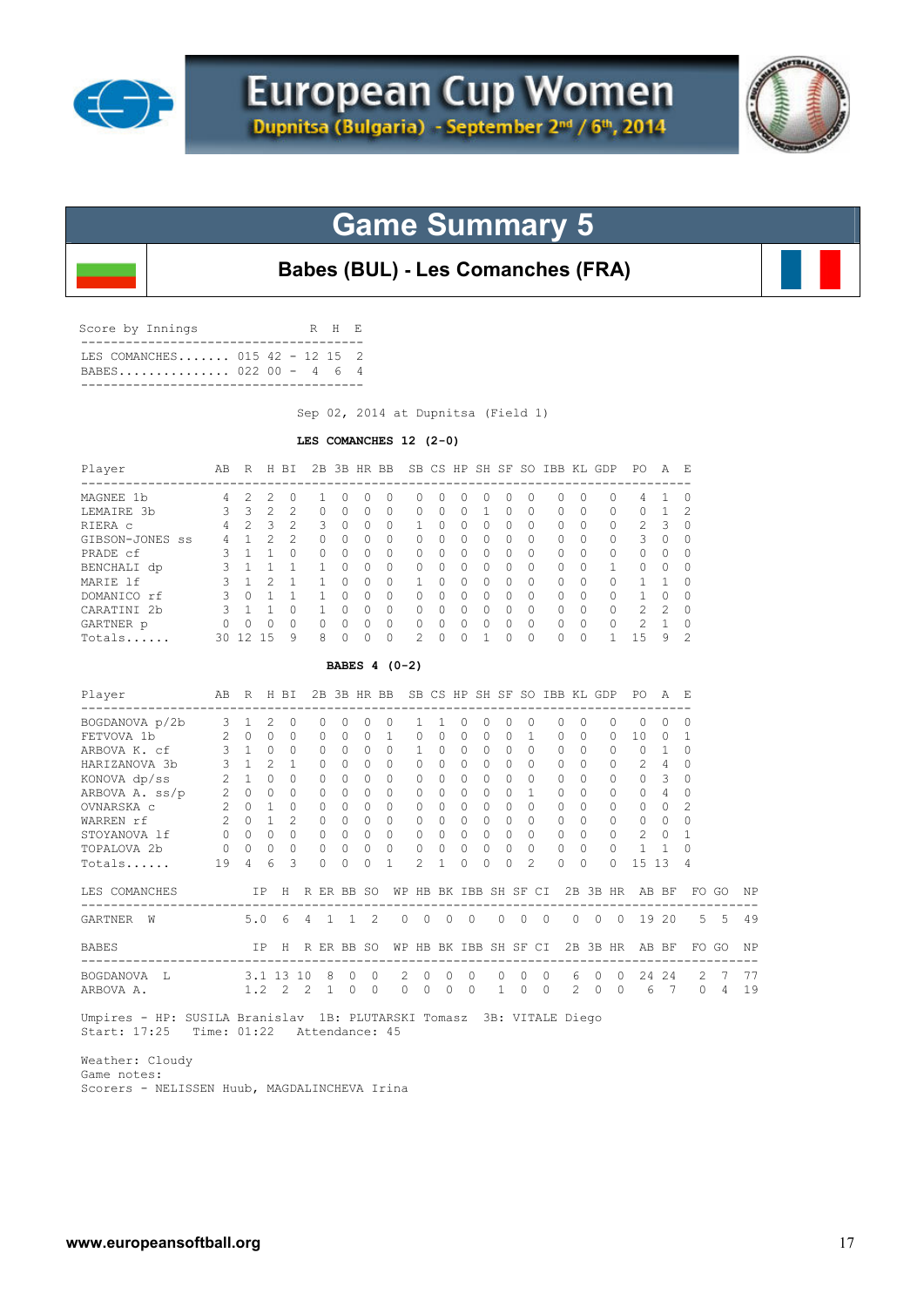



**Babes (BUL) - Les Comanches (FRA)**

| Score by Innings                                     |  |  | R H E |  |
|------------------------------------------------------|--|--|-------|--|
| TES COMANCHES 015 42 - 12 15 2<br>BABES 022 00 - 4 6 |  |  |       |  |
|                                                      |  |  |       |  |

Sep 02, 2014 at Dupnitsa (Field 1)

#### **LES COMANCHES 12 (2-0)**

| Player                                                                                                                                                                    |                                                                                                          | AB R H BI                                                                                                                   |                                                            |                                                                                                                                |                                                                                                                               |                                                                                                                                      |                                                                                                                               | 2B 3B HR BB SB CS HP SH SF SO IBB KL GDP PO                                                                                |                                                                                                                               |                                                                                                            |                                                                                                                                     |                                                                                                                               |                                                                                                                                 |                                                                                                                                               |                                                                                                                        |                                                                                                                                 |                |                                                                                                                  |                                                                                             | AE                                                                                                            |                                                                                                                                |                       |          |
|---------------------------------------------------------------------------------------------------------------------------------------------------------------------------|----------------------------------------------------------------------------------------------------------|-----------------------------------------------------------------------------------------------------------------------------|------------------------------------------------------------|--------------------------------------------------------------------------------------------------------------------------------|-------------------------------------------------------------------------------------------------------------------------------|--------------------------------------------------------------------------------------------------------------------------------------|-------------------------------------------------------------------------------------------------------------------------------|----------------------------------------------------------------------------------------------------------------------------|-------------------------------------------------------------------------------------------------------------------------------|------------------------------------------------------------------------------------------------------------|-------------------------------------------------------------------------------------------------------------------------------------|-------------------------------------------------------------------------------------------------------------------------------|---------------------------------------------------------------------------------------------------------------------------------|-----------------------------------------------------------------------------------------------------------------------------------------------|------------------------------------------------------------------------------------------------------------------------|---------------------------------------------------------------------------------------------------------------------------------|----------------|------------------------------------------------------------------------------------------------------------------|---------------------------------------------------------------------------------------------|---------------------------------------------------------------------------------------------------------------|--------------------------------------------------------------------------------------------------------------------------------|-----------------------|----------|
| MAGNEE 1b<br>LEMAIRE 3b<br>RIERA C<br>GIBSON-JONES SS<br>PRADE cf<br>BENCHALI dp<br>MARIE lf                                                                              | $\overline{4}$<br>3<br>$\overline{4}$<br>4<br>3<br>$\mathcal{S}$<br>$\mathbf{3}$                         | 2<br>3<br>$\overline{2}$<br>$\mathbf{1}$<br>$1\quad1$<br>$1\quad1$<br>$\mathbf{1}$                                          | $\mathfrak{D}$<br>$\overline{c}$<br>3<br>2<br>2            | $\Omega$<br>$\overline{c}$<br>$\overline{c}$<br>$\overline{c}$<br>$\Omega$<br>1<br>$\mathbf{1}$                                | 1<br>$\Omega$<br>3<br>$\Omega$<br>$\circ$<br>1<br>$\mathbf{1}$                                                                | 0<br>$\Omega$<br>$\Omega$<br>$\Omega$<br>$\Omega$<br>$\Omega$<br>$\Omega$                                                            | $\Omega$<br>$\Omega$<br>$\Omega$<br>$\Omega$<br>$\Omega$<br>$\Omega$<br>$\Omega$                                              | $\Omega$<br>$\Omega$<br>$\Omega$<br>$\Omega$<br>$\Omega$<br>$\Omega$<br>$\circ$                                            | 0<br>$\Omega$<br>1<br>$\Omega$<br>$\Omega$<br>$\circ$<br>$\mathbf{1}$                                                         | $\Omega$<br>$\Omega$<br>$\Omega$<br>$\Omega$<br>$\Omega$<br>$\Omega$<br>$\Omega$                           | 0<br>$\Omega$<br>$\Omega$<br>$\Omega$<br>$\Omega$<br>$\Omega$<br>$\Omega$                                                           | $\Omega$<br>1<br>$\Omega$<br>$\Omega$<br>$\Omega$<br>$\Omega$<br>$\Omega$                                                     | $\Omega$<br>$\Omega$<br>$\Omega$<br>$\bigcap$<br>$\Omega$<br>$\Omega$<br>$\Omega$                                               | $\Omega$<br>$\Omega$<br>$\Omega$<br>$\Omega$<br>$\Omega$<br>$\Omega$<br>$\Omega$                                                              | $\Omega$<br>$\Omega$<br>$\Omega$<br>$\Omega$<br>$\Omega$<br>$\Omega$<br>$\Omega$                                       | $\Omega$<br>$\bigcap$<br>$\Omega$<br>$\Omega$<br>$\Omega$<br>$\Omega$<br>$\Omega$                                               |                | 0<br>$\Omega$<br>0<br>0<br>$\circ$<br>$\mathbf{1}$<br>$\circ$                                                    | 4<br>0<br>2<br>3<br>$\Omega$<br>$\circ$<br>$\mathbf{1}$                                     | 1<br>$\mathbf{1}$<br>3<br>$\Omega$<br>$\Omega$<br>$\Omega$<br>1                                               | $\Omega$<br>2<br>$\Omega$<br>$\Omega$<br>$\Omega$<br>$\Omega$<br>$\Omega$                                                      |                       |          |
| DOMANICO rf<br>CARATINI 2b<br>GARTNER p<br>Totals                                                                                                                         | $\mathbf{3}$<br>$\mathbf{3}$<br>$\overline{0}$                                                           | $1 \quad 1$<br>$\Omega$<br>30 12 15                                                                                         | $0\quad1$<br>$\Omega$                                      | $\mathbf{1}$<br>$\Omega$<br>$\bigcap$<br>9                                                                                     | $\mathbf{1}$<br>$\overline{1}$<br>$\Omega$<br>8                                                                               | $\Omega$<br>$\Omega$<br>$\Omega$<br>$\Omega$                                                                                         | $\Omega$<br>$\Omega$<br>$\Omega$<br>$\Omega$                                                                                  | $\circ$<br>$\bigcirc$<br>$\Omega$<br>$\Omega$                                                                              | $\circ$<br>$\Omega$<br>$\Omega$<br>$\overline{\mathcal{L}}$                                                                   | $\Omega$<br>$\Omega$<br>$\Omega$<br>$\Omega$                                                               | $\Omega$<br>$\Omega$<br>$\Omega$<br>$\Omega$                                                                                        | $\Omega$<br>$\Omega$<br>$\Omega$<br>1                                                                                         | $\Omega$<br>$\Omega$<br>$\Omega$<br>$\Omega$                                                                                    | $\Omega$<br>$\Omega$<br>$\Omega$<br>$\Omega$                                                                                                  | 0<br>$\Omega$<br>$\circ$<br>$\Omega$                                                                                   | $\Omega$<br>$\Omega$<br>$\Omega$<br>$\Omega$                                                                                    |                | $\circ$<br>$\Omega$<br>$\Omega$<br>$\mathbf{1}$                                                                  | $\mathbf{1}$<br>$\overline{c}$<br>$\overline{c}$<br>15                                      | $\mathbf 0$<br>$\mathfrak{D}$<br>$\mathbf{1}$<br>9                                                            | $\mathbf 0$<br>$\Omega$<br>$\mathbf 0$<br>$\overline{c}$                                                                       |                       |          |
|                                                                                                                                                                           |                                                                                                          |                                                                                                                             |                                                            |                                                                                                                                |                                                                                                                               |                                                                                                                                      |                                                                                                                               | BABES 4 (0-2)                                                                                                              |                                                                                                                               |                                                                                                            |                                                                                                                                     |                                                                                                                               |                                                                                                                                 |                                                                                                                                               |                                                                                                                        |                                                                                                                                 |                |                                                                                                                  |                                                                                             |                                                                                                               |                                                                                                                                |                       |          |
| Player                                                                                                                                                                    | AВ                                                                                                       |                                                                                                                             |                                                            | R H BI                                                                                                                         |                                                                                                                               |                                                                                                                                      |                                                                                                                               | 2B 3B HR BB SB CS HP SH SF SO IBB KL GDP                                                                                   |                                                                                                                               |                                                                                                            |                                                                                                                                     |                                                                                                                               |                                                                                                                                 |                                                                                                                                               |                                                                                                                        |                                                                                                                                 |                |                                                                                                                  | PO A E                                                                                      |                                                                                                               |                                                                                                                                |                       |          |
| BOGDANOVA p/2b<br>FETVOVA 1b<br>ARBOVA K. cf<br>HARIZANOVA 3b<br>KONOVA dp/ss<br>ARBOVA A. ss/p 2 0 0<br>OVNARSKA c<br>WARREN rf<br>STOYANOVA lf<br>TOPALOVA 2b<br>Totals | 3<br>2<br>$\mathbf{3}$<br>$\mathbf{3}$<br>2<br>$2^{\circ}$<br>$\overline{2}$<br>$\circ$<br>$\circ$<br>19 | $\mathbf{1}$<br>$\Omega$<br>$1 \quad 0$<br>$1 \quad 2$<br>$1 \quad 0$<br>$\cap$<br>$0 \quad 1$<br>$\Omega$<br>$\Omega$<br>4 | 2<br>$\Omega$<br>$\mathbf{1}$<br>$\Omega$<br>$\Omega$<br>6 | $\circ$<br>$\Omega$<br>$\cap$<br>$\mathbf{1}$<br>$\Omega$<br>$\Omega$<br>$\cap$<br>$\overline{c}$<br>$\Omega$<br>$\Omega$<br>3 | $\circ$<br>$\Omega$<br>$\Omega$<br>$\Omega$<br>$\circ$<br>$\Omega$<br>$\Omega$<br>$\Omega$<br>$\circ$<br>$\Omega$<br>$\Omega$ | $\mathbf{0}$<br>$\Omega$<br>$\Omega$<br>$\Omega$<br>$\Omega$<br>$\Omega$<br>$\Omega$<br>$\Omega$<br>$\Omega$<br>$\Omega$<br>$\Omega$ | $\circ$<br>$\Omega$<br>$\Omega$<br>$\Omega$<br>$\circ$<br>$\Omega$<br>$\Omega$<br>$\Omega$<br>$\circ$<br>$\Omega$<br>$\Omega$ | $\circ$<br>$\mathbf{1}$<br>$\Omega$<br>$\Omega$<br>$\Omega$<br>$\Omega$<br>$\Omega$<br>$\Omega$<br>$\circ$<br>$\circ$<br>1 | $\mathbf{1}$<br>$\Omega$<br>$\mathbf{1}$<br>$\Omega$<br>$\circ$<br>$\Omega$<br>$\Omega$<br>$\Omega$<br>0<br>$\mathbf{0}$<br>2 | 1<br>$\Omega$<br>$\Omega$<br>$\Omega$<br>$\Omega$<br>$\Omega$<br>$\Omega$<br>$\Omega$<br>$\circ$<br>0<br>1 | 0<br>$\Omega$<br>$\Omega$<br>$\Omega$<br>$\Omega$<br>$\Omega$<br>$\Omega$<br>$\Omega$<br>$\overline{0}$<br>$\mathbf{0}$<br>$\Omega$ | $\circ$<br>$\Omega$<br>$\Omega$<br>$\Omega$<br>$\circ$<br>$\Omega$<br>$\Omega$<br>$\Omega$<br>$\circ$<br>$\Omega$<br>$\Omega$ | $\circ$<br>$\Omega$<br>$\Omega$<br>$\Omega$<br>$\Omega$<br>$\Omega$<br>$\Omega$<br>$\Omega$<br>$\Omega$<br>$\Omega$<br>$\Omega$ | $\circ$<br>$\mathbf{1}$<br>$\Omega$<br>$\Omega$<br>$\Omega$<br>$\mathbf{1}$<br>$\Omega$<br>$\Omega$<br>$\Omega$<br>$\Omega$<br>$\mathfrak{D}$ | 0<br>$\Omega$<br>$\Omega$<br>$\circ$<br>$\circ$<br>$\Omega$<br>$\Omega$<br>$\Omega$<br>$\circ$<br>$\Omega$<br>$\Omega$ | $\circ$<br>$\Omega$<br>$\Omega$<br>$\Omega$<br>$\Omega$<br>$\Omega$<br>$\Omega$<br>$\Omega$<br>$\Omega$<br>$\Omega$<br>$\Omega$ |                | $\circ$<br>$\Omega$<br>$\Omega$<br>0<br>$\circ$<br>$\Omega$<br>$\Omega$<br>$\Omega$<br>0<br>$\Omega$<br>$\Omega$ | $\circ$<br>10<br>$\mathbf{0}$<br>2<br>0<br>$\Omega$<br>$\Omega$<br>$\Omega$<br>2<br>1<br>15 | $\circ$<br>$\Omega$<br>$\mathbf{1}$<br>4<br>3<br>$\overline{4}$<br>$\Omega$<br>$\Omega$<br>$\circ$<br>1<br>13 | $\mathbf 0$<br>$\mathbf{1}$<br>$\Omega$<br>$\Omega$<br>$\circ$<br>$\Omega$<br>$\overline{2}$<br>$\Omega$<br>1<br>$\Omega$<br>4 |                       |          |
| LES COMANCHES<br>---------------                                                                                                                                          |                                                                                                          |                                                                                                                             | ΙP                                                         |                                                                                                                                | H R ER BB SO                                                                                                                  |                                                                                                                                      |                                                                                                                               |                                                                                                                            |                                                                                                                               |                                                                                                            |                                                                                                                                     |                                                                                                                               |                                                                                                                                 |                                                                                                                                               | WP HB BK IBB SH SF CI                                                                                                  |                                                                                                                                 |                |                                                                                                                  | 2B 3B HR AB BF                                                                              |                                                                                                               |                                                                                                                                | FO GO                 | ΝP       |
| GARTNER W<br><b>BABES</b>                                                                                                                                                 |                                                                                                          | 5.0                                                                                                                         | ΙP                                                         | 6                                                                                                                              | $4 \quad 1$<br>H R ER BB SO                                                                                                   |                                                                                                                                      | 1                                                                                                                             | 2                                                                                                                          | 0<br>WP HB BK IBB SH SF CI                                                                                                    | $\circ$<br>0                                                                                               | 0                                                                                                                                   |                                                                                                                               | 0                                                                                                                               | $\overline{0}$                                                                                                                                | 0                                                                                                                      | $\circ$                                                                                                                         | $\overline{0}$ | 0<br>2B 3B HR                                                                                                    |                                                                                             | 19 20<br>AB BF                                                                                                | 5                                                                                                                              | -5<br>FO GO           | 49<br>ΝP |
| ----------------<br>BOGDANOVA L<br>ARBOVA A.                                                                                                                              |                                                                                                          |                                                                                                                             |                                                            | 3.1 13 10<br>$1.2 \quad 2 \quad 2$                                                                                             | -------------<br>- 8<br>$\overline{1}$                                                                                        |                                                                                                                                      | $\circ$<br>$\Omega$                                                                                                           | 0<br>$\Omega$                                                                                                              | 2<br>0<br>$\Omega$                                                                                                            | 0<br>$\circ$<br>$\Omega$                                                                                   | 0<br>$\Omega$                                                                                                                       |                                                                                                                               | $\circ$<br>$\mathbf{1}$                                                                                                         | $\circ$<br>$\circ$                                                                                                                            | 0<br>$\Omega$                                                                                                          | 6<br>2                                                                                                                          | 0<br>$\Omega$  | 0<br>$\Omega$                                                                                                    | 6                                                                                           | 24 24<br>7                                                                                                    | 2<br>$\Omega$                                                                                                                  | - 7<br>$\overline{4}$ | 77<br>19 |

 Umpires - HP: SUSILA Branislav 1B: PLUTARSKI Tomasz 3B: VITALE Diego Start: 17:25 Time: 01:22 Attendance: 45

 Weather: Cloudy Game notes: Scorers - NELISSEN Huub, MAGDALINCHEVA Irina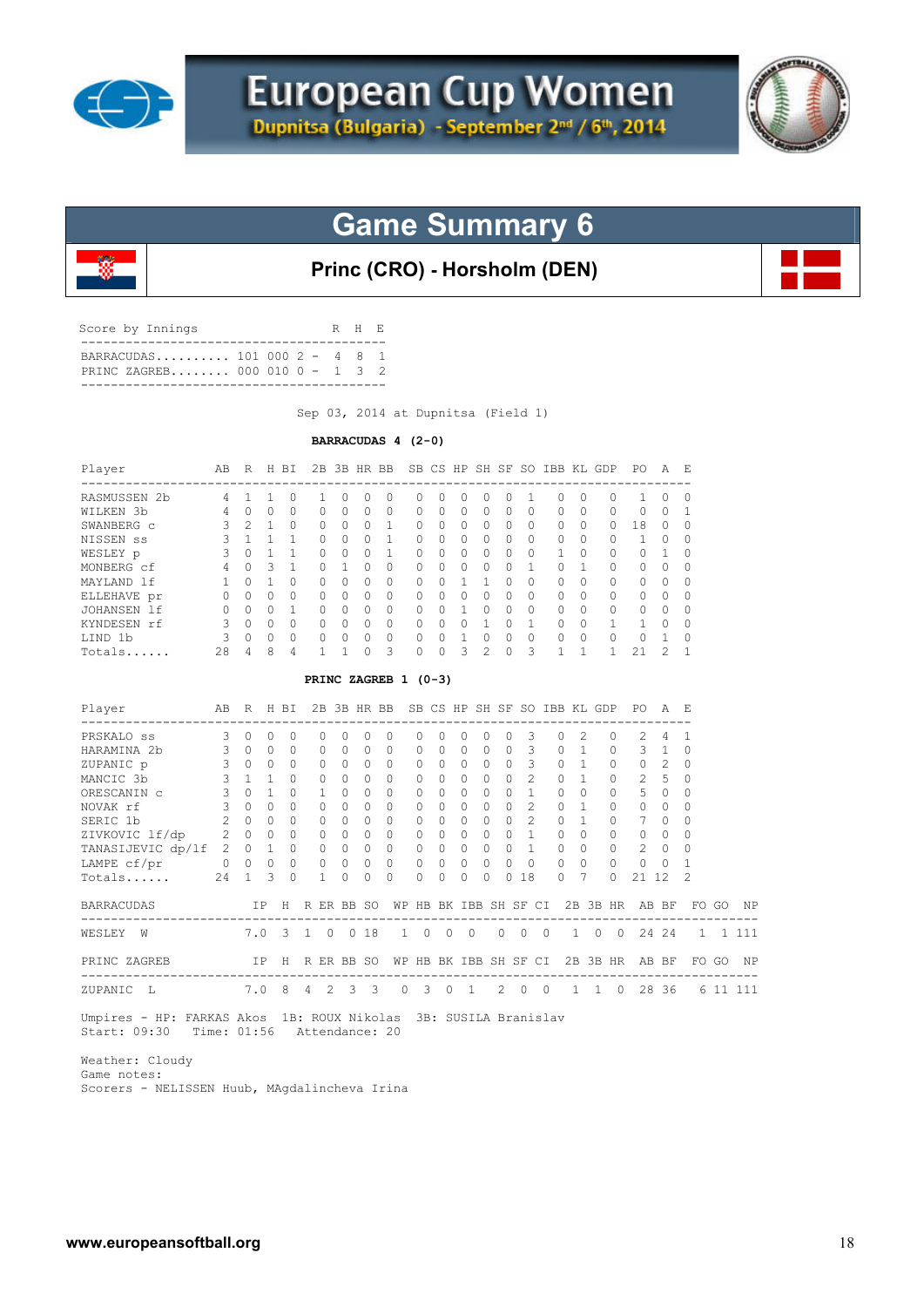



### **Princ (CRO) - Horsholm (DEN)**

| BARRACUDAS 101 000 $2 - 4 8 1$ |  |  |  |  |
|--------------------------------|--|--|--|--|
| PRINC ZAGREB 000 010 0 - 1 3 2 |  |  |  |  |

Sep 03, 2014 at Dupnitsa (Field 1)

#### **BARRACUDAS 4 (2-0)**

| Player       | AВ | R             | H | BT.      | 2B | 3B       | HR BB            |          |              | SB CS        |                  | HP SH SF     |          | -SO      | <b>TBB</b> | KL.      | GDP          | PO.          | A            | E,       |
|--------------|----|---------------|---|----------|----|----------|------------------|----------|--------------|--------------|------------------|--------------|----------|----------|------------|----------|--------------|--------------|--------------|----------|
| RASMUSSEN 2b | 4  |               |   | O        |    | 0        | $\left( \right)$ | O        | 0            | <sup>0</sup> | $\left( \right)$ |              | $^{(1)}$ |          | O          | 0        | n            |              | 0            | $\Omega$ |
| WILKEN 3b    | 4  |               | 0 | $\Omega$ | 0  | 0        | 0                | $\Omega$ | 0            | 0            | $\Omega$         |              | 0        | $\Omega$ | 0          | 0        | 0            | 0            | 0            |          |
| SWANBERG c   | 3  | $\mathcal{P}$ |   | $\Omega$ | 0  | 0        | <sup>0</sup>     | 1        | 0            | $\cap$       | $\Omega$         | $\cap$       | U        | $\Omega$ | O          | $\Omega$ | 0            | 18           | O            | O        |
| NISSEN SS    |    |               |   |          | Ω  | O        | $\Omega$         |          | <sup>0</sup> | 0            | $\Omega$         |              | Ω        | $\Omega$ | O          | 0        | 0            |              | O            | 0        |
| WESLEY p     | २  |               |   |          | U  | O        | $\Omega$         |          | <sup>0</sup> | $\Omega$     | $\cap$           |              | U        | $\Omega$ |            | O        | O            | Λ            |              | 0        |
| MONBERG cf   | 4  | <sup>n</sup>  | ς |          | 0  |          | $\bigcap$        | $\Omega$ | $\bigcap$    | O.           | $\Omega$         | <sup>n</sup> | O.       |          | O          |          | O            | <sup>n</sup> | O            | $\Omega$ |
| MAYLAND 1f   |    |               |   | $\Omega$ | 0  | 0        | O                | $\Omega$ | <sup>0</sup> | $\cap$       |                  |              | 0        | $\Omega$ | U          | 0        | U            | 0            | U            | 0        |
| ELLEHAVE pr  |    |               | U | $\Omega$ | 0  | 0        | $\Omega$         | $\Omega$ | 0            | U            | $\cap$           |              | ∩        | $\Omega$ | U          | $\Omega$ | <sup>0</sup> | U            | <sup>0</sup> | $\Omega$ |
| JOHANSEN 1f  | 0  |               | U |          | 0  | $\Omega$ | <sup>0</sup>     | $\Omega$ | 0            | $\cap$       |                  |              | U        | $\Omega$ | $\Omega$   | $\Omega$ | O            | 0            | $\cap$       | O        |
| KYNDESEN rf  | 3  |               | Ω | $\Omega$ | Λ  | O        | ∩                | $\Omega$ | $\Omega$     | $\cap$       | $\cap$           |              |          |          | $\cap$     | $\Omega$ |              |              | $\cap$       | $\Omega$ |
| LIND 1b      | २  |               | U | $\Omega$ | Λ  | O        | $\bigcap$        | $\Omega$ | $\Omega$     | U            |                  |              | U        | $\Omega$ | U          | 0        | O            | U            |              | $\Omega$ |
| Totals       | 28 | 4             | 8 | 4        |    |          | Λ                | 3        | <sup>0</sup> |              | 5                |              |          | 3        |            |          |              | $2^{\circ}$  |              | 1        |

#### **PRINC ZAGREB 1 (0-3)**

| Player                                                          | AB             | R           |           | H BI         |                |          | 2B 3B HR BB    |              |              |          |                |          |              |                 |                |          | SB CS HP SH SF SO IBB KL GDP |                |          | PO.            | A             | - F.           |       |           |
|-----------------------------------------------------------------|----------------|-------------|-----------|--------------|----------------|----------|----------------|--------------|--------------|----------|----------------|----------|--------------|-----------------|----------------|----------|------------------------------|----------------|----------|----------------|---------------|----------------|-------|-----------|
| PRSKALO SS                                                      | $\mathcal{L}$  | $\bigcap$   | $\bigcap$ | $\Omega$     |                |          |                | <sup>0</sup> | $\Omega$     |          | O.             | 0        | U            |                 |                |          | O.                           | 2              | $\Omega$ | $\mathfrak{D}$ | 4             |                |       |           |
| HARAMINA 2b                                                     | 3              | $\Omega$    | $\bigcap$ | $\Omega$     |                | O.       | $\bigcap$      | $\Omega$     | <sup>0</sup> | 0        | $\Omega$       | 0        | $\Omega$     |                 | 3              |          | $\cap$                       |                | $\Omega$ | 3              |               | $\Omega$       |       |           |
| ZUPANIC p                                                       | 3              | $\bigcap$   | $\cap$    | $\cap$       |                | $\Omega$ | $\Omega$       | $\Omega$     | $\Omega$     | $\Omega$ | $\Omega$       | $\Omega$ | $\Omega$     | $\cap$          | 3              |          | $\cap$                       |                | $\Omega$ | $\Omega$       | $\mathcal{L}$ | $\Omega$       |       |           |
| MANCIC 3b                                                       | 3              | 1           |           | <sup>0</sup> |                |          | $\Omega$       | $\bigcap$    | <sup>0</sup> | $\Omega$ | $\cap$         | 0        | $\cap$       |                 | $\mathfrak{D}$ |          | 0                            |                | $\Omega$ | $\mathfrak{D}$ | 5             | $\Omega$       |       |           |
| ORESCANIN C                                                     | 3              | $\cap$      |           | <sup>0</sup> |                |          |                | $\Omega$     | $\Omega$     | 0        | <sup>0</sup>   | $\cap$   | $\Omega$     |                 |                |          | $\cap$                       |                | $\Omega$ | 5              | $\Omega$      | 0              |       |           |
| NOVAK rf                                                        | 3              | $\bigcap$   | $\cap$    | $\Omega$     |                |          | $\Omega$       | $\Omega$     | $\Omega$     | $\Omega$ | $\Omega$       | 0        | 0            | $\bigcap$       | $\mathfrak{D}$ |          | $\cap$                       |                | 0        | $\Omega$       | $\Omega$      | $\Omega$       |       |           |
| SERIC 1b                                                        | 2              | $\Omega$    | $\bigcap$ | $\Omega$     |                |          | $\bigcap$      | $\Omega$     | <sup>0</sup> | $\Omega$ | $\Omega$       | 0        | 0            |                 | $\mathcal{L}$  |          | $\cap$                       |                | $\Omega$ | 7              | $\Omega$      | $\Omega$       |       |           |
| ZIVKOVIC lf/dp                                                  | $\overline{2}$ | $\Omega$    |           | <sup>0</sup> |                |          |                | <sup>0</sup> | $\Omega$     | 0        | $\bigcap$      | $\cap$   | O.           |                 |                |          | 0                            |                | $\Omega$ | $\Omega$       | $\Omega$      | $\Omega$       |       |           |
| TANASIJEVIC dp/lf                                               |                | $2 \quad 0$ |           | $\Omega$     |                |          |                | $\Omega$     | $\Omega$     | $\Omega$ | $\Omega$       | $\Omega$ | 0            |                 |                |          | $\cap$                       |                | $\Omega$ | $\mathcal{L}$  | $\Omega$      | $\Omega$       |       |           |
| LAMPE cf/pr                                                     | $\mathbf{0}$   | $\circ$     | $\circ$   | $\circ$      |                | $\circ$  | $\circ$        | 0            | 0            | 0        | $\circ$        | $\circ$  | $\circ$      | $\Omega$        | $\Omega$       |          | $\Omega$                     | $\Omega$       | 0        | 0              | 0             |                |       |           |
| Totals                                                          | 24             |             | 3         | $\cap$       |                |          | $\bigcap$      | $\cap$       | $\Omega$     | $\Omega$ | $\Omega$       | 0        | $\cap$       |                 | 18             |          | $\cap$                       |                | $\Omega$ | 21             | 12            | $\mathfrak{D}$ |       |           |
| <b>BARRACUDAS</b>                                               |                |             | IP        | H            |                |          | R ER BB SO     |              | WΡ           | HB       |                |          |              | BK IBB SH SF CI |                |          |                              |                | 2B 3B HR |                | AB BF         | FO.            | GO    | ΝP        |
| WESLEY<br>W                                                     |                | 7.0         |           | -3           | $\mathbf{1}$   | $\Omega$ | $\Omega$       | 18           | $\mathbf{1}$ | $\Omega$ | $\overline{0}$ |          | $\Omega$     | $\Omega$        | $\Omega$       | $\Omega$ | $\mathbf{1}$                 | $\Omega$       | $\Omega$ |                | 24 24         | 1              |       | 1 111     |
| PRINC ZAGREB                                                    |                |             | IP        | H            |                |          | R ER BB SO     |              | WΡ           | HB       |                |          |              | BK IBB SH SF CI |                |          |                              |                | 2B 3B HR |                | AB BF         |                | FO GO | <b>NP</b> |
| ZUPANIC<br>L                                                    |                |             | 7.0       | 8            | $\overline{4}$ | 2        | $\overline{3}$ | - 3          | $\Omega$     | 3        | $\Omega$       |          | $\mathbf{1}$ | $2 \quad 0$     |                | $\Omega$ | $\mathbf{1}$                 | $\overline{1}$ | $\Omega$ |                | 28 36         |                |       | 6 11 111  |
| Umpires - HP: FARKAS Akos 1B: ROUX Nikolas 3B: SUSILA Branislav |                |             |           |              |                |          |                |              |              |          |                |          |              |                 |                |          |                              |                |          |                |               |                |       |           |

Start: 09:30 Time: 01:56 Attendance: 20

 Weather: Cloudy Game notes: Scorers - NELISSEN Huub, MAgdalincheva Irina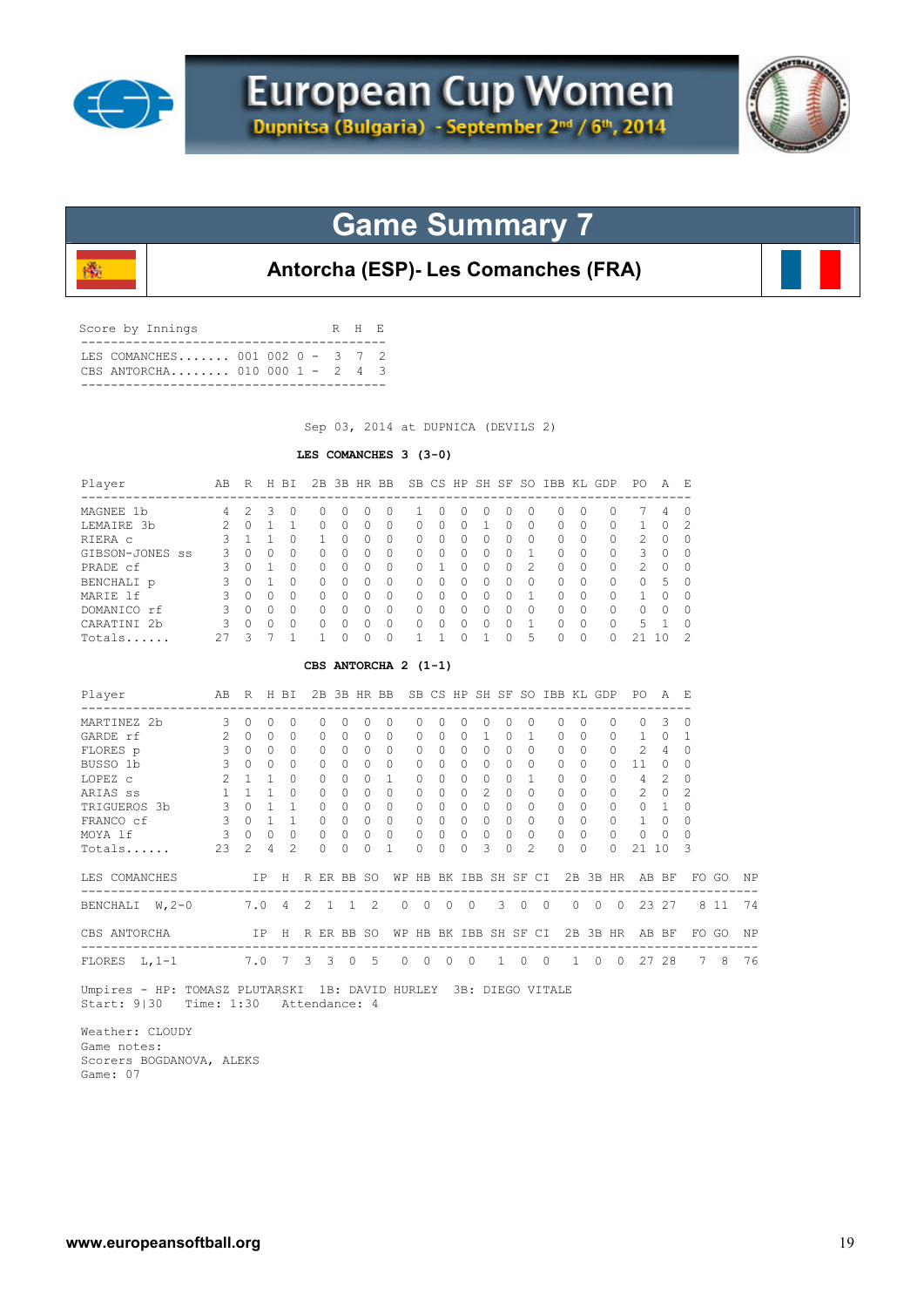

殲



## **Game Summary 7**

**Antorcha (ESP)- Les Comanches (FRA)**

| Score by Innings                                                     |  | R H E |  |
|----------------------------------------------------------------------|--|-------|--|
| T.E.S. COMANCHES 001 002 0 - 3 7 2<br>CBS ANTORCHA 010 000 1 - 2 4 3 |  |       |  |

Sep 03, 2014 at DUPNICA (DEVILS 2)

### **LES COMANCHES 3 (3-0)**

| Player<br>----------------------                                                                                                                                                                                                                                                         | AB R H BI                     |                                     |                |                     |                 |          |                                | 2B 3B HR BB SB CS HP SH SF SO IBB KL GDP |                                                        |                |                |                |             |                     |                |             |            |                | PO.                                  | A              | - E                  |       |    |
|------------------------------------------------------------------------------------------------------------------------------------------------------------------------------------------------------------------------------------------------------------------------------------------|-------------------------------|-------------------------------------|----------------|---------------------|-----------------|----------|--------------------------------|------------------------------------------|--------------------------------------------------------|----------------|----------------|----------------|-------------|---------------------|----------------|-------------|------------|----------------|--------------------------------------|----------------|----------------------|-------|----|
| MAGNEE 1b                                                                                                                                                                                                                                                                                | 4                             | 2                                   | $\mathbf{3}$   | $\circ$             | 0               | $\circ$  | 0                              | 0                                        | 1                                                      | 0              | $\circ$        | $\circ$        | 0           | $\circ$             | 0              |             | 0          | $\mathbf{0}$   | 7                                    | 4              | 0                    |       |    |
| LEMAIRE 3b                                                                                                                                                                                                                                                                               |                               | $2 \t 0 \t 1$                       |                | $\mathbf{1}$        | 0               | $\Omega$ | $\circ$                        | $\circ$                                  | $\mathbf{0}$                                           | $\Omega$       | $\Omega$       | $\mathbf{1}$   | $\Omega$    | $\Omega$            | $\circ$        |             | $\Omega$   | 0              | $\mathbf{1}$                         | $\Omega$       | $\overline{c}$       |       |    |
| RIERA C                                                                                                                                                                                                                                                                                  | 3                             |                                     | $1\quad1$      | $\Omega$            | 1               | $\Omega$ | $\Omega$                       | 0                                        | 0                                                      | $\Omega$       | $\Omega$       | $\circ$        | $\Omega$    | $\mathbf{0}$        | $\circ$        |             | $\Omega$   | 0              | 2                                    | $\circ$        | $\circ$              |       |    |
| GIBSON-JONES SS                                                                                                                                                                                                                                                                          | 3                             |                                     | $0 \quad 0$    | $\Omega$            | $\Omega$        | $\Omega$ | $\Omega$                       | $\Omega$                                 | $\Omega$                                               | $\Omega$       | $\Omega$       | $\Omega$       | $\Omega$    | $\mathbf{1}$        | $\Omega$       |             | $\Omega$   | $\Omega$       | $\mathbf{3}$                         | $\Omega$       | $\Omega$             |       |    |
| PRADE cf                                                                                                                                                                                                                                                                                 | $\mathbf{3}$                  |                                     | $0 \quad 1$    | $\Omega$            | $\Omega$        | $\Omega$ | $\Omega$                       | $\Omega$                                 | $\Omega$                                               | 1              | $\Omega$       | $\Omega$       | $\Omega$    | $\mathfrak{D}$      | $\Omega$       |             | $\Omega$   | $\Omega$       | 2                                    | $\Omega$       | $\Omega$             |       |    |
| BENCHALI p                                                                                                                                                                                                                                                                               | $\mathcal{S}$                 | $\begin{matrix} 0 & 1 \end{matrix}$ |                | $\bigcap$           | $\Omega$        | $\Omega$ | $\Omega$                       | $\Omega$                                 | $\Omega$                                               | $\bigcap$      | $\Omega$       | $\Omega$       | $\Omega$    | $\Omega$            | $\Omega$       |             | $\Omega$   | $\Omega$       | $\Omega$                             | $\overline{5}$ | $\Omega$             |       |    |
| MARIE 1f                                                                                                                                                                                                                                                                                 | $\mathcal{S}$                 | $\Omega$                            | $\Omega$       | $\Omega$            | $\Omega$        | $\Omega$ | $\Omega$                       | $\Omega$                                 | $\Omega$                                               | $\Omega$       | $\Omega$       | $\Omega$       | $\Omega$    | $\mathbf{1}$        | $\Omega$       |             | $\Omega$   | $\Omega$       | $\mathbf{1}$                         | $\Omega$       | $\Omega$             |       |    |
| 3 0 0 0<br>DOMANICO rf                                                                                                                                                                                                                                                                   |                               |                                     |                |                     | $\Omega$        | $\Omega$ | $\Omega$                       | $\bigcirc$                               | $\Omega$                                               | $\Omega$       | $0\quad 0$     |                | $\Omega$    | $\Omega$            |                | $0 \quad 0$ |            | $\circ$        | $0 \quad 0$                          |                | $\Omega$             |       |    |
| CARATINI 2b                                                                                                                                                                                                                                                                              |                               | 300                                 |                | $\Omega$            | $\circ$         | $\Omega$ | $\circ$                        | $\bigcirc$                               | $\Omega$                                               | $\overline{0}$ | $\overline{0}$ | $\circ$        | $\Omega$    | $\mathbf{1}$        | $\overline{0}$ |             | $\Omega$   | $\circ$        | 5                                    | $\overline{1}$ | $\Omega$             |       |    |
| Totals                                                                                                                                                                                                                                                                                   |                               | $27 \quad 3$                        | 7              | $\mathbf{1}$        | $\mathbf{1}$    | $\Omega$ | $\circ$                        | $\Omega$                                 | $\mathbf{1}$                                           | 1              | $\Omega$       | $\mathbf{1}$   | $\Omega$    | 5                   | $\Omega$       |             | $\Omega$   | $\Omega$       | 21 10                                |                | 2                    |       |    |
|                                                                                                                                                                                                                                                                                          |                               |                                     |                |                     |                 |          |                                | CBS ANTORCHA 2 (1-1)                     |                                                        |                |                |                |             |                     |                |             |            |                |                                      |                |                      |       |    |
| R H BI 2B 3B HR BB SB CS HP SH SF SO IBB KL GDP<br>Player<br>AB<br>PO.<br>AE<br>---------------------<br>------------<br>$\sim$ 3<br>$\circ$<br>$\circ$<br>$\circ$<br>0<br>$\mathbf{0}$<br>$\circ$<br>$\circ$<br>0<br>3<br>MARTINEZ 2b<br>0<br>0<br>0<br>0<br>0<br>0<br>0<br>0<br>0<br>0 |                               |                                     |                |                     |                 |          |                                |                                          |                                                        |                |                |                |             |                     |                |             |            |                |                                      |                |                      |       |    |
|                                                                                                                                                                                                                                                                                          |                               |                                     |                |                     |                 |          |                                |                                          |                                                        |                |                |                |             |                     |                |             |            |                |                                      |                |                      |       |    |
| GARDE rf                                                                                                                                                                                                                                                                                 |                               | 200                                 |                | $\Omega$            | $\Omega$        | $\Omega$ | $\Omega$                       | $\Omega$                                 | $\Omega$                                               | $\Omega$       | $\Omega$       | $\mathbf{1}$   |             | 0 <sub>1</sub>      |                | $\Omega$    | $\Omega$   | $\Omega$       | $\mathbf{1}$                         | $\Omega$       | -1                   |       |    |
| FLORES p                                                                                                                                                                                                                                                                                 | 3                             |                                     |                | $0 \quad 0 \quad 0$ | $\circ$         | $\Omega$ | $\bigcirc$                     | $\circ$                                  | $\mathbf{0}$                                           | $\Omega$       | $\Omega$       | $\circ$        |             | $0 \quad 0$         | $\circ$        |             | $\cap$     | $\Omega$       | 2                                    | $\overline{4}$ | $\Omega$             |       |    |
| BUSSO 1b                                                                                                                                                                                                                                                                                 | 3                             |                                     |                | $0 \quad 0 \quad 0$ | $\Omega$        | $\Omega$ | $\bigcirc$                     | $\circ$                                  | $\mathbf{0}$                                           | $\Omega$       | $\Omega$       | $\circ$        |             | $0 \quad 0$         | $\circ$        |             | $\Omega$   | $\Omega$       | 11                                   | $\circ$        | 0                    |       |    |
| LOPEZ c                                                                                                                                                                                                                                                                                  | $\overline{2}$                |                                     |                | $1 \quad 1 \quad 0$ | $\Omega$        | $\Omega$ | $\bigcirc$                     | $\overline{1}$                           | $\Omega$                                               | $\Omega$       |                | $0 \quad 0$    | $\Omega$    | $\sim$ 1            | $\Omega$       |             | $\Omega$   | $\Omega$       | $4\overline{ }$                      | 2              | $\Omega$             |       |    |
| ARIAS ss                                                                                                                                                                                                                                                                                 | 1                             |                                     |                | $1 \quad 1 \quad 0$ | $\Omega$        | $\Omega$ | $\bigcirc$                     | $\overline{0}$                           | $\Omega$                                               | $\Omega$       | $\Omega$       | $\overline{2}$ | $\Omega$    | $\Omega$            | $\Omega$       |             | $\Omega$   | 0              | 2                                    | $\Omega$       | 2                    |       |    |
| TRIGUEROS 3b                                                                                                                                                                                                                                                                             |                               | 3 0 1 1                             |                |                     | $\Omega$        | $\Omega$ | $\bigcirc$                     | $\Omega$                                 | $\circ$                                                | $\bigcirc$     | $\Omega$       | $\Omega$       | $\Omega$    | $\bigcirc$          | $\circ$        |             | $\Omega$   | 0              |                                      | $0\quad 1$     | $\Omega$             |       |    |
| FRANCO cf                                                                                                                                                                                                                                                                                |                               | $3 \t0 \t1 \t1$                     |                |                     | $\Omega$        | $\Omega$ | $\bigcirc$                     | $\overline{0}$                           | $\circ$                                                | $\bigcirc$     | $0\quad 0$     |                | $\Omega$    | $\bigcirc$          | $\overline{0}$ |             | $\Omega$   | $\circ$        | 1                                    | $\Omega$       | $\Omega$             |       |    |
| MOYA 1f                                                                                                                                                                                                                                                                                  | 3                             |                                     |                | $0 \quad 0 \quad 0$ | $\Omega$        | $\Omega$ | $\Omega$                       | $\Omega$                                 | $\Omega$                                               | $\Omega$       | $\Omega$       | $\Omega$       | $\Omega$    | $\Omega$            | $\Omega$       |             | $\Omega$   | $\Omega$       | $\Omega$                             | $\Omega$       | $\Omega$             |       |    |
| Totals                                                                                                                                                                                                                                                                                   | 2.3                           | $\mathfrak{D}$                      | $\overline{4}$ | $\mathfrak{D}$      | $\Omega$        | $\Omega$ | $\Omega$                       | 1                                        | $\Omega$                                               | $\Omega$       | $\Omega$       | 3              | $\Omega$    | $\mathfrak{D}$      | $\Omega$       |             | $\Omega$   | $\Omega$       | 21 10                                |                | 3                    |       |    |
| LES COMANCHES TP H R ER BB SO                                                                                                                                                                                                                                                            |                               |                                     |                |                     |                 |          |                                |                                          |                                                        |                |                |                |             |                     |                |             |            |                | WP HB BK IBB SH SF CI 2B 3B HR AB BF |                |                      | FO GO | ΝP |
| BENCHALI W, 2-0                                                                                                                                                                                                                                                                          | ------------------<br>7.0 4 2 |                                     |                |                     | $\overline{1}$  |          | $\overline{2}$<br>$\mathbf{1}$ |                                          | $\circ$<br>$\overline{0}$                              | $\overline{0}$ | $\overline{0}$ |                | $3 \quad 0$ |                     | $\overline{0}$ |             | $0\quad 0$ | $\overline{0}$ | 23 27                                |                |                      | 8 11  | 74 |
| CBS ANTORCHA                                                                                                                                                                                                                                                                             |                               |                                     |                |                     | IP H R ER BB SO |          |                                |                                          | WP HB BK IBB SH SF CI                                  |                |                |                |             |                     |                |             |            |                |                                      |                | 2B 3B HR AB BF FO GO |       | ΝP |
| FLORES L, 1-1 7.0 7 3 3 0 5                                                                                                                                                                                                                                                              |                               |                                     |                |                     |                 |          |                                |                                          | $\begin{array}{ccccccccc}\n0 & 0 & 0 & 0\n\end{array}$ |                |                |                |             | $1 \quad 0 \quad 0$ |                |             |            |                | 1 0 0 27 28                          |                |                      | 7 8   | 76 |
| IT' IID FOILLOR DILIFICATIE 1D DAIIED HIDIEU OD DIROO HIFRAIR                                                                                                                                                                                                                            |                               |                                     |                |                     |                 |          |                                |                                          |                                                        |                |                |                |             |                     |                |             |            |                |                                      |                |                      |       |    |

 Umpires - HP: TOMASZ PLUTARSKI 1B: DAVID HURLEY 3B: DIEGO VITALE Start: 9|30 Time: 1:30 Attendance: 4

 Weather: CLOUDY Game notes: Scorers BOGDANOVA, ALEKS Game: 07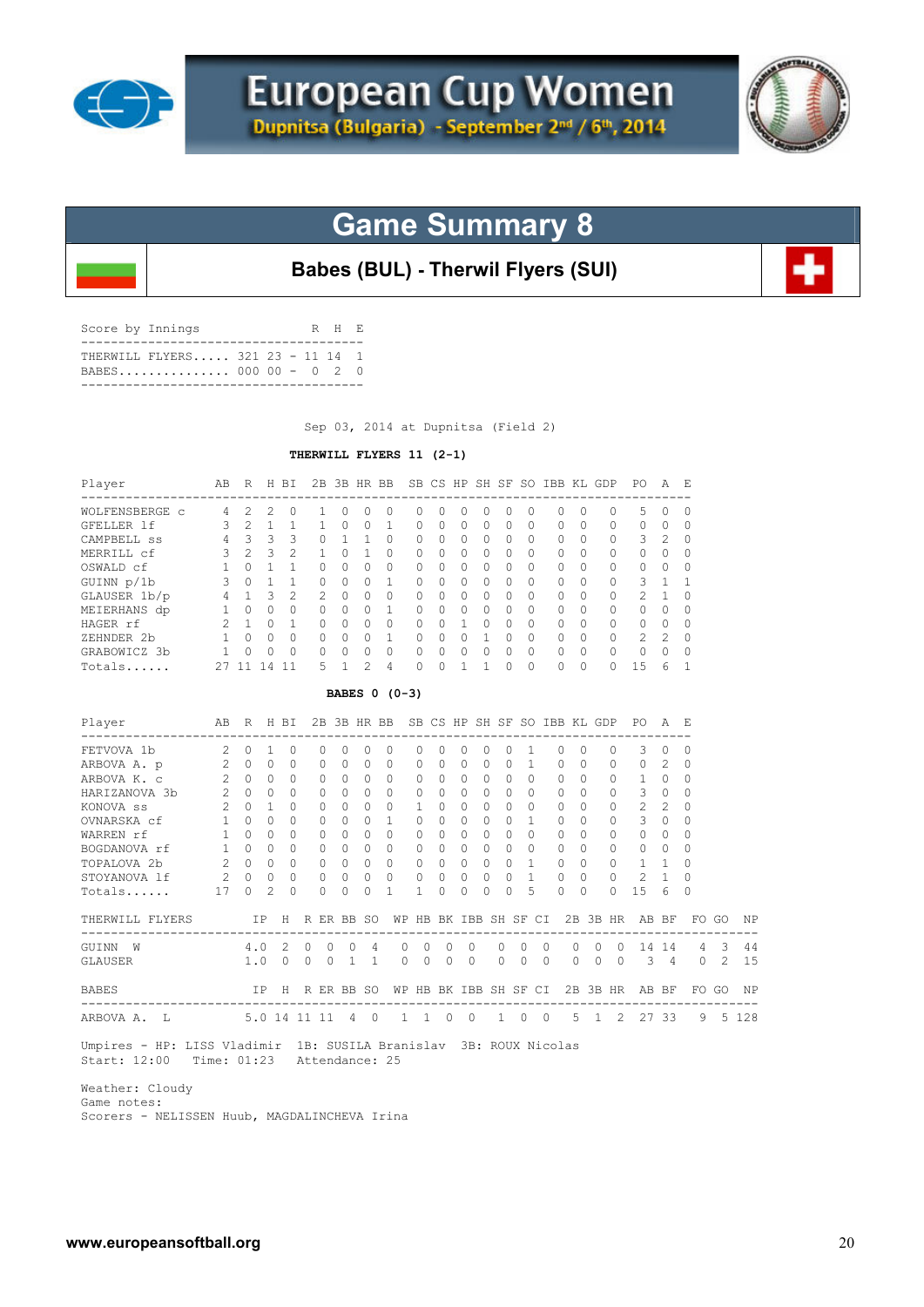



**Babes (BUL) - Therwil Flyers (SUI)**

| Score by Innings |                                                          |  |  | R H E |  |
|------------------|----------------------------------------------------------|--|--|-------|--|
|                  | THERWILL FLYERS 321 23 - 11 14 1<br>BABES 000 00 - 0 2 0 |  |  |       |  |
|                  |                                                          |  |  |       |  |

Sep 03, 2014 at Dupnitsa (Field 2)

### **THERWILL FLYERS 11 (2-1)**

| Player                                                            |                                                          | AB R H BI   |                |                  |          |                |                |                | 2B 3B HR BB SB CS HP SH SF SO IBB KL GDP PO |                       |                      |                |                            |              |             |                |                |          |          |          |                | A              | - E         |                |         |
|-------------------------------------------------------------------|----------------------------------------------------------|-------------|----------------|------------------|----------|----------------|----------------|----------------|---------------------------------------------|-----------------------|----------------------|----------------|----------------------------|--------------|-------------|----------------|----------------|----------|----------|----------|----------------|----------------|-------------|----------------|---------|
| WOLFENSBERGE c 4                                                  |                                                          | 2           | 2              | $\Omega$         |          | 1              | $\Omega$       | $\Omega$       | $\Omega$                                    | $\Omega$              | $\Omega$             | $\Omega$       | $\Omega$                   |              | $\Omega$    | $\Omega$       | $\Omega$       | $\Omega$ |          | $\Omega$ | 5              | $\Omega$       | $\Omega$    |                |         |
| GFELLER 1f                                                        | $\mathbf{3}$                                             | 2           | $\mathbf{1}$   | 1                |          | $\mathbf{1}$   | $\Omega$       | $\Omega$       | 1                                           | $\Omega$              | $\Omega$             | $\Omega$       | $\Omega$                   |              | $\Omega$    | $\Omega$       | $\Omega$       | $\Omega$ |          | $\Omega$ | $\Omega$       | $\Omega$       | $\Omega$    |                |         |
| CAMPBELL SS 4 3 3                                                 |                                                          |             |                | 3                |          | 0              | $\overline{1}$ | 1              | $\Omega$                                    | $\Omega$              | $\bigcap$            | $\Omega$       | $\Omega$                   |              | $\bigcap$   | $\Omega$       | $\Omega$       | $\Omega$ |          | 0        | 3              | 2              | $\Omega$    |                |         |
| MERRILL cf                                                        | 3                                                        |             | $2 \quad 3$    | 2                |          | $\mathbf{1}$   | $\Omega$       | $\mathbf{1}$   | 0                                           | $\mathbf{0}$          | $\Omega$             | $\circ$        | $\circ$                    |              | $\Omega$    | $\Omega$       | 0              | $\Omega$ |          | 0        | $\circ$        | $\Omega$       | $\mathbf 0$ |                |         |
| OSWALD cf                                                         | $\overline{1}$                                           |             | $0 \quad 1$    | $\mathbf{1}$     |          | $\Omega$       | $\Omega$       | $\bigcap$      | $\Omega$                                    | $\Omega$              | $\cap$               | $\Omega$       | $\Omega$                   |              | $\cap$      | $\Omega$       | $\Omega$       | $\Omega$ |          | $\Omega$ | $\Omega$       | $\Omega$       | $\Omega$    |                |         |
| $3 \t0 \t1$<br>GUINN p/1b                                         |                                                          |             |                | $\mathbf{1}$     |          | $\Omega$       | $\Omega$       | $\Omega$       | $\mathbf{1}$                                | $\Omega$              | $\Omega$             | $\Omega$       | $\Omega$                   |              | $\Omega$    | $\Omega$       | $\Omega$       | $\Omega$ |          | $\Omega$ | 3              | $\mathbf{1}$   | 1           |                |         |
| GLAUSER 1b/p                                                      | $4 \quad 1 \quad 3$                                      |             |                | $\overline{c}$   |          | $\overline{2}$ | $\Omega$       | $\Omega$       | $\Omega$                                    | $\Omega$              | $\Omega$             | $\Omega$       | $\Omega$                   |              | $\Omega$    | $\Omega$       | 0              | $\Omega$ |          | 0        | $\overline{c}$ | $\mathbf{1}$   | $\Omega$    |                |         |
| MEIERHANS dp                                                      | $\begin{array}{ccccccccc}\n1 & 0 & 0 & \n\end{array}$    |             |                | $\Omega$         |          | 0              | $\Omega$       | $\Omega$       | $\mathbf{1}$                                | $\Omega$              | $\Omega$             |                | $\Omega$<br>$\circ$        |              | $\Omega$    | $\Omega$       | $\circ$        | $\Omega$ |          | 0        | $\mathbf{0}$   | $\Omega$       | $\Omega$    |                |         |
| HAGER rf                                                          | $\begin{array}{cccc} 2 & 1 & 0 \\ 1 & 0 & 0 \end{array}$ |             |                | 1                |          | $\Omega$       | $\bigcirc$     | $\Omega$       | $\overline{0}$                              | $\Omega$              | $\Omega$             |                | $\Omega$<br>$\overline{1}$ |              | $\Omega$    | $\Omega$       | $\Omega$       | $\Omega$ |          | 0        | 0              | $\circ$        | $\Omega$    |                |         |
| ZEHNDER 2b                                                        | $1 \quad 0 \quad 0$                                      |             |                | $\bigcap$        |          | $\Omega$       | $\Omega$       | $\Omega$       | <sup>1</sup>                                | 0                     | $\Omega$             |                | $\Omega$                   | $\mathbf{1}$ | $\Omega$    | $\Omega$       | $\circ$        | $\Omega$ |          | $\circ$  | $\overline{2}$ | $\overline{c}$ | $\Omega$    |                |         |
| GRABOWICZ 3b                                                      | $\overline{1}$                                           | $\circ$     | $\Omega$       | $\bigcirc$       |          | $\Omega$       | $\Omega$       | $\circ$        | $\Omega$                                    | $\Omega$              | $\Omega$             |                | $\Omega$                   | $\Omega$     | $\Omega$    | $\Omega$       | 0              | $\Omega$ |          | $\Omega$ | $\circ$        | $\bigcirc$     | $\circ$     |                |         |
| Totals                                                            |                                                          | 27 11 14 11 |                |                  |          | 5              | $\mathbf{1}$   | $\overline{2}$ | $\overline{4}$                              | $\Omega$              | $\bigcap$            | $\mathbf{1}$   |                            | $\mathbf{1}$ | $\Omega$    | $\Omega$       | $\Omega$       | $\Omega$ |          | $\cap$   | 15             | 6              | -1          |                |         |
|                                                                   |                                                          |             |                |                  |          |                |                |                | BABES 0 (0-3)                               |                       |                      |                |                            |              |             |                |                |          |          |          |                |                |             |                |         |
| <b>Example 2018</b><br>Player<br>---------------------            |                                                          |             |                | R H BI           |          |                |                |                | 2B 3B HR BB SB CS HP SH SF SO IBB KL GDP    |                       |                      |                |                            |              |             |                |                |          |          |          | PO A E         |                |             |                |         |
| FETVOVA 1b                                                        | $\overline{2}$                                           | $\circ$     | $\mathbf{1}$   | $\Omega$         |          | 0              | $\Omega$       | $\Omega$       | $\Omega$                                    | 0                     | $\Omega$             | $\Omega$       | $\Omega$                   |              | $\Omega$    | 1              | 0              | $\Omega$ |          | $\Omega$ | 3              | $\Omega$       | $\Omega$    |                |         |
| ARBOVA A. p 2 0 0                                                 |                                                          |             |                | $\Omega$         |          | 0              | $\Omega$       | $\Omega$       | $\circ$                                     | $\mathbf{0}$          | $\Omega$             | $\circ$        | $\Omega$                   |              | $\Omega$    | $\overline{1}$ | 0              | $\Omega$ |          | 0        | $\circ$        | 2              | $\circ$     |                |         |
| ARBOVA K. C                                                       | $2^{\circ}$                                              | $\cap$      | $\bigcap$      | $\cap$           |          | $\Omega$       | $\Omega$       | $\Omega$       | $\Omega$                                    | $\Omega$              | $\cap$               | $\Omega$       | $\Omega$                   |              | $\Omega$    | $\Omega$       | $\Omega$       | $\Omega$ |          | $\Omega$ | $\mathbf{1}$   | $\Omega$       | $\Omega$    |                |         |
| HARIZANOVA 3b                                                     | $\overline{2}$                                           |             | $0 \quad 0$    | $\Omega$         |          | $\Omega$       | $\Omega$       | $\Omega$       | $\Omega$                                    | $\Omega$              | $\Omega$             | $\Omega$       | $\Omega$                   |              | $\Omega$    | $\Omega$       | $\Omega$       | $\Omega$ |          | $\Omega$ | 3              | $\Omega$       | $\Omega$    |                |         |
| KONOVA SS                                                         | $\overline{2}$                                           |             | $0 \quad 1$    | $\cap$           |          | $\Omega$       | $\Omega$       | $\Omega$       | $\Omega$                                    | $\mathbf{1}$          | $\Omega$             | $\Omega$       | $\Omega$                   |              | $\Omega$    | $\Omega$       | $\Omega$       | $\Omega$ |          | $\circ$  | 2              | 2              | $\Omega$    |                |         |
| OVNARSKA cf 1                                                     |                                                          |             | 0 <sub>0</sub> | $\bigcap$        |          | $\Omega$       | $\Omega$       | $\Omega$       | $\mathbf{1}$                                | $\Omega$              | $\Omega$             | $\Omega$       | $\Omega$                   |              | $\Omega$    | 1              | $\Omega$       | $\Omega$ |          | 0        | 3              | $\Omega$       | $\Omega$    |                |         |
|                                                                   |                                                          |             |                | $\cap$           |          | $\Omega$       | $\Omega$       | $\Omega$       | $\Omega$                                    | $\Omega$              | $\Omega$             |                | $\Omega$<br>$\Omega$       |              | $\Omega$    | $\Omega$       | $\Omega$       | $\Omega$ |          | 0        | $\Omega$       | $\Omega$       | $\Omega$    |                |         |
|                                                                   |                                                          |             |                | $\Omega$         |          | $\Omega$       | $\Omega$       | $\Omega$       | $\Omega$                                    | $\circ$               | $\Omega$             |                | $\Omega$<br>$\Omega$       |              | $\Omega$    | $\Omega$       | $\Omega$       | $\Omega$ |          | $\circ$  | $\circ$        | $\Omega$       | $\Omega$    |                |         |
| WARREN rf 1 0 0<br>BOGDANOVA rf 1 0 0<br>TOPALOVA 2b 2 0 0        |                                                          |             |                | $\Omega$         |          | $\Omega$       | $\Omega$       | $\bigcirc$     | $\bigcirc$                                  | 0                     | $\bigcirc$           |                | $\Omega$                   | $\circ$      | $0 \quad 1$ |                | $\overline{0}$ | $\Omega$ |          | $\Omega$ | $\mathbf{1}$   | $\mathbf{1}$   | $\Omega$    |                |         |
| STOYANOVA 1f                                                      | 2                                                        | $\Omega$    | $\Omega$       | $\Omega$         |          | $\Omega$       | $\Omega$       | $\Omega$       | $\Omega$                                    | $\Omega$              | $\Omega$             | $\Omega$       | $\Omega$                   |              | $\Omega$    | $\mathbf{1}$   | $\Omega$       | $\Omega$ |          | $\Omega$ | $\overline{c}$ | 1              | $\Omega$    |                |         |
| Totals                                                            | 17                                                       | $\circ$     | 2              | $\Omega$         |          | $\Omega$       | $\Omega$       | $\Omega$       | $\mathbf{1}$                                | $\mathbf{1}$          | $\Omega$             | $\Omega$       | 0                          |              | $\Omega$    | 5              | $\Omega$       | $\Omega$ |          | $\Omega$ | 15             | 6              | $\Omega$    |                |         |
| THERWILL FLYERS                                                   |                                                          |             |                | IP H R ER BB SO  |          |                |                |                |                                             | WP HB BK IBB SH SF CI |                      |                |                            |              |             |                |                |          |          |          | 2B 3B HR AB BF |                |             | FO GO          | ΝP      |
| GUINN W                                                           |                                                          |             | 4.0            | 2                | 0        | 0              | 0              | 4              |                                             | 0                     | 0<br>0               |                | $\Omega$                   | 0            | 0           |                | 0              | 0        | 0        | $\Omega$ |                | 14 14          | 4           | 3              | 44      |
| GLAUSER                                                           |                                                          | 1.0         |                | $\Omega$         | $\Omega$ | $\Omega$       | $\mathbf{1}$   | $\mathbf{1}$   |                                             | $\Omega$              | $\Omega$<br>$\Omega$ |                | $\Omega$                   | $\Omega$     | $\Omega$    |                | $\Omega$       | $\Omega$ | $\Omega$ | $\Omega$ | $\mathcal{E}$  | 4              | $\Omega$    | $\overline{2}$ | 1.5     |
| <b>BABES</b>                                                      |                                                          |             |                | IP H R ER BB SO  |          |                |                |                |                                             | WP HB BK IBB SH SF CI |                      |                |                            |              |             |                |                |          |          |          | 2B 3B HR AB BF |                |             | FO GO          | ΝP      |
| ARBOVA A. L                                                       |                                                          |             |                | 5.0 14 11 11 4 0 |          |                |                |                |                                             | 1                     | $1 \quad 0$          | $\overline{0}$ |                            |              | $1 \quad 0$ | $\overline{0}$ |                | 5        |          |          | 1 2 27 33      |                |             | 9              | 5 1 2 8 |
| Umpires - HP: LISS Vladimir 1B: SUSILA Branislav 3B: ROUX Nicolas |                                                          |             |                |                  |          |                |                |                |                                             |                       |                      |                |                            |              |             |                |                |          |          |          |                |                |             |                |         |

Start: 12:00 Time: 01:23 Attendance: 25

 Weather: Cloudy Game notes: Scorers - NELISSEN Huub, MAGDALINCHEVA Irina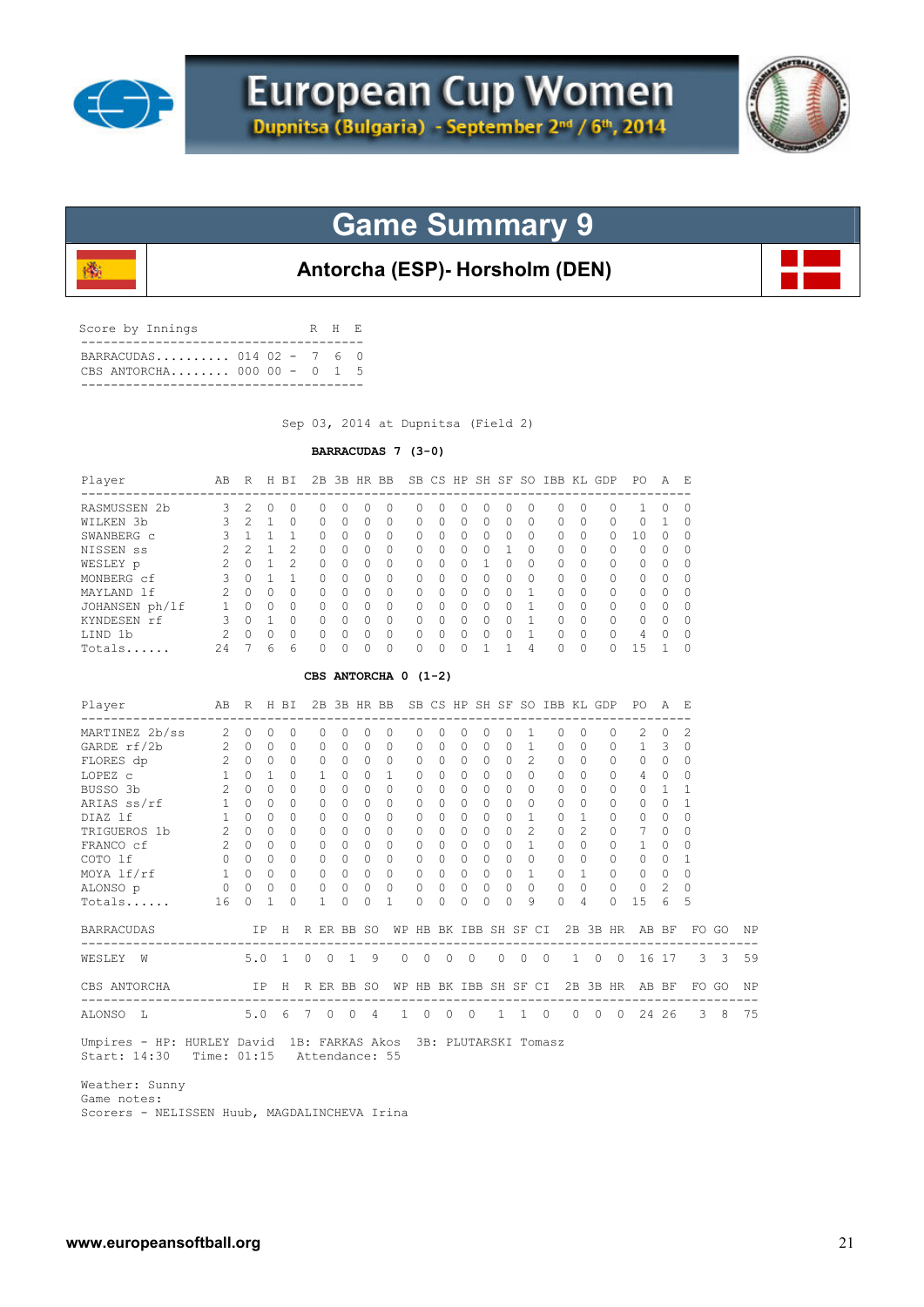

殲



## **Game Summary 9**

### **Antorcha (ESP)- Horsholm (DEN)**

| Score by Innings                                         |  | R H E |  |
|----------------------------------------------------------|--|-------|--|
| BARRACUDAS 014 02 - 7 6 0<br>CBS ANTORCHA 000 00 - $0$ 1 |  |       |  |
|                                                          |  |       |  |

Sep 03, 2014 at Dupnitsa (Field 2)

### **BARRACUDAS 7 (3-0)**

| Player         | AВ            | R        | H         | ВI             | 2B           | 3B | HR. | BB               |          |           |   | SB CS HP SH SF   | -SO      | IBB          | KL        | GDP       | PO.          | A            | Е        |
|----------------|---------------|----------|-----------|----------------|--------------|----|-----|------------------|----------|-----------|---|------------------|----------|--------------|-----------|-----------|--------------|--------------|----------|
| RASMUSSEN 2b   | 3             |          |           |                |              | O  |     | $\left( \right)$ | $^{(1)}$ | $\cup$    |   | $\left( \right)$ | 0        |              |           | 0         |              |              | 0        |
| WILKEN 3b      |               | 2        |           |                |              | 0  | 0   | $\Omega$         | 0        | $\Omega$  | 0 | 0                | 0        | $\Omega$     | $\Omega$  | $\Omega$  |              |              | $\Omega$ |
| SWANBERG c     |               |          |           |                |              | 0  | 0   | $\Omega$         | 0        | $\Omega$  | 0 | 0                | 0        | $\Omega$     | $\Omega$  | $\bigcap$ | 10           |              | $\Omega$ |
| NISSEN SS      | ◠             | っ        |           | 2              | 0            | 0  | 0   | $\Omega$         | O        | $\Omega$  | n | 0                | 0        | $\Omega$     | $\Omega$  | $\Omega$  | 0            |              | $\Omega$ |
| WESLEY p       | $\mathcal{P}$ |          |           | $\mathfrak{D}$ | $\cap$       | U  | O   | $\Omega$         | O        | $\Omega$  |   |                  | $\Omega$ | <sup>0</sup> | $\Omega$  | $\Omega$  | 0            |              | $\Omega$ |
| MONBERG cf     | 3             |          |           |                |              | U  | Ω   | $\Omega$         | O        | $\bigcap$ | Λ | $\Omega$         | $\Omega$ | <sup>0</sup> | $\Omega$  | $\Omega$  | <sup>n</sup> |              | $\Omega$ |
| MAYLAND 1f     | 2             | $\Omega$ | $\Omega$  | <sup>0</sup>   | O.           | O  | Ω   | $\Omega$         | O        | $\bigcap$ | Λ | $\Omega$         |          | $\Omega$     | $\Omega$  | $\Omega$  | $\cap$       | n            | $\Omega$ |
| JOHANSEN ph/lf |               |          | $\cap$    | U              |              | U  | Λ   | $\Omega$         | O        | $\cap$    | Λ | $\Omega$         |          | ∩            | $\cap$    | $\Omega$  | <sup>n</sup> |              | $\Omega$ |
| KYNDESEN rf    | ς             | ∩        |           | U              | <sup>n</sup> | U  | U   | $\Omega$         | U        | $\bigcap$ | Λ | $\Omega$         |          | U            | $\cap$    | $\Omega$  | $\cap$       | <sup>n</sup> | $\Omega$ |
| LIND 1b        | $\mathcal{P}$ | $\cap$   | $\bigcap$ | O              | <sup>n</sup> | Λ  | Λ   | $\Omega$         | U        | $\bigcap$ | Λ | O                |          | $\Omega$     | $\bigcap$ | $\Omega$  | 4            | $\cap$       | $\Omega$ |
| Totals         | 24            |          | 6         | 6              |              | Λ  |     | $\Omega$         | O        | $\bigcap$ |   |                  | 4        | $\Omega$     | $\Omega$  | $\cap$    | $+5$         |              | $\Omega$ |

#### **CBS ANTORCHA 0 (1-2)**

| Player<br>-----------------------------                                                                    |                 | AB R H BI   |              |          |                |              |                 |            | 2B 3B HR BB SB CS HP SH SF SO IBB KL GDP |                       |                                         |                |          |           |                |                     |                |               |          | PO PO<br>----------------------------------- | <b>A</b>  |                            |                  |           |
|------------------------------------------------------------------------------------------------------------|-----------------|-------------|--------------|----------|----------------|--------------|-----------------|------------|------------------------------------------|-----------------------|-----------------------------------------|----------------|----------|-----------|----------------|---------------------|----------------|---------------|----------|----------------------------------------------|-----------|----------------------------|------------------|-----------|
| MARTINEZ 2b/ss                                                                                             | 2               | $\Omega$    | $\Omega$     | $\Omega$ |                | $\bigcap$    |                 | $\Omega$   | $\Omega$                                 | $\Omega$              | $\bigcap$                               | $\Omega$       | $\Omega$ | $\Omega$  | $\overline{1}$ |                     | $\Omega$       | $\cap$        | $\Omega$ | $2^{1}$                                      | $\Omega$  | 2                          |                  |           |
| GARDE rf/2b                                                                                                | $\overline{c}$  | $\bigcap$   | $\Omega$     | $\cap$   |                | <sup>n</sup> | $\cap$          | $\Omega$   | $\bigcap$                                | $\Omega$              | $\cap$                                  | $\Omega$       | $\Omega$ | $\Omega$  |                | $\mathbf{1}$        | $\Omega$       | $\Omega$      | $\Omega$ | $\mathbf{1}$                                 | 3         | $\Omega$                   |                  |           |
| FLORES dp 2 0                                                                                              |                 |             | $\Omega$     | $\Omega$ |                | $\bigcap$    | $\cap$          | $\Omega$   | $\Omega$                                 | $\Omega$              | $\Omega$                                | $\Omega$       | $\Omega$ | $\bigcap$ |                | 2                   | $\Omega$       | $\Omega$      | $\Omega$ | $\Omega$                                     | $\Omega$  | $\Omega$                   |                  |           |
| LOPEZ C                                                                                                    | 1               | $\bigcap$   | $\mathbf{1}$ | $\Omega$ |                | 1.           | $\Omega$        | $\Omega$   | $\mathbf{1}$                             | $\Omega$              | $\Omega$                                | $\Omega$       | $\Omega$ | $\Omega$  |                | $\Omega$            | $\cap$         | $\cap$        | $\Omega$ | $\overline{4}$                               | $\Omega$  | $\Omega$                   |                  |           |
| BUSSO 3b 2                                                                                                 |                 | $\Omega$    | $\Omega$     | $\Omega$ |                |              | $\Omega$        | $\bigcap$  | $\Omega$                                 | $\Omega$              | $\Omega$                                | $\cap$         | $\Omega$ | $\Omega$  |                | $\bigcap$           | $\cap$         | $\bigcap$     | $\Omega$ | $\Omega$                                     | 1         |                            |                  |           |
| ARIAS ss/rf                                                                                                | 1               | $\Omega$    | $\Omega$     | $\Omega$ |                | $\Omega$     | $\Omega$        | $\Omega$   | $\Omega$                                 | $\Omega$              | $\Omega$                                | $\Omega$       | $\Omega$ | $\Omega$  |                | $\Omega$            | $\Omega$       | $\Omega$      | 0        | $\circ$                                      | $\Omega$  |                            |                  |           |
| DIAZ lf                                                                                                    | $\mathbf{1}$    | $\Omega$    | $\cap$       | $\Omega$ |                |              | $\Omega$        | $\Omega$   | $\Omega$                                 | $\Omega$              | $\Omega$                                | $\Omega$       | $\Omega$ | $\cap$    |                | $\mathbf{1}$        | $\cap$         | $\mathbf{1}$  | $\Omega$ | $\Omega$                                     | $\Omega$  | O                          |                  |           |
| TRIGUEROS 1b                                                                                               |                 | $2 \quad 0$ | $\cap$       | $\Omega$ |                | $\bigcap$    | $\bigcap$       | $\Omega$   | $\bigcap$                                | 0                     | $\Omega$                                | $\cap$         | $\Omega$ | $\cap$    |                | $\mathcal{L}$       | $\Omega$       | $\mathcal{L}$ | $\Omega$ | 7                                            | $\Omega$  | O                          |                  |           |
| FRANCO cf                                                                                                  | $\overline{2}$  | $\bigcap$   | $\cap$       | $\Omega$ |                |              | $\cap$          | $\Omega$   | $\Omega$                                 | $\Omega$              | $\Omega$                                | $\cap$         | $\Omega$ | $\cap$    |                | $\mathbf{1}$        | $\Omega$       | $\bigcap$     | $\Omega$ |                                              | $\Omega$  | O                          |                  |           |
| COTO lf                                                                                                    |                 | $0\quad 0$  | $\Omega$     | $\Omega$ |                | $\Omega$     | $\Omega$        | $\Omega$   | $\Omega$                                 | $\Omega$              | $\Omega$                                | $\Omega$       | $\Omega$ | $\cap$    |                | $\cap$              | $\Omega$       | $\Omega$      | $\Omega$ | $\Omega$                                     | $\bigcap$ |                            |                  |           |
| MOYA lf/rf                                                                                                 |                 | $1 \quad 0$ | $\Omega$     | $\circ$  |                | $\bigcap$    | $\overline{0}$  | $\Omega$   | $\Omega$                                 | $\Omega$              | $\Omega$                                | $\Omega$       | $\Omega$ | $\Omega$  |                | $\mathbf{1}$        | $\Omega$       | $\mathbf{1}$  | $\Omega$ | $\circ$                                      | $\Omega$  | $\Omega$                   |                  |           |
| ALONSO p 0 0 0                                                                                             |                 |             |              | $\circ$  |                | $\circ$      | $0\quad 0$      |            | $\overline{0}$                           | $\circ$               | $\circ$                                 | $\overline{0}$ | $\circ$  | $\Omega$  |                | $\Omega$            | $\overline{0}$ | $\Omega$      | $\circ$  | $\circ$                                      | 2         | $\Omega$                   |                  |           |
| Totals                                                                                                     | 16              | $\Omega$    | $\mathbf{1}$ | $\Omega$ |                | 1            | $\Omega$        | $\Omega$   | $\overline{1}$                           | $\Omega$              | $\Omega$                                | $\Omega$       | $\Omega$ | $\Omega$  |                | 9                   | $\Omega$       | 4             | $\Omega$ | 1.5                                          | 6         | 5                          |                  |           |
| <b>BARRACUDAS</b>                                                                                          |                 |             |              |          |                |              | IP H R ER BB SO |            |                                          | WP HB BK IBB SH SF CI |                                         |                |          |           |                |                     |                |               |          | 2B 3B HR AB BF                               |           |                            | FO GO            | ΝP        |
| WESLEY W                                                                                                   | 5.0 1 0 0 1 9   |             |              |          |                |              |                 |            | $\circ$                                  |                       | $\begin{matrix} 0 & 0 & 0 \end{matrix}$ |                |          |           |                | $0 \quad 0 \quad 0$ |                |               |          |                                              |           | 1 0 0 16 17 3 3 59         |                  |           |
| CBS ANTORCHA                                                                                               | IP H R ER BB SO |             |              |          |                |              |                 |            |                                          | WP HB BK IBB SH SF CI |                                         |                |          |           |                |                     |                |               |          |                                              |           | 2B 3B HR AB BF FO GO       |                  | <b>NP</b> |
| --------------------------------<br>ALONSO L                                                               | 5.06            |             |              |          | $7\phantom{0}$ | $\circ$      |                 | $0\quad 4$ | $\mathbf{1}$                             | $\Omega$              | $\overline{0}$                          | $\bigcirc$     |          |           |                | $1 \quad 1 \quad 0$ |                |               |          | $0 \t 0 \t 0 \t 24 \t 26$                    |           | -------------------------- | $3 \overline{8}$ | 75        |
| Umpires - HP: HURLEY David 1B: FARKAS Akos 3B: PLUTARSKI Tomasz<br>Start: 14:30 Time: 01:15 Attendance: 55 |                 |             |              |          |                |              |                 |            |                                          |                       |                                         |                |          |           |                |                     |                |               |          |                                              |           |                            |                  |           |

 Weather: Sunny Game notes: Scorers - NELISSEN Huub, MAGDALINCHEVA Irina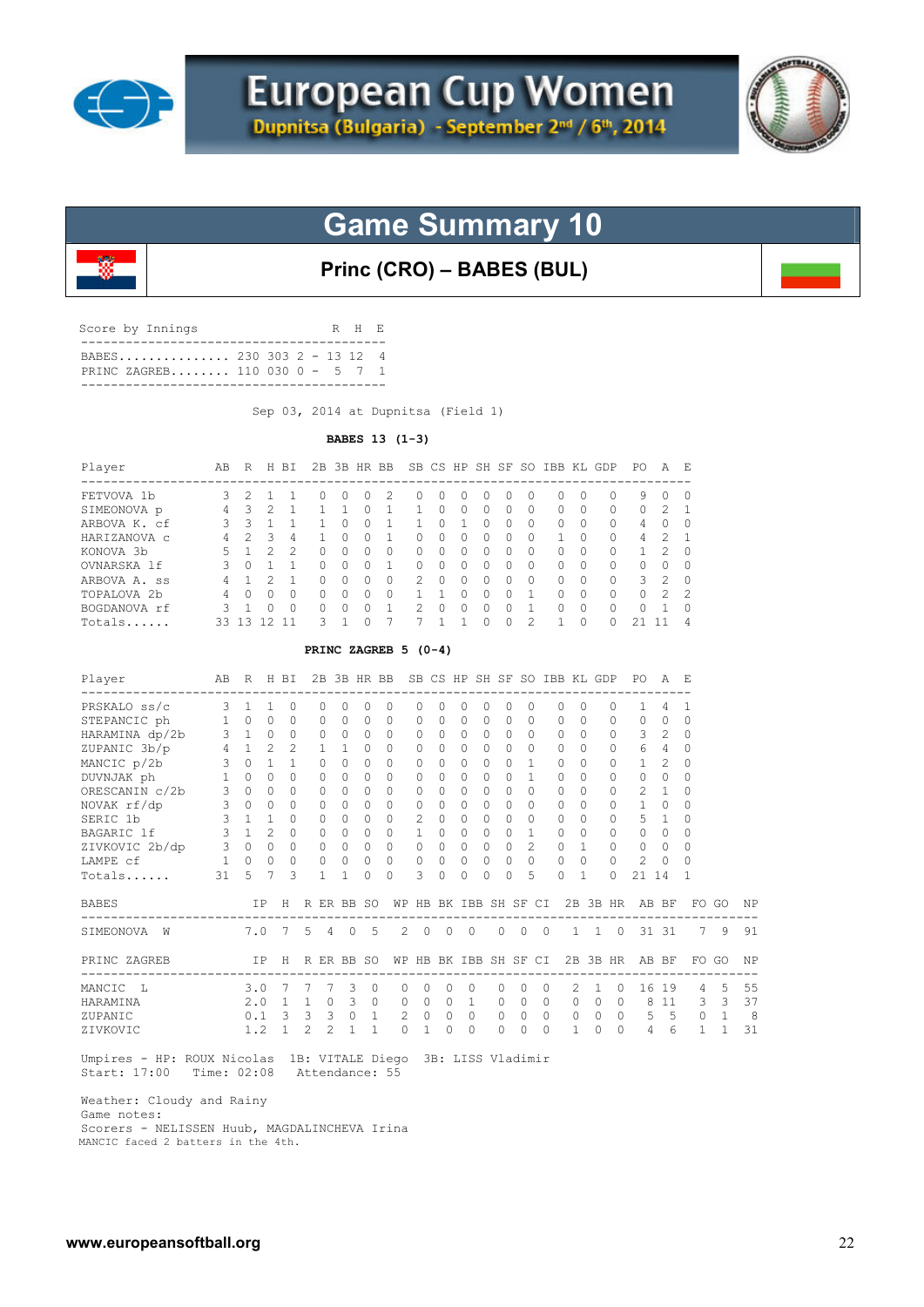



**Princ (CRO) – BABES (BUL)**

| Score by Innings               | R H E |  |
|--------------------------------|-------|--|
| PRINC ZAGREB 110 030 0 - 5 7 1 |       |  |

Sep 03, 2014 at Dupnitsa (Field 1)

#### **BABES 13 (1-3)**

| Player       | AВ | R  | H        | BT.           | 2B |                  | 3B HR BB     |               |              |          | SB CS HP SH SF SO |              |          |              |          | IBB KL GDP | PО       | А          | Ε              |
|--------------|----|----|----------|---------------|----|------------------|--------------|---------------|--------------|----------|-------------------|--------------|----------|--------------|----------|------------|----------|------------|----------------|
| FETVOVA 1b   | 3. |    |          |               |    | $\left( \right)$ |              | $^{(1)}$      | $\cup$       | $^{(1)}$ | $\cup$            |              |          |              |          |            | 9        |            | 0              |
| SIMEONOVA p  | 4  | 3  | 2.       |               |    |                  |              |               | $\Omega$     | 0        | $\left( \right)$  | O            | $\Omega$ | $\bigcap$    | $^{(1)}$ | 0          | $\Omega$ | 2          |                |
| ARBOVA K. cf | २  | २  |          |               |    | <sup>0</sup>     | <sup>0</sup> |               | <sup>0</sup> |          | <sup>0</sup>      | <sup>n</sup> | $\Omega$ | $\cap$       | $\Box$   | $\Omega$   | 4        | $^{\circ}$ | $\Omega$       |
| HARIZANOVA C | 4  |    | 3        | 4             |    | U                |              | <sup>n</sup>  | O            | 0        | <sup>0</sup>      | ∩            | $\Omega$ |              | n        | $\Omega$   | 4        | っ          |                |
| KONOVA 3b    | 5. |    | っ        | $\mathcal{P}$ |    | U                |              | 0             | O            | O.       | <sup>0</sup>      |              | $\Omega$ | <sup>n</sup> | O.       |            |          | 2          | $\Omega$       |
| OVNARSKA 1f  | २  | Λ  |          |               |    | U                |              | U             | Ω            | U        |                   |              |          | $\cap$       |          |            | 0        |            | $\Omega$       |
| ARBOVA A. ss | 4  |    |          |               |    | O                |              | $\mathcal{L}$ | O            | U        |                   |              |          |              |          |            | 3        | 2          | $\Omega$       |
| TOPALOVA 2b  | 4  | Λ  | $^{(1)}$ | <sup>0</sup>  |    | 0                |              |               |              |          |                   |              |          |              | $^{(1)}$ |            | $\Omega$ | 2          | -2             |
| BOGDANOVA rf | २  |    |          | <sup>0</sup>  |    |                  |              |               | Λ            | n        |                   |              |          |              |          |            | 0        |            | $\Omega$       |
| Totals       | 33 | ्र |          |               | ২  |                  |              |               |              |          |                   |              |          |              |          |            |          |            | $\overline{4}$ |

#### **PRINC ZAGREB 5 (0-4)**

| Player         | AB                 | R            |                | H BI           | ---            | 2B             | 3B HR BB     |              |          | SB CS         |                |                    |              |           |           |                | HP SH SF SO IBB KL GDP |              |           | PO<br>--------------- | A              | - E                           |              |            |
|----------------|--------------------|--------------|----------------|----------------|----------------|----------------|--------------|--------------|----------|---------------|----------------|--------------------|--------------|-----------|-----------|----------------|------------------------|--------------|-----------|-----------------------|----------------|-------------------------------|--------------|------------|
| PRSKALO ss/c   | -------------<br>3 | 1            |                | $\Omega$       |                |                |              | $\Omega$     | $\Omega$ | $\Omega$      | 0              | 0                  | 0            | $\Omega$  | $\Omega$  |                | 0                      | $\Omega$     | $\Omega$  |                       | 4              | 1                             |              |            |
| STEPANCIC ph   | $\mathbf{1}$       | $\Omega$     | $\Omega$       | $\Omega$       |                | 0              | $\bigcap$    | $\Omega$     | $\Omega$ | 0             | $\Omega$       | $\Omega$           | $\Omega$     | $\bigcap$ | $\Omega$  |                | 0                      | $\bigcap$    | $\Omega$  | $\Omega$              | $\Omega$       | $\Omega$                      |              |            |
| HARAMINA dp/2b | $\mathbf{3}$       | $\mathbf{1}$ | $\circ$        | $\circ$        |                | 0              | $\Omega$     | $\circ$      | $\Omega$ | 0             | $\circ$        | $\Omega$           | $\circ$      | $\Omega$  | $\Omega$  |                | $\Omega$               | $\Omega$     | 0         | 3                     | 2              | $\Omega$                      |              |            |
| ZUPANIC 3b/p   | $\overline{4}$     | $\mathbf{1}$ | $\mathfrak{D}$ | $\mathfrak{D}$ |                | $\mathbf{1}$   | $\mathbf{1}$ | 0            | $\Omega$ | $\Omega$      | $\Omega$       | $\Omega$           | $\Omega$     | $\bigcap$ | $\bigcap$ |                | $\Omega$               | $\bigcap$    | 0         | 6                     | 4              | $\Omega$                      |              |            |
| MANCIC p/2b    | 3                  | $\bigcap$    |                | 1              |                | $\Omega$       | $\Omega$     | $\Omega$     | $\Omega$ | $\Omega$      | $\cap$         | 0                  | 0            | $\Omega$  | 1         |                | $\cap$                 | $\Omega$     | $\Omega$  | 1                     | $\mathfrak{D}$ | $\Omega$                      |              |            |
| DUVNJAK ph     | $\mathbf{1}$       | $\Omega$     | $\cap$         | $\Omega$       |                | $\Omega$       | $\Omega$     | $\Omega$     | $\Omega$ | $\Omega$      | $\Omega$       | $\cap$             | $\Omega$     | $\cap$    | 1         |                | $\Omega$               | <sup>n</sup> | $\Omega$  | $\Omega$              | $\Omega$       | $\Omega$                      |              |            |
| ORESCANIN c/2b | 3                  | $\Omega$     | $\Omega$       | $\Omega$       |                | $\Omega$       | $\Omega$     | $\Omega$     | $\Omega$ | $\Omega$      | $\Omega$       | 0                  | $\Omega$     | $\Omega$  | $\Omega$  |                | 0                      | $\Omega$     | $\Omega$  | $\overline{2}$        |                | $\Omega$                      |              |            |
| NOVAK rf/dp    | 3                  | $\circ$      | $\Omega$       | $\circ$        |                | $\Omega$       | $\Omega$     | $\circ$      | $\Omega$ | 0             | 0              | $\Omega$           | 0            | $\bigcap$ | $\Omega$  |                | $\cap$                 | $\Omega$     | 0         | $\mathbf{1}$          | 0              | $\Omega$                      |              |            |
| SERIC 1b       | $\mathbf{3}$       | $\mathbf{1}$ | $\mathbf{1}$   | $\Omega$       |                | $\Omega$       | $\Omega$     | $\Omega$     | $\Omega$ | $\mathcal{L}$ | $\Omega$       | $\Omega$           | $\Omega$     | $\bigcap$ | $\Omega$  |                | $\Omega$               | $\bigcap$    | $\Omega$  | 5.                    | $\mathbf{1}$   | $\Omega$                      |              |            |
| BAGARIC 1f     | $\mathbf{3}$       | $\mathbf{1}$ | $\mathfrak{D}$ | $\Omega$       |                | $\Omega$       | $\Omega$     | $\Omega$     | $\Omega$ | 1             | $\Omega$       | 0                  | $\Omega$     | $\bigcap$ | 1         |                | 0                      | $\Omega$     | $\Omega$  | $\Omega$              | $\Omega$       | $\Omega$                      |              |            |
| ZIVKOVIC 2b/dp | 3                  | $\circ$      | $\Omega$       | $\Omega$       |                | $\Omega$       | $\Omega$     | $\Omega$     | $\Omega$ | 0             | $\Omega$       | $\Omega$           | $\mathbf{0}$ | $\Omega$  |           | $\overline{c}$ | $\mathbf{0}$           |              | 0         | $\mathbf{0}$          | $\Omega$       | $\Omega$                      |              |            |
| LAMPE cf       | 1                  | $\Omega$     | $\Omega$       | $\circ$        |                | 0              | $\circ$      | $\circ$      | 0        | 0             | $\circ$        | $\mathbf{0}$       | 0            | $\circ$   |           | 0              | $\circ$                | $\Omega$     | 0         | 2                     | $\Omega$       | $\Omega$                      |              |            |
| Totals         | 31                 | 5            |                | 3              |                | 1              | 1            | $\cap$       | $\Omega$ | 3             | $\Omega$       | $\Omega$           | O            | $\Omega$  |           | 5              | 0                      |              | $\Omega$  | 21                    | 14             |                               |              |            |
| <b>BABES</b>   |                    |              | IP             | H              |                |                | R ER BB SO   |              | WΡ       | HB            |                | BK IBB SH SF       |              |           |           | CI             |                        | 2B 3B HR     |           |                       | AB BF          | FO<br>----------------------- | GO           | ΝP         |
| SIMEONOVA<br>W |                    | 7.0          |                | 7              | .5             | $\overline{4}$ | $\circ$      | .5           | 2        | $\circ$       | $\overline{0}$ | $\Omega$           |              | $\Omega$  | $\circ$   | $\Omega$       |                        | $1 \quad 1$  | $\circ$   |                       | 31 31          | 7                             | 9            | 91         |
| PRINC ZAGREB   |                    |              | IP             | H              |                |                | R ER BB SO   |              | WΡ       |               |                | HB BK IBB SH SF CI |              |           |           |                |                        | 2B 3B HR     |           | AB BF                 |                | FO.                           | GO           | ΝP         |
| MANCIC<br>L    |                    | 3.0          |                | 7              |                | 7              | 3            | $\Omega$     | $\Omega$ | $\Omega$      | $\Omega$       | $\bigcap$          |              | 0         | $\Omega$  | $\bigcap$      | $\mathcal{L}$          | 1            | $\Omega$  |                       | 16 19          | 4                             | 5            | 55         |
| HARAMINA       |                    | 2.0          |                | $\overline{1}$ | $\overline{1}$ | $\Omega$       | -3           | $\Omega$     | $\Omega$ | $\Omega$      | $\Omega$       | $\mathbf{1}$       |              | $\Omega$  | $\Omega$  | $\Omega$       | $\Omega$               | $\Omega$     | $\Omega$  | 8                     | 11             | 3                             | -3           | 37         |
| ZUPANIC        |                    | 0.1          |                | 3              | $\overline{3}$ | 3              | $\circ$      | $\mathbf{1}$ | 2        | $\circ$       | $\circ$        | $\circ$            |              | 0         | $\circ$   | $\Omega$       | 0                      | $\circ$      | $\circ$   | 5                     | 5              | 0                             | $\mathbf{1}$ | $_{\rm 8}$ |
| ZIVKOVIC       |                    | 1.2          |                | $\mathbf{1}$   | $\mathcal{L}$  | $\mathfrak{D}$ | 1            | $\mathbf{1}$ | $\Omega$ | 1.            | $\cap$         | $\Omega$           |              | $\Omega$  | $\Omega$  | $\Omega$       | 1                      | $\cap$       | $\bigcap$ | 4                     | 6              | 1                             | $\mathbf{1}$ | 31         |
|                |                    |              |                |                |                |                |              |              |          |               |                |                    |              |           |           |                |                        |              |           |                       |                |                               |              |            |

 Umpires - HP: ROUX Nicolas 1B: VITALE Diego 3B: LISS Vladimir Start: 17:00 Time: 02:08 Attendance: 55

Weather: Cloudy and Rainy

Game notes:

 Scorers - NELISSEN Huub, MAGDALINCHEVA Irina MANCIC faced 2 batters in the 4th.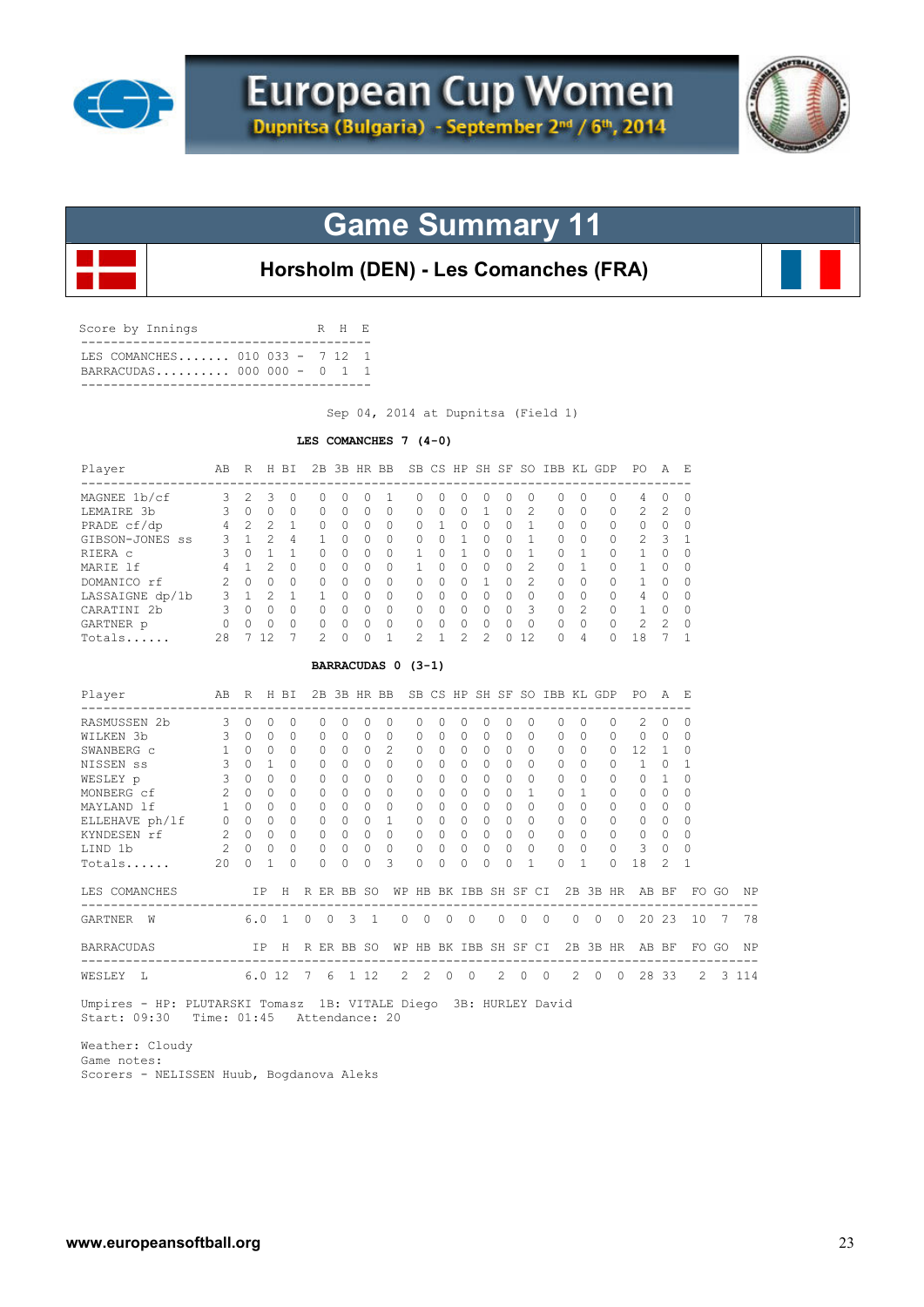



**Horsholm (DEN) - Les Comanches (FRA)**

| T.E.S. COMANCHES 010 033 - 7 12 1<br>BARRACUDAS 000 000 - 0 1 1 |  |
|-----------------------------------------------------------------|--|

Sep 04, 2014 at Dupnitsa (Field 1)

#### **LES COMANCHES 7 (4-0)**

| Player<br>----------------------                                      | AB R H BI                                              |                                     |              |                 |                |                |            |              | 2B 3B HR BB SB CS HP SH SF SO IBB KL GDP PO          |                |                |                |                          |                       |                         |                |            |                |                |                | AE             |                  |       |         |
|-----------------------------------------------------------------------|--------------------------------------------------------|-------------------------------------|--------------|-----------------|----------------|----------------|------------|--------------|------------------------------------------------------|----------------|----------------|----------------|--------------------------|-----------------------|-------------------------|----------------|------------|----------------|----------------|----------------|----------------|------------------|-------|---------|
| MAGNEE 1b/cf 3 2                                                      |                                                        |                                     | 3            | $\circ$         |                | $\Omega$       | $\Omega$   | $\Omega$     | $\mathbf{1}$                                         | $\Omega$       | $\Omega$       | $\Omega$       | 0                        | $\Omega$              | $\Omega$                |                | 0          | $\Omega$       | 0              | 4              | $\Omega$       | $\Omega$         |       |         |
| LEMAIRE 3b 3 0 0                                                      |                                                        |                                     |              | $\circ$         |                | 0              | $\Omega$   | $\Omega$     | $\circ$                                              | 0              | 0              | $\Omega$       | 1                        | $\Omega$              | 2                       |                | $\circ$    | $\Omega$       | 0              | 2              | $\overline{c}$ | 0                |       |         |
| PRADE cf/dp 4 2 2                                                     |                                                        |                                     |              | $\mathbf{1}$    |                | $\Omega$       | $\bigcirc$ | $\Omega$     | $\Omega$                                             | $\Omega$       | 1              | $\Omega$       | $\Omega$                 | $\Omega$              | $\overline{1}$          |                | $\Omega$   | $\Omega$       | $\Omega$       | $\Omega$       | $\Omega$       | $\Omega$         |       |         |
| GIBSON-JONES ss                                                       |                                                        | $3 \t1 \t2$                         |              | 4               |                | $\mathbf{1}$   | $\bigcirc$ | $\Omega$     | $\Omega$                                             | $\Omega$       | $\Omega$       |                | $\Omega$<br>$\mathbf{1}$ | $\Omega$              | $\mathbf{1}$            |                | $\Omega$   | $\Omega$       | $\Omega$       | 2              | 3              | -1               |       |         |
| RIERA C                                                               |                                                        | $3 \t 0 \t 1$                       |              | $\mathbf{1}$    |                | $\Omega$       | $\Omega$   | $\bigcap$    | $\Omega$                                             | $\mathbf{1}$   | $\cap$         |                | $\Omega$<br>$\mathbf{1}$ | $\Omega$              | $\mathbf{1}$            |                | $\Omega$   | $\mathbf{1}$   | $\Omega$       | $\mathbf{1}$   | $\Omega$       | $\Omega$         |       |         |
| MARIE 1f                                                              | $4 \quad 1 \quad 2$                                    |                                     |              | $\Omega$        |                | $\overline{0}$ | $\Omega$   | $\Omega$     | $\Omega$                                             | $\mathbf{1}$   | $\Omega$       |                | $\Omega$<br>$\Omega$     |                       | 2<br>$\Omega$           |                | $\circ$    | $\mathbf{1}$   | $\circ$        | $\mathbf{1}$   | $\Omega$       | $\Omega$         |       |         |
| $2\quad 0\quad 0\quad 0$<br>DOMANICO rf                               |                                                        |                                     |              |                 |                | $\circ$        | $\Omega$   | $\Omega$     | $\circ$                                              | $\mathbf{0}$   | $\Omega$       | $\circ$        | $\mathbf{1}$             | $\Omega$              | $\overline{c}$          |                | $\Omega$   | $\Omega$       | $\circ$        | $\mathbf{1}$   | $\circ$        | $\circ$          |       |         |
| LASSAIGNE dp/1b 3 1 2 1<br>CARATINI 2b 3 0 0 0<br>CARATINI 2b 3 0 0 0 |                                                        |                                     |              |                 | $\overline{1}$ |                | $\bigcirc$ | $\bigcirc$   | $\bigcirc$                                           | $\Omega$       | $\Omega$       | $\Omega$       | $\Omega$                 | $\Omega$              | $\bigcirc$              |                | $\Omega$   | $\Omega$       | $\circ$        | $\overline{4}$ | $\Omega$       | $\Omega$         |       |         |
|                                                                       |                                                        |                                     |              |                 | $0\quad 0$     |                |            | $\bigcirc$   | $\overline{0}$                                       | $\circ$        | $\bigcirc$     | $\bigcirc$     | $\Omega$                 | $\Omega$              | $\overline{\mathbf{3}}$ |                | $\circ$    | $\overline{2}$ | $\circ$        | $\mathbf{1}$   | $\circ$        | $\Omega$         |       |         |
| GARTNER p                                                             | $\begin{array}{ccccccccc}\n0 & 0 & 0 & 0\n\end{array}$ |                                     |              | $\bigcap$       |                | $0\quad 0$     |            | $\bigcirc$   | $\bigcirc$                                           | $\Omega$       | $\bigcirc$     | $\overline{0}$ | $\Omega$                 | $\Omega$              | $\bigcirc$              |                | $\Omega$   | $\Omega$       | $\Omega$       | 2              | $\mathfrak{D}$ | $\Omega$         |       |         |
| Totals 28 7 12                                                        |                                                        |                                     |              | $7\overline{ }$ |                | $\mathcal{L}$  | $\Omega$   | $\Omega$     | $\mathbf{1}$                                         | $\overline{c}$ | $\mathbf{1}$   | 2              | $\mathfrak{D}$           | $\Omega$              | 12                      |                | $\Omega$   | 4              | $\Omega$       | 18             | 7              | 1                |       |         |
|                                                                       |                                                        |                                     |              |                 |                |                |            |              | BARRACUDAS 0 (3-1)                                   |                |                |                |                          |                       |                         |                |            |                |                |                |                |                  |       |         |
| AB <sub>2</sub><br>Player<br>-------------------                      |                                                        |                                     |              | R H BI          |                |                |            |              | 2B 3B HR BB SB CS HP SH SF SO IBB KL GDP             |                |                |                |                          |                       |                         |                |            |                |                | PO.            | A F.           |                  |       |         |
| RASMUSSEN 2b 3                                                        |                                                        | $\circ$                             | 0            | $\circ$         |                | 0              | $\circ$    | $\circ$      | $\circ$                                              | $\mathbf{0}$   | $\circ$        | $\mathbf{0}$   | $\circ$                  | $\circ$               | $\mathbf{0}$            |                | $\circ$    | 0              | $\mathbf{0}$   | 2              | $\circ$        | $\mathbf 0$      |       |         |
| WILKEN 3b 3 0                                                         |                                                        |                                     | $\Omega$     | $\Omega$        |                | 0              | $\Omega$   | $\circ$      | $\circ$                                              | $\circ$        | $\Omega$       | $\circ$        | $\circ$                  | $\Omega$              | $\circ$                 |                | $\circ$    | $\Omega$       | $\circ$        | $\circ$        | $\circ$        | $\mathbf 0$      |       |         |
| SWANBERG $\begin{array}{ccc} 1 & 0 \\ 0 & 1 \end{array}$              |                                                        |                                     | $\bigcirc$   | $\cap$          |                | $\circ$        | $\Omega$   | $\Omega$     | 2                                                    | $\mathbf{0}$   | $\Omega$       |                | $\Omega$<br>$\Omega$     | $\Omega$              | $\Omega$                |                | $\circ$    | $\Omega$       | $\mathbf{0}$   | 12             | $\mathbf{1}$   | $\mathbf 0$      |       |         |
| NISSEN ss<br>WESLEY p                                                 |                                                        | $3 \t0 \t1$                         |              | $\cap$          |                | $\Omega$       | $\Omega$   | $\Omega$     | $\bigcirc$                                           | $\Omega$       | $\cap$         |                | $\Omega$<br>$\Omega$     | $\Omega$              | $\Omega$                |                | $\Omega$   | $\Omega$       | $\Omega$       | $\overline{1}$ | $\Omega$       | $\mathbf{1}$     |       |         |
| WESLEY p                                                              | $\mathbf{3}$                                           | $\begin{matrix} 0 & 0 \end{matrix}$ |              | $\bigcap$       |                | $\Omega$       | $\Omega$   | $\Omega$     | $\bigcirc$                                           | $\Omega$       | $\cap$         |                | $\Omega$<br>$\Omega$     | $\Omega$              | $\Omega$                |                | $\Omega$   | $\Omega$       | $\circ$        | $\circ$        | $\overline{1}$ | $\Omega$         |       |         |
| MONBERG cf                                                            |                                                        | 200                                 |              | $\Omega$        |                | $\Omega$       | $\Omega$   | $\Omega$     | $\bigcirc$                                           | $\mathbf{0}$   | $\Omega$       |                | $\Omega$<br>$\circ$      | $\Omega$              | $\mathbf{1}$            |                | $\Omega$   | $\mathbf{1}$   | $\circ$        | $\circ$        | $\Omega$       | $\circ$          |       |         |
| 1 0 0<br>MAYLAND 1f                                                   |                                                        |                                     |              | $\Omega$        |                | $\Omega$       | $\bigcirc$ | $\Omega$     | $\bigcirc$                                           | $\Omega$       | $\Omega$       |                | $\Omega$<br>$\Omega$     | $\Omega$              | $\Omega$                |                | $\Omega$   | $\Omega$       | $\Omega$       | $\Omega$       | $\Omega$       | $\Omega$         |       |         |
| ELLEHAVE ph/lf 0 0 0                                                  |                                                        |                                     |              | $\Omega$        |                | $\overline{0}$ | $\Omega$   | $\Omega$     | 1                                                    | $\Omega$       | $\Omega$       | $\bigcap$      | $\Omega$                 | $\Omega$              | $\Omega$                |                | $\Omega$   |                | $0\qquad 0$    | $\Omega$       | $\Omega$       | $\Omega$         |       |         |
| KYNDESEN rf                                                           |                                                        | 2000                                |              |                 |                | $\circ$        | $\Omega$   | $\Omega$     | $\circ$                                              | $\Omega$       | $\Omega$       | $\bigcap$      | $\Omega$                 |                       | $\Omega$<br>$\cap$      |                |            | $0\quad 0$     | 0              | $\Omega$       | $\Omega$       | $\Omega$         |       |         |
| LIND 1b                                                               | $\overline{2}$                                         | $\Omega$                            | $\mathbf{0}$ | $\Omega$        |                | 0              | $\Omega$   | $\mathbf{0}$ | $\Omega$                                             | 0              | $\circ$        |                | $\mathbf 0$<br>$\circ$   | $\Omega$              | $\Omega$                |                | $\circ$    | $\Omega$       | $\mathbf{0}$   | 3              | $\Omega$       | 0                |       |         |
| 20<br>Totals                                                          |                                                        | $\Omega$                            | $\mathbf{1}$ | $\Omega$        |                | $\Omega$       | $\Omega$   | $\Omega$     | 3                                                    | $\Omega$       | $\Omega$       | $\Omega$       | $\Omega$                 | $\Omega$              | $\mathbf{1}$            |                | $\Omega$   | 1              | $\Omega$       | 18             | $\overline{c}$ | 1                |       |         |
| LES COMANCHES<br>----------------------------------                   |                                                        |                                     |              |                 |                |                |            |              | IP H R ER BB SO WP HB BK IBB SH SF CI 2B 3B HR AB BF |                |                |                |                          |                       |                         |                | ---------- |                |                |                |                | ---------------- | FO GO | ΝP      |
| GARTNER W                                                             |                                                        | 6.0                                 |              | 1               | $0\quad 0$     |                | 3          | <sup>1</sup> | $\circ$                                              | $\circ$        | $\overline{0}$ | $\overline{0}$ |                          | $\circ$               | $\overline{0}$          | $\overline{0}$ |            | $0\quad 0$     | $\overline{0}$ |                | 20 23          | 10               | - 7   | 78      |
| BARRACUDAS                                                            |                                                        |                                     | IP -         |                 | H R ER BB SO   |                |            |              |                                                      |                |                |                |                          | WP HB BK IBB SH SF CI |                         |                |            |                |                | 2B 3B HR AB BF |                |                  | FO GO | NP      |
| WESLEY L                                                              |                                                        |                                     | 6.012        |                 | 76             |                | 1 12       |              |                                                      | $2 \quad 2$    | $\overline{0}$ | $\overline{0}$ |                          |                       | $2 \quad 0$             | $\overline{0}$ |            | $2 \quad 0$    | $\circ$        |                | 28 33          | 2                |       | 3 1 1 4 |
| Umpires - HP: PLUTARSKI Tomasz 1B: VITALE Diego 3B: HURLEY David      |                                                        |                                     |              |                 |                |                |            |              |                                                      |                |                |                |                          |                       |                         |                |            |                |                |                |                |                  |       |         |

Start: 09:30 Time: 01:45 Attendance: 20

 Weather: Cloudy Game notes:

Scorers - NELISSEN Huub, Bogdanova Aleks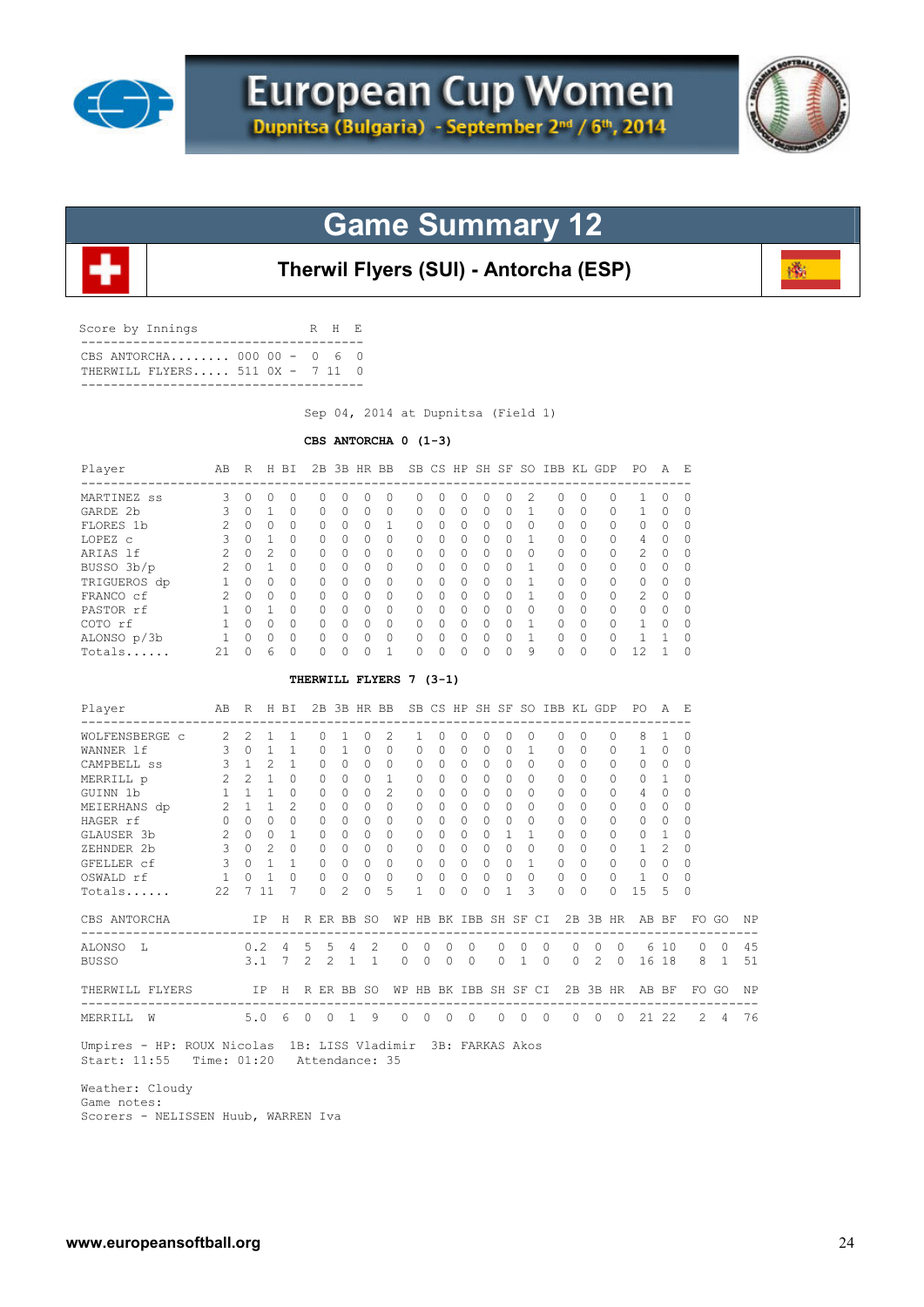



磷

# **Game Summary 12**



| Score by Innings                                             | R H E |  |
|--------------------------------------------------------------|-------|--|
| CBS ANTORCHA 000 00 - 0 6 0<br>THERWILL FLYERS 511 0X - 7 11 |       |  |
|                                                              |       |  |

Sep 04, 2014 at Dupnitsa (Field 1)

#### **CBS ANTORCHA 0 (1-3)**

| Player                                   | AB                      |                                     | R H BI                              |                 |                |                |              | 2B 3B HR BB SB CS HP SH SF SO IBB KL GDP PO |                       |                   |          |          |              |                   |                              |          |                |          |                | A              | – E         |            |    |
|------------------------------------------|-------------------------|-------------------------------------|-------------------------------------|-----------------|----------------|----------------|--------------|---------------------------------------------|-----------------------|-------------------|----------|----------|--------------|-------------------|------------------------------|----------|----------------|----------|----------------|----------------|-------------|------------|----|
| MARTINEZ ss                              | 3                       | $\Omega$                            | $\Omega$                            | $\Omega$        | $\Omega$       | $\Omega$       | $\Omega$     | $\Omega$                                    | $\Omega$              | $\Omega$          | $\Omega$ | $\Omega$ | 0            | $\overline{c}$    | $\Omega$                     | 0        |                | $\Omega$ | 1              | $\Omega$       | $\Omega$    |            |    |
| GARDE 2b                                 | 3                       | 0                                   | $\mathbf{1}$                        | 0               | 0              | $\mathbf{0}$   | $\circ$      | 0                                           | 0                     | 0                 | 0        | 0        | 0            | $\mathbf{1}$      | 0                            | 0        |                | 0        | $\mathbf{1}$   | 0              | $\mathbf 0$ |            |    |
| FLORES 1b                                | $\overline{c}$          | $\Omega$                            | $\Omega$                            | $\cap$          | $\Omega$       | $\Omega$       | $\Omega$     | $\mathbf{1}$                                | $\Omega$              | $\Omega$          | $\Omega$ | $\Omega$ | $\Omega$     | $\Omega$          | $\Omega$                     | $\Omega$ |                | $\Omega$ | $\Omega$       | $\Omega$       | $\Omega$    |            |    |
| LOPEZ C                                  | 3                       | $\Omega$                            | $\overline{1}$                      | $\Omega$        | $\Omega$       | $\Omega$       | $\Omega$     | $\Omega$                                    | $\Omega$              | $\Omega$          | $\Omega$ | $\circ$  | $\Omega$     | $\mathbf{1}$      | 0                            | $\Omega$ |                | 0        | 4              | 0              | 0           |            |    |
| ARIAS 1f                                 | 2                       | $\circ$                             | 2                                   | $\Omega$        | 0              | $\Omega$       | $\circ$      | $\circ$                                     | $\circ$               | $\Omega$          | 0        | 0        | $\Omega$     | $\Omega$          | 0                            | $\Omega$ |                | 0        | 2              | $\circ$        | 0           |            |    |
| BUSSO 3b/p<br>BUSSO 3b/p<br>TRIGUEROS dp | 2                       | $\Omega$                            | $\overline{1}$                      | $\Omega$        | $\Omega$       | $\Omega$       | $\Omega$     | $\Omega$                                    | 0                     | $\Omega$          | $\Omega$ | $\Omega$ | $\Omega$     | $\mathbf{1}$      | $\Omega$                     | $\Omega$ |                | 0        | $\circ$        | $\Omega$       | 0           |            |    |
|                                          | $\mathbf{1}$            |                                     | $0 \quad 0$                         | $\Omega$        | $\Omega$       | $\Omega$       | $\Omega$     | $\Omega$                                    | 0                     | $\Omega$          | $\Omega$ | $\circ$  | $\Omega$     | $\mathbf{1}$      | 0                            | $\Omega$ |                | 0        | $\circ$        | $\Omega$       | $\Omega$    |            |    |
| FRANCO cf                                | 2                       | $\Omega$                            | $\bigcirc$                          | $\Omega$        | $\Omega$       | $\Omega$       | $\Omega$     | $\Omega$                                    | $\Omega$              | $\Omega$          | $\Omega$ | $\Omega$ | $\Omega$     | $\mathbf{1}$      | $\Omega$                     | $\Omega$ |                | $\Omega$ | $\overline{c}$ | $\Omega$       | $\Omega$    |            |    |
| PASTOR rf                                | $\mathbf{1}$            |                                     | $\begin{matrix} 0 & 1 \end{matrix}$ | $\Omega$        | 0              | $\Omega$       | $\Omega$     | $\Omega$                                    | 0                     | $\Omega$          | $\circ$  | $\circ$  | $\Omega$     | $\Omega$          | 0                            | $\Omega$ |                | $\circ$  | 0              | $\circ$        | $\Omega$    |            |    |
| COTO rf                                  | 1                       |                                     | $0 \quad 0$                         | $\Omega$        | $\Omega$       | $\Omega$       | $\Omega$     | $\Omega$                                    | 0                     | $\Omega$          | $\Omega$ | $\Omega$ | $\Omega$     | $\overline{1}$    | $\circ$                      | $\Omega$ |                | $\circ$  | $\mathbf{1}$   | $\Omega$       | $\Omega$    |            |    |
| ALONSO p/3b                              | $\mathbf{1}$            | $\begin{matrix} 0 & 0 \end{matrix}$ |                                     | $\Omega$        | $\Omega$       | $\Omega$       | $\Omega$     | $\Omega$                                    | $\Omega$              | $\Omega$          | $\Omega$ | $\circ$  | $\Omega$     | $\overline{1}$    | $\overline{0}$               | $\Omega$ |                | $\Omega$ | $\mathbf{1}$   | 1              | $\Omega$    |            |    |
| Totals                                   | 21                      | $\Omega$                            | 6                                   | $\Omega$        | $\Omega$       | $\Omega$       | $\Omega$     | $\mathbf{1}$                                | $\Omega$              | $\Omega$          | $\Omega$ | $\Omega$ | $\Omega$     | 9                 | $\Omega$                     | $\Omega$ |                | $\Omega$ | 12             | $\mathbf{1}$   | $\Omega$    |            |    |
|                                          |                         |                                     |                                     |                 |                |                |              | THERWILL FLYERS 7 (3-1)                     |                       |                   |          |          |              |                   |                              |          |                |          |                |                |             |            |    |
| Player                                   | AВ                      | -----                               | R H BI                              |                 |                |                | 2B 3B HR BB  |                                             |                       |                   |          |          |              |                   | SB CS HP SH SF SO IBB KL GDP |          |                |          | PO.            | A              | - F.        |            |    |
| WOLFENSBERGE C                           | 2 2                     |                                     | $\mathbf{1}$                        | 1               | 0              | 1              | $\circ$      | 2                                           | 1                     | 0                 | 0        | 0        | 0            | 0                 | 0                            | $\Omega$ |                | 0        | 8              | 1              | 0           |            |    |
| WANNER 1f                                | 3                       | $\circ$                             | $\mathbf{1}$                        | 1               | 0              | $\mathbf{1}$   | $\Omega$     | $\Omega$                                    | $\circ$               | $\Omega$          | $\Omega$ | $\Omega$ | $\Omega$     | $\mathbf{1}$      | $\circ$                      | $\Omega$ |                | 0        | $\mathbf{1}$   | $\Omega$       | $\mathbf 0$ |            |    |
| CAMPBELL SS                              | $\mathbf{3}$            | 1                                   | $\mathfrak{D}$                      | $\mathbf{1}$    | 0              | $\Omega$       | $\Omega$     | $\circ$                                     | $\Omega$              | $\Omega$          | $\circ$  | $\Omega$ | $\Omega$     | $\Omega$          | $\circ$                      | $\Omega$ |                | 0        | $\Omega$       | $\Omega$       | $\Omega$    |            |    |
| MERRILL p                                | 2                       |                                     | $2 \quad 1$                         | $\Omega$        | $\Omega$       | $\Omega$       | $\Omega$     | $\mathbf{1}$                                | $\Omega$              | $\Omega$          | $\Omega$ | $\Omega$ | $\Omega$     | $\Omega$          | 0                            | $\Omega$ |                | 0        | 0              | $\mathbf{1}$   | $\Omega$    |            |    |
| GUINN 1b                                 |                         | $1 \quad 1 \quad 1$                 |                                     | $\circ$         | $\circ$        | $\Omega$       | $\circ$      | 2                                           | $\circ$               | $\Omega$          | $\Omega$ | $\circ$  | $\Omega$     | $\Omega$          | $\circ$                      | $\Omega$ |                | 0        | $\overline{4}$ | $\circ$        | 0           |            |    |
| MEIERHANS dp                             | $\overline{2}$          | 1                                   | $\overline{1}$                      | $\overline{c}$  | $\Omega$       | $\Omega$       | $\Omega$     | $\Omega$                                    | $\Omega$              | $\Omega$          | $\Omega$ | $\Omega$ | $\Omega$     | $\Omega$          | $\Omega$                     | $\Omega$ |                | 0        | $\mathbf{0}$   | $\Omega$       | $\Omega$    |            |    |
| HAGER rf                                 | $\circ$                 |                                     | $0 \quad 0$                         | $\Omega$        | $\Omega$       | $\Omega$       | $\Omega$     | $\Omega$                                    | $\mathbf{0}$          | $\Omega$          | $\Omega$ | $\Omega$ | $\Omega$     | $\Omega$          | $\Omega$                     | $\Omega$ |                | 0        | $\mathbf{0}$   | $\Omega$       | $\Omega$    |            |    |
| GLAUSER 3b                               | 2                       |                                     | $0\quad 0$                          | $\mathbf{1}$    | $\circ$        | $\circ$        | $\circ$      | $\circ$                                     | $\circ$               | $\circ$           | $\circ$  | $\circ$  | $\mathbf{1}$ | $\mathbf{1}$      | $\circ$                      | $\Omega$ |                | 0        | $\mathbf{0}$   | $\mathbf{1}$   | 0           |            |    |
| ZEHNDER 2b                               |                         | $3 \quad 0$                         | $\overline{2}$                      | $\bigcap$       | $\Omega$       | $\Omega$       | $\Omega$     | $\Omega$                                    | $\Omega$              | $\Omega$          | $\Omega$ | $\Omega$ | $\Omega$     | $\Omega$          | $\circ$                      | $\Omega$ |                | $\Omega$ | $\mathbf{1}$   | $\overline{c}$ | $\Omega$    |            |    |
| GFELLER cf                               | $\mathbf{3}$            |                                     | $0\quad1$                           | $\mathbf{1}$    | $\circ$        | $\Omega$       | $\circ$      | $\overline{0}$                              | 0                     | $\circ$           | $\circ$  | $\circ$  | $\Omega$     | $\overline{1}$    | $\circ$                      | $\Omega$ |                | 0        | 0              | 0              | 0           |            |    |
| OSWALD rf                                | $\mathbf{1}$            | $\circ$                             | $\mathbf{1}$                        | $\Omega$        | $\circ$        | $\circ$        | $\mathbf{0}$ | $\circ$                                     | 0                     | 0                 | $\circ$  | 0        | $\Omega$     | $\circ$           | $\mathbf{0}$                 | $\Omega$ |                | $\circ$  | $\mathbf{1}$   | $\mathbf{0}$   | 0           |            |    |
| Totals                                   | 22                      |                                     | 7 11                                | 7               | $\Omega$       | $\overline{2}$ | $\Omega$     | 5                                           | 1                     | $\Omega$          | $\Omega$ | $\Omega$ | 1            | 3                 | $\Omega$                     | $\Omega$ |                | $\Omega$ | 15             | 5              | $\Omega$    |            |    |
| CBS ANTORCHA                             |                         |                                     | IP -                                |                 | H R ER BB SO   |                |              |                                             | WP HB BK IBB SH SF CI |                   |          |          |              |                   |                              |          |                |          | 2B 3B HR AB BF |                |             | FO GO      | ΝP |
| --------------------------<br>ALONSO L   |                         | 0.2                                 |                                     | - 4             | 5              | 5              | 4            | 2                                           | 0<br>0                | 0                 | 0        |          | 0            | 0                 | 0                            | 0        | 0              | 0        |                | 6 10           | 0           | 0          | 45 |
| <b>BUSSO</b>                             |                         | 3.1                                 |                                     | $7\phantom{.0}$ | $\overline{2}$ | $\mathfrak{D}$ | $\mathbf{1}$ | $\mathbf{1}$                                | $\Omega$<br>$\Omega$  | $\Omega$          | $\Omega$ |          | 0            | $\mathbf{1}$      | $\Omega$                     | $\Omega$ | $\overline{2}$ | $\Omega$ |                | 16 18          | 8           | $\sqrt{1}$ | 51 |
| THERWILL FLYERS                          | $\mathbb{I} \mathbb{P}$ |                                     |                                     |                 | H R ER BB SO   |                |              |                                             | WP HB BK IBB SH SF CI |                   |          |          |              |                   |                              |          |                |          | 2B 3B HR AB BF |                |             | FO GO      | ΝP |
| ---------------------<br>MERRILL W       |                         |                                     | 5.06                                |                 | $0\quad 0$     |                | $\mathbf{1}$ | 9                                           | $\circ$               | $0\quad 0\quad 0$ |          |          |              | $0\quad 0\quad 0$ |                              |          |                |          | 0 0 0 21 22    |                | 2           | 4          | 76 |

 Weather: Cloudy Game notes: Scorers - NELISSEN Huub, WARREN Iva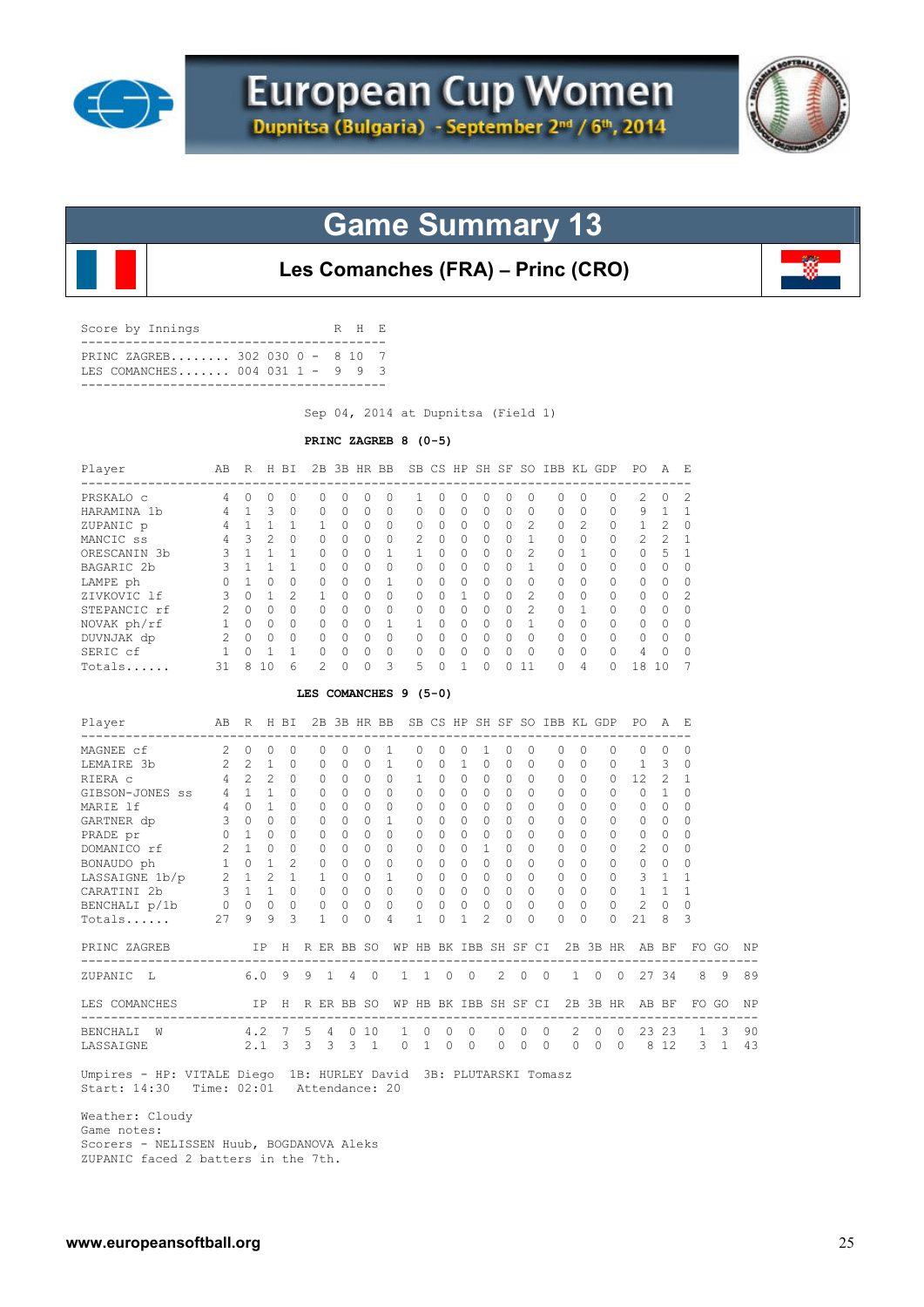



**Les Comanches (FRA) – Princ (CRO)**

| Score by Innings                                                 | R H R |  |
|------------------------------------------------------------------|-------|--|
| PRINC ZAGREB 302 030 0 - 8 10 7<br>LES COMANCHES 004 031 1 - 9 9 |       |  |
|                                                                  |       |  |

Sep 04, 2014 at Dupnitsa (Field 1)

#### **PRINC ZAGREB 8 (0-5)**

| AB R H BI<br>Player                                                            |                     |                     |         |                  |                 |              |                |                |                       |                |                |                |             |                | 2B 3B HR BB SB CS HP SH SF SO IBB KL GDP                                      |             |                | PO.<br>------------ | AE             |          |   |    |
|--------------------------------------------------------------------------------|---------------------|---------------------|---------|------------------|-----------------|--------------|----------------|----------------|-----------------------|----------------|----------------|----------------|-------------|----------------|-------------------------------------------------------------------------------|-------------|----------------|---------------------|----------------|----------|---|----|
| 4 0<br>PRSKALO c                                                               |                     |                     | $\circ$ | 0                | 0               | 0            | 0              | 0              | 1                     | 0              | 0              | 0              | 0           | 0              | 0                                                                             | $\circ$     | $\circ$        | 2                   | 0              | 2        |   |    |
| 4 1 3<br>HARAMINA 1b                                                           |                     |                     |         | $\Omega$         | $\Omega$        | $\Omega$     | $\Omega$       | $\Omega$       | 0                     | $\Omega$       | $\Omega$       | 0              | $\Omega$    | $\circ$        | $\circ$                                                                       | $\Omega$    | $\Omega$       | 9                   | 1              | 1        |   |    |
| $\begin{array}{cccc} 4 & 1 & 1 \\ 4 & 3 & 2 \end{array}$<br>ZUPANIC p          |                     |                     |         | 1                | 1               | 0            | 0              | $\circ$        | 0                     | $\circ$        | 0              | 0              | $\Omega$    | 2              | $\circ$                                                                       | 2           | 0              | $\mathbf{1}$        | 2              | $\circ$  |   |    |
| MANCIC ss                                                                      |                     |                     |         | $\circ$          | $\Omega$        | $\Omega$     | $\Omega$       | $\circ$        | 2                     | $\Omega$       | $\Omega$       | $\circ$        |             | $0\quad 1$     | $\circ$                                                                       | $\Omega$    | 0              | 2                   | 2              | 1        |   |    |
| ORESCANIN 3b                                                                   | $3 \t1 \t1$         |                     |         | $\mathbf{1}$     | 0               | $\Omega$     | 0              | 1              | $\mathbf{1}$          | 0              | $\Omega$       | 0              | $\Omega$    | 2              | $\circ$                                                                       | 1           | 0              | $\circ$             | -5             | 1        |   |    |
| BAGARIC 2b                                                                     | $3 \quad 1 \quad 1$ |                     |         | 1                | $\Omega$        | $\Omega$     | $\Omega$       | $\circ$        | $\Omega$              | $\Omega$       | $\Omega$       | $\Omega$       | $\Omega$    | $\mathbf{1}$   | $\circ$                                                                       | $\Omega$    | $\Omega$       | $\Omega$            | $\Omega$       | $\Omega$ |   |    |
| $\begin{matrix}0&1&0 \end{matrix}$<br>LAMPE ph                                 |                     |                     |         | $\circ$          | $\circ$         | $\Omega$     | 0              | 1              | $\mathbf{0}$          | $\Omega$       | $\Omega$       | 0              | $\Omega$    | $\mathbf{0}$   | $\circ$                                                                       | $\Omega$    | 0              | $\circ$             | $\circ$        | 0        |   |    |
| $3 \t 0 \t 1$<br>ZIVKOVIC 1f                                                   |                     |                     |         | 2                | 1               | $\Omega$     | $\circ$        | $\circ$        | $\mathbf{0}$          | $\circ$        | $\mathbf{1}$   | 0              | $\Omega$    | 2              | $\circ$                                                                       | $\Omega$    | 0              | $\mathbf{0}$        | $\Omega$       | 2        |   |    |
| STEPANCIC rf                                                                   | 2 0 0 0             |                     |         |                  | $\overline{0}$  | $\circ$      | 0              | $\overline{0}$ | $\circ$               | $\circ$        | $\circ$        | $\circ$        |             | 2<br>$\Omega$  | $\circ$                                                                       | 1           | $\circ$        | 0                   | 0              | 0        |   |    |
| NOVAK ph/rf                                                                    | 1 0 0 0 0 0         |                     |         |                  |                 |              | $\mathbf{0}$   | 1              | $\mathbf{1}$          | $\circ$        | $\Omega$       | $\circ$        |             | $0 \quad 1$    |                                                                               | $0\quad 0$  | 0              | $\circ$             | $\mathbf{0}$   | $\Omega$ |   |    |
| DUVNJAK dp  2 0 0 0 0 0                                                        |                     |                     |         |                  |                 |              |                | $0\quad 0$     | $\circ$               | $\overline{0}$ | $\overline{0}$ | $\circ$        |             | $0\quad 0$     | $0\quad 0$                                                                    |             | $\overline{0}$ | $\circ$             | $\overline{0}$ | 0        |   |    |
| 1 0 1 1<br>SERIC cf                                                            |                     |                     |         |                  | $0\quad 0$      |              |                | $0\quad 0$     | $\circ$               | $\overline{0}$ | $\overline{0}$ | $\circ$        | $\circ$     | $\overline{0}$ | $\overline{0}$                                                                | $\Omega$    | 0              | 4                   | $\overline{0}$ | 0        |   |    |
| Totals                                                                         | 31                  | 8                   | 10      | $6 \overline{6}$ | $\mathbf{2}$    | $\mathbf{0}$ | $\circ$        | $\overline{3}$ | 5                     | $\mathbf{0}$   | $\mathbf{1}$   | $\Omega$       | $\Omega$    | 11             | $\Omega$                                                                      | 4           | $\Omega$       | 18                  | 10             | 7        |   |    |
|                                                                                |                     |                     |         |                  |                 |              |                |                | LES COMANCHES 9 (5-0) |                |                |                |             |                |                                                                               |             |                |                     |                |          |   |    |
| Player<br>----------------------------------                                   | AB                  |                     |         | R H BI           |                 |              |                |                |                       |                |                |                |             |                | 2B 3B HR BB SB CS HP SH SF SO IBB KL GDP<br>--------------------------------- |             |                | PO.                 | AE             |          |   |    |
| $\overline{2}$ 0<br>MAGNEE cf                                                  |                     |                     | $\circ$ | $\circ$          | 0               | $\mathbf{0}$ | 0              | 1              | $\circ$               | 0              | 0              | $\mathbf{1}$   | 0           | 0              | 0                                                                             | 0           | $\circ$        | $\mathbf{0}$        | $\circ$        | $\Omega$ |   |    |
| LEMAIRE 3b                                                                     |                     | $2 \quad 2 \quad 1$ |         | $\circ$          | $\circ$         | $\mathbf{0}$ | $\circ$        | 1              | $\mathbf{0}$          | $\circ$        | 1              | $\circ$        | 0           | $\mathbf{0}$   | $\circ$                                                                       | $\Omega$    | $\circ$        | $\mathbf{1}$        | 3              | 0        |   |    |
| RIERA C                                                                        |                     | $4\quad 2\quad 2$   |         | $\circ$          | $\circ$         | $\Omega$     | $\circ$        | $\circ$        | $\mathbf{1}$          | $\Omega$       | $\circ$        | $\circ$        | $\Omega$    | $\Omega$       | $\circ$                                                                       | $\Omega$    | $\circ$        | 12                  | 2              | 1        |   |    |
| GIBSON-JONES ss                                                                |                     | $4$ 1 1             |         | $\circ$          | $\circ$         | $\Omega$     | $\circ$        | $\overline{0}$ | $\mathbf{0}$          | $\Omega$       | $\circ$        | $\circ$        | $\Omega$    | $\Omega$       | $\circ$                                                                       | $\Omega$    | 0              | $\circ$             | 1              | 0        |   |    |
| $4 \t 0 \t 1$<br>MARIE 1f                                                      |                     |                     |         | $\Omega$         | 0               | $\Omega$     | $\Omega$       | $\circ$        | $\Omega$              | $\Omega$       | $\Omega$       | $\circ$        | $\Omega$    | $\Omega$       | $\circ$                                                                       | $\Omega$    | $\mathbf{0}$   | $\Omega$            | $\Omega$       | $\Omega$ |   |    |
| GARTNER dp                                                                     |                     |                     |         | $\circ$          | 0               | $\circ$      | $\circ$        | $\mathbf{1}$   | $\circ$               | 0              | $\overline{0}$ | $\circ$        | $\Omega$    | $\Omega$       | $\circ$                                                                       | $\Omega$    | $\circ$        | $\circ$             | $\circ$        | 0        |   |    |
| $\begin{matrix}0&1&0 \end{matrix}$<br>PRADE pr                                 |                     |                     |         | $\Omega$         | 0               | $\Omega$     | $\circ$        | $\circ$        | $\circ$               | $\Omega$       | $\Omega$       | $\circ$        | $\Omega$    | $\Omega$       | $\circ$                                                                       | $\Omega$    | 0              | $\circ$             | $\Omega$       | $\Omega$ |   |    |
| DOMANICO rf                                                                    |                     | $2\quad 1\quad 0$   |         | $\circ$          | 0               | $\circ$      | $\circ$        | $\circ$        | $\mathbf{0}$          | 0              | $\circ$        | $\mathbf{1}$   | $\Omega$    | 0              | $\circ$                                                                       | $\circ$     | $\circ$        | 2                   | 0              | 0        |   |    |
|                                                                                |                     |                     |         |                  | $\overline{0}$  | $\circ$      | $\circ$        | $\overline{0}$ | $\mathbf{0}$          | 0              | $\circ$        | $\circ$        | $\Omega$    | $\Omega$       | $\circ$                                                                       | $\Omega$    | 0              | $\circ$             | $\circ$        | 0        |   |    |
| BONAUDO ph<br>LASSAIGNE 1b/p<br>$2 1 2 1$<br>CARATINI 2b<br>BENCUALL 1 3 1 1 0 |                     |                     |         |                  | $1 \quad 0$     |              | $\circ$        | 1              | $\mathbf{0}$          | $\circ$        | $\overline{0}$ | $\circ$        | $\Omega$    | $\mathbf{0}$   | $\circ$                                                                       | $\circ$     | 0              | $\mathcal{S}$       | $\mathbf{1}$   | 1        |   |    |
|                                                                                |                     |                     |         |                  | $0\quad 0$      |              | $\circ$        | $\overline{0}$ | $\circ$               | $\circ$        | $\overline{0}$ | $\circ$        | $\Omega$    | $\overline{0}$ | 0                                                                             | $\Omega$    |                | $0\qquad1$          | 1              | 1        |   |    |
| BENCHALI p/1b 0 0 0 0                                                          |                     |                     |         |                  | $\circ$         | $\circ$      | $\circ$        | $\overline{0}$ | $\circ$               | 0              | $\circ$        | $\circ$        | 0           | $\circ$        | $\circ$                                                                       | $\circ$     | $\circ$        | 2                   | $\circ$        | $\circ$  |   |    |
| Totals                                                                         | 27                  | 9                   | 9       | 3                | $\mathbf{1}$    | $\circ$      | $\circ$        | 4              | $\mathbf{1}$          | 0              | 1              | $\overline{c}$ | 0           | $\mathbf{0}$   | 0                                                                             | 0           | 0              | 21                  | 8              | 3        |   |    |
| PRINC ZAGREB                                                                   |                     |                     |         |                  | IP H R ER BB SO |              |                |                |                       |                |                |                |             |                | WP HB BK IBB SH SF CI 2B 3B HR AB BF FO GO                                    |             |                |                     |                |          |   | ΝP |
| ZUPANIC<br>L                                                                   |                     |                     | 6.09    |                  | 9               | 1 4          | $\overline{0}$ |                | $1\quad 1\quad 0$     |                | $\overline{0}$ |                | $2 \quad 0$ |                | $\overline{0}$                                                                | $1 \quad 0$ |                | 0 27 34             |                | 8        | 9 | 89 |

 LES COMANCHES IP H R ER BB SO WP HB BK IBB SH SF CI 2B 3B HR AB BF FO GO NP ------------------------------------------------------------------------------------------- BENCHALI W 4.2 7 5 4 0 10 1 0 0 0 0 0 0 2 0 0 23 23 1 3 90 LASSAIGNE 2.1 3 3 3 3 1 0 1 0 0 0 0 0 0 0 0 8 12 3 1 43

 Umpires - HP: VITALE Diego 1B: HURLEY David 3B: PLUTARSKI Tomasz Start: 14:30 Time: 02:01 Attendance: 20

Weather: Cloudy

Game notes:

 Scorers - NELISSEN Huub, BOGDANOVA Aleks ZUPANIC faced 2 batters in the 7th.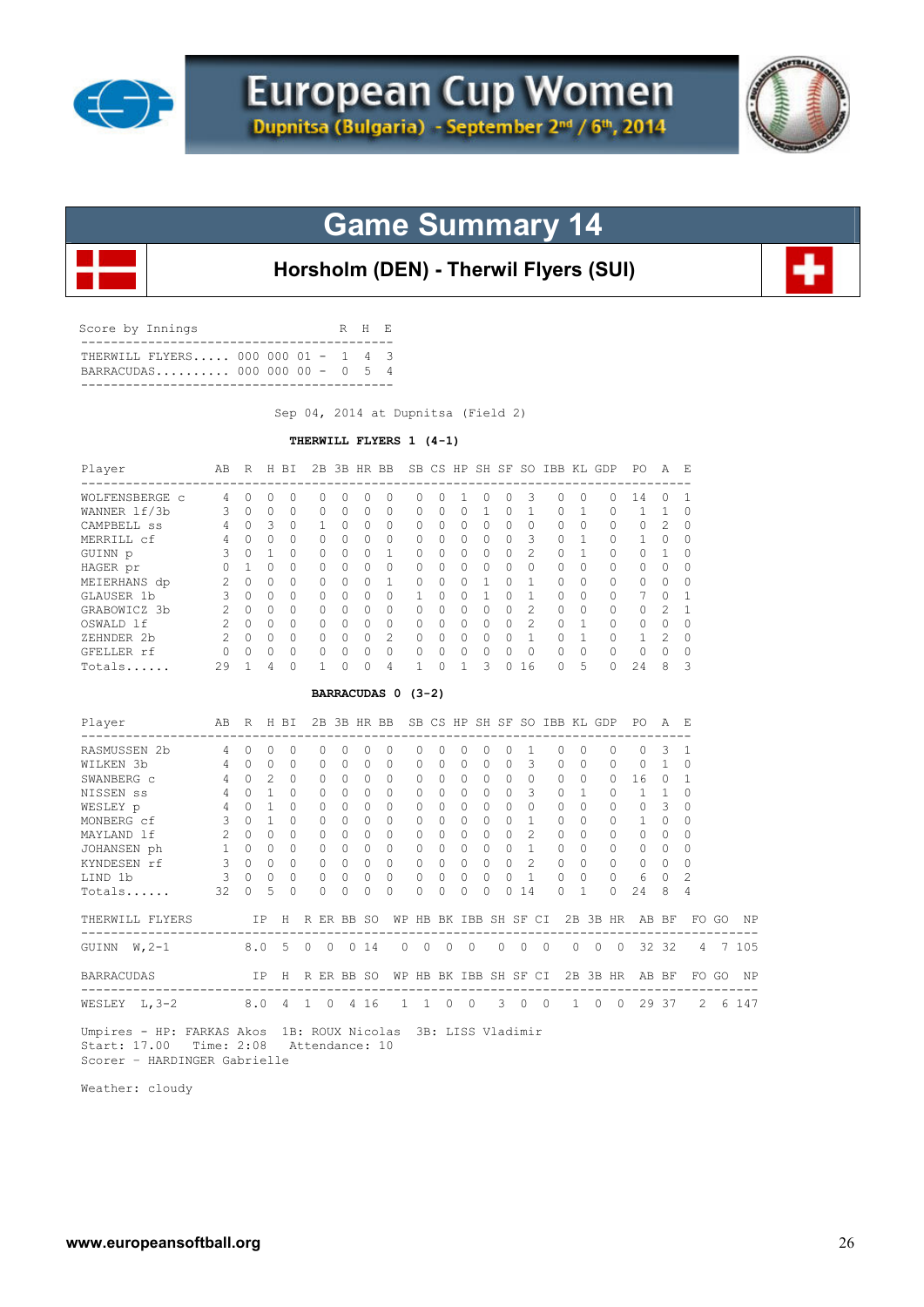



# **Game Summary 14**

**Horsholm (DEN) - Therwil Flyers (SUI)**

| Score by Innings |                                                                   |  |  | R H F. |  |
|------------------|-------------------------------------------------------------------|--|--|--------|--|
|                  | THERWILL FLYERS 000 000 01 - 1 4 3<br>BARRACUDAS 000 000 00 - 0 5 |  |  |        |  |

Sep 04, 2014 at Dupnitsa (Field 2)

#### **THERWILL FLYERS 1 (4-1)**

| Player                                                                                                                                                                                                                                                                                                                                                                                                                                                                                                                                                                                                                                                                                                                                                                                 | AB R H BI       |                                     |                |              |            |         |          |              | 2B 3B HR BB SB CS HP SH SF SO IBB KL GDP PO |                    |          |              |                      |          |                         |                |          |              |                |                |                | A F.         |                |             |         |
|----------------------------------------------------------------------------------------------------------------------------------------------------------------------------------------------------------------------------------------------------------------------------------------------------------------------------------------------------------------------------------------------------------------------------------------------------------------------------------------------------------------------------------------------------------------------------------------------------------------------------------------------------------------------------------------------------------------------------------------------------------------------------------------|-----------------|-------------------------------------|----------------|--------------|------------|---------|----------|--------------|---------------------------------------------|--------------------|----------|--------------|----------------------|----------|-------------------------|----------------|----------|--------------|----------------|----------------|----------------|--------------|----------------|-------------|---------|
| WOLFENSBERGE c 4                                                                                                                                                                                                                                                                                                                                                                                                                                                                                                                                                                                                                                                                                                                                                                       |                 | $\Omega$                            | $\Omega$       | $\Omega$     | $\Omega$   |         | $\Omega$ | $\Omega$     | $\Omega$                                    | $\Omega$           | $\Omega$ | $\mathbf{1}$ | $\circ$              | $\Omega$ | 3                       |                | $\circ$  | $\Omega$     |                | $\Omega$       | 14             | $\Omega$     | -1             |             |         |
| WANNER 1f/3b                                                                                                                                                                                                                                                                                                                                                                                                                                                                                                                                                                                                                                                                                                                                                                           | $\sim$ 3        | $\Omega$                            | $\Omega$       | $\Omega$     | $\Omega$   |         | $\Omega$ | $\Omega$     | $\Omega$                                    | 0                  | $\Omega$ | $\Omega$     | 1                    | $\Omega$ | $\mathbf{1}$            |                | 0        | $\mathbf{1}$ |                | $\Omega$       | $\mathbf{1}$   | 1            | $\Omega$       |             |         |
| CAMPBELL SS                                                                                                                                                                                                                                                                                                                                                                                                                                                                                                                                                                                                                                                                                                                                                                            | $4\overline{4}$ |                                     | 0 <sup>3</sup> | $\Omega$     | 1          |         | $\Omega$ | $\Omega$     | $\Omega$                                    | $\Omega$           | $\Omega$ | $\Omega$     | $\Omega$             | $\Omega$ | $\Omega$                |                | $\Omega$ | $\Omega$     |                | $\Omega$       | $\Omega$       | 2            | $\Omega$       |             |         |
| MERRILL cf                                                                                                                                                                                                                                                                                                                                                                                                                                                                                                                                                                                                                                                                                                                                                                             | 4               | $\Omega$                            | $\Omega$       | $\Omega$     | $\Omega$   |         | $\Omega$ | $\Omega$     | $\Omega$                                    | 0                  | $\Omega$ | $\Omega$     | $\Omega$             | $\Omega$ | -3                      |                | 0        | $\mathbf{1}$ |                | 0              | $\mathbf{1}$   | $\Omega$     | $\Omega$       |             |         |
| GUINN p                                                                                                                                                                                                                                                                                                                                                                                                                                                                                                                                                                                                                                                                                                                                                                                | 3               | $\Omega$                            | $\overline{1}$ | $\Omega$     | 0          |         | $\Omega$ | $\Omega$     | $\mathbf{1}$                                | 0                  | $\Omega$ | $\Omega$     | $\Omega$             | $\Omega$ | $\overline{c}$          |                | 0        | 1            |                | 0              | $\circ$        | 1            | 0              |             |         |
| HAGER pr                                                                                                                                                                                                                                                                                                                                                                                                                                                                                                                                                                                                                                                                                                                                                                               | $\circ$         | $\overline{1}$                      | $\Omega$       | $\cap$       | $\Omega$   |         | $\Omega$ | $\cap$       | $\Omega$                                    | $\Omega$           | $\cap$   | $\Omega$     | $\Omega$             | $\cap$   | $\Omega$                |                | $\Omega$ | $\Omega$     |                | $\Omega$       | $\Omega$       | $\Omega$     | $\Omega$       |             |         |
| $\overline{2}$<br>$\Omega$<br>$\Omega$<br>$\mathbf{1}$<br>$\Omega$<br>1<br>$\Omega$<br>$\mathbf{1}$<br>$\Omega$<br>$\Omega$<br>$\circ$<br>$\Omega$<br>MEIERHANS dp<br>$\Omega$<br>$\bigcap$<br>$\Omega$<br>$\Omega$<br>$\Omega$<br>$\Omega$<br>$\Omega$<br>$\Omega$<br>$\mathbf{3}$<br>$\mathbf{1}$<br>7<br>GLAUSER 1b<br>$\Omega$<br>$\bigcirc$<br>$\Omega$<br>$\Omega$<br>$\Omega$<br>$\Omega$<br>$\Omega$<br>$\mathbf{1}$<br>$\Omega$<br>$\Omega$<br>$\mathbf{1}$<br>$\Omega$<br>$\circ$<br>$\Omega$<br>0<br>$\Omega$<br>$\mathbf{1}$<br>$\overline{c}$<br>2<br>$\Omega$<br>GRABOWICZ 3b<br>$\Omega$<br>$\Omega$<br>$\cap$<br>$\Omega$<br>$\Omega$<br>$\Omega$<br>$\Omega$<br>$\Omega$<br>$\Omega$<br>$\Omega$<br>$\circ$<br>$\Omega$<br>$\Omega$<br>$\Omega$<br>2<br>1<br>$\Omega$ |                 |                                     |                |              |            |         |          |              |                                             |                    |          |              |                      |          |                         |                |          |              |                |                |                |              |                |             |         |
| $2\quad 0\quad 0$<br>$\overline{2}$<br>$\circ$<br>$\circ$<br>$\Omega$<br>$\mathbf{0}$<br>$\circ$<br>$\overline{0}$<br>0<br>$\circ$<br>$\Omega$<br>$\circ$<br>$\mathbf{1}$<br>$\circ$<br>OSWALD lf<br>0<br>$\circ$<br>0<br>$\circ$<br>$\overline{1}$<br>200<br>2<br>$\overline{0}$<br>$\overline{0}$<br>$\overline{0}$<br>$\circ$<br>$\Omega$<br>$\mathbf{1}$<br>2<br>$\Omega$<br>$\circ$<br>$\circ$<br>$\circ$<br>$\circ$<br>$\circ$<br>$\mathbf{1}$<br>0<br>ZEHNDER 2b                                                                                                                                                                                                                                                                                                                |                 |                                     |                |              |            |         |          |              |                                             |                    |          |              |                      |          |                         |                |          |              |                |                |                |              |                |             |         |
| $\Omega$<br>$\Omega$<br>$\Omega$<br>$\circ$<br>$\Omega$<br>$\Omega$<br>$\Omega$<br>$\circ$<br>$\Omega$<br>$\Omega$<br>$\bigcirc$<br>$0\quad 0$<br>$\Omega$<br>$\Omega$<br>$\Omega$<br>$\Omega$<br>$\mathbf{0}$<br>0<br>$\Omega$                                                                                                                                                                                                                                                                                                                                                                                                                                                                                                                                                        |                 |                                     |                |              |            |         |          |              |                                             |                    |          |              |                      |          |                         |                |          |              |                |                |                |              |                |             |         |
|                                                                                                                                                                                                                                                                                                                                                                                                                                                                                                                                                                                                                                                                                                                                                                                        |                 |                                     |                |              |            |         |          |              |                                             |                    |          |              |                      |          |                         |                |          |              |                |                |                |              |                |             |         |
|                                                                                                                                                                                                                                                                                                                                                                                                                                                                                                                                                                                                                                                                                                                                                                                        |                 |                                     |                |              |            |         |          |              |                                             |                    |          |              |                      |          |                         |                |          |              |                |                |                |              |                |             |         |
| GFELLER rf                                                                                                                                                                                                                                                                                                                                                                                                                                                                                                                                                                                                                                                                                                                                                                             |                 |                                     |                |              |            |         |          |              |                                             |                    |          |              |                      |          |                         |                |          |              |                |                |                |              |                |             |         |
| 3<br>5<br>29<br>$\mathbf 0$<br>$\mathbf{1}$<br>$\Omega$<br>$\mathbf{1}$<br>$\circ$<br>$\Omega$<br>24<br>8<br>3<br>1<br>4<br>$\Omega$<br>1<br>$\mathbf{0}$<br>4<br>$\Omega$<br>16<br>Totals<br>BARRACUDAS 0 (3-2)                                                                                                                                                                                                                                                                                                                                                                                                                                                                                                                                                                       |                 |                                     |                |              |            |         |          |              |                                             |                    |          |              |                      |          |                         |                |          |              |                |                |                |              |                |             |         |
|                                                                                                                                                                                                                                                                                                                                                                                                                                                                                                                                                                                                                                                                                                                                                                                        |                 |                                     |                |              |            |         |          |              |                                             |                    |          |              |                      |          |                         |                |          |              |                |                |                |              |                |             |         |
| Player<br>ABRIBI 2B3BHRBBSBCSHPSHSFSOIBBKLGDPPOAE                                                                                                                                                                                                                                                                                                                                                                                                                                                                                                                                                                                                                                                                                                                                      |                 |                                     |                |              |            |         |          |              |                                             |                    |          |              |                      |          |                         |                |          |              |                |                |                |              |                |             |         |
| RASMUSSEN 2b<br>$4 \quad 0$<br>$\Omega$<br>$\Omega$<br>$\Omega$<br>$\Omega$<br>$\Omega$<br>0<br>$\Omega$<br>$\Omega$<br>0<br>$\Omega$<br>1<br>$\circ$<br>$\Omega$<br>$\mathbf{0}$<br>$\Omega$<br>3<br>$\Omega$<br>-1                                                                                                                                                                                                                                                                                                                                                                                                                                                                                                                                                                   |                 |                                     |                |              |            |         |          |              |                                             |                    |          |              |                      |          |                         |                |          |              |                |                |                |              |                |             |         |
| WILKEN 3b<br>$4\quad 0$                                                                                                                                                                                                                                                                                                                                                                                                                                                                                                                                                                                                                                                                                                                                                                |                 |                                     | $\bigcirc$     | $\Omega$     | $\Omega$   |         | $\Omega$ | $\Omega$     | $\Omega$                                    | $\Omega$           | $\Omega$ | $\Omega$     | $\Omega$             | $\Omega$ | $\overline{\mathbf{3}}$ |                | $\Omega$ | $\Omega$     |                | $\Omega$       | $\Omega$       | $\mathbf{1}$ | $\Omega$       |             |         |
| SWANBERG C                                                                                                                                                                                                                                                                                                                                                                                                                                                                                                                                                                                                                                                                                                                                                                             |                 | $4 \quad 0 \quad 2$                 |                | $\Omega$     | $\Omega$   |         | $\Omega$ | $\Omega$     | $\Omega$                                    | $\Omega$           | $\Omega$ | $\Omega$     | $\Omega$             | $\Omega$ | $\bigcirc$              |                | $\circ$  | $\Omega$     |                | $\Omega$       | 16             | $\Omega$     | $\mathbf{1}$   |             |         |
| NISSEN SS                                                                                                                                                                                                                                                                                                                                                                                                                                                                                                                                                                                                                                                                                                                                                                              |                 | 4 0 1                               |                | $\Omega$     | $\Omega$   |         | $\Omega$ | $\Omega$     | $\Omega$                                    | $\Omega$           | $\Omega$ |              | $\Omega$<br>$\Omega$ | $\Omega$ | $\overline{\mathbf{3}}$ |                | $\Omega$ | $\mathbf{1}$ |                | 0              | $\overline{1}$ | 1            | $\Omega$       |             |         |
| WESLEY p                                                                                                                                                                                                                                                                                                                                                                                                                                                                                                                                                                                                                                                                                                                                                                               | 4               |                                     | $0 \quad 1$    | $\Omega$     | $\Omega$   |         | $\Omega$ | $\Omega$     | $\Omega$                                    | $\Omega$           | $\Omega$ | $\Omega$     | $\Omega$             | $\Omega$ | $\Omega$                |                | $\Omega$ | $\Omega$     |                | $\Omega$       | $\circ$        | 3            | $\Omega$       |             |         |
| MONBERG cf                                                                                                                                                                                                                                                                                                                                                                                                                                                                                                                                                                                                                                                                                                                                                                             | $3 -$           | $0 \quad 1$                         |                | $\Omega$     | $\Omega$   |         | $\Omega$ | $\Omega$     | $\Omega$                                    | $\Omega$           | $\Omega$ | $\Omega$     | $\Omega$             | $\Omega$ | $\overline{1}$          |                | $\Omega$ | $\Omega$     |                | $\Omega$       | $\mathbf{1}$   | $\Omega$     | $\Omega$       |             |         |
| MAYLAND 1f                                                                                                                                                                                                                                                                                                                                                                                                                                                                                                                                                                                                                                                                                                                                                                             | 2               | $\begin{matrix} 0 & 0 \end{matrix}$ |                | $\bigcap$    | $\Omega$   |         | $\Omega$ | $\Omega$     | $\Omega$                                    | $\Omega$           | $\Omega$ | $\Omega$     | $\Omega$             | $\Omega$ | $\mathfrak{D}$          |                | $\Omega$ | $\Omega$     |                | $\Omega$       | 0              | $\Omega$     | $\Omega$       |             |         |
| JOHANSEN ph                                                                                                                                                                                                                                                                                                                                                                                                                                                                                                                                                                                                                                                                                                                                                                            | 1 0 0           |                                     |                | $\bigcap$    | $\Omega$   |         | $\Omega$ | $\Omega$     | $\bigcirc$                                  | $\Omega$           | $\Omega$ | $\Omega$     | $\Omega$             | $\Omega$ | $\overline{1}$          |                | $\Omega$ | $\Omega$     |                | $\Omega$       | $\Omega$       | $\Omega$     | $\Omega$       |             |         |
| KYNDESEN rf                                                                                                                                                                                                                                                                                                                                                                                                                                                                                                                                                                                                                                                                                                                                                                            | 3               |                                     | $0 \quad 0$    | $\Omega$     |            | $\circ$ | $\Omega$ | $\mathbf{0}$ | $\bigcirc$                                  | $\circ$            | $\Omega$ | $\circ$      | $\circ$              | $\Omega$ | 2                       |                | $\Omega$ | $\Omega$     |                | $\circ$        | 0              | $\Omega$     | $\Omega$       |             |         |
| LIND 1b                                                                                                                                                                                                                                                                                                                                                                                                                                                                                                                                                                                                                                                                                                                                                                                | 3               | $\Omega$                            | $\Omega$       | $\Omega$     | $\circ$    |         | $\Omega$ | $\circ$      | $\Omega$                                    | 0                  | $\circ$  | $\mathbf{0}$ | $\Omega$             | $\Omega$ | $\mathbf{1}$            |                | $\circ$  | $\Omega$     |                | 0              | 6              | $\circ$      | $\overline{c}$ |             |         |
| Totals                                                                                                                                                                                                                                                                                                                                                                                                                                                                                                                                                                                                                                                                                                                                                                                 | 32              | $\Omega$                            | 5              | $\bigcap$    | $\Omega$   |         | $\Omega$ | $\Omega$     | $\Omega$                                    | $\Omega$           | $\cap$   | $\Omega$     | $\Omega$             | $\Omega$ | 14                      |                | $\Omega$ | $\mathbf{1}$ |                | $\Omega$       | 24             | 8            | 4              |             |         |
| THERWILL FLYERS IP H R ER BB SO WP HB BK IBB SH SF CI 2B 3B HR AB BF                                                                                                                                                                                                                                                                                                                                                                                                                                                                                                                                                                                                                                                                                                                   |                 |                                     |                |              |            |         |          |              |                                             |                    |          |              |                      |          |                         |                |          |              |                |                |                |              |                | FO GO       | ΝP      |
| GUINN $W, 2-1$                                                                                                                                                                                                                                                                                                                                                                                                                                                                                                                                                                                                                                                                                                                                                                         |                 |                                     |                | $8.0\quad 5$ | $0\quad 0$ |         |          | 014          |                                             | $\circ$<br>$\circ$ | $\circ$  |              | $\circ$              | $\circ$  | $\circ$                 | $\overline{0}$ |          | $\circ$      | $\overline{0}$ | $\overline{0}$ |                | 32 32        | 4              |             | 7 105   |
| <b>BARRACUDAS</b>                                                                                                                                                                                                                                                                                                                                                                                                                                                                                                                                                                                                                                                                                                                                                                      |                 |                                     |                |              |            |         |          |              | IP H R ER BB SO WP HB BK IBB SH SF CI       |                    |          |              |                      |          |                         |                |          |              |                |                | 2B 3B HR AB BF |              |                |             | FOGO NP |
| WESLEY L, 3-2 8.0 4 1 0 4 16                                                                                                                                                                                                                                                                                                                                                                                                                                                                                                                                                                                                                                                                                                                                                           |                 | ----------                          |                |              |            |         |          |              |                                             |                    | 1 1 0 0  |              |                      |          | 300                     |                |          |              |                |                | 1 0 0 29 37    |              |                | $2^{\circ}$ | 6 147   |
| $\mathbf{r}$ $\mathbf{r}$ $\mathbf{r}$ $\mathbf{r}$ $\mathbf{r}$ $\mathbf{r}$ $\mathbf{r}$ $\mathbf{r}$ $\mathbf{r}$ $\mathbf{r}$ $\mathbf{r}$ $\mathbf{r}$ $\mathbf{r}$ $\mathbf{r}$ $\mathbf{r}$ $\mathbf{r}$ $\mathbf{r}$ $\mathbf{r}$ $\mathbf{r}$ $\mathbf{r}$ $\mathbf{r}$ $\mathbf{r}$ $\mathbf{r}$ $\mathbf{r}$ $\mathbf{$<br>www.communication.com                                                                                                                                                                                                                                                                                                                                                                                                                            |                 |                                     |                |              |            |         |          |              |                                             |                    |          |              |                      |          |                         |                |          |              |                |                |                |              |                |             |         |

 Umpires - HP: FARKAS Akos 1B: ROUX Nicolas 3B: LISS Vladimir Start: 17.00 Time: 2:08 Attendance: 10 Scorer – HARDINGER Gabrielle

Weather: cloudy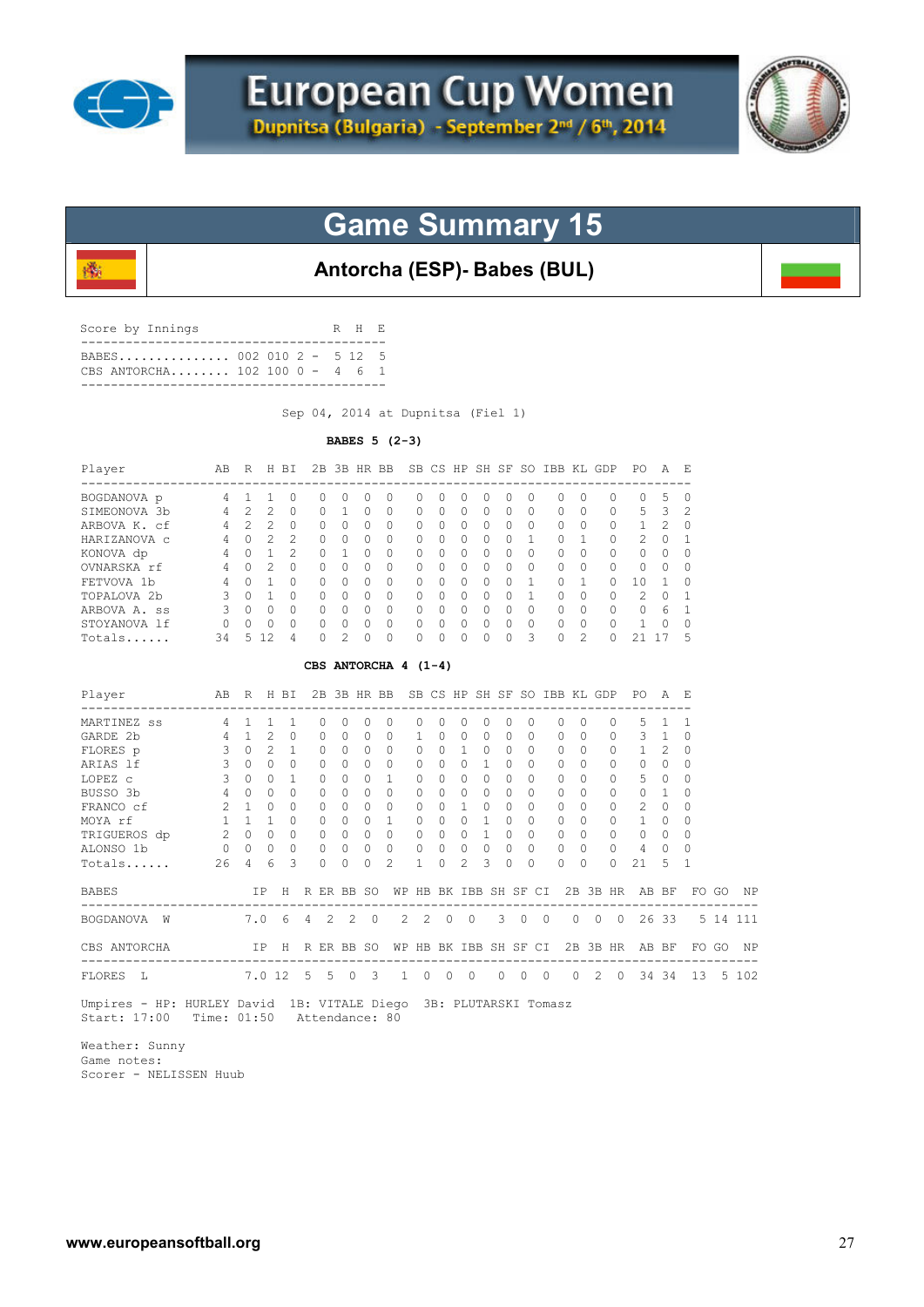

磯



# **Game Summary 15**

### **Antorcha (ESP)- Babes (BUL)**

| Score by Innings                 | R H E |  |
|----------------------------------|-------|--|
| CBS ANTORCHA $102 100 0 - 4 6 1$ |       |  |
|                                  |       |  |

Sep 04, 2014 at Dupnitsa (Fiel 1)

#### **BABES 5 (2-3)**

| Player<br>-----------------                                                      | AB R H BI      |                     |                |                |                       |                |          |                | 2B 3B HR BB SB CS HP SH SF SO IBB KL GDP PO |              |                |                |              |            |                |                |              |                |                |                | AE           |             |       |          |
|----------------------------------------------------------------------------------|----------------|---------------------|----------------|----------------|-----------------------|----------------|----------|----------------|---------------------------------------------|--------------|----------------|----------------|--------------|------------|----------------|----------------|--------------|----------------|----------------|----------------|--------------|-------------|-------|----------|
| BOGDANOVA p 4 1                                                                  |                |                     | 1              | 0              | 0                     | 0              | 0        | 0              |                                             | 0            | $\Omega$       | 0              | 0            | 0          | $\Omega$       |                | 0            | $\Omega$       | 0              | 0              | 5            | 0           |       |          |
| SIMEONOVA 3b                                                                     | -4             | 2                   | 2              | $\Omega$       | 0                     | 1              | $\Omega$ | $\Omega$       |                                             | 0            | $\Omega$       | $\Omega$       | $\Omega$     | $\Omega$   | $\Omega$       |                | $\Omega$     | 0              | $\Omega$       | 5              | 3            | 2           |       |          |
| ARBOVA K. cf                                                                     | 4              | $2^{\circ}$         | 2              | 0              | 0                     | $\Omega$       | 0        | 0              | 0                                           |              | $\Omega$       | 0              | 0            | $\Omega$   | $\Omega$       |                | $\circ$      | $\Omega$       | 0              | 1              | 2            | 0           |       |          |
| HARIZANOVA C                                                                     | 4              | $\Omega$            | 2              | $\overline{c}$ | $\circ$               | $\Omega$       | $\Omega$ | $\Omega$       |                                             | $\mathbf{0}$ | $\Omega$       | $\circ$        | $\Omega$     | $\Omega$   | 1              |                | $\Omega$     | 1              | 0              | 2              | $\Omega$     | 1           |       |          |
| KONOVA dp                                                                        | $\overline{4}$ |                     | $0 \quad 1$    | $\mathcal{L}$  | $\Omega$              | $\mathbf{1}$   | $\Omega$ | $\Omega$       |                                             | 0            | $\Omega$       | $\Omega$       | $\Omega$     | $\Omega$   | $\Omega$       |                | $\Omega$     | $\Omega$       | $\Omega$       | $\Omega$       | $\Omega$     | $\Omega$    |       |          |
| OVNARSKA rf                                                                      | 4              | $\Omega$            | 2              | $\Omega$       | $\Omega$              | $\Omega$       | $\Omega$ | $\Omega$       |                                             | 0            | $\Omega$       | $\Omega$       | 0            | $\Omega$   | $\Omega$       |                | 0            | $\Omega$       | $\Omega$       | 0              | $\Omega$     | $\Omega$    |       |          |
| FETVOVA 1b                                                                       | 4              | $\Omega$            | $\overline{1}$ | $\bigcap$      | $\Omega$              | $\Omega$       | $\Omega$ | $\Omega$       | $\Omega$                                    |              | $\Omega$       | $\Omega$       | $\Omega$     | $\Omega$   | $\mathbf{1}$   |                | $\Omega$     | 1              | $\Omega$       | 10             | 1            | $\Omega$    |       |          |
| TOPALOVA 2b                                                                      | 3              | $\circ$             | $\overline{1}$ | $\Omega$       | 0                     | $\circ$        | 0        | 0              | 0                                           |              | 0              | $\overline{0}$ | $\circ$      | $\Omega$   | $\mathbf{1}$   |                | 0            | 0              | 0              | 2              | 0            | 1           |       |          |
| ARBOVA A. ss                                                                     | 3              | $\Omega$            | $\bigcirc$     | $\bigcap$      | $\Omega$              | $\Omega$       | $\Omega$ | $\Omega$       |                                             | $\Omega$     | $\Omega$       | $\Omega$       | $\Omega$     | $\Omega$   | $\Omega$       |                | $\circ$      | $\Omega$       | $\Omega$       | $\Omega$       | - 6          | 1           |       |          |
| STOYANOVA lf                                                                     | $\circ$        | 0                   | 0              | $\Omega$       | 0                     | $\mathbf{0}$   | $\circ$  | $\circ$        |                                             | 0            | $\circ$        | $\circ$        | $\circ$      | 0          | $\circ$        |                | $\circ$      | 0              | 0              | $\mathbf{1}$   | $\circ$      | 0           |       |          |
| Totals                                                                           | 34             |                     | 5 12           | 4              | $\Omega$              | $\overline{c}$ | $\Omega$ | $\Omega$       |                                             | 0            | $\Omega$       | $\Omega$       | $\Omega$     | $\Omega$   | 3              |                | $\Omega$     | $\mathfrak{D}$ | $\Omega$       | 21 17          |              | 5           |       |          |
|                                                                                  |                |                     |                |                | CBS ANTORCHA $4(1-4)$ |                |          |                |                                             |              |                |                |              |            |                |                |              |                |                |                |              |             |       |          |
| Player                                                                           | AB             |                     |                | R H BI         |                       |                |          |                | 2B 3B HR BB SB CS HP SH SF SO IBB KL GDP    |              |                |                |              |            |                |                |              |                |                | PO A E         |              |             |       |          |
| MARTINEZ SS                                                                      |                | 4 1                 | 1              | 1              | 0                     | 0              | 0        | 0              |                                             | 0            | 0              | 0              | $\circ$      | 0          | 0              |                | 0            | 0              | $\mathbf{0}$   | 5              | $\mathbf{1}$ | -1          |       |          |
| GARDE 2b                                                                         | $\overline{4}$ | $\mathbf{1}$        | 2              | $\Omega$       | 0                     | $\circ$        | $\circ$  | $\circ$        | $\mathbf{1}$                                |              | $\Omega$       | 0              | 0            | $\Omega$   | $\circ$        |                | 0            | $\Omega$       | 0              | 3              | $\mathbf{1}$ | $\mathbf 0$ |       |          |
| FLORES p                                                                         | 3              | $\Omega$            | $\mathfrak{D}$ | 1              | $\Omega$              | $\Omega$       | $\Omega$ | $\Omega$       |                                             | $\mathbf{0}$ | $\Omega$       | $\mathbf{1}$   | $\Omega$     | $\Omega$   | $\Omega$       |                | $\Omega$     | $\Omega$       | 0              | $\mathbf{1}$   | 2            | $\Omega$    |       |          |
| ARIAS 1f                                                                         | 3              | $\Omega$            | $\Omega$       | $\circ$        | $\circ$               | $\mathbf{0}$   | $\circ$  | $\circ$        |                                             | $\mathbf{0}$ | $\Omega$       | $\circ$        | $\mathbf{1}$ | $\Omega$   | $\Omega$       |                | $\circ$      | $\Omega$       | 0              | $\mathbf{0}$   | $\Omega$     | $\circ$     |       |          |
| LOPEZ C                                                                          | 3              | $\Omega$            | $\Omega$       | 1              | $\Omega$              | $\Omega$       | 0        | $\mathbf{1}$   | $\Omega$                                    |              | $\Omega$       | $\Omega$       | $\circ$      | $\Omega$   | $\Omega$       |                | 0            | $\Omega$       | 0              | 5              | $\Omega$     | $\Omega$    |       |          |
| BUSSO 3b                                                                         | 4              | $\Omega$            | $\Omega$       | $\Omega$       | 0                     | $\Omega$       | $\Omega$ | $\Omega$       |                                             | $\Omega$     | $\Omega$       | 0              | $\Omega$     | $\Omega$   | $\Omega$       |                | $\Omega$     | $\Omega$       | $\Omega$       | $\mathbf{0}$   | 1            | $\Omega$    |       |          |
| FRANCO cf                                                                        | 2              | 1                   | $\bigcirc$     | $\Omega$       | 0                     | $\Omega$       | $\Omega$ | $\circ$        |                                             | $\mathbf{0}$ | $\Omega$       | $\mathbf{1}$   | $\circ$      | $\Omega$   | $\Omega$       |                | $\Omega$     | $\Omega$       | $\circ$        | 2              | $\Omega$     | $\Omega$    |       |          |
| MOYA rf                                                                          | 1              | 1                   | $\overline{1}$ | $\Omega$       | 0                     | $\circ$        | $\circ$  | $\mathbf{1}$   |                                             | $\mathbf{0}$ | $\circ$        | $\circ$        | 1            | $\Omega$   | $\Omega$       |                | $\circ$      | $\Omega$       | $\circ$        | $\mathbf{1}$   | 0            | $\mathbf 0$ |       |          |
| MOYA rf<br>TRIGUEROS dp                                                          |                | $2 \quad 0 \quad 0$ |                | $\Omega$       | $\circ$               | $\bigcirc$     | $\Omega$ | $\overline{0}$ |                                             | $\mathbf{0}$ | $\Omega$       | $\overline{0}$ | $\mathbf{1}$ | $\Omega$   | $\Omega$       |                | $\Omega$     | $\Omega$       | $\mathbf{0}$   | $\Omega$       | $\Omega$     | $\Omega$    |       |          |
| ALONSO 1b                                                                        | $0\quad 0$     |                     | $\circ$        | $\Omega$       | $\Omega$              | $\Omega$       | $\Omega$ | $\Omega$       |                                             | 0            | $\Omega$       | $\circ$        | $\circ$      | $\Omega$   | $\Omega$       |                | $\circ$      | $\Omega$       | $\Omega$       | 4              | $\Omega$     | 0           |       |          |
| Totals                                                                           | 26             | 4                   | 6              | 3              | 0                     | $\circ$        | $\Omega$ | $\overline{c}$ | $\mathbf{1}$                                |              | $\Omega$       | 2              | 3            | $\Omega$   | $\Omega$       |                | $\Omega$     | $\Omega$       | $\Omega$       | 21             | 5            | $\mathbf 1$ |       |          |
| <b>BABES</b>                                                                     |                |                     | ΙP             |                | H R ER BB SO          |                |          |                | WP HB BK IBB SH SF CI                       |              |                |                |              |            |                |                |              |                |                | 2B 3B HR AB BF |              |             | FO GO | ΝP       |
| BOGDANOVA W                                                                      |                | 7.0                 |                | -6             | $4\quad 2$            |                | 2        | $\overline{0}$ | 2                                           | 2            | $\overline{0}$ | $\circ$        |              | 3          | $\overline{0}$ | $\overline{0}$ |              | $0\quad 0$     | $\overline{0}$ |                | 26 33        |             |       | 5 14 111 |
| CBS ANTORCHA<br>___________________________________                              |                |                     | IP             |                | H R ER BB SO          |                |          |                | WP HB BK IBB SH SF CI                       |              |                |                |              |            |                |                |              |                |                | 2B 3B HR AB BF |              | ----------  | FO GO | ΝP       |
| <b>FLORES</b><br>L                                                               |                |                     | 7.0 12         |                | 5 <sub>5</sub>        |                | $\circ$  | 3              | $\mathbf{1}$                                | 0            | $\overline{0}$ | $\overline{0}$ |              | $0\quad 0$ |                | $\overline{0}$ | $\mathbf{0}$ | 2              | $\circ$        |                | 34 34        | 13          |       | 5 102    |
| Umpires - HP: HURLEY David 1B: VITALE Diego 3B: PLUTARSKI Tomasz<br>Start: 17:00 | Time: 01:50    |                     |                |                | Attendance: 80        |                |          |                |                                             |              |                |                |              |            |                |                |              |                |                |                |              |             |       |          |

 Weather: Sunny Game notes: Scorer - NELISSEN Huub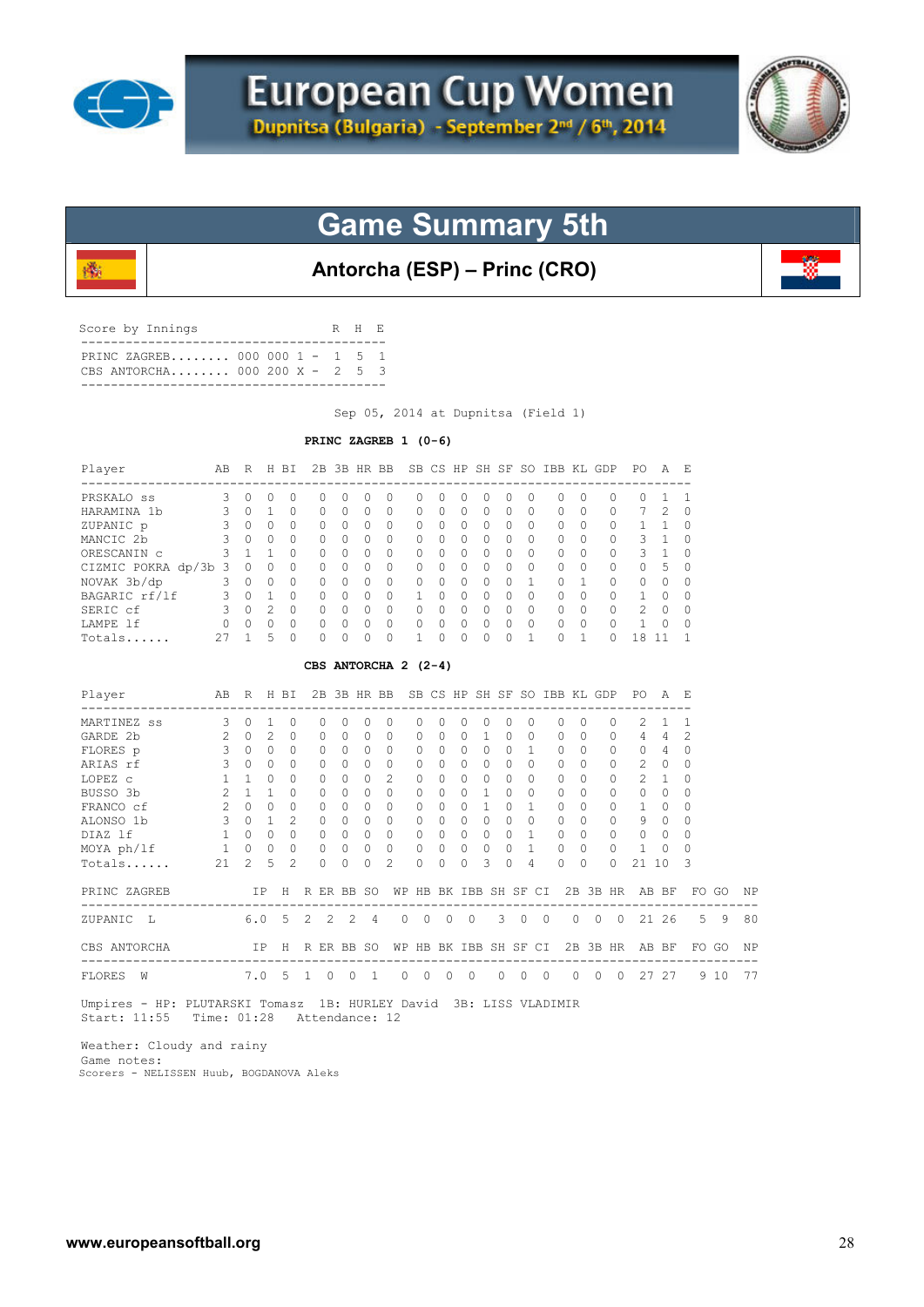

殲



## **Game Summary 5th**

**Antorcha (ESP) – Princ (CRO)**

| Score by Innings |                                                                        |  |  | R H E |  |
|------------------|------------------------------------------------------------------------|--|--|-------|--|
|                  | PRINC ZAGREB 000 000 1 - 1 5 1<br>CBS ANTORCHA 000 200 $X - 2 = 5 = 3$ |  |  |       |  |

Sep 05, 2014 at Dupnitsa (Field 1)

#### **PRINC ZAGREB 1 (0-6)**

| Player                                                                                                                                                                                                                                |                | AB R H BI                           |              |                |              |                |             |              | 2B 3B HR BB SB CS HP SH SF SO IBB KL GDP PO |              |                |                          |                         |             |                       |                |          |            |                |                                                      | A              | – F                                    |       |    |
|---------------------------------------------------------------------------------------------------------------------------------------------------------------------------------------------------------------------------------------|----------------|-------------------------------------|--------------|----------------|--------------|----------------|-------------|--------------|---------------------------------------------|--------------|----------------|--------------------------|-------------------------|-------------|-----------------------|----------------|----------|------------|----------------|------------------------------------------------------|----------------|----------------------------------------|-------|----|
| PRSKALO <sub>ss</sub> 3                                                                                                                                                                                                               |                | $\circ$                             | 0            | $\circ$        | $\circ$      |                | $\Omega$    | $\circ$      | $\circ$                                     | $\Omega$     | $\Omega$       | $\mathbf{0}$             | $\circ$                 | $\circ$     | $\mathbf{0}$          |                | 0        | $\Omega$   | 0              | 0                                                    | 1              | $\mathbf 1$                            |       |    |
| HARAMINA 1b<br>ZUPANIC p 3                                                                                                                                                                                                            |                | $\Omega$                            | $\mathbf{1}$ | $\Omega$       | $\Omega$     |                | $\Omega$    | $\Omega$     | $\Omega$                                    | 0            | $\Omega$       | $\Omega$                 | $\Omega$                | $\Omega$    | $\Omega$              |                | $\Omega$ | $\Omega$   | $\Omega$       | 7                                                    | $\mathfrak{D}$ | $\Omega$                               |       |    |
|                                                                                                                                                                                                                                       |                | $\begin{matrix} 0 & 0 \end{matrix}$ |              | $\Omega$       | $\Omega$     |                | $\Omega$    | $\Omega$     | $\Omega$                                    | $\Omega$     | $\bigcap$      | $\Omega$                 | $\Omega$                | $\Omega$    | $\Omega$              |                | 0        | $\Omega$   | 0              | 1                                                    | $\mathbf{1}$   | $\Omega$                               |       |    |
| MANCIC 2b                                                                                                                                                                                                                             | $\mathbf{3}$   | $\begin{matrix} 0 & 0 \end{matrix}$ |              | $\Omega$       | $\Omega$     |                | $\Omega$    | $\Omega$     | $\Omega$                                    | $\Omega$     | $\Omega$       | $\Omega$                 | $\Omega$                | $\Omega$    | $\Omega$              |                | $\Omega$ | $\Omega$   | $\Omega$       | 3                                                    | $\overline{1}$ | $\Omega$                               |       |    |
| ORESCANIN C                                                                                                                                                                                                                           |                | 3 1 1                               |              | $\Omega$       | $\Omega$     |                | $\Omega$    | $\Omega$     | $\Omega$                                    | $\Omega$     | $\Omega$       | $\Omega$                 | $\Omega$                | $\bigcap$   | $\Omega$              |                | $\Omega$ | $\Omega$   | 0              | 3                                                    | 1              | 0                                      |       |    |
| CIZMIC POKRA dp/3b 3 0 0                                                                                                                                                                                                              |                |                                     |              | $\Omega$       | 0            |                | $\Omega$    | $\Omega$     | $\Omega$                                    | $\Omega$     | $\Omega$       | $\Omega$                 | $\Omega$                | $\Omega$    | $\Omega$              |                | $\Omega$ | $\Omega$   | $\Omega$       | $\Omega$                                             | 5              | $\Omega$                               |       |    |
| NOVAK 3b/dp                                                                                                                                                                                                                           | $3 -$          |                                     | $0\quad 0$   | $\Omega$       | 0            |                | $\Omega$    | $\Omega$     | 0                                           | 0            | $\Omega$       | $\Omega$                 | $\circ$                 | $\Omega$    | $\mathbf{1}$          |                | $\circ$  | 1          | 0              | 0                                                    | $\Omega$       | $\Omega$                               |       |    |
| BAGARIC rf/lf 3 0 1                                                                                                                                                                                                                   |                |                                     |              | $\mathbf{0}$   | 0            |                | $\mathbf 0$ | $\circ$      | $\circ$                                     | $\mathbf{1}$ | 0              | $\circ$                  | $\circ$                 | $\Omega$    | $\Omega$              |                | 0        | $\Omega$   | 0              | 1                                                    | 0              | 0                                      |       |    |
| SERIC cf 3 0 2                                                                                                                                                                                                                        |                |                                     |              | $\Omega$       | 0            |                | $\Omega$    | $\Omega$     | $\circ$                                     | $\Omega$     | $\Omega$       | $\overline{0}$           | $\Omega$                | $\Omega$    | $\Omega$              |                | $\Omega$ | $\Omega$   | $\circ$        | 2                                                    | $\Omega$       | $\Omega$                               |       |    |
| LAMPE 1f                                                                                                                                                                                                                              |                |                                     | $\Omega$     | $\Omega$       | 0            |                | $\Omega$    | $\circ$      | $\circ$                                     | 0            | $\circ$        | $\mathbf{0}$             | 0                       | $\Omega$    | $\Omega$              |                |          | $\Omega$   | $\circ$        | $\mathbf{1}$                                         | 0              | $\Omega$                               |       |    |
|                                                                                                                                                                                                                                       |                | $\mathbf{1}$                        | 5            | $\cap$         |              |                |             |              | $\Omega$                                    | 1            | $\cap$         |                          |                         |             | 1                     |                |          |            | $\Omega$       | 18                                                   |                | -1                                     |       |    |
| $0\quad 0$<br>$\circ$<br>$\mathbf{1}$<br>$Totals$ 27<br>$\Omega$<br>$\Omega$<br>$\Omega$<br>$\cap$<br>$\Omega$<br>$\Omega$<br>$\bigcap$<br>11<br>CBS ANTORCHA 2 (2-4)<br>R H BI 2B 3B HR BB SB CS HP SH SF SO IBB KL GDP PO A E<br>AB |                |                                     |              |                |              |                |             |              |                                             |              |                |                          |                         |             |                       |                |          |            |                |                                                      |                |                                        |       |    |
| Player<br>---------------------------------                                                                                                                                                                                           |                |                                     |              |                |              |                |             |              |                                             |              |                |                          |                         |             |                       |                |          |            |                |                                                      |                |                                        |       |    |
| MARTINEZ ss 3                                                                                                                                                                                                                         |                | $\circ$                             | $\mathbf{1}$ | $\circ$        | 0            |                | $\Omega$    | 0            | 0                                           | $\circ$      | 0              | 0                        | $\circ$                 | 0           | 0                     |                | 0        | $\Omega$   | $\circ$        | 2                                                    | $\mathbf{1}$   | $\overline{1}$                         |       |    |
| GARDE 2b                                                                                                                                                                                                                              | 2              | $\Omega$                            | 2            | $\Omega$       | 0            |                | $\Omega$    | $\Omega$     | 0                                           | $\Omega$     | $\Omega$       | $\Omega$                 | $\mathbf{1}$            | $\Omega$    | $\Omega$              |                | $\Omega$ | $\Omega$   | 0              |                                                      | $4\quad 4$     | 2                                      |       |    |
| FLORES p                                                                                                                                                                                                                              | 3              | $\circ$                             | $\bigcirc$   | $\Omega$       | 0            |                | $\Omega$    | $\Omega$     | $\circ$                                     | $\mathbf{0}$ | $\Omega$       | $\circ$                  | $\circ$                 | $\Omega$    | $\overline{1}$        |                | 0        | $\Omega$   | $\circ$        |                                                      | $0\quad 4$     | $\circ$                                |       |    |
| ARIAS rf                                                                                                                                                                                                                              | $\mathcal{S}$  | $\cap$                              | $\Omega$     | $\cap$         | $\Omega$     |                | $\Omega$    | $\Omega$     | $\circ$                                     | $\circ$      | $\Omega$       | $\Omega$                 | $\Omega$                | $\Omega$    | $\Omega$              |                | $\Omega$ | $\Omega$   | 0              | 2                                                    | $\bigcirc$     | $\Omega$                               |       |    |
| LOPEZ C                                                                                                                                                                                                                               | $\mathbf{1}$   | $1 \quad 0$                         |              | $\bigcap$      | $\Omega$     |                | $\Omega$    | $\Omega$     | 2                                           | $\Omega$     | $\Omega$       |                          | $\Omega$<br>$\Omega$    | $\Omega$    | $\Omega$              |                | $\Omega$ | $\Omega$   | $\circ$        | 2                                                    | $\mathbf{1}$   | $\Omega$                               |       |    |
| BUSSO 3b                                                                                                                                                                                                                              | $\overline{2}$ | $1\quad1$                           |              | $\Omega$       | $\Omega$     |                | $\Omega$    | $\Omega$     | $\Omega$                                    | 0            | $\Omega$       | $\Omega$                 | $\mathbf{1}$            | $\Omega$    | $\Omega$              |                | $\circ$  | $\Omega$   | $\circ$        | $\circ$                                              | $\Omega$       | $\mathbf 0$                            |       |    |
| FRANCO cf                                                                                                                                                                                                                             | $2^{\circ}$    | $0\quad 0$                          |              | 0              | 0            |                | $\Omega$    | 0            | $\circ$                                     | 0            | 0              |                          | $\circ$<br>$\mathbf{1}$ | $\Omega$    | $\mathbf{1}$          |                | $\circ$  | $\Omega$   | 0              | 1                                                    | 0              | 0                                      |       |    |
| ALONSO 1b                                                                                                                                                                                                                             |                | $3 \t 0 \t 1$                       |              | 2              | 0            |                | $\Omega$    | $\circ$      | $\overline{0}$                              | $\mathbf{0}$ | $\circ$        | $\circ$                  | $\circ$                 | $\Omega$    | $\Omega$              |                | $\circ$  | $\Omega$   | 0              | 9                                                    | $\mathbf{0}$   | 0                                      |       |    |
| 1 0 0 0<br>DIAZ lf                                                                                                                                                                                                                    |                |                                     |              |                |              | $\overline{0}$ | $\Omega$    | $\Omega$     | $\overline{0}$                              | $\Omega$     | $\Omega$       | $\circ$                  | $\circ$                 |             | $0 \quad 1$           |                | $\circ$  | $\Omega$   | $\Omega$       | $\circ$                                              | $\Omega$       | $\Omega$                               |       |    |
| MOYA ph/lf 1 0 0                                                                                                                                                                                                                      |                |                                     |              | $\Omega$       | 0            |                | $\Omega$    | $\circ$      | $\Omega$                                    | 0            | $\Omega$       |                          | $\circ$<br>$\Omega$     | $\Omega$    | $\mathbf{1}$          |                | $\circ$  | $\Omega$   | $\mathbf{0}$   | $\mathbf{1}$                                         | $\Omega$       | $\Omega$                               |       |    |
| Totals                                                                                                                                                                                                                                | 21             | $\mathcal{L}$                       | .5           | $\overline{c}$ | $\Omega$     |                | $\Omega$    | $\Omega$     | 2                                           | $\Omega$     | $\Omega$       | $\Omega$                 | 3                       | $\Omega$    | 4                     |                | $\Omega$ | $\Omega$   | $\Omega$       | 21 10                                                |                | 3                                      |       |    |
| PRINC ZAGREB<br>-----------------------------------                                                                                                                                                                                   |                |                                     |              |                |              |                |             |              | ----------                                  |              |                |                          |                         |             |                       |                |          |            |                | IP H R ER BB SO WP HB BK IBB SH SF CI 2B 3B HR AB BF |                | -------------------------------------- | FO GO | ΝP |
| 6.0 5 2<br>ZUPANIC L                                                                                                                                                                                                                  |                |                                     |              |                |              | 2              | 2           | - 4          | $\circ$                                     | $\circ$      | $\overline{0}$ | $\overline{0}$           |                         | $3 \quad 0$ |                       | $\overline{0}$ |          | $0\quad 0$ | $\overline{0}$ |                                                      | 21 26          |                                        | 5 9   | 80 |
| CBS ANTORCHA                                                                                                                                                                                                                          |                |                                     | IP           |                | H R ER BB SO |                |             |              |                                             |              |                |                          |                         |             | WP HB BK IBB SH SF CI |                |          |            |                | 2B 3B HR AB BF                                       |                |                                        | FO GO | ΝP |
| -----------------------------------<br>FLORES<br>W                                                                                                                                                                                    |                |                                     |              |                | $7.0$ 5 1 0  |                | $\circ$     | <sup>1</sup> | 0                                           | $\circ$      | $\overline{0}$ | $\overline{\phantom{0}}$ |                         |             | $0\quad 0\quad 0$     |                |          | $0\quad 0$ |                | 0 27 27                                              |                |                                        | 9 10  | 77 |
| Umpires - HP: PLUTARSKI Tomasz 1B: HURLEY David 3B: LISS VLADIMIR                                                                                                                                                                     |                |                                     |              |                |              |                |             |              |                                             |              |                |                          |                         |             |                       |                |          |            |                |                                                      |                |                                        |       |    |

Start: 11:55 Time: 01:28 Attendance: 12

 Weather: Cloudy and rainy Game notes: Scorers - NELISSEN Huub, BOGDANOVA Aleks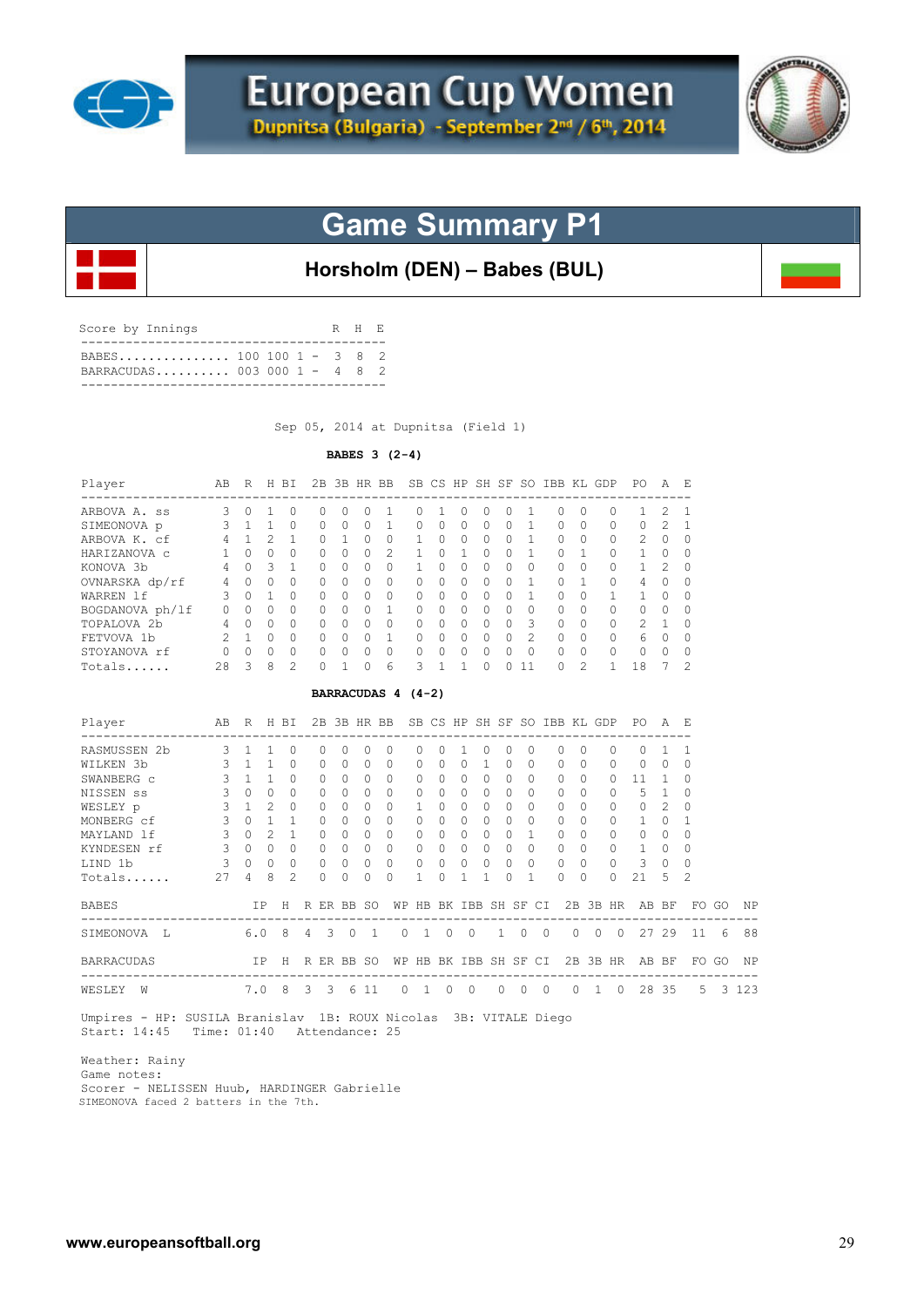



**Horsholm (DEN) – Babes (BUL)**

| Score by Innings |                                                         |  |  | R H E |  |
|------------------|---------------------------------------------------------|--|--|-------|--|
|                  | BABES 100 100 1 - 3 8 2<br>BARRACUDAS 003 000 1 - 4 8 2 |  |  |       |  |

Sep 05, 2014 at Dupnitsa (Field 1)

### **BABES 3 (2-4)**

|                   |                |                |                         |                |              |                         |              |          |                                          |                       |                                |                |              |            |                |                | 2B 3B HR BB SB CS HP SH SF SO IBB KL GDP |                |                | PO.            | AE             |                |       |         |
|-------------------|----------------|----------------|-------------------------|----------------|--------------|-------------------------|--------------|----------|------------------------------------------|-----------------------|--------------------------------|----------------|--------------|------------|----------------|----------------|------------------------------------------|----------------|----------------|----------------|----------------|----------------|-------|---------|
| ARBOVA A. ss      | 3              | $\mathbf{0}$   | 1                       | 0              | $\Omega$     |                         | 0            | 0        | 1                                        | 0                     | 1                              | 0              | $\Omega$     | $\Omega$   | 1              |                | $\Omega$                                 | $\Omega$       | $\Omega$       | 1              | 2              | -1             |       |         |
| SIMEONOVA p       | 3              | 1              | $\mathbf{1}$            | $\Omega$       | 0            |                         | $\Omega$     | $\Omega$ | $\mathbf{1}$                             | 0                     | $\Omega$                       | $\Omega$       | $\Omega$     | $\Omega$   | 1              |                | $\Omega$                                 | $\Omega$       | 0              | $\circ$        | 2              | 1              |       |         |
| ARBOVA K. cf      | $\overline{4}$ | $\mathbf{1}$   | 2                       | 1              | 0            |                         | $\mathbf{1}$ | 0        | $\circ$                                  | $\mathbf{1}$          | 0                              | 0              | $\circ$      | $\Omega$   | $\mathbf{1}$   |                | $\circ$                                  | 0              | 0              | 2              | $\mathbf{0}$   | $\circ$        |       |         |
| HARIZANOVA c      | $\mathbf{1}$   | $\cap$         | $\Omega$                | $\Omega$       | $\Omega$     |                         | $\Omega$     | $\Omega$ | 2                                        | $\mathbf{1}$          | $\Omega$                       | $\mathbf{1}$   | $\Omega$     | $\Omega$   | $\mathbf{1}$   |                | $\Omega$                                 | $\mathbf{1}$   | 0              | $\mathbf{1}$   | $\Omega$       | $\Omega$       |       |         |
| KONOVA 3b         | $\overline{4}$ | $\Omega$       | $\overline{\mathbf{3}}$ | 1              | $\Omega$     |                         | $\Omega$     | $\Omega$ | $\Omega$                                 | $\mathbf{1}$          | $\Omega$                       | $\Omega$       | $\Omega$     | $\Omega$   | $\Omega$       |                | $\Omega$                                 | $\Omega$       | 0              | $\mathbf{1}$   | $\overline{c}$ | $\Omega$       |       |         |
| OVNARSKA dp/rf    | 4              | $\Omega$       | $\Omega$                | $\Omega$       | $\Omega$     |                         | $\Omega$     | $\Omega$ | $\Omega$                                 | $\Omega$              | $\Omega$                       | $\Omega$       | $\Omega$     | $\Omega$   | $\mathbf{1}$   |                | $\Omega$                                 | 1              | 0              | $\overline{4}$ | $\Omega$       | $\Omega$       |       |         |
| WARREN 1f         | 3              | $\Omega$       | $\mathbf{1}$            | $\Omega$       | $\Omega$     |                         | $\Omega$     | $\Omega$ | $\Omega$                                 | $\Omega$              | $\Omega$                       | $\Omega$       | $\Omega$     | $\Omega$   | $\mathbf{1}$   |                | $\Omega$                                 | $\Omega$       | 1              | 1              | $\Omega$       | $\Omega$       |       |         |
| BOGDANOVA ph/lf   | $\circ$        | $\mathbf{0}$   | $\Omega$                | $\Omega$       | $\circ$      |                         | $\Omega$     | $\Omega$ | $\mathbf{1}$                             | $\Omega$              | $\Omega$                       | $\Omega$       | $\Omega$     | $\Omega$   | $\Omega$       |                | $\circ$                                  | $\Omega$       | $\Omega$       | 0              | $\circ$        | $\Omega$       |       |         |
| TOPALOVA 2b       | 4              | $\circ$        | $\Omega$                | $\Omega$       | $\circ$      |                         | $\Omega$     | $\Omega$ | $\circ$                                  | $\mathbf{0}$          | $\Omega$                       | $\overline{0}$ | $\circ$      | $\Omega$   | 3              |                | $\circ$                                  | $\Omega$       | 0              | 2              | 1              | $\Omega$       |       |         |
| FETVOVA 1b        | 2              | 1              | $\overline{0}$          | $\circ$        | $\circ$      |                         | $\circ$      | $\circ$  | $\mathbf{1}$                             | $\mathbf{0}$          | $\circ$                        | $\overline{0}$ | $\circ$      | $\Omega$   | $\overline{c}$ |                | $\circ$                                  | $\Omega$       | $\mathbf{0}$   | 6              | $\circ$        | $\circ$        |       |         |
| STOYANOVA rf      | $\circ$        | $\Omega$       | $\Omega$                | $\Omega$       | $\Omega$     |                         | $\Omega$     | $\Omega$ | $\circ$                                  | 0                     | 0                              | $\circ$        | $\Omega$     | $\Omega$   | $\Omega$       |                | $\mathbf{0}$                             | $\Omega$       | $\circ$        | $\circ$        | $\Omega$       | $\Omega$       |       |         |
| Totals            | 28             | 3              | 8                       | $\mathfrak{D}$ | $\Omega$     |                         | 1            | $\Omega$ | 6                                        | 3                     | $\mathbf{1}$                   | $\mathbf{1}$   | $\Omega$     | $\Omega$   | 11             |                | $\Omega$                                 | $\mathcal{L}$  | $\mathbf{1}$   | 18             | 7              | $\mathfrak{D}$ |       |         |
|                   |                |                |                         |                |              |                         |              |          | BARRACUDAS 4 (4-2)                       |                       |                                |                |              |            |                |                |                                          |                |                |                |                |                |       |         |
| Player            | AВ             |                |                         | R H BI         |              |                         |              |          | 2B 3B HR BB SB CS HP SH SF SO IBB KL GDP |                       |                                |                |              |            |                |                |                                          |                |                | PO.            | A F.           |                |       |         |
| RASMUSSEN 2b      | 3              | $\mathbf{1}$   | $\mathbf{1}$            | $\circ$        | $\circ$      |                         | $\Omega$     | $\circ$  | $\circ$                                  | $\circ$               | 0                              | $\mathbf{1}$   | $\circ$      | $\circ$    | $\circ$        |                | 0                                        | $\circ$        | $\circ$        | 0              | $\mathbf{1}$   | 1              |       |         |
| WILKEN 3b         | 3              | $\overline{1}$ | $\mathbf{1}$            | $\Omega$       | $\Omega$     |                         | $\Omega$     | $\Omega$ | $\Omega$                                 | $\Omega$              | $\Omega$                       | $\Omega$       | 1            | $\Omega$   | $\Omega$       |                | $\Omega$                                 | $\Omega$       | $\Omega$       | $\Omega$       | $\Omega$       | $\Omega$       |       |         |
| SWANBERG C        | 3              | $\mathbf{1}$   | $\mathbf{1}$            | $\Omega$       | $\Omega$     |                         | $\Omega$     | 0        | $\circ$                                  | 0                     | $\Omega$                       | $\Omega$       | $\circ$      | $\Omega$   | $\Omega$       |                | 0                                        | $\Omega$       | $\Omega$       | 11             | 1              | $\Omega$       |       |         |
| NISSEN ss         | 3              | $\Omega$       | $\Omega$                | $\Omega$       | $\Omega$     |                         | $\Omega$     | $\Omega$ | $\Omega$                                 | $\Omega$              | $\Omega$                       | $\Omega$       | $\Omega$     | $\Omega$   | $\Omega$       |                | $\Omega$                                 | $\Omega$       | $\Omega$       | 5              | $\mathbf{1}$   | $\Omega$       |       |         |
| WESLEY p          | 3              | $\mathbf{1}$   | $\mathcal{L}$           | $\Omega$       | 0            |                         | $\Omega$     | $\Omega$ | $\Omega$                                 | $\mathbf{1}$          | $\Omega$                       | $\Omega$       | $\Omega$     | $\Omega$   | $\Omega$       |                | $\Omega$                                 | $\Omega$       | 0              | $\mathbf{0}$   | 2              | $\Omega$       |       |         |
| MONBERG cf        | $\mathbf{3}$   | $\Omega$       | $\overline{1}$          | 1              | 0            |                         | $\Omega$     | $\Omega$ | $\Omega$                                 | $\Omega$              | $\Omega$                       | $\Omega$       | $\Omega$     | $\Omega$   | $\Omega$       |                | $\Omega$                                 | $\Omega$       | 0              | 1              | $\Omega$       | 1              |       |         |
| MAYLAND 1f        | $\mathbf{3}$   | $\Omega$       | $\mathfrak{D}$          | $\mathbf{1}$   | $\circ$      |                         | $\Omega$     | $\Omega$ | $\Omega$                                 | $\mathbf{0}$          | $\Omega$                       | $\circ$        | $\Omega$     | $\Omega$   | $\mathbf{1}$   |                | $\Omega$                                 | $\Omega$       | $\circ$        | 0              | $\Omega$       | $\Omega$       |       |         |
| KYNDESEN rf       | 3              | $\Omega$       | $\bigcirc$              | $\Omega$       | $\circ$      |                         | $\Omega$     | $\circ$  | $\overline{0}$                           | $\mathbf{0}$          | $\mathbf{0}$                   | $\circ$        | $\mathbf{0}$ | $\Omega$   | $\Omega$       |                | $\mathbf{0}$                             | $\Omega$       | $\circ$        | $\mathbf{1}$   | 0              | 0              |       |         |
| LIND 1b           | 3              | $\Omega$       | $\Omega$                | $\Omega$       | $\Omega$     |                         | $\Omega$     | $\Omega$ | $\Omega$                                 | $\Omega$              | $\Omega$                       | $\Omega$       | $\Omega$     | $\Omega$   | $\Omega$       |                | $\Omega$                                 | $\Omega$       | $\Omega$       | 3              | $\Omega$       | $\Omega$       |       |         |
| Totals            | 27             | 4              | 8                       | $\overline{2}$ | $\Omega$     |                         | $\Omega$     | $\Omega$ | $\Omega$                                 | 1                     | $\Omega$                       | 1              | 1            | 0          | 1              |                | $\Omega$                                 | 0              | $\Omega$       | 21             | 5              | $\overline{2}$ |       |         |
| <b>BABES</b>      |                |                | ΙP                      | Η              | R ER BB SO   |                         |              |          |                                          | WP HB BK IBB SH SF CI |                                |                |              |            |                |                |                                          |                |                | 2B 3B HR AB BF |                |                | FO GO | ΝP      |
| SIMEONOVA L       |                | 6.0            |                         | 8              | $4 \quad 3$  |                         | $\circ$      | 1        | $\circ$                                  |                       | $\overline{0}$<br>$\mathbf{1}$ | $\circ$        |              | 1          | $\overline{0}$ | $\overline{0}$ | $\circ$                                  | $\overline{0}$ | $\overline{0}$ |                | 27 29          | 11             | 6     | 88      |
| <b>BARRACUDAS</b> |                |                | IP -                    |                | H R ER BB SO |                         |              |          |                                          | WP HB BK IBB SH SF CI |                                |                |              |            |                |                |                                          |                |                | 2B 3B HR AB BF |                |                | FO GO | ΝP      |
| WESLEY W          |                |                | 7.0                     | 8              | 3            | $\overline{\mathbf{3}}$ |              | 6 11     | $\circ$                                  | $\,$ 1 $\,$           | $\overline{0}$                 | $\circ$        |              | $0\quad 0$ |                | $\overline{0}$ | $\circ$                                  | 1              | $\circ$        |                | 28 35          | 5              |       | 3 1 2 3 |

 Weather: Rainy Game notes: Scorer - NELISSEN Huub, HARDINGER Gabrielle SIMEONOVA faced 2 batters in the 7th.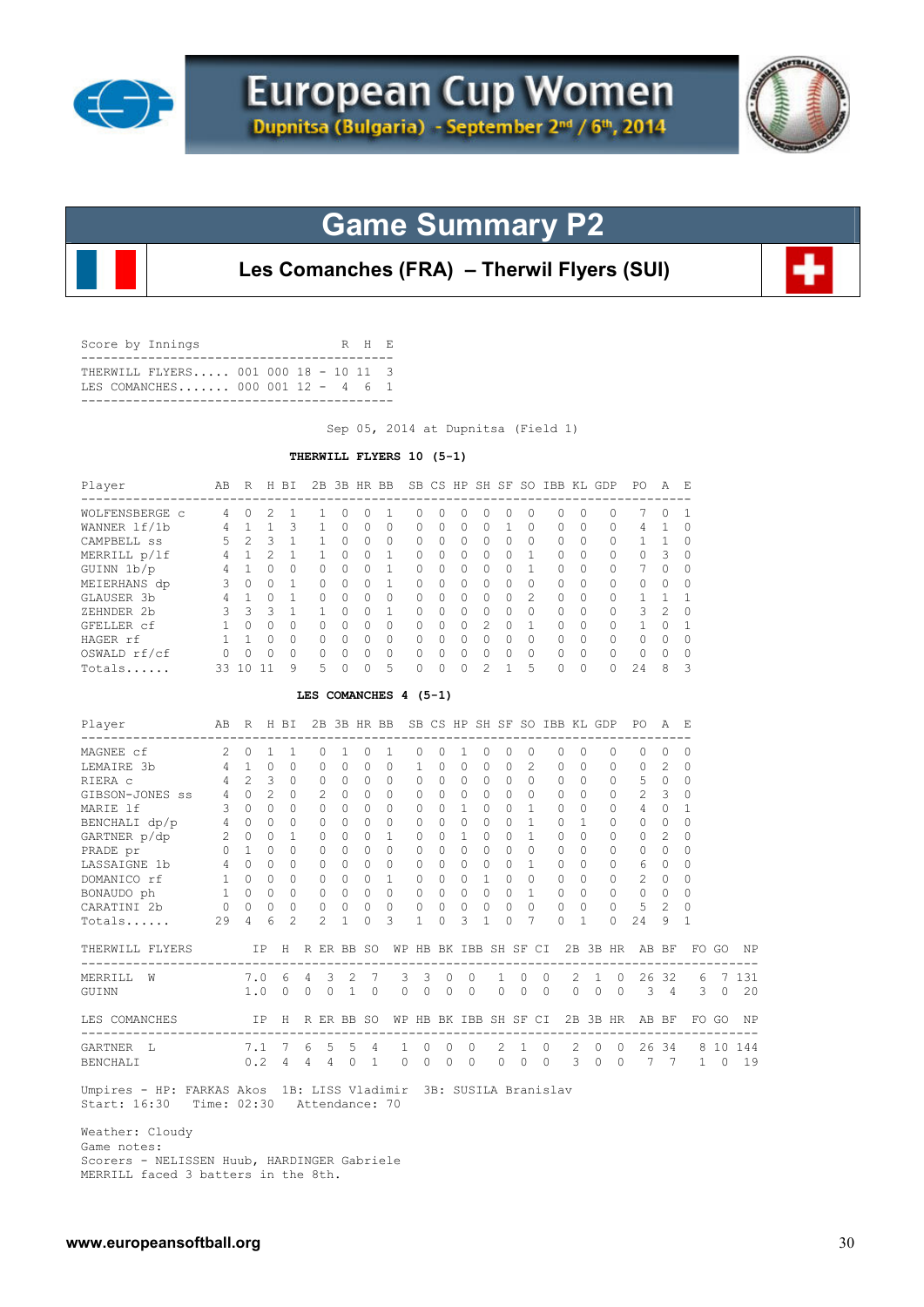



## **Game Summary P2**

**Les Comanches (FRA) – Therwil Flyers (SUI)**

| Score by Innings |                                                                             |  |  | R H E |  |
|------------------|-----------------------------------------------------------------------------|--|--|-------|--|
|                  | THERWILL FLYERS 001 000 18 - 10 11 3<br>T.E.S. COMANCHES 000 001 12 - 4 6 1 |  |  |       |  |
|                  |                                                                             |  |  |       |  |

Sep 05, 2014 at Dupnitsa (Field 1)

#### **THERWILL FLYERS 10 (5-1)**

| Player         | AВ | R  | H            | ВI           | 2B     | 3B | HR.      | BB       |    |              |              | SB CS HP SH SF |   | SO.              | IBB KL       |          | GDP          | PO. | A              | Е             |
|----------------|----|----|--------------|--------------|--------|----|----------|----------|----|--------------|--------------|----------------|---|------------------|--------------|----------|--------------|-----|----------------|---------------|
| WOLFENSBERGE C | 4  | O  |              |              |        |    | 0        |          | 0  | 0            | 0            | $^{(1)}$       | Ω | $\left( \right)$ | $^{(1)}$     | 0        | <sup>0</sup> |     | O              |               |
| WANNER 1f/1b   | 4  |    |              | २            |        | n  | $\Omega$ | $\Omega$ | 0  | $\Omega$     | 0            | 0              |   |                  | 0            | $\Omega$ | $\Omega$     | 4   |                |               |
| CAMPBELL SS    | 5  | っ  | 3            |              |        | U  | $\Omega$ | $\Omega$ | 0  | <sup>0</sup> | $\cap$       | $\cap$         | O | 0                | <sup>0</sup> | $\Omega$ | $\Omega$     |     |                |               |
| MERRILL p/lf   | 4  |    |              |              |        |    | $\Omega$ |          | 0  | $\Omega$     | 0            | O.             | O |                  | <sup>0</sup> | $\Omega$ | $\Omega$     | 0   | 3              | $\Omega$      |
| GUINN 1b/p     | 4  |    |              | $\Omega$     | $\cap$ | Λ  | $\Omega$ |          | U  | $\Omega$     | <sup>n</sup> | U              | O |                  | $\cap$       | $\Omega$ | $\Omega$     |     | $\Omega$       | $\Omega$      |
| MEIERHANS dp   |    | O  | 0            |              | $\cap$ | O. | $\Omega$ |          | U  | <sup>0</sup> | $\cap$       | U              | O | 0                | <sup>0</sup> | $\Omega$ | $\Omega$     | U   | $\bigcap$      | $\cap$        |
| GLAUSER 3b     | 4  |    | <sup>0</sup> |              | $\cap$ | Λ  | $\Omega$ | $\Omega$ | 0  | $\Omega$     | $\bigcap$    | O.             | O | $\mathcal{P}$    | $\bigcap$    | $\Omega$ | $\Omega$     |     |                |               |
| ZEHNDER 2b     |    | 3  | ς            |              |        | Λ  | $\Omega$ |          | U  | $\Omega$     | $\cap$       | $\cap$         | O | $\Omega$         | $\bigcap$    | $\Omega$ | $\Omega$     | 3   | $\mathfrak{D}$ | $\Omega$      |
| GFELLER cf     |    | Λ  | U            | <sup>0</sup> | $\cap$ | U  | $\Omega$ | $\Omega$ | O. | <sup>0</sup> | $\cap$       | $\mathcal{P}$  | ∩ |                  | $\bigcap$    | $\Omega$ | $\Omega$     |     | $\cap$         |               |
| HAGER rf       |    |    | U            | <sup>0</sup> | $\cap$ | Λ  | $\Omega$ | $\Omega$ | O. | $\Omega$     | $\cap$       | U              | O | <sup>0</sup>     | O.           | $\Omega$ | $\Omega$     | 0   | $\Omega$       | n             |
| OSWALD rf/cf   |    |    |              | $\bigcap$    | $\cap$ |    | $\Omega$ | $\Omega$ | U  | $\Omega$     | U            | U              | O | $\Omega$         | U            | $\Omega$ | $\Omega$     | U   | $\cap$         |               |
| Totals         | 33 | -0 |              | 9            | 5.     |    | ∩        | 5        |    | $\Omega$     | <sup>n</sup> |                |   | 5                | U            | 0        | <sup>n</sup> | 2.4 | 8              | $\mathcal{L}$ |

#### **LES COMANCHES 4 (5-1)**

| Player                                                           | AB R H BI       |                     |               |                |                |                  |                 |                | 2B 3B HR BB SB CS HP SH SF SO IBB KL GDP |                     |          |                |          |           |              |                    |                |           |             |              | PO.                 | A              | - E                              |          |           |
|------------------------------------------------------------------|-----------------|---------------------|---------------|----------------|----------------|------------------|-----------------|----------------|------------------------------------------|---------------------|----------|----------------|----------|-----------|--------------|--------------------|----------------|-----------|-------------|--------------|---------------------|----------------|----------------------------------|----------|-----------|
| -----------------<br>MAGNEE cf                                   | $\mathcal{L}$   | $\Omega$            | $\mathbf{1}$  | $\overline{1}$ |                | ----<br>$\Omega$ |                 | $\Omega$       | -1                                       | $\Omega$            | $\Omega$ | 1              | $\Omega$ | $\Omega$  |              | $\Omega$           | $\Omega$       | $\bigcap$ |             | $\Omega$     | $\Omega$            | O              | O                                |          |           |
| LEMAIRE 3b                                                       | $\overline{4}$  | $\overline{1}$      | $\Omega$      | $\Omega$       |                | $\Omega$         | $\Omega$        | $\Omega$       | $\Omega$                                 | 1                   | $\Omega$ | $\Omega$       | 0        | $\Omega$  |              | $\mathfrak{D}$     | $\Omega$       | $\Omega$  |             | $\Omega$     | $\Omega$            | $\mathfrak{D}$ | $\Omega$                         |          |           |
| RIERA C                                                          | $\overline{4}$  | $2^{\circ}$         | $\mathcal{L}$ | $\Omega$       |                | $\Omega$         | $\Omega$        | $\Omega$       | $\Omega$                                 | $\Omega$            | $\Omega$ | $\Omega$       | $\Omega$ | $\Omega$  |              | $\Omega$           | $\Omega$       | $\Omega$  |             | $\Omega$     | 5                   | $\Omega$       | $\Omega$                         |          |           |
| GIBSON-JONES SS                                                  |                 | $4\quad 0$          | $2^{\circ}$   | $\Omega$       |                | $\mathcal{L}$    | $\Omega$        | $\Omega$       | $\Omega$                                 | $\Omega$            | $\Omega$ | $\Omega$       | $\Omega$ | $\Omega$  |              | $\Omega$           | $\Omega$       | $\Omega$  |             | $\Omega$     | $2^{\circ}$         | 3              | $\Omega$                         |          |           |
| MARIE 1f                                                         |                 | $3 \quad 0$         | $\Omega$      | $\Omega$       |                | $\Omega$         | $\cap$          | $\Omega$       | $\Omega$                                 | $\Omega$            | $\Omega$ | $\mathbf{1}$   | $\Omega$ | $\Omega$  |              | 1                  | $\cap$         | $\Omega$  |             | $\Omega$     | 4                   | $\Omega$       | -1                               |          |           |
| BENCHALI $dp/p$ 4 0                                              |                 |                     | $\Omega$      | $\Omega$       |                | $\Omega$         | $\Omega$        | $\Omega$       | $\Omega$                                 | $\Omega$            | $\Omega$ | $\Omega$       | $\Omega$ | $\Omega$  |              | 1                  | $\Omega$       |           |             | $\Omega$     | $\Omega$            | $\Omega$       | $\Omega$                         |          |           |
| GARTNER p/dp                                                     | $2^{\circ}$     | $\Omega$            | $\Omega$      | 1              |                | $\Omega$         | $\Omega$        | $\Omega$       | $\mathbf{1}$                             | $\Omega$            | $\Omega$ | $\mathbf{1}$   | $\Omega$ | $\bigcap$ |              | $\mathbf{1}$       | $\cap$         | $\Omega$  |             | $\Omega$     | $\Omega$            | $\mathfrak{D}$ | $\Omega$                         |          |           |
| PRADE pr<br>LASSAIGNE 1b                                         | $\circ$         | $\mathbf{1}$        | $\Omega$      | $\cap$         |                |                  | $\Omega$        | $\Omega$       | $\Omega$                                 | $\Omega$            | $\cap$   | $\Omega$       | $\cap$   | $\bigcap$ |              | $\Omega$           | $\cap$         | $\cap$    |             | $\Omega$     | $\Omega$            | $\cap$         | $\Omega$                         |          |           |
|                                                                  | $4\overline{ }$ | $\Omega$            | $\Omega$      | $\Omega$       |                | $\bigcap$        | $\Omega$        | $\Omega$       | $\Omega$                                 | $\Omega$            | $\Omega$ | $\circ$        | $\Omega$ | $\cap$    |              | $\mathbf{1}$       | $\Omega$       | $\cap$    |             | $\Omega$     | 6                   | $\Omega$       | $\Omega$                         |          |           |
| DOMANICO rf                                                      | 1               | $\Omega$            | $\Omega$      | $\Omega$       |                |                  | $\Omega$        | $\Omega$       | $\mathbf{1}$                             | $\Omega$            | $\Omega$ | $\Omega$       |          | $\Omega$  |              | $\Omega$           | $\Omega$       | $\Omega$  |             | $\Omega$     | 2                   | $\Omega$       | $\Omega$                         |          |           |
| BONAUDO ph                                                       | 1               | $\Omega$            | $\Omega$      | $\circ$        |                | $\circ$          | $\Omega$        | $\circ$        | $\Omega$                                 | $\mathbf{0}$        | $\circ$  | $\Omega$       | $\Omega$ | $\Omega$  |              | $\mathbf{1}$       | $\Omega$       | $\Omega$  |             | 0            | $\circ$             | $\circ$        | $\Omega$                         |          |           |
| CARATINI 2b                                                      |                 | $0\qquad 0\qquad 0$ |               | $\circ$        |                |                  | $\overline{0}$  | $\circ$        | $\circ$                                  | $\mathbf{0}$        | $\circ$  | $\overline{0}$ | $\circ$  |           | $\Omega$     | $\circ$            | $\overline{0}$ | $\circ$   |             | $\mathbf{0}$ | 5                   | 2              | $\Omega$                         |          |           |
| Totals                                                           | 29              | 4                   | 6             | $\mathfrak{D}$ |                | $\mathfrak{D}$   | $\overline{1}$  | $\Omega$       | 3                                        | 1                   | $\Omega$ | 3              |          | $\cap$    |              | 7                  | $\Omega$       | 1         |             | $\Omega$     | 24                  | 9              | 1                                |          |           |
| THERWILL FLYERS                                                  |                 |                     |               |                |                |                  | IP H R ER BB SO |                | WP                                       |                     |          |                |          |           |              | HB BK IBB SH SF CI |                |           |             |              | 2B 3B HR AB BF      |                | -------------------------------- | FO GO    | <b>NP</b> |
| MERRILL W                                                        |                 | 7.0 6               |               |                | $\overline{4}$ | $\mathbf{3}$     |                 | 2 7            |                                          | $3 \quad 3 \quad 0$ |          |                | $\Omega$ | 1         | $\Omega$     | $\Omega$           |                |           | $2 \quad 1$ |              | $0\quad 26\quad 32$ |                |                                  |          | 6 7 1 3 1 |
| GUINN                                                            |                 | 1.0                 |               | $\Omega$       | $\Omega$       | $\Omega$         | 1               | $\Omega$       | $\Omega$                                 | $\Omega$            | $\Omega$ |                | $\Omega$ | $\Omega$  | $\Omega$     | $\Omega$           |                | $\Omega$  | $\Omega$    | $\Omega$     | $\mathcal{B}$       | $\overline{4}$ | 3                                | $\Omega$ | 20        |
| LES COMANCHES                                                    |                 |                     |               |                |                |                  | IP H R ER BB SO |                | WP                                       |                     |          |                |          |           |              | HB BK IBB SH SF CI |                |           |             | 2B 3B HR     |                     | AB BF          |                                  | FO GO    | <b>NP</b> |
| -----------------------------------<br>GARTNER L                 |                 |                     | 7.1 7         |                | 6              | .5               | $5 -$           | $\overline{4}$ | $\mathbf{1}$                             | $\Omega$            |          | $\Omega$       | $\Omega$ | 2         | $\mathbf{1}$ | $\Omega$           |                | 2         | $\Omega$    | $\Omega$     |                     | 26 34          | -------------------------------  |          | 8 10 144  |
| BENCHALI                                                         |                 |                     |               | $0.2 \quad 4$  | $\overline{4}$ | $4\overline{4}$  | $\Omega$        | $\overline{1}$ | $\Omega$                                 | $\Omega$            | $\Omega$ |                | $\Omega$ | $\Omega$  | $\mathbf{0}$ | $\Omega$           |                | 3         | $\Omega$    | $\Omega$     | 7                   | 7              | 1                                | $\Omega$ | 19        |
| Umpires - HP: FARKAS Akos 1B: LISS Vladimir 3B: SUSILA Branislav |                 |                     |               |                |                |                  |                 |                |                                          |                     |          |                |          |           |              |                    |                |           |             |              |                     |                |                                  |          |           |

Start: 16:30 Time: 02:30 Attendance: 70

 Weather: Cloudy Game notes: Scorers - NELISSEN Huub, HARDINGER Gabriele MERRILL faced 3 batters in the 8th.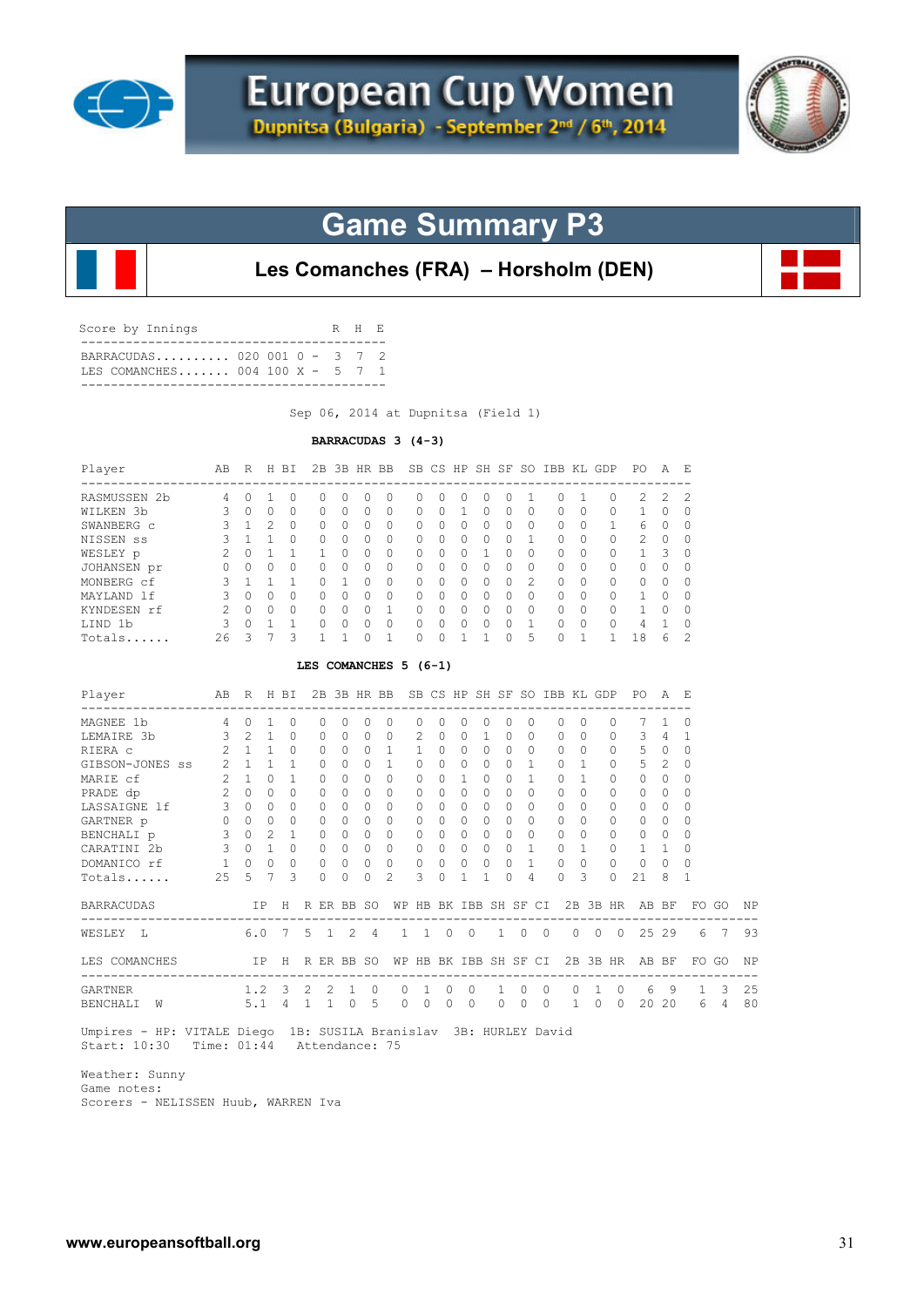



## **Game Summary P3**

**Les Comanches (FRA) – Horsholm (DEN)**

| BARRACUDAS 020 001 0 - 3 7 2<br>TES COMANCHES 004 100 X - 5 7 1 |  |
|-----------------------------------------------------------------|--|

Sep 06, 2014 at Dupnitsa (Field 1)

#### **BARRACUDAS 3 (4-3)**

| $\Omega$<br>$\Omega$<br>$\Omega$<br>0<br>$\Omega$<br>0<br>$\Omega$<br>$\Omega$<br>1<br>$\mathbf{1}$<br>$\Omega$<br>$\circ$<br>$\mathbf{1}$<br>$\Omega$<br>$\bigcap$<br>$\Omega$<br>$\Omega$<br>$\bigcirc$<br>$\mathbf{1}$<br>$\circ$<br>3<br>1<br>LES COMANCHES 5 (6-1)<br>2B 3B HR BB SB CS HP SH SF SO IBB KL GDP PO A E<br>H BI<br>------------------------------------ |
|----------------------------------------------------------------------------------------------------------------------------------------------------------------------------------------------------------------------------------------------------------------------------------------------------------------------------------------------------------------------------|
|                                                                                                                                                                                                                                                                                                                                                                            |
|                                                                                                                                                                                                                                                                                                                                                                            |
|                                                                                                                                                                                                                                                                                                                                                                            |
|                                                                                                                                                                                                                                                                                                                                                                            |
|                                                                                                                                                                                                                                                                                                                                                                            |
|                                                                                                                                                                                                                                                                                                                                                                            |
|                                                                                                                                                                                                                                                                                                                                                                            |
|                                                                                                                                                                                                                                                                                                                                                                            |
|                                                                                                                                                                                                                                                                                                                                                                            |
|                                                                                                                                                                                                                                                                                                                                                                            |
|                                                                                                                                                                                                                                                                                                                                                                            |
|                                                                                                                                                                                                                                                                                                                                                                            |
|                                                                                                                                                                                                                                                                                                                                                                            |
| 0<br>0                                                                                                                                                                                                                                                                                                                                                                     |
| $\circ$<br>0                                                                                                                                                                                                                                                                                                                                                               |
| $\Omega$<br>0                                                                                                                                                                                                                                                                                                                                                              |
| $\mathbf{1}$<br>$\Omega$                                                                                                                                                                                                                                                                                                                                                   |
| $\mathbf{1}$<br>$\Omega$                                                                                                                                                                                                                                                                                                                                                   |
| $\Omega$<br>$\circ$                                                                                                                                                                                                                                                                                                                                                        |
| $\Omega$<br>0                                                                                                                                                                                                                                                                                                                                                              |
| $\Omega$<br>$\circ$                                                                                                                                                                                                                                                                                                                                                        |
| $\overline{1}$<br>$\circ$                                                                                                                                                                                                                                                                                                                                                  |
| $\circ$<br>$\circ$                                                                                                                                                                                                                                                                                                                                                         |
| $\Omega$<br>0                                                                                                                                                                                                                                                                                                                                                              |
| 3<br>$\Omega$                                                                                                                                                                                                                                                                                                                                                              |
| H R ER BB SO                                                                                                                                                                                                                                                                                                                                                               |
|                                                                                                                                                                                                                                                                                                                                                                            |
| 7<br>5<br>$\overline{1}$                                                                                                                                                                                                                                                                                                                                                   |
| H R ER BB SO                                                                                                                                                                                                                                                                                                                                                               |
| $1.2 \quad 3$<br>2<br>2                                                                                                                                                                                                                                                                                                                                                    |
|                                                                                                                                                                                                                                                                                                                                                                            |

 Weather: Sunny Game notes: Scorers - NELISSEN Huub, WARREN Iva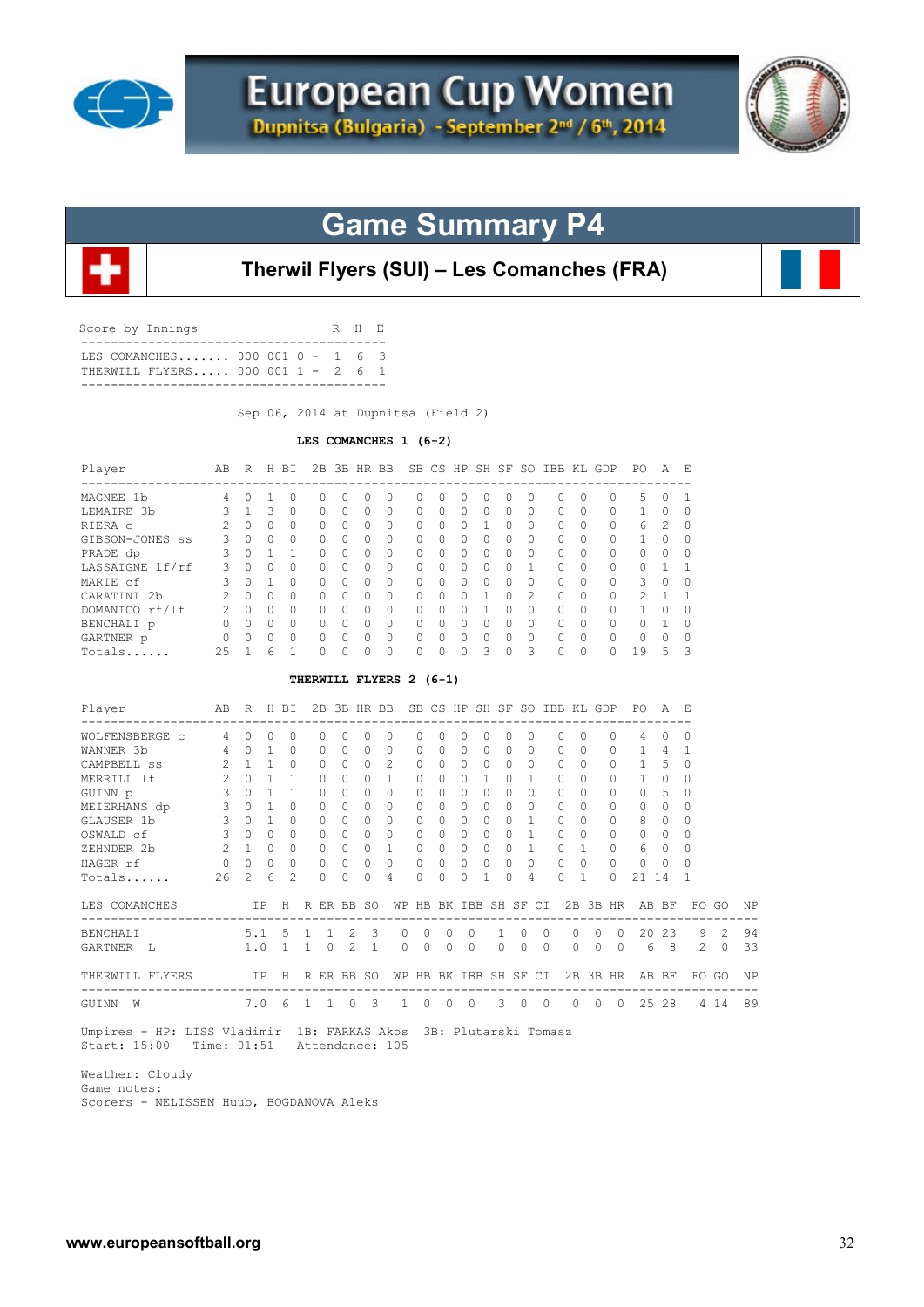



# **Game Summary P4**



### **Therwil Flyers (SUI) – Les Comanches (FRA)**

| Score by Innings                                                        |  | R H E |  |
|-------------------------------------------------------------------------|--|-------|--|
| T.E.S. COMANCHES 000 001 0 - 1 6 3<br>THERWILL FLYERS 000 001 1 - 2 6 1 |  |       |  |

Sep 06, 2014 at Dupnitsa (Field 2)

#### **LES COMANCHES 1 (6-2)**

| Player                                                    | AB R H BI               |                 |                                     |                |                         |              |                                    | 2B 3B HR BB SB CS HP SH SF SO IBB KL GDP PO |                       |                           |                |              |             |                |                       |              |                |          |                | A            | - F.         |             |    |
|-----------------------------------------------------------|-------------------------|-----------------|-------------------------------------|----------------|-------------------------|--------------|------------------------------------|---------------------------------------------|-----------------------|---------------------------|----------------|--------------|-------------|----------------|-----------------------|--------------|----------------|----------|----------------|--------------|--------------|-------------|----|
| MAGNEE 1b                                                 | $\overline{4}$          | $\Omega$        | $\mathbf{1}$                        | $\Omega$       | $\Omega$                | $\Omega$     | $\Omega$                           | $\Omega$                                    | $\Omega$              | $\Omega$                  | $\Omega$       | $\Omega$     | $\Omega$    | $\Omega$       | $\Omega$              | $\Omega$     |                | $\Omega$ | 5              | $\Omega$     | -1           |             |    |
| LEMAIRE 3b                                                | 3                       | 1               | 3                                   | $\Omega$       | $\Omega$                | $\Omega$     | $\bigcap$                          | $\Omega$                                    | 0                     | <sup>0</sup>              | $\Omega$       | $\Omega$     | $\Omega$    | $\Omega$       | $\Omega$              | $\Omega$     |                | $\Omega$ | $\mathbf{1}$   | $\Omega$     | $\Omega$     |             |    |
| RIERA C                                                   | 2                       | $\Omega$        | $\bigcirc$                          | $\Omega$       | 0                       | $\Omega$     | $\Omega$                           | 0                                           | $\mathbf{0}$          | $\Omega$                  | $\circ$        | $\mathbf{1}$ | $\Omega$    | $\Omega$       | $\Omega$              | $\Omega$     |                | 0        | 6              | 2            | $\circ$      |             |    |
| GIBSON-JONES SS                                           | $\mathbf{3}$            |                 | $0 \quad 0$                         | $\Omega$       | $\Omega$                | $\Omega$     | $\Omega$                           | $\Omega$                                    | 0                     | $\Omega$                  | $\Omega$       | $\Omega$     | $\Omega$    | $\Omega$       | $\Omega$              | $\Omega$     |                | 0        | $\mathbf{1}$   | $\Omega$     | $\Omega$     |             |    |
| PRADE dp                                                  | 3                       |                 | $0 \quad 1$                         | 1              | $\Omega$                | $\Omega$     | $\Omega$                           | $\Omega$                                    | $\Omega$              | $\Omega$                  | $\Omega$       | $\Omega$     | $\Omega$    | $\Omega$       | $\Omega$              | $\Omega$     |                | $\Omega$ | $\Omega$       | $\Omega$     | $\Omega$     |             |    |
| LASSAIGNE lf/rf                                           | 3                       | $\Omega$        | $\Omega$                            | $\cap$         | $\Omega$                | $\Omega$     | $\Omega$                           | $\Omega$                                    | $\Omega$              | $\Omega$                  | $\Omega$       | $\Omega$     | $\Omega$    | $\mathbf{1}$   | $\Omega$              | $\Omega$     |                | $\Omega$ | $\Omega$       | 1            | 1            |             |    |
| MARIE cf                                                  | $\mathbf{3}$            |                 | $0\quad 1$                          | $\Omega$       | 0                       | $\Omega$     | $\circ$                            | 0                                           | $\mathbf{0}$          | 0                         | $\overline{0}$ | $\circ$      | $\Omega$    | $\Omega$       | $\circ$               | $\Omega$     |                | 0        | 3              | $\circ$      | 0            |             |    |
| CARATINI 2b                                               |                         | 200             |                                     | $\Omega$       | $\circ$                 | $\Omega$     | $\Omega$                           | $\circ$                                     | $\mathbf{0}$          | $\Omega$                  | $\circ$        | $\mathbf{1}$ | $\Omega$    | 2              | $\circ$               | $\Omega$     |                | 0        | 2              | $\mathbf{1}$ | $\mathbf{1}$ |             |    |
| DOMANICO rf/lf 2 0 0                                      |                         |                 |                                     | $\Omega$       | $\Omega$                | $\Omega$     | $\Omega$                           | $\Omega$                                    | $\mathbf{0}$          | $\Omega$                  | $\Omega$       | $\mathbf{1}$ | $\Omega$    | $\Omega$       | 0                     | $\Omega$     |                | $\circ$  | $\mathbf{1}$   | $\circ$      | $\Omega$     |             |    |
| $\begin{matrix} 0 & 0 & 0 \end{matrix}$<br>BENCHALI p     |                         |                 |                                     | $\Omega$       | $\Omega$                | $\bigcirc$   | $\Omega$                           | $\bigcirc$                                  | $\Omega$              | $\Omega$                  |                | $0 \quad 0$  | $\Omega$    | $\bigcirc$     | $\Omega$              | $\Omega$     |                | $\Omega$ | $\mathbf 0$    | 1            | $\Omega$     |             |    |
| GARTNER p<br>$\begin{array}{ccc} & & 0 & 0 \end{array}$   |                         |                 | $\bigcirc$                          | $\Omega$       | 0                       | $\Omega$     | $\Omega$                           | $\Omega$                                    | 0                     | $\Omega$                  | $\Omega$       | $\circ$      | $\Omega$    | $\Omega$       | $\circ$               | $\Omega$     |                | 0        | $\mathbf{0}$   | $\Omega$     | $\Omega$     |             |    |
| Totals                                                    | 25                      | $\overline{1}$  | 6                                   | 1              | $\Omega$                | $\Omega$     | $\Omega$                           | $\circ$                                     | $\Omega$              | $\Omega$                  | $\mathbf{0}$   | 3            | $\Omega$    | 3              | $\Omega$              | $\Omega$     |                | $\Omega$ | 19             | - 5          | 3            |             |    |
|                                                           |                         |                 |                                     |                | THERWILL FLYERS 2 (6-1) |              |                                    |                                             |                       |                           |                |              |             |                |                       |              |                |          |                |              |              |             |    |
| Player                                                    | AВ                      |                 |                                     | R H BI         |                         |              |                                    | 2B 3B HR BB SB CS HP SH SF SO IBB KL GDP    |                       |                           |                |              |             |                |                       |              |                |          | PO A E         |              |              |             |    |
| -------------------------------------<br>WOLFENSBERGE c 4 |                         | $\Omega$        | $\Omega$                            | $\Omega$       | $\Omega$                | $\Omega$     | $\Omega$                           | $\Omega$                                    | $\Omega$              | $\Omega$                  | $\Omega$       | $\Omega$     | $\Omega$    | $\Omega$       | $\Omega$              | $\Omega$     |                | $\Omega$ | 4              | $\Omega$     | $\Omega$     |             |    |
| WANNER 3b                                                 | $4 \quad 0$             |                 | $\overline{1}$                      | $\Omega$       | 0                       | $\Omega$     | $\Omega$                           | 0                                           | $\circ$               | $\Omega$                  | $\Omega$       | $\circ$      | $\Omega$    | $\Omega$       | $\circ$               | $\Omega$     |                | 0        | 1 4            |              | $\mathbf{1}$ |             |    |
| CAMPBELL SS                                               |                         | $2 \t1 \t1$     |                                     | $\Omega$       | 0                       | $\Omega$     | $\circ$                            | 2                                           | 0                     | $\Omega$                  | $\Omega$       | $\Omega$     | $\Omega$    | $\Omega$       | $\circ$               | $\Omega$     |                | 0        | $\mathbf{1}$   | - 5          | $\mathbf 0$  |             |    |
| MERRILL 1f                                                | $\overline{2}$          |                 | $\begin{matrix} 0 & 1 \end{matrix}$ | 1              | 0                       | $\Omega$     | $\Omega$                           | $\mathbf{1}$                                | 0                     | $\Omega$                  | $\Omega$       | $\mathbf{1}$ | $\Omega$    | $\overline{1}$ | $\Omega$              | $\Omega$     |                | $\circ$  | $1 \quad$      | $\Omega$     | $\Omega$     |             |    |
| GUINN p                                                   | 3                       |                 | $0 \quad 1$                         | $\mathbf{1}$   | $\Omega$                | $\Omega$     | $\Omega$                           | $\Omega$                                    | $\mathbf{0}$          | $\Omega$                  | $\Omega$       | $\bigcap$    | $\Omega$    | $\cap$         | $\Omega$              | $\Omega$     |                | $\circ$  | $\circ$        | 5            | $\Omega$     |             |    |
| MEIERHANS dp                                              | $\overline{\mathbf{3}}$ |                 | $0 \quad 1$                         | $\Omega$       | $\Omega$                | $\Omega$     | $\Omega$                           | $\Omega$                                    | $\Omega$              | $\Omega$                  | $\Omega$       | $\Omega$     | $\Omega$    | $\Omega$       | $\Omega$              | $\Omega$     |                | $\Omega$ | $\Omega$       | $\Omega$     | $\Omega$     |             |    |
| GLAUSER 1b                                                | $\sim$ 3                | $0\quad1$       |                                     | $\bigcap$      | $\Omega$                | $\Omega$     | $\Omega$                           | $\Omega$                                    | $\Omega$              | $\Omega$                  | $\Omega$       | $\Omega$     | $\Omega$    | $\mathbf{1}$   | $\circ$               | $\Omega$     |                | 0        | 8              | $\Omega$     | $\Omega$     |             |    |
| $\overline{3}$ 0 0<br>OSWALD cf                           |                         |                 |                                     | $\Omega$       | 0                       | $\Omega$     | $\Omega$                           | $\Omega$                                    | 0                     | $\Omega$                  | $\Omega$       | $\circ$      | $\Omega$    | $\mathbf{1}$   | $\circ$               | $\Omega$     |                | 0        | 0              | $\Omega$     | $\Omega$     |             |    |
| ZEHNDER 2b                                                |                         | $2\quad1\quad0$ |                                     | $\Omega$       |                         | $0\quad 0$   | $\bigcirc$                         | $\overline{1}$                              | $\Omega$              | $\bigcirc$                | $\circ$        | $\Omega$     | $\Omega$    | $\overline{1}$ | $\circ$               | $\mathbf{1}$ |                | $\circ$  | 6              | $\Omega$     | $\Omega$     |             |    |
| HAGER rf                                                  | $\circ$                 | $\Omega$        | $\bigcirc$                          | $\Omega$       | $\Omega$                | $\Omega$     | $\Omega$                           | $\Omega$                                    | 0                     | $\Omega$                  | $\Omega$       | $\Omega$     | $\Omega$    | $\Omega$       | $\circ$               | $\Omega$     |                | $\Omega$ | $\circ$        | $\Omega$     | $\Omega$     |             |    |
| Totals                                                    | 26                      | $2^{\circ}$     | 6                                   | $\overline{c}$ | $\Omega$                | $\circ$      | $\Omega$                           | $\overline{4}$                              | $\Omega$              | $\Omega$                  | 0              | 1            | $\Omega$    | $\overline{4}$ | $\Omega$              | 1            |                | $\Omega$ | 21 14          |              | 1            |             |    |
| LES COMANCHES                                             |                         |                 | IP                                  |                | H R ER BB SO            |              |                                    |                                             |                       |                           |                |              |             |                | WP HB BK IBB SH SF CI |              |                |          | 2B 3B HR AB BF |              |              | FO GO       | ΝP |
| -----------------------------------<br>BENCHALI           |                         |                 |                                     |                | $5.1 \quad 5 \quad 1$   | $\mathbf{1}$ | 2                                  | 3                                           | $\circ$               | 0<br>$\circ$              | $\circ$        |              | 1           | 0              | $\circ$               | 0            | $\overline{0}$ | $\circ$  |                | 20 23        |              | 2<br>9      | 94 |
| GARTNER L                                                 |                         |                 |                                     |                | $1.0 \t1 \t1 \t0 \t2$   |              |                                    | $\mathbf{1}$                                | $\circ$               | $\overline{0}$<br>0       | $\circ$        |              | $0\qquad 0$ |                | $\circ$               |              | $0\qquad 0$    | $\circ$  | 6              | - 8          |              | $2 \quad 0$ | 33 |
| THERWILL FLYERS                                           |                         |                 | IP H                                |                | R ER BB SO              |              |                                    |                                             | WP HB BK IBB SH SF CI |                           |                |              |             |                |                       |              |                |          | 2B 3B HR AB BF |              |              | FO GO       | ΝP |
|                                                           |                         |                 |                                     |                |                         | 7.0 6 1 1    | $\circ$<br>$\overline{\mathbf{3}}$ |                                             | $\mathbf{1}$          | $\overline{0}$<br>$\circ$ | $\overline{0}$ |              |             | 300            |                       |              |                |          | 0 0 0 25 28    |              |              | 4 14 89     |    |

Start: 15:00 Time: 01:51 Attendance: 105

 Weather: Cloudy Game notes: Scorers - NELISSEN Huub, BOGDANOVA Aleks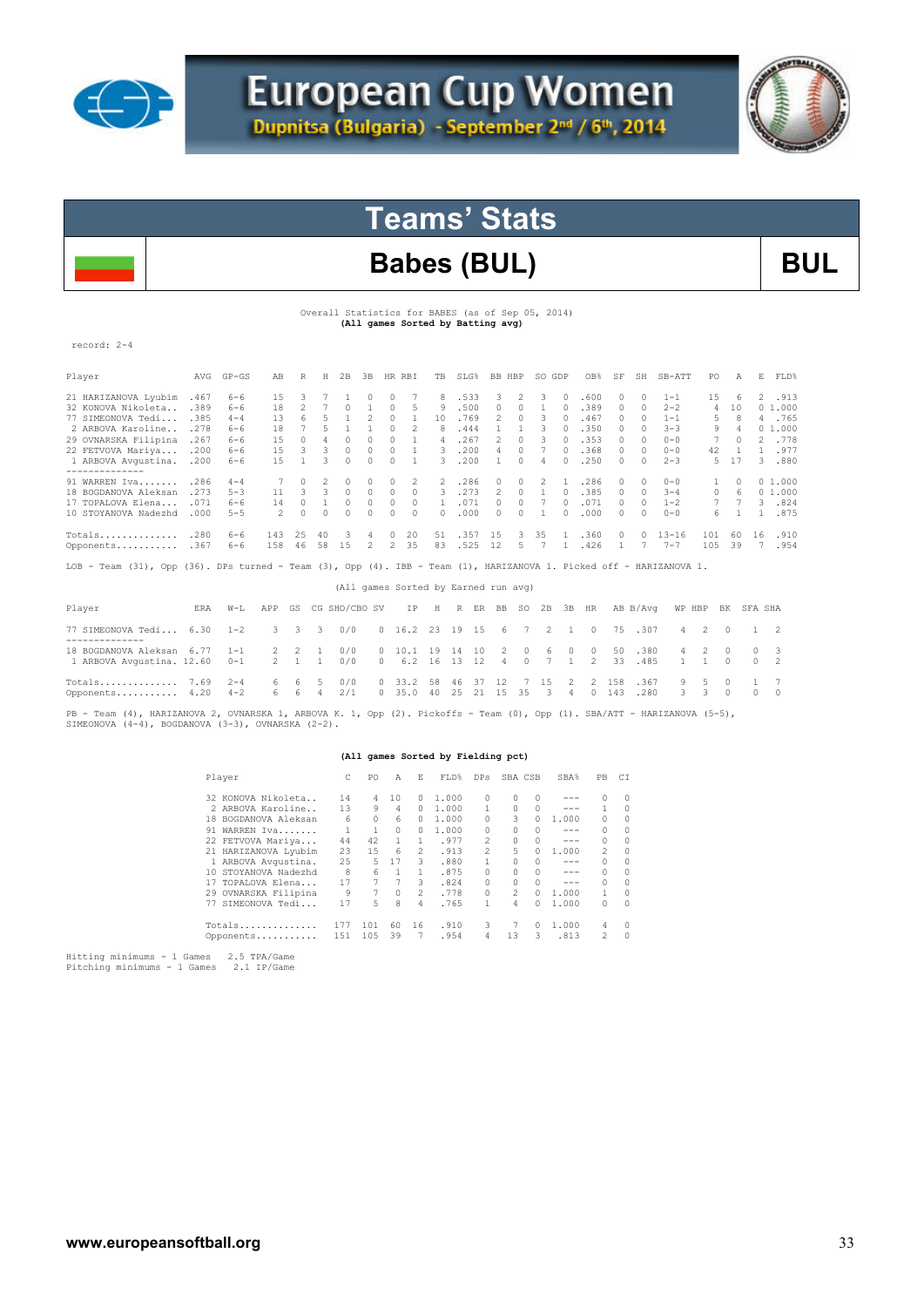



# **Teams' Stats**

### Babes (BUL) BUL

Overall Statistics for BABES (as of Sep 05, 2014)  **(All games Sorted by Batting avg)** 

| record: 2-4                                                                                                         |             |           |                |                |                |               |                |                |              |                                      |      |      |                |           |                |                |               |               |          |           |                |          |          |                |  |
|---------------------------------------------------------------------------------------------------------------------|-------------|-----------|----------------|----------------|----------------|---------------|----------------|----------------|--------------|--------------------------------------|------|------|----------------|-----------|----------------|----------------|---------------|---------------|----------|-----------|----------------|----------|----------|----------------|--|
| Player                                                                                                              | AVG         | $GP - GS$ | AB             | R              | H              | 2B            | 3B             | HR RBI         |              | TB                                   |      | SLG% | BB HBP         |           | SO GDP         |                | OB%           | SF            | SH       | SB-ATT    | PO.            | A        | E.       | FLD%           |  |
| 21 HARIZANOVA Lyubim                                                                                                | .467        | $6 - 6$   | 15             | 3              |                |               | $\Omega$       | 0              |              | 8                                    |      | .533 | 3              | 2         | 3              | $\mathcal{O}$  | .600          | 0             | 0        | $1 - 1$   | 15             | 6        |          | 2 .913         |  |
| 32 KONOVA Nikoleta                                                                                                  | .389        | $6 - 6$   | 18             | $\overline{c}$ | $\overline{7}$ | $\Omega$      | $\mathbf{1}$   | $\Omega$       | 5            | 9                                    |      | .500 | $\circ$        | $\Omega$  | 1              | $\Omega$       | .389          | $\circ$       | $\Omega$ | $2 - 2$   | $\overline{4}$ | 10       |          | 01.000         |  |
| 77 SIMEONOVA Tedi                                                                                                   | .385        | $4 - 4$   | 13             | 6              | 5              | 1             | 2              | $\Omega$       | $\mathbf{1}$ | 10                                   |      | .769 | $\mathfrak{D}$ | $\Omega$  | 3              | $\cap$         | .467          | $\mathcal{O}$ | $\cap$   | $1 - 1$   | 5              | R        |          | 4 .765         |  |
| 2 ARBOVA Karoline                                                                                                   | .278        | $6 - 6$   | 18             | 7              | 5              | $\mathbf{1}$  | $\mathbf{1}$   | $\circ$        | 2            | 8                                    |      | .444 | 1              | 1         | 3              | $\Omega$       | .350          | $\mathcal{O}$ | $\Omega$ | $3 - 3$   | 9              | 4        |          | 01.000         |  |
| 29 OVNARSKA Filipina                                                                                                | .267        | $6 - 6$   | 1.5            | $\Omega$       | $\overline{4}$ | $\Omega$      | $\circ$        | $\circ$        | $\mathbf{1}$ | $\overline{4}$                       |      | .267 | $\mathfrak{D}$ | $\Omega$  | 3              | $\Omega$       | .353          | $\Omega$      | $\Omega$ | $0 - 0$   | 7              | $\Omega$ |          | 2 .778         |  |
| 22 FETVOVA Mariya                                                                                                   | .200        | $6 - 6$   | 1.5            | 3              | 3              | $\Omega$      | $\Omega$       | $\Omega$       | $\mathbf{1}$ | $\mathcal{R}$                        |      | .200 | $\overline{4}$ | $\Omega$  | 7              | $\Box$         | .368          | $\mathcal{O}$ | $\cap$   | $0 - 0$   | 42             | 1        |          | 1.977          |  |
| 1 ARBOVA Avqustina. . 200                                                                                           |             | $6 - 6$   | 15             | $\mathbf{1}$   | $\mathcal{R}$  | $\cap$        | $\Omega$       | $\cap$         | 1            | $\mathcal{L}$                        |      | .200 | $\mathbf{1}$   | $\cap$    | 4              | $\cap$         | .250          | $\mathcal{O}$ | $\cap$   | $2 - 3$   | 5              | 17       |          | 3.880          |  |
| 91 WARREN Iva                                                                                                       | .286        | $4 - 4$   |                | $\cap$         | $\mathfrak{D}$ | $\Omega$      | $\Omega$       | $\Omega$       | 2            | $\mathcal{L}$                        |      | .286 | $\Omega$       | $\cap$    | $\mathfrak{D}$ | 1              | .286          | $\mathcal{O}$ | $\Omega$ | $0 - 0$   | $\mathbf{1}$   | $\Box$   |          | 01.000         |  |
| 18 BOGDANOVA Aleksan                                                                                                | .273        | $5 - 3$   | 11             | 3.             | 3              | $\cap$        | $\Omega$       | $\Omega$       | $\Omega$     | 3.                                   |      | .273 | 2              | $\Omega$  | $\mathbf{1}$   | $\cap$         | .385          | $\mathcal{O}$ | $\Omega$ | $3 - 4$   | $\Omega$       | 6        |          | 01.000         |  |
| 17 TOPALOVA Elena                                                                                                   | .071        | $6 - 6$   | 14             | 0              | 1              | $\Omega$      | 0              | 0              | $\Omega$     | $\mathbf{1}$                         |      | .071 | 0              | 0         | 7              | $\Omega$       | .071          | $\mathcal{O}$ | $\Omega$ | $1 - 2$   |                |          |          | 3.824          |  |
| 10 STOYANOVA Nadezhd                                                                                                | .000        | $5 - 5$   | $\mathfrak{D}$ | $\Omega$       | $\Omega$       | $\Omega$      | $\Omega$       | $\Omega$       | $\Omega$     | $\cap$                               |      | .000 | $\Omega$       | $\Omega$  | $\mathbf{1}$   | $\cap$         | .000          | $\mathcal{O}$ | $\Omega$ | $0 - 0$   | 6              |          |          | 1 .875         |  |
| Totals                                                                                                              | .280        | 6-6       | 143            | 25             | 40             | 3             | 4              | $\Omega$       | 20           | 51                                   | .357 |      | 15             | 3.        | 35             | 1              | .360          | $\mathcal{O}$ | $\Omega$ | $13 - 16$ | 101            | 60       | 16       | .910           |  |
| Opponents .367                                                                                                      |             | $6 - 6$   | 158            | 46             | 58             | 15            | $\mathfrak{D}$ | $\overline{2}$ | 35           | 83                                   |      | .525 | 12             | 5.        | 7              |                | 1 .426        | $\mathbf{1}$  | 7        | $7 - 7$   | 105            | 39       |          | 7.954          |  |
| LOB - Team (31), Opp (36). DPs turned - Team (3), Opp (4). IBB - Team (1), HARIZANOVA 1. Picked off - HARIZANOVA 1. |             |           |                |                |                |               |                |                |              |                                      |      |      |                |           |                |                |               |               |          |           |                |          |          |                |  |
|                                                                                                                     |             |           |                |                |                |               |                |                |              | (All games Sorted by Earned run avg) |      |      |                |           |                |                |               |               |          |           |                |          |          |                |  |
| Player                                                                                                              | <b>F.RA</b> | $W-L$     | APP            | GS.            |                | CG SHO/CBO SV |                |                | ΙP           | Η                                    | R    | ER   | BB             | <b>SO</b> | 2 B            | 3B             | HR            |               | AB B/Avq | WP HBP    |                | BK       | SFA SHA  |                |  |
| 77 SIMEONOVA Tedi 6.30<br>---------------                                                                           |             | $1 - 2$   | 3              | 3              | 3              | 0/0           |                |                | 0, 16.2      | 23                                   | 19   | 15   | 6              | 7         | 2              | $\overline{1}$ | $\Omega$      | 75            | .307     | 4         | 2              | $\Omega$ | 1        | 2              |  |
| 18 BOGDANOVA Aleksan 6.77                                                                                           |             | $1 - 1$   | $\overline{2}$ | 2              | $\overline{1}$ | 0/0           | $\cap$         |                | 10.1         | 19                                   | 14   | 10   | 2              | 0         | 6              | $\Omega$       | $\Omega$      | 50            | .380     | 4         | 2              | $\Omega$ | $\Omega$ | 3              |  |
| 1 ARBOVA Avqustina. 12.60                                                                                           |             | $0 - 1$   | 2              | $\overline{1}$ | $\mathbf{1}$   | 0/0           | $\Omega$       |                | $6.2$ 16     |                                      | 13   | 12   | 4              | $\Omega$  | 7              | 1.             | $\mathcal{L}$ | 33            | .485     | 1         | 1              | $\Omega$ | $\Omega$ | $\mathfrak{D}$ |  |
| Totals                                                                                                              | 7.69        | $2 - 4$   | 6              | 6              | -5             | 0/0           |                | 0, 33.2        |              | 58                                   | 46   | 37   | 12             |           | 1.5            | $\mathfrak{D}$ | 2             | 1.58          | .367     | 9         | 5              | $\cap$   | 1        | 7              |  |
| Opponents 4.20                                                                                                      |             | $4 - 2$   | 6              | 6              | $\overline{4}$ | 2/1           |                | $\Omega$       | 35.0         | -40                                  | 25   | 21   | 15             | 35        | -3             | 4              | $\Omega$      | 143           | .280     | 3         | 3              | $\Omega$ | $\Omega$ | $\Omega$       |  |

PB - Team (4), HARIZANOVA 2, OVNARSKA 1, ARBOVA K. 1, Opp (2). Pickoffs - Team (0), Opp (1). SBA/ATT - HARIZANOVA (5-5),<br>SIMEONOVA (4-4), BOGDANOVA (3-3), OVNARSKA (2-2).

#### **(All games Sorted by Fielding pct)**

| Player               | C   | PO  | Α        | E. | FLD%  | DPs            | SBA CSB |          | SBA%    | PB             | СI       |
|----------------------|-----|-----|----------|----|-------|----------------|---------|----------|---------|----------------|----------|
| 32 KONOVA Nikoleta   | 14  | 4   | 10       | 0  | 1,000 | 0              | 0       | $\circ$  | ---     | 0              | $\circ$  |
| 2 ARBOVA Karoline    | 13  | 9   | 4        | 0  | 1,000 |                | 0       | $\Omega$ | ---     |                | $\Omega$ |
| 18 BOGDANOVA Aleksan | 6   | 0   | 6        | 0  | 1,000 | 0              | 3       | 0        | 1,000   | 0              | 0        |
| WARREN Iva<br>91     | 1   | 1   | $\Omega$ | 0  | 1,000 | 0              | 0       | $\Omega$ | $- - -$ | 0              | 0        |
| 22 FETVOVA Mariya    | 44  | 42  |          |    | .977  | $\mathfrak{D}$ | O.      | $\Omega$ | ---     | $\mathcal{O}$  | 0        |
| 21 HARIZANOVA Lyubim | 23  | 1.5 | 6        | 2  | .913  | $\mathfrak{D}$ | 5       | 0        | 1,000   | 2              | $\Omega$ |
| 1 ARBOVA Avqustina.  | 25  | 5.  | 17       | 3  | .880  |                | 0       | $\Omega$ | ---     | 0              | 0        |
| 10 STOYANOVA Nadezhd | 8   | 6   |          | 1. | .875  | 0              | 0       | $\Omega$ | ---     | 0              | 0        |
| 17 TOPALOVA Elena    | 17  | 7   | 7        | 3  | .824  | 0              | O.      | $\Omega$ | ---     | $\bigcap$      | $\Omega$ |
| 29 OVNARSKA Filipina | 9   | 7   | 0        | 2  | .778  | 0              | 2       | O.       | 1,000   | 1.             | 0        |
| SIMEONOVA Tedi<br>77 | 17  | 5.  | 8        | 4  | .765  | 1              | 4       | 0.       | 1,000   | 0              | $\Omega$ |
| Totals               | 177 | 101 | 60       | 16 | .910  | 3              |         | O.       | 1,000   | 4              | $\Omega$ |
| Opponents            | 151 | 105 | 39       |    | .954  | 4              | 13      | 3        | .813    | $\mathfrak{D}$ | $\Omega$ |
|                      |     |     |          |    |       |                |         |          |         |                |          |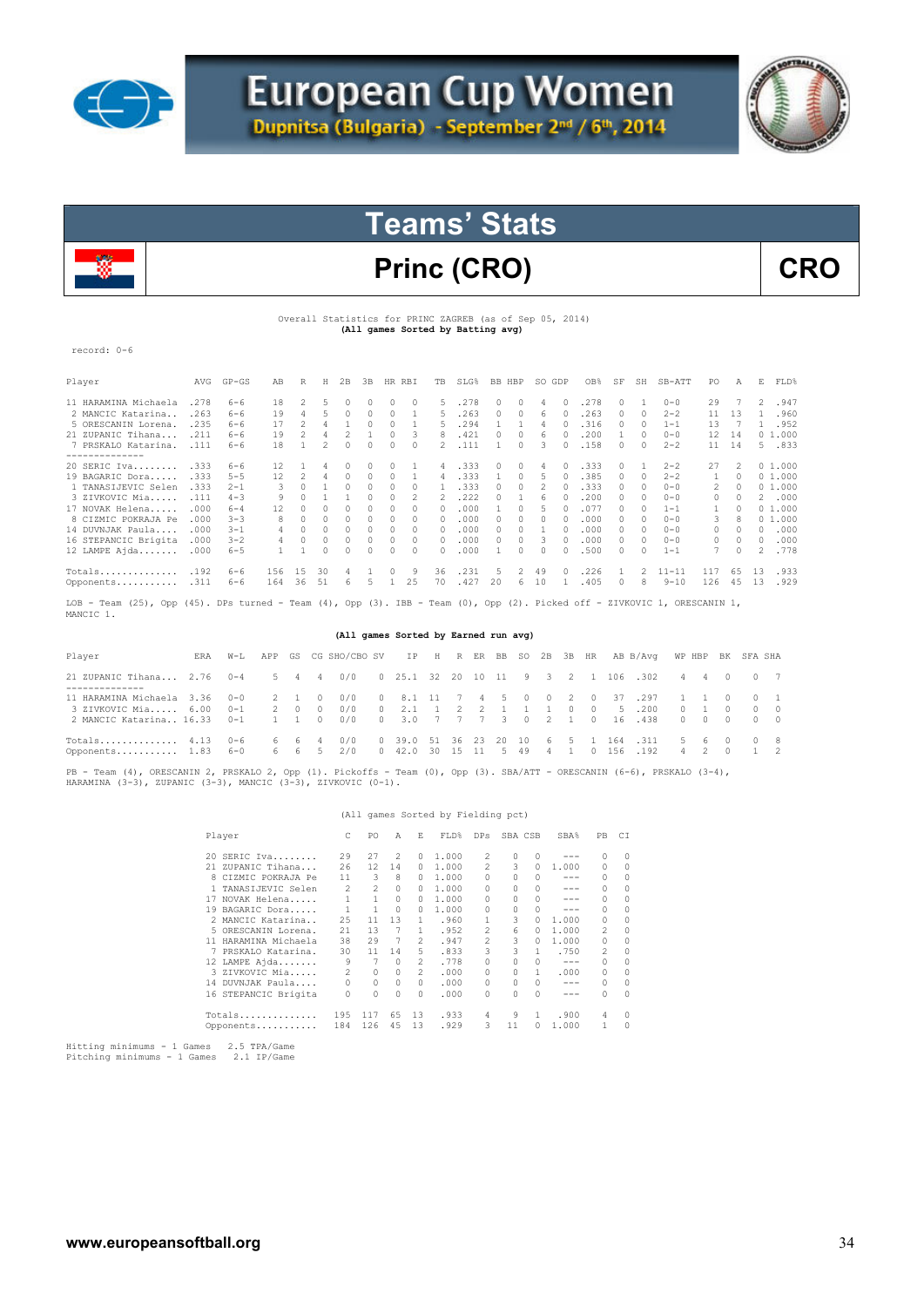



# Princ (CRO) CRO

#### Overall Statistics for PRINC ZAGREB (as of Sep 05, 2014) **(All games Sorted by Batting avg)**

record: 0-6

| Player                           | AVG  | $GP - GS$ | AB                                                                                                              | R  | Н  | 2B       | 3B       |          | HR RBI   | TB.      | SLG% | BB.      | HBP           | SO GDP       |        | OB%  | SF            | SH | SB-ATT                                                                                                          | PO.           | Α   | Е. | FLD%   |
|----------------------------------|------|-----------|-----------------------------------------------------------------------------------------------------------------|----|----|----------|----------|----------|----------|----------|------|----------|---------------|--------------|--------|------|---------------|----|-----------------------------------------------------------------------------------------------------------------|---------------|-----|----|--------|
| 11 HARAMINA Michaela             | .278 | $6 - 6$   | 18                                                                                                              | 2  | 5. |          |          | 0        |          | 5.       | .278 |          | $\cap$        | 4            |        | .278 |               |    | $0 - 0$                                                                                                         | 29            |     | 2  | .947   |
| 2 MANCIC Katarina                | .263 | $6 - 6$   | 19                                                                                                              | 4  |    |          |          | $\Omega$ |          | 5.       | .263 | $\Omega$ | $\Box$        | 6            |        | 263  | 0             | 0  | $2 - 2$                                                                                                         | 11            | 13  |    | .960   |
| 5 ORESCANIN Lorena.              | .235 | $6 - 6$   | 17                                                                                                              |    |    |          | 0        | $\Omega$ |          | 5.       | .294 |          |               | 4            |        | .316 | $\Omega$      | 0  | $1 - 1$                                                                                                         | 13            |     |    | .952   |
| 21 ZUPANIC Tihana                | .211 | $6 - 6$   | 19                                                                                                              |    |    |          |          | $\Omega$ | 3        | 8        | .421 |          |               | 6            |        | .200 |               | n. | $0 - 0$                                                                                                         | 12            | -14 |    | 01.000 |
| 7 PRSKALO Katarina.              | .111 | $6 - 6$   | 18                                                                                                              |    |    |          |          | 0        |          | 2.       | .111 |          |               | 3            |        | .158 | 0             | 0  | $2 - 2$                                                                                                         | 11            | 14  |    | 5 .833 |
| --------------<br>$20$ SERIC Iva | .333 | $6 - 6$   | 12                                                                                                              |    | 4  |          | 0        | 0        |          | 4        | .333 |          | 0             | 4            |        | .333 |               |    | $2 - 2$                                                                                                         | 27            | 2   |    | 01.000 |
| 19 BAGARIC Dora                  | .333 | $5 - 5$   | 12                                                                                                              | 2  |    | $\Omega$ | $\Omega$ | $\Omega$ |          | 4        | .333 |          | $\Omega$      | 5            |        | .385 | $\mathcal{O}$ | 0  | $2 - 2$                                                                                                         |               | O.  |    | 01.000 |
| 1 TANASIJEVIC Selen              | .333 | $2 - 1$   |                                                                                                                 |    |    |          |          | 0        |          |          | .333 |          | $\cap$        |              |        | .333 | $\cap$        | n. | $0 - 0$                                                                                                         | $\mathcal{L}$ |     |    | 01.000 |
| 3 ZIVKOVIC Mia                   | .111 | $4 - 3$   | 9                                                                                                               |    |    |          |          | 0        |          |          | .222 |          |               | 6            |        | .200 | 0             |    | $0 - 0$                                                                                                         | 0             |     |    | 2.000  |
| 17 NOVAK Helena                  | .000 | $6 - 4$   | 12                                                                                                              |    |    | $\Omega$ | 0.       | $\Omega$ |          | $\Omega$ | .000 |          | $\cap$        |              |        | .077 | $\Omega$      | n  | $1 - 1$                                                                                                         |               |     |    | 01.000 |
| 8 CIZMIC POKRAJA Pe              | .000 | $3 - 3$   | 8                                                                                                               |    |    |          |          | 0        |          | $\Box$   | .000 |          |               | <sup>n</sup> |        | .000 | O.            | n. | $0 - 0$                                                                                                         | 3.            |     |    | 01.000 |
| 14 DUVNJAK Paula                 | .000 | $3 - 1$   |                                                                                                                 |    |    | 0        |          | 0        | 0        | 0        | .000 |          |               |              |        | .000 | $\Omega$      | 0  | $0 - 0$                                                                                                         | 0             | 0   | 0  | .000   |
| 16 STEPANCIC Brigita             | .000 | $3 - 2$   |                                                                                                                 |    |    |          | $\Omega$ | $\Omega$ | $\Omega$ | $\cap$   | .000 | $\cap$   | $\cap$        | २            |        | .000 | 0.            |    | $0 - 0$                                                                                                         | $\Omega$      | O.  | 0  | .000   |
| 12 LAMPE Ajda                    | .000 | $6 - 5$   |                                                                                                                 |    |    |          |          |          |          | $\Omega$ | .000 |          |               |              |        | .500 |               |    | $1 - 1$                                                                                                         |               |     | 2. | .778   |
| Totals                           | .192 | $6 - 6$   | 156                                                                                                             | 15 | 30 | 4        |          | $\Omega$ | 9        | 36       | .231 | 5.       | $\mathcal{L}$ | 49           | $\cap$ | .226 |               | 2  | $11 - 11$                                                                                                       | 117           | 65  | 13 | .933   |
| Opponents                        | .311 | $6 - 6$   | 164                                                                                                             | 36 | 51 | 6        |          |          | 25       | 70       | .427 | 20       | 6             | 10           |        | .405 | $\mathcal{O}$ | 8  | $9 - 10$                                                                                                        | 126           | 45  | 13 | .929   |
|                                  |      |           | the contract of the contract of the contract of the contract of the contract of the contract of the contract of |    |    |          |          |          |          |          |      |          |               |              |        |      |               |    | the contract of the contract of the contract of the contract of the contract of the contract of the contract of |               |     |    |        |

LOB – Team (25), Opp (45). DPs turned – Team (4), Opp (3). IBB – Team (0), Opp (2). Picked off – ZIVKOVIC 1, ORESCANIN 1,<br>MANCIC 1.

#### **(All games Sorted by Earned run avg)**

| Player                                                                                                  | ERA | $W-L$ |       | APP GS CG SHO/CBO SV IP H R ER BB SO 2B 3B HR AB B/Avq WP HBP BK SFA SHA |                                |  |  |  |  |                                                |  |             |                                                                                   |             |
|---------------------------------------------------------------------------------------------------------|-----|-------|-------|--------------------------------------------------------------------------|--------------------------------|--|--|--|--|------------------------------------------------|--|-------------|-----------------------------------------------------------------------------------|-------------|
| 21 ZUPANIC Tihana 2.76 0-4 5 4 4 0/0 0 25.1 32 20 10 11 9 3 2 1 106 .302 4 4 0 0 7<br>-----------       |     |       |       |                                                                          |                                |  |  |  |  |                                                |  |             |                                                                                   |             |
| 11 HARAMINA Michaela 3.36 0-0 2 1 0<br>3 ZIVKOVIC Mia 6.00 0-1<br>2 MANCIC Katarina 16.33  0-1  1  1  0 |     |       | 2 0 0 | 0/0<br>0/0<br>0/0 0 3.0 7 7 7 3 0 2 1 0 16 .438                          | 0 8.1 11 7 4 5 0 0 2 0 37 .297 |  |  |  |  | 0 2.1 1 2 2 1 1 1 0 0 5 .200                   |  | $0 \t1 \t0$ | 1 1 0 0 1<br>$\begin{array}{ccccccccccccccccc} 0 & 0 & 0 & 0 & 0 & 0 \end{array}$ | $0 \quad 0$ |
| Totals 4.13 0-6<br>0pponents 1.83 6-0 6 6 5 2/0 0 42.0 30 15 11 5 49 4 1 0 156 192                      |     |       |       | 6 6 4 0/0                                                                |                                |  |  |  |  | 0 39.0 51 36 23 20 10 6 5 1 164 .311 5 6 0 0 8 |  |             | 4 2 0 1 2                                                                         |             |

PB - Team (4), ORESCANIN 2, PRSKALO 2, Opp (1). Pickoffs - Team (0), Opp (3). SBA/ATT - ORESCANIN (6-6), PRSKALO (3-4),<br>HARAMINA (3-3), ZUPANIC (3-3), MANCIC (3-3), ZIVKOVIC (0-1).

#### (All games Sorted by Fielding pct)

| Player |                            | PO.                             | A        | E.       | FLD%  | DPs            | SBA CSB  |               | SBA%    | PB.           | C1       |
|--------|----------------------------|---------------------------------|----------|----------|-------|----------------|----------|---------------|---------|---------------|----------|
|        | 29<br>20 SERIC Iva         | 27                              | 2        | 0        | 1,000 | 2              | $\Omega$ | $\Box$        | ---     | 0             | 0        |
|        | 21 ZUPANIC Tihana<br>26    | 12                              | 14       |          | 1,000 | 2              | 3        | $\mathcal{O}$ | 1,000   | 0             | 0        |
|        | 11<br>8 CIZMIC POKRAJA Pe  | 3                               | 8        |          | 1,000 | 0              |          | <sup>n</sup>  | ---     | 0             | 0        |
|        | TANASIJEVIC Selen          | $\mathcal{L}$<br>$\mathfrak{D}$ | $\Omega$ | 0        | 1,000 | 0              | O.       | $\mathcal{O}$ | ---     | 0             | $\Omega$ |
| 17     | NOVAK Helena               | 1.<br>1.                        | 0        | n.       | 1,000 | 0              | n        | $\cap$        | ---     | 0             | $\Omega$ |
|        | 19 BAGARIC Dora            | 1                               | $\Omega$ |          | 1,000 | 0              | n        | $\cap$        | ---     | $\mathcal{O}$ | $\Omega$ |
|        | 25<br>2 MANCIC Katarina    | 11                              | 13       | 1.       | .960  |                | 3        | $\mathcal{O}$ | 1,000   | $\mathcal{O}$ | $\Omega$ |
|        | 21<br>5 ORESCANIN Lorena.  | 13                              | 7        | 1.       | .952  | 2              | 6        | $\Omega$      | 1,000   | 2             | $\Omega$ |
|        | 11 HARAMINA Michaela<br>38 | 29                              |          | 2        | .947  | $\mathfrak{D}$ | 3        | 0             | 1,000   | 0             | 0        |
| 7      | 30<br>PRSKALO Katarina.    | 11                              | 14       | 5.       | .833  | 3              | 3        |               | .750    | 2             | $\Omega$ |
|        | 12 LAMPE Ajda              | 9<br>7                          | $\Omega$ | 2        | .778  | 0              | 0        | $\mathcal{O}$ | $- - -$ | 0             | $\Omega$ |
|        | 3 ZIVKOVIC Mia             | 2<br>0                          | $\Omega$ | 2        | .000  | 0              | 0        | 1.            | .000    | 0             | $\Omega$ |
| 14     | DUVNJAK Paula              | 0<br>0                          | 0        | $\Omega$ | .000  | $\Omega$       | $\cap$   | $\Omega$      | $-- -$  | 0             | 0        |
|        | 16 STEPANCIC Brigita       | $\Omega$<br>0                   | 0        | $\Omega$ | .000  | 0              | n        | $\cap$        | ---     | 0             | $\Omega$ |
|        | 195<br>Totals              | 117                             | 65       | 13       | .933  | 4              | 9        |               | .900    | 4             | $\Omega$ |
|        | 184<br>Opponents           | 126                             | 45       | 13       | .929  | 3              | 11       | $\cap$        | 1,000   |               | $\Omega$ |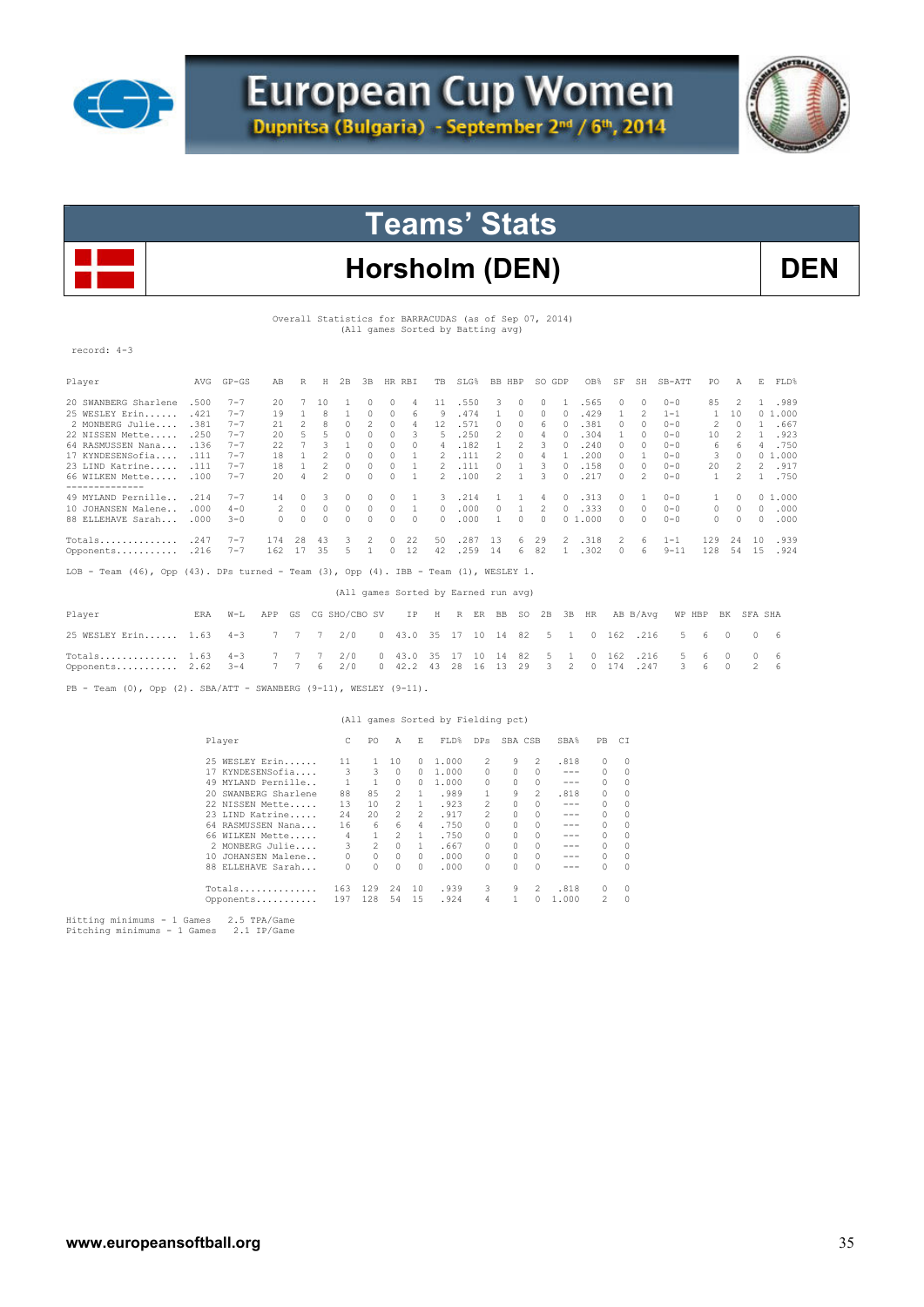



# Horsholm (DEN) DEN

Overall Statistics for BARRACUDAS (as of Sep 07, 2014) (All games Sorted by Batting avg)

record: 4-3

| Player                                                                                              | AVG  | $GP - GS$ | AB       | R            | Η              | 2B            | 3B           | HR.      | RBI      | <b>TB</b>         | SLG%                                 | <b>BB</b>      | HBP            | SO.      | GDP            | OB%           | SF            | SH             | $SB-ATT$ | PO.           | Α              | Е             | FLD%   |
|-----------------------------------------------------------------------------------------------------|------|-----------|----------|--------------|----------------|---------------|--------------|----------|----------|-------------------|--------------------------------------|----------------|----------------|----------|----------------|---------------|---------------|----------------|----------|---------------|----------------|---------------|--------|
| 20 SWANBERG Sharlene                                                                                | .500 | $7 - 7$   | 20       |              | 10             |               | $\Omega$     | 0        | 4        | 11                | .550                                 | 3              | 0              | 0        |                | .565          | 0             | 0              | $0 - 0$  | 85            | 2              |               | .989   |
| 25 WESLEY Erin                                                                                      | .421 | $7 - 7$   | 19       | $\mathbf{1}$ | 8              | 1             | $\Omega$     | $\Omega$ | 6        | 9                 | .474                                 |                | $\Omega$       | $\Omega$ | 0              | .429          | 1             | $\mathfrak{D}$ | $1 - 1$  | 1             | 10             |               | 01.000 |
| 2 MONBERG Julie                                                                                     | .381 | $7 - 7$   | 21       | 2            | 8              | $\Omega$      | 2            | 0        | 4        | $12 \overline{ }$ | .571                                 | $\Omega$       | $\Omega$       | 6        | $\bigcap$      | .381          | 0             | $\Omega$       | $0 - 0$  | 2             | $\Omega$       | 1             | .667   |
| 22 NISSEN Mette                                                                                     | .250 | $7 - 7$   | 20       | 5            | 5              | $\Omega$      | $\Omega$     | $\Omega$ | 3        | 5                 | .250                                 | 2              | $\Omega$       | 4        | $\Omega$       | .304          | $\mathbf{1}$  | n.             | $0 - 0$  | 10            | 2              | 1             | .923   |
| 64 RASMUSSEN Nana                                                                                   | .136 | $7 - 7$   | 22       | 7            | 3              | 1             | $\Omega$     | 0        | 0        | $\overline{4}$    | .182                                 |                | $\mathfrak{D}$ | 3        | $\Omega$       | .240          | $\mathcal{O}$ | $\Omega$       | $0 - 0$  | 6             | 6              | 4             | .750   |
| 17 KYNDESENSofia                                                                                    | .111 | $7 - 7$   | 18       | 1            | 2              | $\circ$       | 0            | 0        |          | 2                 | .111                                 | 2              | $\circ$        | 4        |                | .200          | $\mathcal{O}$ | 1              | $0 - 0$  | 3             | $\Omega$       |               | 01.000 |
| 23 LIND Katrine                                                                                     | .111 | $7 - 7$   | 18       | 1            | $\mathfrak{D}$ | $\Omega$      | $\Omega$     | 0        | 1        | $\mathcal{L}$     | .111                                 | $\Omega$       |                | 3        | $\Omega$       | .158          | $\mathcal{O}$ | $\Omega$       | $0 - 0$  | 20            | $\mathfrak{D}$ |               | 2 .917 |
| 66 WILKEN Mette                                                                                     | .100 | $7 - 7$   | 20       | $\Delta$     | $\mathcal{P}$  | $\Omega$      | <sup>0</sup> | $\Omega$ |          | $\mathcal{P}$     | .100                                 | $\mathfrak{D}$ |                | २        | $\cap$         | .217          | $\Box$        | 2              | $0 - 0$  | 1             | $\mathfrak{D}$ | $\mathbf{1}$  | .750   |
| 49 MYLAND Pernille                                                                                  | .214 | $7 - 7$   | 14       | $\Omega$     | 3              | $\Omega$      | $\Omega$     | 0        |          | 3                 | .214                                 |                |                | 4        | $\mathcal{O}$  | .313          | $\Box$        | 1              | $0 - 0$  | 1             | $\Omega$       |               | 01.000 |
| 10 JOHANSEN Malene.                                                                                 | .000 | $4 - 0$   | 2        | $\circ$      | $\circ$        | $\circ$       | 0            | 0        | 1        | $\Omega$          | .000                                 | $\Omega$       | 1              | 2        | $\circ$        | .333          | $\Box$        | $\Omega$       | $0 - 0$  | $\circ$       | $\circ$        | $\Omega$      | .000   |
| 88 ELLEHAVE Sarah                                                                                   | .000 | $3 - 0$   | $\Omega$ | $\Omega$     | $\mathcal{O}$  | $\Omega$      | $\cap$       | $\Omega$ | $\Omega$ | $\Omega$          | .000                                 |                | $\Omega$       | $\Omega$ |                | 01.000        | $\mathcal{O}$ | $\Omega$       | $0 - 0$  | $\mathcal{O}$ | $\Omega$       | $\mathcal{O}$ | .000   |
| Totals                                                                                              | .247 | $7 - 7$   | 174      | 28           | 43             | 3             | 2            | 0        | 22       | 50                | .287                                 | 13             | 6              | 29       | 2              | .318          | 2             | 6              | $1 - 1$  | 129           | 24             | 10            | .939   |
| Opponents                                                                                           | .216 | $7 - 7$   | 162      | 17           | 35             | 5             |              | 0        | 12       | 42                | .259                                 | 14             | 6              | 82       | 1              | .302          | $\Box$        | 6              | $9 - 11$ | 128           | 54             | 15            | .924   |
| LOB - Team $(46)$ , Opp $(43)$ . DPs turned - Team $(3)$ , Opp $(4)$ . IBB - Team $(1)$ , WESLEY 1. |      |           |          |              |                |               |              |          |          |                   |                                      |                |                |          |                |               |               |                |          |               |                |               |        |
|                                                                                                     |      |           |          |              |                |               |              |          |          |                   | (All games Sorted by Earned run avg) |                |                |          |                |               |               |                |          |               |                |               |        |
| Player                                                                                              | ERA  | $W-T$ .   | APP      | GS           |                | CG SHO/CBO SV |              |          | ΙP       | Н                 | R<br>ER                              | BB             | SO             | 2B       | 3B             | HR            |               | AB B/Avq       | WP HBP   |               | BK             | SFA SHA       |        |
| 25 WESLEY Erin 1.63                                                                                 |      | $4 - 3$   | 7        | 7            | 7              | 2/0           |              | $\Omega$ | 43.0     | 35                | 17<br>10                             | 14             | 82             | .5.      | $\overline{1}$ | $\circ$       | 162           | .216           | 5        | 6             | $\Omega$       | $\Omega$      | -6     |
| Totals                                                                                              | 1.63 | $4 - 3$   |          |              |                | 2/0           |              | $\Omega$ | 43.0     | 35                | 10<br>17                             | 14             | 82             | 5        | 1              | 0             | 162           | .216           | 5        | 6             | 0              | 0             | 6      |
| Opponents                                                                                           | 2.62 | $3 - 4$   | 7        | 7            | 6              | 2/0           |              | $\Omega$ | 42.2     | 43                | 16<br>28                             | 13             | 29             | 3        | 2              | $\mathcal{O}$ | 174           | .247           | 3        | 6             | $\Omega$       | 2             | 6      |
| $PB$ - Team (0), Opp (2). SBA/ATT - SWANBERG (9-11), WESLEY (9-11).                                 |      |           |          |              |                |               |              |          |          |                   |                                      |                |                |          |                |               |               |                |          |               |                |               |        |

(All games Sorted by Fielding pct)

| Player               |     | PO            | Α             | E.            | FLD <sup>§</sup> | DPs                                                                                                                                                                                                                                                                                                                                                                                                                        | SBA | CSB      | SBA%    | PB.           | СI       |
|----------------------|-----|---------------|---------------|---------------|------------------|----------------------------------------------------------------------------------------------------------------------------------------------------------------------------------------------------------------------------------------------------------------------------------------------------------------------------------------------------------------------------------------------------------------------------|-----|----------|---------|---------------|----------|
| 25 WESLEY Erin       | 11  | 1.            | 10            | 0             | 1,000            | 2                                                                                                                                                                                                                                                                                                                                                                                                                          | 9   | 2        | .818    | $\Omega$      | 0        |
| 17 KYNDESENSofia     | 3   | 3             | $\Omega$      | 0.            | 1,000            | 0                                                                                                                                                                                                                                                                                                                                                                                                                          | 0   | 0        | $- - -$ | $\Omega$      | 0        |
| 49 MYLAND Pernille   |     | 1             | $\Omega$      | $\Omega$      | 1,000            | 0                                                                                                                                                                                                                                                                                                                                                                                                                          | O.  | $\Omega$ | $- - -$ | $\Box$        | $\Omega$ |
| 20 SWANBERG Sharlene | 88  | 85            | 2             | 1.            | .989             |                                                                                                                                                                                                                                                                                                                                                                                                                            | 9   | 2        | .818    | $\Omega$      | 0        |
| 22 NISSEN Mette      | 13  | 10            | 2             | 1             | .923             | $\mathfrak{D}_{1}^{2}(\mathfrak{D}_{1})=\mathfrak{D}_{2}^{2}(\mathfrak{D}_{2})=\mathfrak{D}_{2}^{2}(\mathfrak{D}_{1})=\mathfrak{D}_{2}^{2}(\mathfrak{D}_{2})=\mathfrak{D}_{2}^{2}(\mathfrak{D}_{1})=\mathfrak{D}_{2}^{2}(\mathfrak{D}_{2})=\mathfrak{D}_{2}^{2}(\mathfrak{D}_{1})=\mathfrak{D}_{2}^{2}(\mathfrak{D}_{2})=\mathfrak{D}_{2}^{2}(\mathfrak{D}_{1})=\mathfrak{D}_{2}^{2}(\mathfrak{D}_{2})=\mathfrak{D}_{2}^{$ |     | 0        | $- - -$ | $\mathcal{O}$ | $\Omega$ |
| 23 LIND Katrine      | 24  | 20            | 2             | $\mathcal{L}$ | .917             | 2                                                                                                                                                                                                                                                                                                                                                                                                                          | 0   | 0        | $- - -$ | $\mathcal{O}$ | $\Omega$ |
| 64 RASMUSSEN Nana    | 16  | 6             | 6.            | 4             | .750             | n                                                                                                                                                                                                                                                                                                                                                                                                                          |     | 0        | $- - -$ | $\mathcal{O}$ | 0        |
| 66 WILKEN Mette      | 4   | 1.            | $\mathcal{P}$ | 1             | .750             | n                                                                                                                                                                                                                                                                                                                                                                                                                          | O.  | 0        | $- - -$ | $\mathcal{O}$ | $\Omega$ |
| 2 MONBERG Julie      | 3   | $\mathcal{L}$ | $\Omega$      | 1.            | .667             | n                                                                                                                                                                                                                                                                                                                                                                                                                          | O.  | 0        | $- - -$ | $\cap$        | $\Omega$ |
| 10 JOHANSEN Malene   | 0   | $\Omega$      | 0             | $\Omega$      | .000             | n                                                                                                                                                                                                                                                                                                                                                                                                                          | n   | 0        | $- - -$ | $\mathcal{O}$ | $\Omega$ |
| 88 ELLEHAVE Sarah    |     | 0             | $\Omega$      | $\Omega$      | .000             | 0                                                                                                                                                                                                                                                                                                                                                                                                                          | O.  | 0        | ---     | $\cap$        | $\Omega$ |
| Totals               | 163 | 129           | 24            | 10            | .939             | 3                                                                                                                                                                                                                                                                                                                                                                                                                          | 9   | 2        | .818    | $\Omega$      | $\Omega$ |
| Opponents            | 197 | 128           | 54            | 15            | .924             | 4                                                                                                                                                                                                                                                                                                                                                                                                                          |     | O.       | 1,000   | 2             | $\Omega$ |
|                      |     |               |               |               |                  |                                                                                                                                                                                                                                                                                                                                                                                                                            |     |          |         |               |          |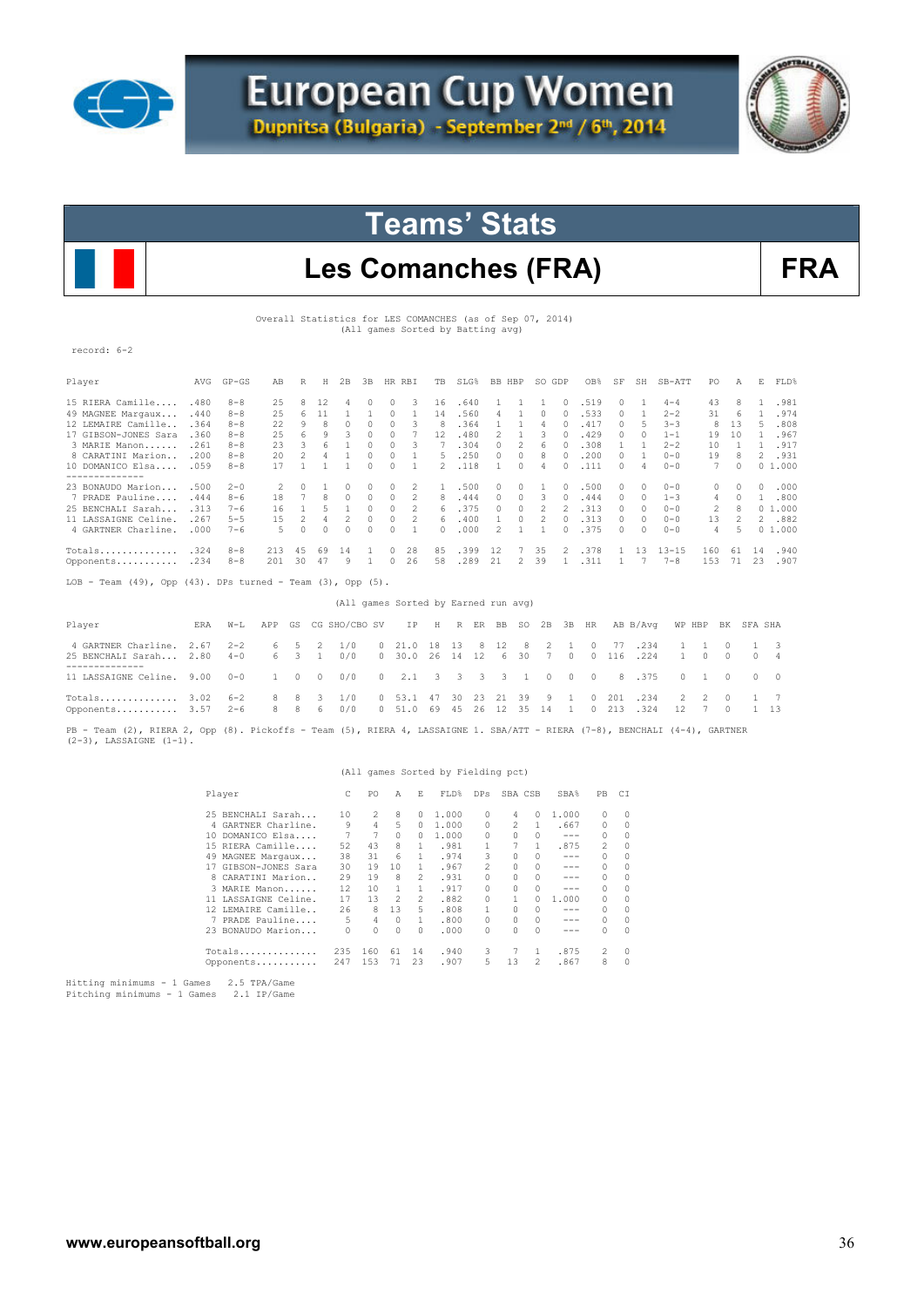



### Les Comanches (FRA) FRA

Overall Statistics for LES COMANCHES (as of Sep 07, 2014) (All games Sorted by Batting avg)

record: 6-2

| Player                                                                 | AVG  | $GP - GS$ | AB             | R              | Ħ            | 2B            | 3B           |          | HR RBI                               | TB            |    | SLG% | BB HBP         |                | SO GDP         |               | OB%           | SF            | SH       | SB-ATT         | PO            | A            | Е.           | FLD%             |  |
|------------------------------------------------------------------------|------|-----------|----------------|----------------|--------------|---------------|--------------|----------|--------------------------------------|---------------|----|------|----------------|----------------|----------------|---------------|---------------|---------------|----------|----------------|---------------|--------------|--------------|------------------|--|
| 15 RIERA Camille                                                       | .480 | $8 - 8$   | 25             | 8              | 12           |               | $\Omega$     | n.       | З                                    | 16            |    | .640 |                |                |                | 0             | .519          | 0             |          | $4 - 4$        | 43            | R            |              | .981             |  |
| 49 MAGNEE Margaux                                                      | .440 | $8 - 8$   | 25             | 6              | 11           | $\mathbf{1}$  | $\mathbf{1}$ | $\Omega$ | 1                                    | 14            |    | .560 | 4              | 1              | $\Omega$       | $\Omega$      | .533          | $\circ$       | 1        | $2 - 2$        | 31            | 6            | 1            | .974             |  |
| 12 LEMAIRE Camille                                                     | .364 | $8 - 8$   | 22             | 9              | 8            | $\Omega$      | $\Omega$     | $\Omega$ | 3                                    | 8             |    | .364 | $\mathbf{1}$   | 1              | 4              | $\cap$        | .417          | $\mathcal{O}$ | 5        | $3 - 3$        | 8             | 13           | 5            | .808             |  |
| 17 GIBSON-JONES Sara                                                   | .360 | $8 - 8$   | 2.5            | 6              | 9            |               | $\Omega$     | $\Omega$ |                                      | 12            |    | .480 | $\mathfrak{D}$ | 1              | 3              | $\Omega$      | .429          | $\mathcal{O}$ | $\Omega$ | $1 - 1$        | 19            | 10           |              | .967             |  |
| 3 MARIE Manon                                                          | .261 | $8 - 8$   | 23             | $\mathcal{R}$  | 6            | 1             | $\Omega$     | $\cap$   | 3                                    |               |    | .304 | $\cap$         | $\mathfrak{D}$ | 6              | $\cap$        | .308          | $\mathbf{1}$  | 1        | $2 - 2$        | 10            | -1           |              | .917<br>1.       |  |
| 8 CARATINI Marion                                                      | .200 | $8 - 8$   | 20             | $\mathfrak{D}$ | 4            | $\mathbf{1}$  | $\Omega$     | $\Omega$ | 1                                    | 5             |    | .250 | $\Omega$       | $\Omega$       | 8              | $\Omega$      | .200          | $\mathcal{O}$ | 1        | $0 - 0$        | 19            | $\mathsf{R}$ |              | 2 .931           |  |
| 10 DOMANICO Elsa                                                       | .059 | $8 - 8$   | 17             | $\mathbf{1}$   |              | 1             | $\cap$       | $\cap$   | 1                                    | $\mathcal{L}$ |    | .118 | $\mathbf{1}$   | $\cap$         | 4              | $\cap$        | .111          | $\cap$        | 4        | $0 - 0$        | 7             | $\cap$       |              | 01.000           |  |
| --------------<br>23 BONAUDO Marion                                    | .500 | $2 - 0$   | $\mathfrak{D}$ | $\Omega$       |              | 0             | $\Omega$     | $\Omega$ |                                      |               |    | .500 | $\Omega$       | $\mathcal{O}$  | 1              | $\Omega$      | .500          | $\mathcal{O}$ | $\Omega$ | $0 - 0$        | $\Omega$      | $\Omega$     |              | .000<br>$\Omega$ |  |
| 7 PRADE Pauline                                                        | .444 | $8 - 6$   | 18             |                | 8            | 0             | $\Omega$     | $\Omega$ | 2                                    | 8             |    | .444 | $\Omega$       | $\Omega$       | 3              | $\Omega$      | .444          | $\mathcal{O}$ | 0        | $1 - 3$        | 4             | $\Omega$     |              | .800<br>1.       |  |
| 25 BENCHALI Sarah                                                      | .313 | $7 - 6$   | 16             | $\mathbf{1}$   | 5            | $\mathbf{1}$  | $\Omega$     | $\Omega$ | 2                                    | 6.            |    | .375 | $\Omega$       | $\mathcal{O}$  | 2              | 2             | .313          | $\mathcal{O}$ | 0        | $0 - 0$        | 2             | R            |              | 01.000           |  |
| 11 LASSAIGNE Celine.                                                   | .267 | $5 - 5$   | 1.5            | 2              | 4            | 2             | $\Omega$     | $\Omega$ | $\mathfrak{D}$                       | 6             |    | .400 | $\mathbf{1}$   | $\Omega$       | 2              | $\mathcal{O}$ | .313          | $\mathcal{O}$ | $\Omega$ | $0 - 0$        | 13            | 2            |              | 2.882            |  |
| 4 GARTNER Charline.                                                    | .000 | $7 - 6$   | 5              | $\Omega$       | $\Omega$     | $\Omega$      | $\Omega$     | $\Omega$ | 1                                    | $\cap$        |    | .000 | 2              | 1              | $\mathbf{1}$   | $\mathcal{O}$ | .375          | $\mathcal{O}$ | $\Omega$ | $0 - 0$        | 4             | 5            |              | 01.000           |  |
| Totals                                                                 | .324 | $8 - 8$   | 213            | 4.5            | 69           | 14            |              | $\Omega$ | 28                                   | 85            |    | .399 | 12             | 7              | 35             | 2             | .378          | 1             | 13       | $13 - 15$      | 160           | 61           | 14           | .940             |  |
| Opponents                                                              | .234 | $8 - 8$   | 201            | 30             | 47           | 9             | $\mathbf{1}$ | $\Omega$ | 26                                   | 58            |    | .289 | 21             | $\overline{2}$ | 39             | 1             | .311          | 1             | 7        | $7 - 8$        | 153           | 71           | 23           | .907             |  |
| LOB - Team $(49)$ , Opp $(43)$ . DPs turned - Team $(3)$ , Opp $(5)$ . |      |           |                |                |              |               |              |          |                                      |               |    |      |                |                |                |               |               |               |          |                |               |              |              |                  |  |
|                                                                        |      |           |                |                |              |               |              |          | (All games Sorted by Earned run avg) |               |    |      |                |                |                |               |               |               |          |                |               |              |              |                  |  |
| Player                                                                 | ERA  | $W-T$ .   | APP            | GS             |              | CG SHO/CBO SV |              |          | ΙP                                   | Η             | R  | ER   | BB             | <b>SO</b>      |                | $2B$ $3B$     | HR            |               | AB B/Avq | WP HBP         |               | BK           | SFA SHA      |                  |  |
| 4 GARTNER Charline.                                                    | 2.67 | $2 - 2$   | 6              | 5              | 2            | 1/0           |              | 0        | 21.0                                 | 18            | 13 | 8    | 12             | 8              | 2              | 1             | $\mathcal{O}$ | 77            | .234     | $\mathbf{1}$   | 1             | 0            | -1           | 3                |  |
| 25 BENCHALI Sarah                                                      | 2.80 | $4 - 0$   | 6              | 3              | $\mathbf{1}$ | 0/0           |              | $\Omega$ | 30.0                                 | 26            | 14 | 12   | 6              | 30             | $\overline{7}$ | $\Omega$      | $\Omega$      | 116           | .224     | 1              | $\Omega$      | $\Omega$     | $\Omega$     | 4                |  |
|                                                                        |      |           |                |                |              |               |              |          |                                      |               |    |      |                |                |                |               |               |               |          |                |               |              |              |                  |  |
| 11 LASSAIGNE Celine.                                                   | 9.00 | $0 - 0$   | 1.             | 0              | $\Omega$     | 0/0           |              | $\Omega$ | 2.1                                  | 3             | 3  | 3    | 3.             | $\mathbf{1}$   | $\Omega$       | $\Omega$      | $\Omega$      | 8             | .375     | $\Omega$       | $\mathbf{1}$  | $\cap$       | $\Omega$     | $\Omega$         |  |
| Totals                                                                 | 3.02 | $6 - 2$   | 8              | 8              | 3            | 1/0           |              |          | 53.1                                 | 47            | 30 | 23   |                | 39             | 9              |               |               | 201           | .234     | $\mathfrak{D}$ | $\mathcal{D}$ | 0            |              | 7                |  |
| Opponents                                                              | 3.57 | $2 - 6$   | 8              | 8              | 6            | 0/0           |              | $\Omega$ | 51.0                                 | 69            | 45 | 26   | 12             | 35             | 14             | 1             | $\Omega$      | 213           | .324     | 12             | 7             | 0            | $\mathbf{1}$ | 13               |  |

PB - Team (2), RIERA 2, Opp (8). Pickoffs - Team (5), RIERA 4, LASSAIGNE 1. SBA/ATT - RIERA (7-8), BENCHALI (4-4), GARTNER<br>(2-3), LASSAIGNE (1-1).

### (All games Sorted by Fielding pct)

| Player                                                       | C   | PO. | A        | E. | FLD%  | DPs      | SBA CSB |          | SBA%    | PB        | CI       |
|--------------------------------------------------------------|-----|-----|----------|----|-------|----------|---------|----------|---------|-----------|----------|
| 25 BENCHALI Sarah                                            | 10  | 2   | 8        | 0  | 1,000 | $\Omega$ | 4       | 0        | 1,000   | $\bigcap$ | 0        |
| 4 GARTNER Charline.                                          | 9   | 4   | 5        | 0  | 1,000 | 0        | 2       |          | .667    | 0         | 0        |
| 10 DOMANICO Elsa                                             |     | 7   | $\Omega$ | 0  | 1,000 | 0        | 0       | 0        | $- - -$ | $\Omega$  | 0        |
| 15 RIERA Camille                                             | 52  | 43  | 8        | 1  | .981  |          |         |          | .875    | 2         | 0        |
| 49 MAGNEE Margaux                                            | 38  | 31  | 6        | 1. | .974  | 3        | 0       | 0        | $- - -$ | $\Omega$  | 0        |
| 17 GIBSON-JONES Sara                                         | 30  | 19  | 10       | 1. | .967  | 2        |         | 0        | ---     | $\Omega$  | 0        |
| 8 CARATINI Marion                                            | 29  | 19  | 8        | 2  | .931  | 0        |         | 0        | ---     | $\Omega$  | $\Omega$ |
| 3 MARIE Manon                                                | 12  | 10  |          | 1. | .917  | n        |         | 0        | ---     | $\Omega$  | 0        |
| 11 LASSAIGNE Celine.                                         | 17  | 13  | 2        | 2  | .882  |          |         | O        | 1,000   | 0         | 0        |
| 12 LEMAIRE Camille                                           | 26  | 8   | 13       | 5. | .808  |          | 0       | 0        | ---     | $\Omega$  | 0        |
| PRADE Pauline<br>7                                           | 5.  | 4   | $\Omega$ | 1. | .800  | 0        | 0       | $\Omega$ | ---     | 0         | 0        |
| 23 BONAUDO Marion                                            | 0   | 0   | $\Omega$ | 0  | .000  | 0        |         | O        | ---     | $\Omega$  | $\Omega$ |
| Totals                                                       | 235 | 160 | 61       | 14 | .940  | 3        |         | 1        | .875    | 2         | $\Omega$ |
| Opponents                                                    | 247 | 153 | 71       | 23 | .907  | 5.       | 13      | 2        | .867    | 8         | $\Omega$ |
| $m + + + + \infty$ minimums $1$ Comes<br>$2.5$ mpz $/$ c sms |     |     |          |    |       |          |         |          |         |           |          |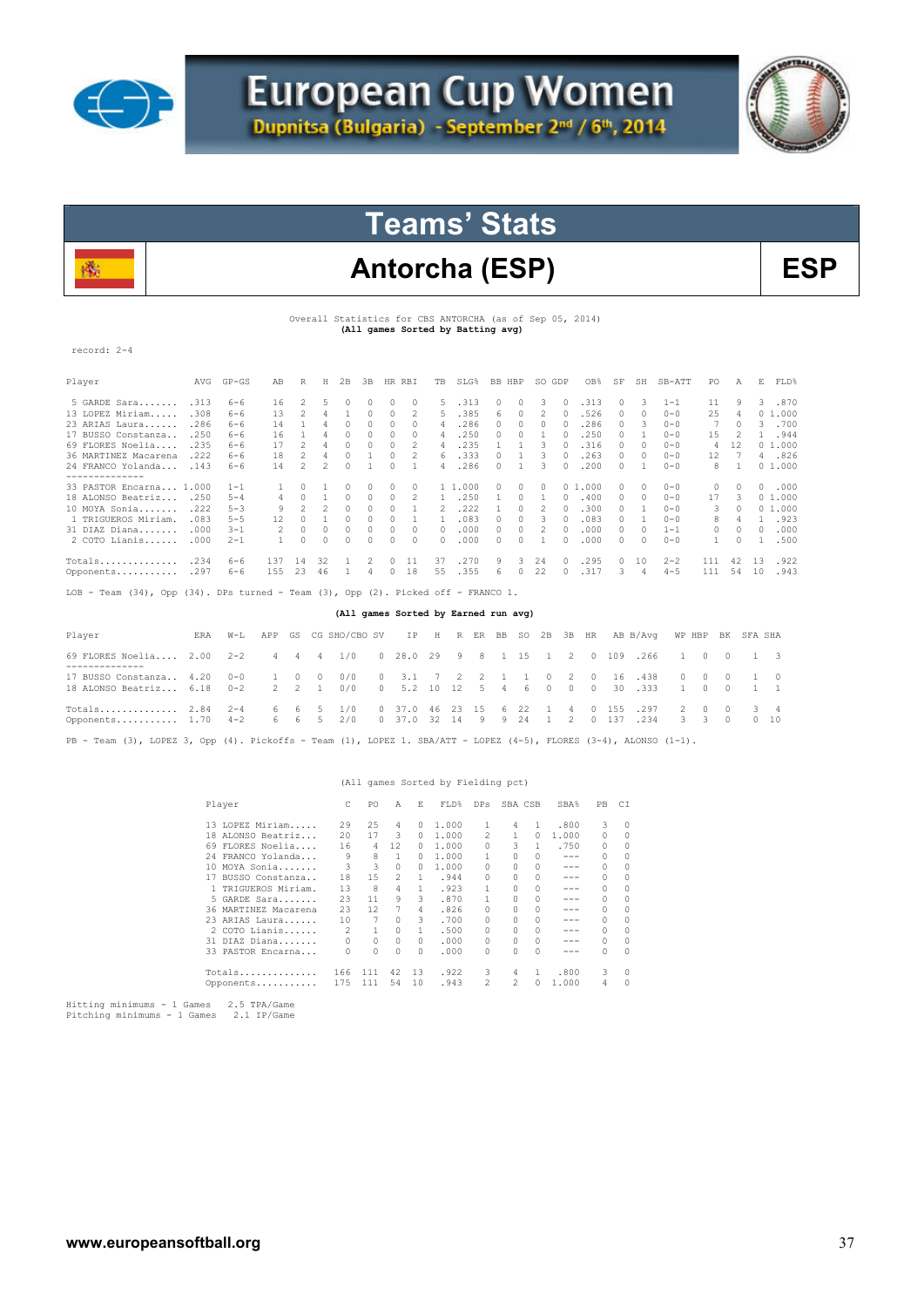



# Antorcha (ESP) BSP

Overall Statistics for CBS ANTORCHA (as of Sep 05, 2014) **(All games Sorted by Batting avg)** 

record: 2-4

| Player                  | AVG  | $GP - GS$ | AB  | R  | Η             | 2B | 3B | <b>HR</b> | <b>RBI</b> | TB       | SLG% | BB. | HBP | SO.      | GDP    | OB%    | SF            | SH       | $SB-ATT$ | PO.      | Α  | E  | FLD%   |
|-------------------------|------|-----------|-----|----|---------------|----|----|-----------|------------|----------|------|-----|-----|----------|--------|--------|---------------|----------|----------|----------|----|----|--------|
| 5 GARDE Sara            | .313 | $6 - 6$   | 16  | 2  | $\mathcal{L}$ |    |    | 0         |            | 5.       | 313  |     | 0   | 3        | $\Box$ | .313   | $\Omega$      | 3        | $1 - 1$  | 11       | 9  | 3. | .870   |
| 13 LOPEZ Miriam.        | .308 | $6 - 6$   | 13  |    |               |    |    | 0         | 2          | 5.       | .385 | 6.  |     | 2        | 0      | .526   | $\Omega$      | 0        | $0 - 0$  | 25       | 4  |    | 01.000 |
| 23 ARIAS Laura          | .286 | $6 - 6$   | 14  |    |               |    |    |           |            | 4        | .286 |     |     |          |        | .286   |               | 3        | $0 - 0$  |          |    | 3. | .700   |
| 17 BUSSO Constanza      | .250 | $6 - 6$   | 16  |    |               |    |    |           |            | 4        | 250  |     |     |          |        | .250   | O.            |          | $0 - 0$  | 15       |    |    | .944   |
| 69 FLORES Noelia        | .235 | $6 - 6$   | 17  |    |               |    |    |           |            | 4        | 235  |     |     |          |        | .316   | n             | 0        | $0 - 0$  | 4        | 2ء |    | 01.000 |
| 36 MARTINEZ Macarena    | .222 | $6 - 6$   | 18  |    |               |    |    |           |            | 6.       | 333  |     |     |          |        | 263    | 0             | $\Omega$ | $0 - 0$  | 12       |    | 4  | .826   |
| 24 FRANCO Yolanda       | .143 | $6 - 6$   | 14  |    | 2             |    |    |           |            | 4        | .286 |     |     | २        | $\cap$ | .200   | $\cap$        |          | $0 - 0$  | 8.       |    |    | 01.000 |
| --------------          |      |           |     |    |               |    |    |           |            |          |      |     |     |          |        |        |               |          |          |          |    |    |        |
| 33 PASTOR Encarna 1.000 |      | $1 - 1$   |     |    |               |    |    |           | 0          | 1 1      | .000 |     | 0   | $\Omega$ |        | 01.000 | $\mathcal{O}$ | $\Omega$ | $0 - 0$  | 0        | 0  | 0  | .000   |
| 18 ALONSO Beatriz       | .250 | $5 - 4$   |     |    |               |    |    |           |            |          | .250 |     |     |          | 0      | .400   | 0             | $\Omega$ | $0 - 0$  | 17       | 3  |    | 01.000 |
| 10 MOYA Sonia           | .222 | $5 - 3$   | 9   |    |               |    |    |           |            |          | 222  |     |     |          |        | .300   | O.            |          | $0 - 0$  | 3.       |    |    | 01.000 |
| 1 TRIGUEROS Miriam.     | .083 | $5 - 5$   | 12  |    |               |    |    |           |            |          | .083 |     |     |          |        | .083   | n             |          | $0 - 0$  | 8        |    |    | .923   |
| 31 DIAZ Diana.<br>.     | .000 | $3 - 1$   | 2   |    |               |    |    |           |            | $\Omega$ | .000 |     |     |          |        | .000   | n             |          | $1 - 1$  | $\Omega$ |    |    | .000   |
| $2$ COTO Lianis         | .000 | $2 - 1$   |     |    |               |    |    |           | $\Omega$   | 0        | .000 |     |     |          |        | .000   | O.            | n        | $0 - 0$  |          |    |    | .500   |
| Totals                  | .234 | $6 - 6$   | 137 | 14 | 32            |    |    |           | 11         | 37       | 270  | 9   | 3   | 24       | $\Box$ | .295   | $\mathcal{O}$ | 10       | $2 - 2$  | 111      | 42 | 13 | .922   |
| Opponents               | .297 | $6 - 6$   | 155 | 23 | 46            |    |    |           | 18         | 55       | .355 | 'n. |     | 22       |        | .317   | २             |          | $4 - 5$  | 111      | 54 | 10 | .943   |

LOB - Team (34), Opp (34). DPs turned - Team (3), Opp (2). Picked off - FRANCO 1.

#### **(All games Sorted by Earned run avg)**

| Player                                                                                                                                                        |  | ERA W-L APP GS CG SHO/CBO SV IP H R ER BB SO 2B 3B HR AB B/Avq WP HBP BK SFA SHA |  |  |  |  |  |  |  |  |  |  |
|---------------------------------------------------------------------------------------------------------------------------------------------------------------|--|----------------------------------------------------------------------------------|--|--|--|--|--|--|--|--|--|--|
| 69 FLORES Noelia 2.00 2-2 4 4 4 1/0 0 28.0 29 9 8 1 15 1 2 0 109 .266 1 0 0 1 3                                                                               |  |                                                                                  |  |  |  |  |  |  |  |  |  |  |
| 17 BUSSO Constanza 4.20 0-0 1 0 0 0/0 0 3.1 7 2 2 1 1 0 2 0 16 438 0 0 0 1 0<br>18 ALONSO Beatriz 6.18 0-2 2 2 1 0/0 0 5.2 10 12 5 4 6 0 0 0 30 333 1 0 0 1 1 |  |                                                                                  |  |  |  |  |  |  |  |  |  |  |
| Totals 2.84 2-4 6 6 5 1/0 0 37.0 46 23 15 6 22 1 4 0 155 .297 2 0 0 3 4<br>Opponents 1.70 4-2 6 6 5 2/0 0 37.0 32 14 9 9 24 1 2 0 137 .234 3 3 0 0 10         |  |                                                                                  |  |  |  |  |  |  |  |  |  |  |
| PB - Team (3), LOPEZ 3, Opp (4). Pickoffs - Team (1), LOPEZ 1. SBA/ATT - LOPEZ (4-5), FLORES (3-4), ALONSO (1-1).                                             |  |                                                                                  |  |  |  |  |  |  |  |  |  |  |

#### (All games Sorted by Fielding pct)

| Player                | C              | PO  | A        | E  | FLD%  | <b>DPs</b>     | SBA CSB                                                                                                                                                                                                                                                                                                                                                                                                                    |               | <b>SBA%</b> | PB. | СI       |
|-----------------------|----------------|-----|----------|----|-------|----------------|----------------------------------------------------------------------------------------------------------------------------------------------------------------------------------------------------------------------------------------------------------------------------------------------------------------------------------------------------------------------------------------------------------------------------|---------------|-------------|-----|----------|
| 13 LOPEZ Miriam       | 29             | 25  | 4        | 0  | 1,000 |                | 4                                                                                                                                                                                                                                                                                                                                                                                                                          |               | .800        | 3   | 0        |
| 18 ALONSO Beatriz     | 20             | 17  | 3        | 0  | 1,000 | $\mathfrak{D}$ |                                                                                                                                                                                                                                                                                                                                                                                                                            | O.            | 1,000       | 0   | 0        |
| FLORES Noelia<br>69.  | 16             | 4   | 12       | 0  | 1,000 | 0              | 3                                                                                                                                                                                                                                                                                                                                                                                                                          |               | .750        | 0   | $\Omega$ |
| 24 FRANCO Yolanda     | 9              | 8   | 1        | n  | 1,000 |                |                                                                                                                                                                                                                                                                                                                                                                                                                            |               | ---         | 0   | $\Omega$ |
| MOYA Sonia<br>10      | 3              | 3   | $\Omega$ | 0  | 1,000 | n              |                                                                                                                                                                                                                                                                                                                                                                                                                            | $\mathcal{O}$ | ---         | 0   | 0        |
| BUSSO Constanza<br>17 | 18             | 15  | 2        | 1  | .944  | $\Omega$       |                                                                                                                                                                                                                                                                                                                                                                                                                            |               | ---         | 0   | 0        |
| 1 TRIGUEROS Miriam.   | 13             | 8   | 4        |    | .923  |                |                                                                                                                                                                                                                                                                                                                                                                                                                            | 0             | ---         | 0   | $\Omega$ |
| 5 GARDE Sara          | 23             | 11  | 9        | 3  | .870  |                |                                                                                                                                                                                                                                                                                                                                                                                                                            | 0             | ---         | 0   | 0        |
| 36 MARTINEZ Macarena  | 23             | 12  |          | 4  | .826  | $\Omega$       |                                                                                                                                                                                                                                                                                                                                                                                                                            | 0             | ---         | 0   | 0        |
| 23 ARIAS Laura        | 10             | 7   | 0        | 3  | .700  | $\Omega$       | 0                                                                                                                                                                                                                                                                                                                                                                                                                          | 0             |             | 0   | $\Omega$ |
| 2 COTO Lianis         | $\mathfrak{D}$ | 1.  | $\Omega$ | 1. | .500  | $\Omega$       |                                                                                                                                                                                                                                                                                                                                                                                                                            | $\bigcap$     | ---         | 0   | 0        |
| 31 DIAZ Diana         |                | 0   | $\Omega$ | 0  | .000  | 0              |                                                                                                                                                                                                                                                                                                                                                                                                                            | $\bigcap$     | ---         | 0   | $\Omega$ |
| 33 PASTOR Encarna     |                | 0   | 0        | 0  | .000  | 0              |                                                                                                                                                                                                                                                                                                                                                                                                                            | $\bigcap$     |             | 0   | $\Omega$ |
| $Totals$              | 166            | 111 | 42       | 13 | .922  | 3              | 4                                                                                                                                                                                                                                                                                                                                                                                                                          |               | .800        | 3   | $\Omega$ |
| Opponents             | 175            | 111 | 54       | 10 | .943  | $\mathfrak{D}$ | $\mathfrak{D}_{1}^{2}(\mathfrak{D}_{1})=\mathfrak{D}_{2}^{2}(\mathfrak{D}_{2})=\mathfrak{D}_{2}^{2}(\mathfrak{D}_{1})=\mathfrak{D}_{2}^{2}(\mathfrak{D}_{2})=\mathfrak{D}_{2}^{2}(\mathfrak{D}_{1})=\mathfrak{D}_{2}^{2}(\mathfrak{D}_{2})=\mathfrak{D}_{2}^{2}(\mathfrak{D}_{1})=\mathfrak{D}_{2}^{2}(\mathfrak{D}_{2})=\mathfrak{D}_{2}^{2}(\mathfrak{D}_{1})=\mathfrak{D}_{2}^{2}(\mathfrak{D}_{2})=\mathfrak{D}_{2}^{$ |               | 1.000       | 4   | $\Omega$ |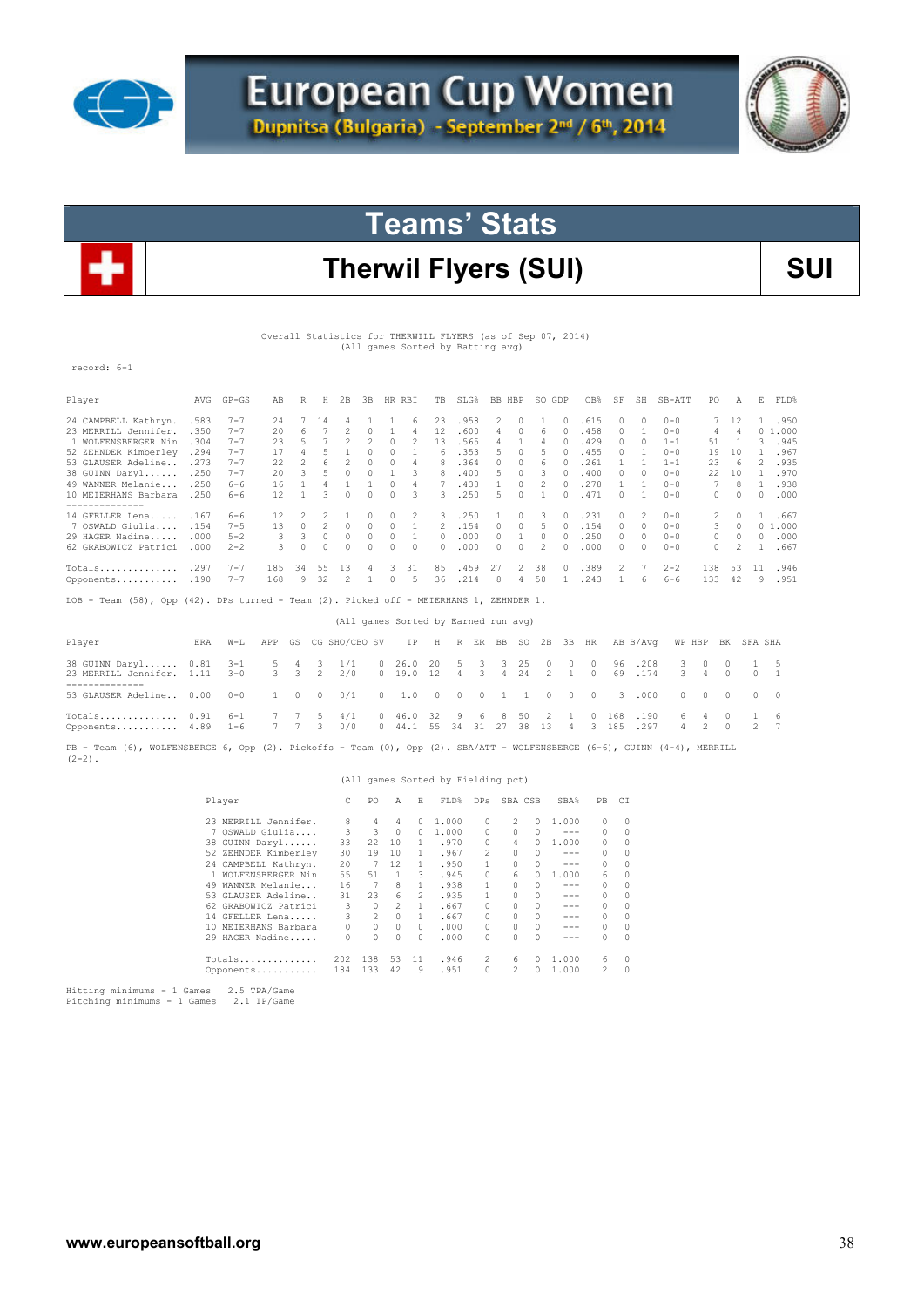



### Therwil Flyers (SUI) **SUI**

Overall Statistics for THERWILL FLYERS (as of Sep 07, 2014) (All games Sorted by Batting avg)

record: 6-1

| Player               | AVG   | $GP - GS$ | AB  | R  | Н  | 2B | 3B | HR. | RBI | TB       | SLG% | BB. | HBP | SO.           | GDP       | OB%  | SF        | SH       | $SB-ATT$ | PO.      | Α  | E  | FLD%   |
|----------------------|-------|-----------|-----|----|----|----|----|-----|-----|----------|------|-----|-----|---------------|-----------|------|-----------|----------|----------|----------|----|----|--------|
| 24 CAMPBELL Kathryn. | .583  | $7 - 7$   | 2.4 |    | 14 |    |    |     | 6   | 23       | .958 | 2   |     |               | $\bigcap$ | .615 | $\bigcap$ | $\Omega$ | $0 - 0$  | 7        | 12 |    | .950   |
| 23 MERRILL Jennifer. | .350  | $7 - 7$   | 20  | 'n |    |    |    |     | 4   | L2       | .600 |     |     | 6             |           | .458 | O.        |          | $0 - 0$  | 4        | 4  |    | 01.000 |
| 1 WOLFENSBERGER Nin  | .304  | $7 - 7$   | 23  |    |    |    |    |     |     | LЗ       | .565 |     |     |               |           | .429 | O.        | n        | $1 - 1$  | 51       |    | ς  | .945   |
| 52 ZEHNDER Kimberley | .294  | $7 - 7$   | 17  |    |    |    |    |     |     | 6.       | .353 |     |     | 5             |           | .455 | O.        |          | $0 - 0$  | 19       | 10 |    | .967   |
| 53 GLAUSER Adeline.  | . 273 | $7 - 7$   | 22  | 2  | 6  |    |    |     | 4   | 8        | .364 |     |     | 6             |           | .261 |           |          | $1 - 1$  | 23       | 6  | 2  | .935   |
| 38 GUINN Daryl       | .250  | $7 - 7$   | 20  | २  |    |    |    |     | २   | 8        | .400 | ь.  |     | ₹             | $\Box$    | .400 | $\cap$    | $\cap$   | $0 - 0$  | 22       | 10 |    | .970   |
| 49 WANNER Melanie    | .250  | $6 - 6$   | 16  |    |    |    |    |     | 4   |          | .438 |     |     |               |           | .278 |           |          | $0 - 0$  |          | 8  |    | .938   |
| 10 MEIERHANS Barbara | .250  | $6 - 6$   | 12  |    |    |    |    |     |     | 3        | .250 |     |     |               |           | .471 |           |          | $0 - 0$  | $\Omega$ |    | 0  | .000   |
| 14 GFELLER Lena      | .167  | $6 - 6$   | 12  |    |    |    |    |     |     | 3        | 250  |     |     |               | $\bigcap$ | .231 | O.        |          | $0 - 0$  | 2.       |    |    | .667   |
| 7 OSWALD Giulia      | .154  | $7 - 5$   | 13  |    |    |    |    |     |     |          | .154 |     |     | 5             |           | .154 | O.        | 0        | $0 - 0$  | 3.       | 0  |    | 01.000 |
| 29 HAGER Nadine      | .000  | $5 - 2$   |     |    |    |    |    |     |     | 0        | .000 |     |     |               |           | .250 | $\cap$    | 0        | $0 - 0$  | $\Omega$ | 0  | 0  | .000   |
| 62 GRABOWICZ Patrici | .000  | $2 - 2$   | 3.  |    |    |    |    |     |     | $\Omega$ | .000 |     |     | $\mathcal{L}$ |           | .000 | O.        | n        | $0 - 0$  | $\Omega$ |    |    | .667   |
| Totals               | .297  | $7 - 7$   | 185 | 34 | 55 | 13 |    | २   | 31  | 85       | .459 | 27  | 2   | 38            | $\Box$    | .389 | 2         |          | $2 - 2$  | 138      | 53 | 11 | .946   |
| Opponents            | .190  | $7 - 7$   | 168 | 9  | 32 |    |    |     | 5   | 36       | .214 |     | 4   | 50            |           | 243  |           | 6        | $6 - 6$  | 133      | 42 | 9  | .951   |

LOB - Team (58), Opp (42). DPs turned - Team (2). Picked off - MEIERHANS 1, ZEHNDER 1.

|                                                                                           |     |       |  | (All games Sorted by Earned run avg)                                     |                          |  |  |  |  |                |       |                                                                      |     |
|-------------------------------------------------------------------------------------------|-----|-------|--|--------------------------------------------------------------------------|--------------------------|--|--|--|--|----------------|-------|----------------------------------------------------------------------|-----|
| Player                                                                                    | ERA | $W-L$ |  | APP GS CG SHO/CBO SV IP H R ER BB SO 2B 3B HR AB B/Avq WP HBP BK SFA SHA |                          |  |  |  |  |                |       |                                                                      |     |
| 38 GUINN Daryl 0.81  3-1  5  4  3  1/1<br>23 MERRILL Jennifer. 1.11 3-0                   |     |       |  | 3 3 2 2/0 0 19.0 12 4 3 4 24 2 1 0 69 174                                | 0 26.0 20 5 3 3 25 0 0 0 |  |  |  |  | 96.208         |       | 3 0 0 1 5<br>3 4 0 0 1                                               |     |
| 53 GLAUSER Adeline 0.00 0-0    1  0  0  0/1  0  1.0  0  0  0  1  1  0  0  0  3  000       |     |       |  |                                                                          |                          |  |  |  |  |                |       | $\begin{array}{ccccccccccccccccc} 0 & 0 & 0 & 0 & 0 & 0 \end{array}$ |     |
| $Totals$ $0.91$ 6-1<br>0pponents 4.89 1-6 7 7 3 0/0 0 44.1 55 34 31 27 38 13 4 3 185 .297 |     |       |  | 7 7 5 4/1                                                                | 0 46.0 32 9 6 8 50       |  |  |  |  | 2 1 0 168 .190 | 4 2 0 | 6 4 0 1 6                                                            | 2 7 |

PB - Team (6), WOLFENSBERGE 6, Opp (2). Pickoffs - Team (0), Opp (2). SBA/ATT - WOLFENSBERGE (6-6), GUINN (4-4), MERRILL (2-2).

#### (All games Sorted by Fielding pct)

| Player               |     | PO.            | A              | F.           | FLD%  | DPs            | SBA CSB        |              | SBA%  | PB.           | CI       |
|----------------------|-----|----------------|----------------|--------------|-------|----------------|----------------|--------------|-------|---------------|----------|
| 23 MERRILL Jennifer. | 8   | 4              | 4              | 0            | 1,000 | $\Omega$       | 2              | 0            | 1,000 | 0             | $\Omega$ |
| 7 OSWALD Giulia      | 3   | 3              | $\Omega$       | 0            | 1,000 | 0              |                |              | ---   | $\Omega$      | 0        |
| 38 GUINN Daryl       | 33  | 22             | 10             | 1.           | .970  | 0              | 4              | 0            | 1,000 | $\mathcal{O}$ | 0        |
| 52 ZEHNDER Kimberley | 30  | 19             | 10             | $\mathbf{1}$ | .967  | $\mathfrak{D}$ | 0              | 0            | ---   | 0             | 0        |
| 24 CAMPBELL Kathryn. | 20  | 7              | 12             | 1.           | .950  |                | 0              | 0            | ---   | $\Omega$      | $\Omega$ |
| 1 WOLFENSBERGER Nin  | 55  | 51             | $\mathbf{1}$   | 3            | .945  | 0              | 6              | <sup>0</sup> | 1.000 | 6.            | $\Omega$ |
| 49 WANNER Melanie    | 16  | 7              | 8              | 1.           | .938  | 1              | O.             | O.           | ---   | $\Omega$      | $\Omega$ |
| 53 GLAUSER Adeline   | 31  | 23             | 6              | 2            | .935  |                | 0              | 0            | ---   | $\Omega$      | $\Omega$ |
| 62 GRABOWICZ Patrici | 3   | 0              | $\mathfrak{D}$ | 1            | .667  | n              |                | 0            | ---   | $\Omega$      | $\Omega$ |
| 14 GFELLER Lena      | 3   | $\mathfrak{D}$ | $\cap$         | 1.           | .667  | n              |                | 0            | ---   | $\Omega$      | $\Omega$ |
| 10 MEIERHANS Barbara | 0   | 0              | $\Omega$       | 0            | .000  | $\cap$         | 0              | 0            |       | $\mathcal{O}$ | $\Omega$ |
| 29 HAGER Nadine      | 0   | 0              | $\Omega$       | 0            | .000  | O.             | O.             | <sup>0</sup> |       | $\Omega$      | $\Omega$ |
| Totals               | 202 | 138            | 53             | 11           | .946  | $\mathcal{L}$  | 6              |              | 1,000 | 6.            | $\Omega$ |
| Opponents            | 184 | 133            | 42             | 9            | .951  | 0              | $\mathfrak{D}$ | 0            | 1,000 | 2             | $\Omega$ |
|                      |     |                |                |              |       |                |                |              |       |               |          |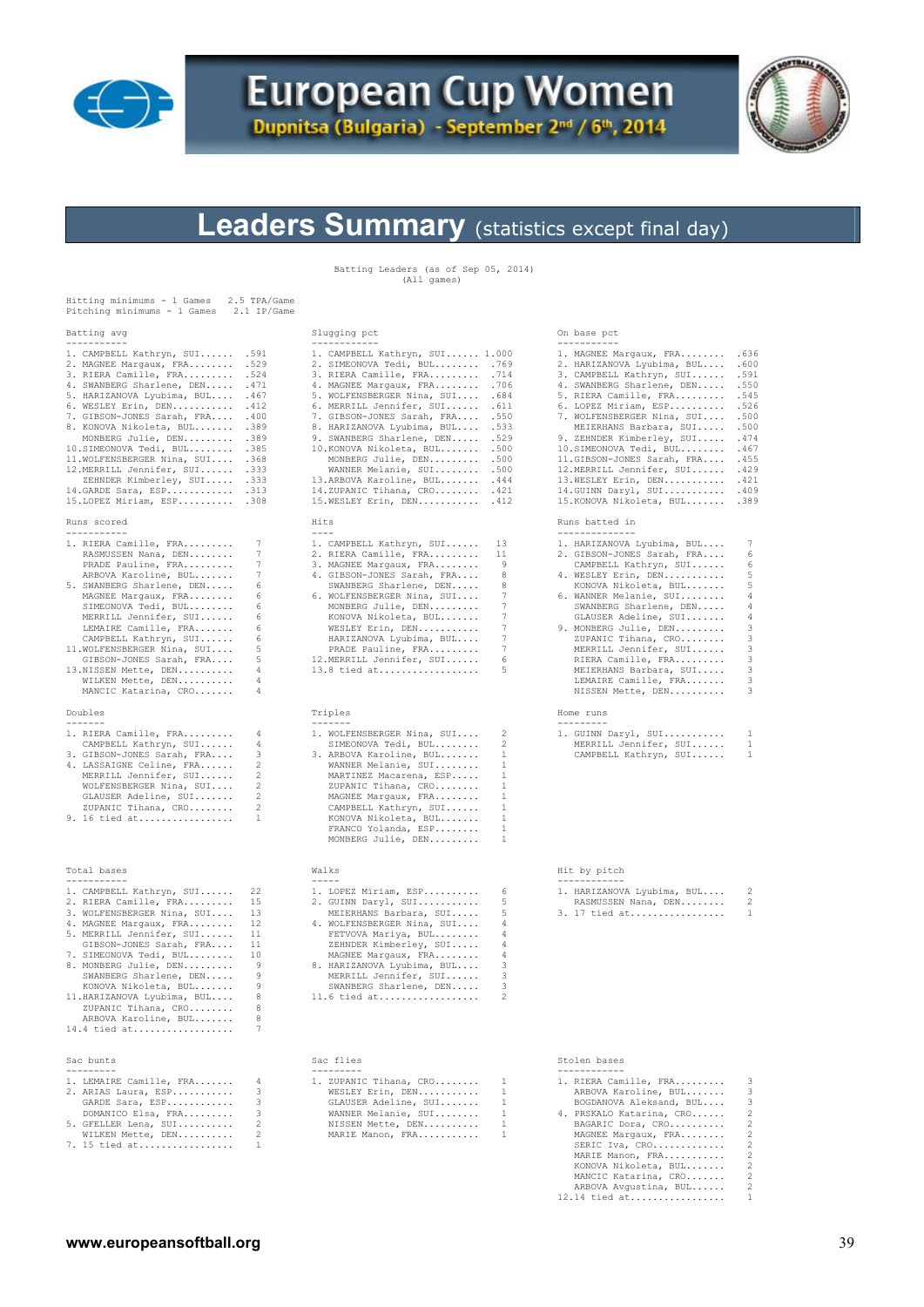

# **European Cup Women**

Dupnitsa (Bulgaria) - September 2<sup>nd</sup> / 6<sup>th</sup>, 2014



# **Leaders Summary** (statistics except final day)

Batting Leaders (as of Sep 05, 2014) (All games)

| Hitting minimums - 1 Games<br>Pitching minimums - 1 Games                                        | 2.5 TPA/Game<br>2.1 IP/Game |                                                                                                                                                                                                                                                                                                                                                                                                       |                   |                                                                                             |                      |
|--------------------------------------------------------------------------------------------------|-----------------------------|-------------------------------------------------------------------------------------------------------------------------------------------------------------------------------------------------------------------------------------------------------------------------------------------------------------------------------------------------------------------------------------------------------|-------------------|---------------------------------------------------------------------------------------------|----------------------|
| Batting avg<br>-----------                                                                       |                             | Slugging pct                                                                                                                                                                                                                                                                                                                                                                                          |                   | On base pct<br>-----------                                                                  |                      |
| 1. CAMPBELL Kathryn, SUI .591<br>2. MAGNEE Margaux, FRA .529<br>3. RIERA Camille, FRA            | .524                        | 1. CAMPBELL Kathryn, SUI 1.000<br>2. SIMEONOVA Tedi, BUL . 769<br>3. RIERA Camille, FRA                                                                                                                                                                                                                                                                                                               | .714              | 1. MAGNEE Margaux, FRA . 636<br>2. HARIZANOVA Lyubima, BUL .600<br>3. CAMPBELL Kathryn, SUI | .591                 |
| 4. SWANBERG Sharlene, DEN . 471<br>5. HARIZANOVA Lyubima, BUL . 467<br>6. WESLEY Erin, DEN . 412 |                             | 4. MAGNEE Margaux, FRA . 706<br>5. WOLFENSBERGER Nina, SUI . 684<br>6. MERRILL Jennifer, SUI . 611                                                                                                                                                                                                                                                                                                    |                   | 4. SWANBERG Sharlene, DEN .550<br>5. RIERA Camille, FRA .545<br>6. LOPEZ Miriam, ESP .526   |                      |
| 7. GIBSON-JONES Sarah, FRA . 400<br>8. KONOVA Nikoleta, BUL .389                                 |                             | 7. GIBSON-JONES Sarah, FRA . 550<br>8. HARIZANOVA Lyubima, BUL .533                                                                                                                                                                                                                                                                                                                                   |                   | 7. WOLFENSBERGER Nina, SUI<br>MEIERHANS Barbara, SUI                                        | .500<br>.500         |
| MONBERG Julie, DEN .389<br>10.SIMEONOVA Tedi, BUL .385<br>11. WOLFENSBERGER Nina, SUI . 368      |                             | 9. SWANBERG Sharlene, DEN .529<br>10. KONOVA Nikoleta, BUL<br>MONBERG Julie, DEN                                                                                                                                                                                                                                                                                                                      | .500<br>.500      | 9. ZEHNDER Kimberley, SUI<br>10.SIMEONOVA Tedi, BUL                                         | .474<br>.467<br>.455 |
| 12.MERRILL Jennifer, SUI .333<br>ZEHNDER Kimberley, SUI .333                                     |                             | WANNER Melanie, SUI .500<br>13.ARBOVA Karoline, BUL . 444                                                                                                                                                                                                                                                                                                                                             |                   | 11.GIBSON-JONES Sarah, FRA<br>12.MERRILL Jennifer, SUI<br>13.WESLEY Erin, DEN               | .429<br>.421         |
| $14.GARDE$ Sara, $ESP$ .313<br>15. LOPEZ Miriam, ESP . 308                                       |                             | 14.ZUPANIC Tihana, $CRO$ .421<br>15. WESLEY Erin, DEN                                                                                                                                                                                                                                                                                                                                                 | .412              | 14.GUINN Daryl, SUI<br>15. KONOVA Nikoleta, BUL                                             | .409<br>.389         |
| Runs scored<br>-----------                                                                       |                             | Hits<br>$\frac{1}{2}$                                                                                                                                                                                                                                                                                                                                                                                 |                   | Runs batted in<br>--------------                                                            |                      |
| 1. RIERA Camille, FRA                                                                            | 7<br>7                      | 1. CAMPBELL Kathryn, SUI                                                                                                                                                                                                                                                                                                                                                                              | 13<br>11          | 1. HARIZANOVA Lyubima, BUL<br>2. GIBSON-JONES Sarah, FRA                                    | 7<br>6               |
| RASMUSSEN Nana, DEN<br>PRADE Pauline, FRA                                                        | 7                           | 2. RIERA Camille, FRA<br>3. MAGNEE Margaux, FRA                                                                                                                                                                                                                                                                                                                                                       | 9                 | CAMPBELL Kathryn, SUI                                                                       | 6                    |
| ARBOVA Karoline, BUL                                                                             | 7                           | 4. GIBSON-JONES Sarah, FRA                                                                                                                                                                                                                                                                                                                                                                            | 8                 | 4. WESLEY Erin, DEN                                                                         | 5                    |
| 5. SWANBERG Sharlene, DEN                                                                        | 6<br>6                      | SWANBERG Sharlene, DEN                                                                                                                                                                                                                                                                                                                                                                                | 8<br>7            | KONOVA Nikoleta, BUL                                                                        | 5<br>4               |
| MAGNEE Margaux, FRA<br>SIMEONOVA Tedi, BUL                                                       | 6                           | 6. WOLFENSBERGER Nina, SUI<br>MONBERG Julie, DEN                                                                                                                                                                                                                                                                                                                                                      | $7\phantom{.0}$   | 6. WANNER Melanie, SUI<br>SWANBERG Sharlene, DEN                                            | 4                    |
| MERRILL Jennifer, SUI                                                                            | 6                           | KONOVA Nikoleta, BUL                                                                                                                                                                                                                                                                                                                                                                                  | $7\phantom{.0}$   | GLAUSER Adeline, SUI                                                                        | 4                    |
| LEMAIRE Camille, FRA                                                                             | 6                           | WESLEY Erin, DEN                                                                                                                                                                                                                                                                                                                                                                                      | $7\phantom{.0}$   | 9. MONBERG Julie, DEN                                                                       | 3                    |
| CAMPBELL Kathryn, SUI<br>11. WOLFENSBERGER Nina, SUI                                             | 6<br>5                      | HARIZANOVA Lyubima, BUL<br>PRADE Pauline, FRA                                                                                                                                                                                                                                                                                                                                                         | 7<br>7            | ZUPANIC Tihana, CRO<br>MERRILL Jennifer, SUI                                                | 3<br>3               |
| GIBSON-JONES Sarah, FRA                                                                          | 5                           | 12. MERRILL Jennifer, SUI                                                                                                                                                                                                                                                                                                                                                                             | 6                 | RIERA Camille, FRA                                                                          | 3                    |
| 13.NISSEN Mette, DEN                                                                             | 4                           | $13.8$ tied at                                                                                                                                                                                                                                                                                                                                                                                        | 5                 | MEIERHANS Barbara, SUI                                                                      | 3                    |
| WILKEN Mette, DEN<br>MANCIC Katarina, CRO                                                        | 4<br>4                      |                                                                                                                                                                                                                                                                                                                                                                                                       |                   | LEMAIRE Camille, FRA<br>NISSEN Mette, DEN                                                   | 3<br>3               |
| Doubles<br>كالمستوين والمستوين                                                                   |                             | Triples<br>-------                                                                                                                                                                                                                                                                                                                                                                                    |                   | Home runs<br>----------                                                                     |                      |
| 1. RIERA Camille, FRA                                                                            | 4                           | 1. WOLFENSBERGER Nina, SUI                                                                                                                                                                                                                                                                                                                                                                            | 2                 | 1. GUINN Daryl, SUI                                                                         | 1                    |
| CAMPBELL Kathryn, SUI<br>3. GIBSON-JONES Sarah, FRA                                              | 4<br>3                      | SIMEONOVA Tedi, BUL<br>3. ARBOVA Karoline, BUL                                                                                                                                                                                                                                                                                                                                                        | 2<br>1            | MERRILL Jennifer, SUI<br>CAMPBELL Kathryn, SUI                                              | 1<br>1               |
| 4. LASSAIGNE Celine, FRA<br>MERRILL Jennifer, SUI<br>WOLFENSBERGER Nina, SUI                     | 2<br>2<br>2                 | WANNER Melanie, SUI<br>MARTINEZ Macarena, ESP<br>ZUPANIC Tihana, CRO                                                                                                                                                                                                                                                                                                                                  | 1<br>1<br>1       |                                                                                             |                      |
| GLAUSER Adeline, SUI<br>ZUPANIC Tihana, CRO                                                      | 2<br>2                      | MAGNEE Margaux, FRA<br>CAMPBELL Kathryn, SUI                                                                                                                                                                                                                                                                                                                                                          | 1<br>$\mathbf{1}$ |                                                                                             |                      |
| 9. 16 tied at                                                                                    | 1                           | KONOVA Nikoleta, BUL<br>FRANCO Yolanda, ESP<br>MONBERG Julie, DEN                                                                                                                                                                                                                                                                                                                                     | 1<br>1<br>1       |                                                                                             |                      |
| Total bases<br>-----------                                                                       |                             | Walks<br>$\frac{1}{2} \frac{1}{2} \frac{1}{2} \frac{1}{2} \frac{1}{2} \frac{1}{2} \frac{1}{2} \frac{1}{2} \frac{1}{2} \frac{1}{2} \frac{1}{2} \frac{1}{2} \frac{1}{2} \frac{1}{2} \frac{1}{2} \frac{1}{2} \frac{1}{2} \frac{1}{2} \frac{1}{2} \frac{1}{2} \frac{1}{2} \frac{1}{2} \frac{1}{2} \frac{1}{2} \frac{1}{2} \frac{1}{2} \frac{1}{2} \frac{1}{2} \frac{1}{2} \frac{1}{2} \frac{1}{2} \frac{$ |                   | Hit by pitch<br>------------                                                                |                      |
| 1. CAMPBELL Kathryn, SUI                                                                         | 22                          | 1. LOPEZ Miriam, ESP                                                                                                                                                                                                                                                                                                                                                                                  | 6                 | 1. HARIZANOVA Lyubima, BUL                                                                  | 2                    |
| 2. RIERA Camille, FRA                                                                            | 15                          | 2. GUINN Daryl, SUI                                                                                                                                                                                                                                                                                                                                                                                   | 5                 | RASMUSSEN Nana, DEN                                                                         | 2                    |
| 3. WOLFENSBERGER Nina, SUI<br>4. MAGNEE Margaux, FRA                                             | 13<br>12                    | MEIERHANS Barbara, SUI<br>4. WOLFENSBERGER Nina, SUI                                                                                                                                                                                                                                                                                                                                                  | 5<br>4            | 3. 17 tied at                                                                               | 1                    |
| 5. MERRILL Jennifer, SUI                                                                         | 11                          | FETVOVA Mariya, BUL                                                                                                                                                                                                                                                                                                                                                                                   | 4                 |                                                                                             |                      |
| GIBSON-JONES Sarah, FRA                                                                          | 11                          | ZEHNDER Kimberley, SUI                                                                                                                                                                                                                                                                                                                                                                                | 4                 |                                                                                             |                      |
| 7. SIMEONOVA Tedi, BUL<br>8. MONBERG Julie, DEN                                                  | 10<br>9                     | MAGNEE Margaux, FRA<br>8. HARIZANOVA Lyubima, BUL                                                                                                                                                                                                                                                                                                                                                     | 4<br>3            |                                                                                             |                      |
| SWANBERG Sharlene, DEN                                                                           | 9                           | MERRILL Jennifer, SUI                                                                                                                                                                                                                                                                                                                                                                                 | 3                 |                                                                                             |                      |
| KONOVA Nikoleta, BUL                                                                             | 9                           | SWANBERG Sharlene, DEN                                                                                                                                                                                                                                                                                                                                                                                | 3                 |                                                                                             |                      |
| 11. HARIZANOVA Lyubima, BUL                                                                      | 8                           | 11.6 tied at                                                                                                                                                                                                                                                                                                                                                                                          |                   |                                                                                             |                      |
| ZUPANIC Tihana, CRO<br>ARBOVA Karoline, BUL                                                      | 8<br>8                      |                                                                                                                                                                                                                                                                                                                                                                                                       |                   |                                                                                             |                      |
| 14.4 tied at                                                                                     | 7                           |                                                                                                                                                                                                                                                                                                                                                                                                       |                   |                                                                                             |                      |
| Sac bunts                                                                                        |                             | Sac flies                                                                                                                                                                                                                                                                                                                                                                                             |                   | Stolen bases                                                                                |                      |
| ---------<br>1. LEMAIRE Camille, FRA                                                             | 4                           | ---------<br>1. ZUPANIC Tihana, CRO                                                                                                                                                                                                                                                                                                                                                                   | 1                 | ------------<br>1. RIERA Camille, FRA                                                       | 3                    |
| 2. ARIAS Laura, ESP                                                                              | 3                           | WESLEY Erin, DEN                                                                                                                                                                                                                                                                                                                                                                                      | 1                 | ARBOVA Karoline, BUL                                                                        | 3                    |
| GARDE Sara, ESP                                                                                  | 3                           | GLAUSER Adeline, SUI                                                                                                                                                                                                                                                                                                                                                                                  | 1                 | BOGDANOVA Aleksand, BUL                                                                     | 3                    |
| DOMANICO Elsa, FRA                                                                               | 3                           | WANNER Melanie, SUI                                                                                                                                                                                                                                                                                                                                                                                   | 1                 | 4. PRSKALO Katarina, CRO                                                                    | 2                    |
| 5. GFELLER Lena, SUI<br>WILKEN Mette, DEN                                                        | 2<br>2                      | NISSEN Mette, DEN<br>MARIE Manon, FRA                                                                                                                                                                                                                                                                                                                                                                 | $\mathbf{1}$<br>1 | BAGARIC Dora, CRO<br>MAGNEE Margaux, FRA                                                    | 2<br>2               |
| 7. 15 tied at                                                                                    | 1                           |                                                                                                                                                                                                                                                                                                                                                                                                       |                   | SERIC Iva, CRO                                                                              | 2                    |
|                                                                                                  |                             |                                                                                                                                                                                                                                                                                                                                                                                                       |                   | MARIE Manon, FRA<br>KONOVA Nikoleta, BUL                                                    | 2<br>2               |
|                                                                                                  |                             |                                                                                                                                                                                                                                                                                                                                                                                                       |                   | MANCIC Katarina, CRO                                                                        | 2<br>2               |
|                                                                                                  |                             |                                                                                                                                                                                                                                                                                                                                                                                                       |                   | ARBOVA Avgustina, BUL<br>$12.14$ tied at                                                    | 1                    |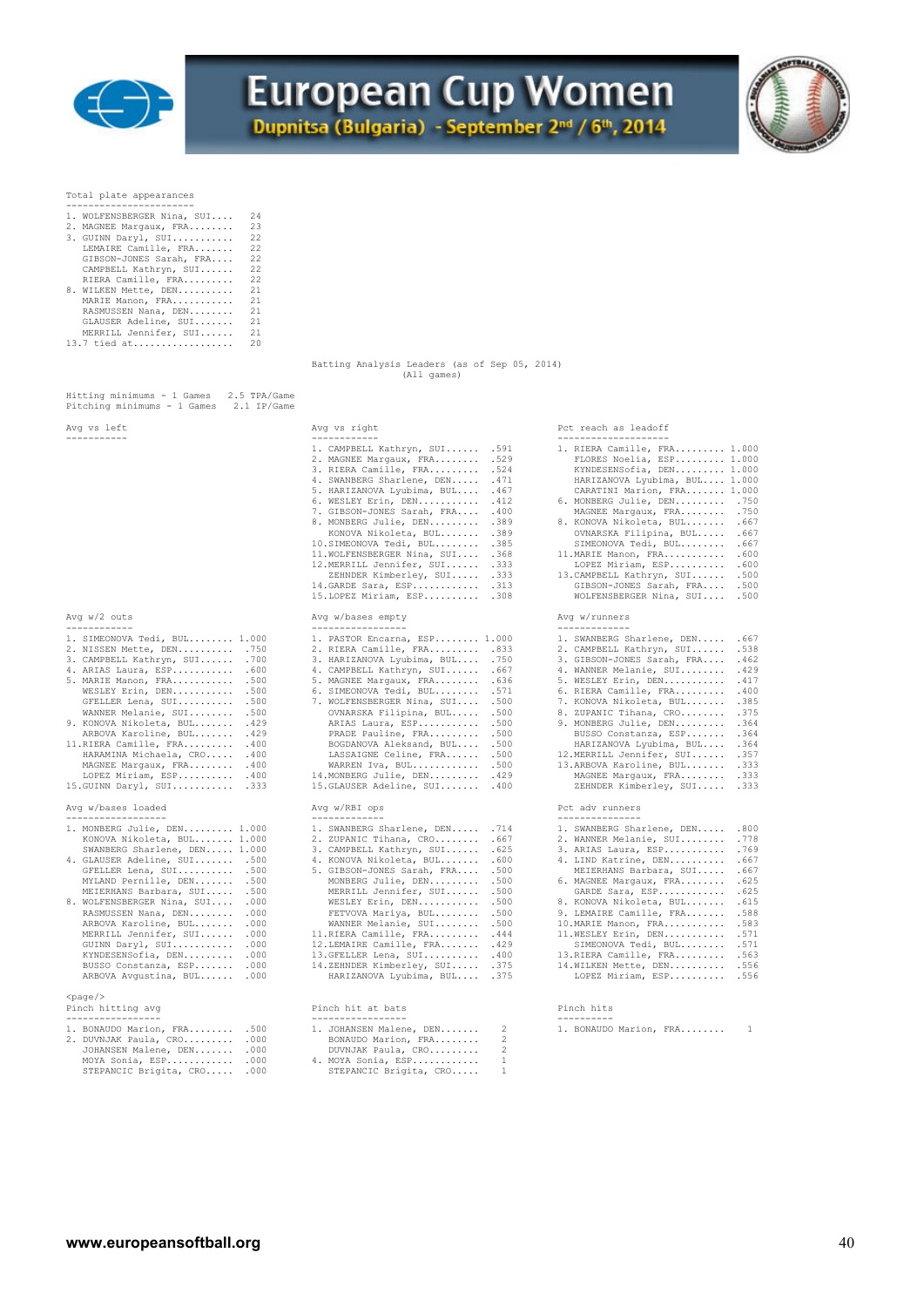



Total plate appearances

| 1. WOLFENSBERGER Nina, SUI | 2.4 |                                               |             |  |  |
|----------------------------|-----|-----------------------------------------------|-------------|--|--|
| 2. MAGNEE Margaux, FRA 23  |     |                                               |             |  |  |
| 3. GUINN Daryl, SUI        | 22  |                                               |             |  |  |
| LEMAIRE Camille, FRA 22    |     |                                               |             |  |  |
| GIBSON-JONES Sarah, FRA 22 |     |                                               |             |  |  |
| CAMPBELL Kathryn, SUI 22   |     |                                               |             |  |  |
| RIERA Camille, FRA         | 22  |                                               |             |  |  |
| 8. WILKEN Mette, DEN       | 21  |                                               |             |  |  |
| MARIE Manon, FRA           | 21  |                                               |             |  |  |
| RASMUSSEN Nana, DEN        | 21  |                                               |             |  |  |
| GLAUSER Adeline, SUI 21    |     |                                               |             |  |  |
| MERRILL Jennifer, SUI      | 21  |                                               |             |  |  |
|                            | 20  |                                               |             |  |  |
|                            |     |                                               |             |  |  |
|                            |     | Batting Analysis Leaders (as of Sep 05, 2014) |             |  |  |
|                            |     |                                               | (All games) |  |  |

| ATIT | w | s<br>דווח |
|------|---|-----------|
|------|---|-----------|

| 1. SIMEONOVA Tedi, BUL 1.000 |      |
|------------------------------|------|
| 2. NISSEN Mette, DEN         | .750 |
| 3. CAMPBELL Kathryn, SUI     | .700 |
| 4. ARIAS Laura, ESP          | .600 |
| 5. MARIE Manon, FRA          | .500 |
| WESLEY Erin, DEN             | .500 |
| GFELLER Lena, SUI            | .500 |
| WANNER Melanie, SUI          | .500 |
| 9. KONOVA Nikoleta, BUL      | .429 |
| ARBOVA Karoline, BUL         | .429 |
| 11. RIERA Camille, FRA       | .400 |
| HARAMINA Michaela, CRO       | .400 |
| MAGNEE Marqaux, FRA          | .400 |
| LOPEZ Miriam, ESP            | .400 |
|                              |      |

| 1. MONBERG Julie, DEN 1.000<br>KONOVA Nikoleta, BUL 1.000<br>SWANBERG Sharlene, DEN 1.000<br>4. GLAUSER Adeline, SUI .500<br>GFELLER Lena, SUI .500<br>MYLAND Pernille, DEN .500<br>MEIERHANS Barbara, SUI .500<br>8. WOLFENSBERGER Nina, SUI . 000<br>RASMUSSEN Nana, DEN .000<br>ARBOVA Karoline, BUL .000<br>MERRILL Jennifer, SUI .000<br>GUINN Daryl, SUI .000<br>KYNDESENSofia, DEN .000<br>BUSSO Constanza, ESP .000 | 1. SWANBERG Sharlene, DEN .714<br>2. ZUPANIC Tihana, CRO .667<br>3. CAMPBELL Kathryn, SUI . 625<br>4. KONOVA Nikoleta, BUL .600<br>5. GIBSON-JONES Sarah, FRA .500<br>MONBERG Julie, DEN .500<br>MERRILL Jennifer, SUI .500<br>WESLEY Erin, DEN .500<br>FETVOVA Mariya, BUL .500<br>WANNER Melanie, SUI .500<br>11.RIERA Camille, FRA . 444<br>12. LEMAIRE Camille, FRA . 429<br>13. GFELLER Lena, SUI . 400<br>14.ZEHNDER Kimberley, SUI .375 | 1. SWANBERG Sharlene, DEN .800<br>2. WANNER Melanie, SUI .778<br>3. ARIAS Laura, ESP .769<br>4. LIND Katrine, DEN . 667<br>MEIERHANS Barbara, SUI . 667<br>6. MAGNEE Margaux, FRA .625<br>GARDE Sara, ESP .625<br>8. KONOVA Nikoleta, BUL . 615<br>9. LEMAIRE Camille, FRA .588<br>10. MARIE Manon, FRA . 583<br>11. WESLEY Erin, DEN . 571<br>SIMEONOVA Tedi, BUL .571<br>13. RIERA Camille, FRA . 563<br>14. WILKEN Mette, DEN . 556 |  |
|-----------------------------------------------------------------------------------------------------------------------------------------------------------------------------------------------------------------------------------------------------------------------------------------------------------------------------------------------------------------------------------------------------------------------------|------------------------------------------------------------------------------------------------------------------------------------------------------------------------------------------------------------------------------------------------------------------------------------------------------------------------------------------------------------------------------------------------------------------------------------------------|----------------------------------------------------------------------------------------------------------------------------------------------------------------------------------------------------------------------------------------------------------------------------------------------------------------------------------------------------------------------------------------------------------------------------------------|--|
| ARBOVA Avqustina, BUL .000                                                                                                                                                                                                                                                                                                                                                                                                  | HARIZANOVA Lyubima, BUL .375                                                                                                                                                                                                                                                                                                                                                                                                                   | LOPEZ Miriam, ESP .556                                                                                                                                                                                                                                                                                                                                                                                                                 |  |
| $<$ page $/$<br>Pinch hitting avg                                                                                                                                                                                                                                                                                                                                                                                           | Pinch hit at bats<br>------------------                                                                                                                                                                                                                                                                                                                                                                                                        | Pinch hits                                                                                                                                                                                                                                                                                                                                                                                                                             |  |

| $\bot$ , DUNAUDU MALIUII, PAA .JUU | I. JUANNOLN MAIENE, DEN |              |
|------------------------------------|-------------------------|--------------|
| 2. DUVNJAK Paula, CRO .000         | BONAUDO Marion, FRA     | 2            |
| JOHANSEN Malene, DEN .000          | DUVNJAK Paula, CRO      | -2.          |
| MOYA Sonia, ESP .000               | 4. MOYA Sonia, ESP      | $\mathbf{1}$ |
| STEPANCIC Brigita, CRO .000        | STEPANCIC Brigita, CRO  |              |
|                                    |                         |              |

| Avg vs left                                                                                                                                                                                                                                                                                                                                                                                                                                                     | Avg vs right                                                                                                                                                                                                                                                                                                                                                                                                                                                                                                                                        | Pct reach as leadoff                                                                                                                                                                                                                                                                                                                                                                                                                                                                                                         |  |  |  |  |
|-----------------------------------------------------------------------------------------------------------------------------------------------------------------------------------------------------------------------------------------------------------------------------------------------------------------------------------------------------------------------------------------------------------------------------------------------------------------|-----------------------------------------------------------------------------------------------------------------------------------------------------------------------------------------------------------------------------------------------------------------------------------------------------------------------------------------------------------------------------------------------------------------------------------------------------------------------------------------------------------------------------------------------------|------------------------------------------------------------------------------------------------------------------------------------------------------------------------------------------------------------------------------------------------------------------------------------------------------------------------------------------------------------------------------------------------------------------------------------------------------------------------------------------------------------------------------|--|--|--|--|
| -----------                                                                                                                                                                                                                                                                                                                                                                                                                                                     | ------------<br>1. CAMPBELL Kathryn, SUI<br>.591<br>2. MAGNEE Margaux, FRA<br>.529<br>3. RIERA Camille, FRA<br>.524<br>4. SWANBERG Sharlene, DEN<br>.471<br>5. HARIZANOVA Lyubima, BUL<br>.467<br>6. WESLEY Erin, DEN<br>.412<br>7. GIBSON-JONES Sarah, FRA<br>.400<br>.389<br>8. MONBERG Julie, DEN<br>KONOVA Nikoleta, BUL<br>.389<br>.385<br>10.SIMEONOVA Tedi, BUL<br>11. WOLFENSBERGER Nina, SUI<br>.368<br>12.MERRILL Jennifer, SUI<br>.333<br>ZEHNDER Kimberley, SUI<br>.333<br>14. GARDE Sara, ESP<br>.313<br>15. LOPEZ Miriam, ESP<br>.308 | -------------------<br>1. RIERA Camille, FRA 1.000<br>FLORES Noelia, ESP 1.000<br>KYNDESENSofia, DEN 1.000<br>HARIZANOVA Lyubima, BUL 1.000<br>CARATINI Marion, FRA 1.000<br>6. MONBERG Julie, DEN<br>.750<br>MAGNEE Margaux, FRA<br>.750<br>.667<br>8. KONOVA Nikoleta, BUL<br>OVNARSKA Filipina, BUL<br>.667<br>.667<br>SIMEONOVA Tedi, BUL<br>.600<br>11. MARIE Manon, FRA<br>LOPEZ Miriam, ESP<br>.600<br>13. CAMPBELL Kathryn, SUI<br>.500<br>GIBSON-JONES Sarah, FRA<br>.500<br>WOLFENSBERGER Nina, SUI .500           |  |  |  |  |
| Avq $w/2$ outs<br>------------                                                                                                                                                                                                                                                                                                                                                                                                                                  | Avg w/bases empty<br>-----------------                                                                                                                                                                                                                                                                                                                                                                                                                                                                                                              | Avg w/runners<br>-------------                                                                                                                                                                                                                                                                                                                                                                                                                                                                                               |  |  |  |  |
| 1. SIMEONOVA Tedi, BUL 1.000<br>2. NISSEN Mette, DEN .750<br>3. CAMPBELL Kathryn, SUI . 700<br>4. ARIAS Laura, ESP . 600<br>5. MARIE Manon, FRA .500<br>WESLEY Erin, DEN .500<br>.500<br>GFELLER Lena, SUI<br>WANNER Melanie, SUI .500<br>.429<br>9. KONOVA Nikoleta, BUL<br>ARBOVA Karoline, BUL . 429<br>11. RIERA Camille, FRA . 400<br>HARAMINA Michaela, CRO . 400<br>MAGNEE Margaux, FRA . 400<br>LOPEZ Miriam, ESP<br>.400<br>15. GUINN Daryl, SUI . 333 | 1. PASTOR Encarna, ESP 1.000<br>2. RIERA Camille, FRA<br>.833<br>3. HARIZANOVA Lyubima, BUL<br>.750<br>4. CAMPBELL Kathryn, SUI<br>.667<br>5. MAGNEE Margaux, FRA<br>.636<br>6. SIMEONOVA Tedi, BUL<br>.571<br>7. WOLFENSBERGER Nina, SUI<br>.500<br>OVNARSKA Filipina, BUL<br>.500<br>ARIAS Laura, ESP<br>.500<br>PRADE Pauline, FRA<br>.500<br>.500<br>BOGDANOVA Aleksand, BUL<br>.500<br>LASSAIGNE Celine, FRA<br>WARREN Iva, BUL<br>.500<br>14. MONBERG Julie, DEN<br>.429<br>15. GLAUSER Adeline, SUI<br>.400                                  | 1. SWANBERG Sharlene, DEN . 667<br>2. CAMPBELL Kathryn, SUI<br>.538<br>.462<br>3. GIBSON-JONES Sarah, FRA<br>4. WANNER Melanie, SUI<br>.429<br>5. WESLEY Erin, DEN<br>.417<br>.400<br>6. RIERA Camille, FRA<br>.385<br>7. KONOVA Nikoleta, BUL<br>.375<br>8. ZUPANIC Tihana, CRO<br>9. MONBERG Julie, DEN<br>.364<br>.364<br>BUSSO Constanza, ESP<br>HARIZANOVA Lyubima, BUL<br>.364<br>12.MERRILL Jennifer, SUI<br>.357<br>13.ARBOVA Karoline, BUL<br>.333<br>MAGNEE Margaux, FRA<br>.333<br>ZEHNDER Kimberley, SUI<br>.333 |  |  |  |  |
| Avg w/bases loaded<br>------------------                                                                                                                                                                                                                                                                                                                                                                                                                        | Avg w/RBI ops<br>-------------                                                                                                                                                                                                                                                                                                                                                                                                                                                                                                                      | Pct adv runners<br>-----------                                                                                                                                                                                                                                                                                                                                                                                                                                                                                               |  |  |  |  |
| 1. MONBERG Julie, DEN 1.000                                                                                                                                                                                                                                                                                                                                                                                                                                     | 1. SWANBERG Sharlene, DEN .714                                                                                                                                                                                                                                                                                                                                                                                                                                                                                                                      | 1. SWANBERG Sharlene, DEN .800                                                                                                                                                                                                                                                                                                                                                                                                                                                                                               |  |  |  |  |

| 1. MONBERG Julie, DEN 1.000      | 1. SWANBERG Sharlene, DEN .714  | 1. SWANBERG Sharlene, DEN .800 |  |
|----------------------------------|---------------------------------|--------------------------------|--|
| KONOVA Nikoleta, BUL 1.000       | 2. ZUPANIC Tihana, CRO . 667    | 2. WANNER Melanie, SUI .778    |  |
| SWANBERG Sharlene, DEN 1.000     | 3. CAMPBELL Kathryn, SUI . 625  | 3. ARIAS Laura, ESP .769       |  |
| 4. GLAUSER Adeline, SUI .500     |                                 | 4. LIND Katrine, DEN . 667     |  |
| GFELLER Lena, SUI .500           | 5. GIBSON-JONES Sarah, FRA .500 | MEIERHANS Barbara, SUI .667    |  |
| MYLAND Pernille, DEN .500        | MONBERG Julie, DEN .500         | 6. MAGNEE Margaux, FRA .625    |  |
| MEIERHANS Barbara, SUI .500      | MERRILL Jennifer, SUI .500      | GARDE Sara, ESP .625           |  |
| 8. WOLFENSBERGER Nina, SUI . 000 | WESLEY Erin, DEN .500           | 8. KONOVA Nikoleta, BUL . 615  |  |
| RASMUSSEN Nana, DEN .000         | FETVOVA Mariya, BUL .500        | 9. LEMAIRE Camille, FRA .588   |  |
| ARBOVA Karoline, BUL .000        | WANNER Melanie, SUI .500        | 10. MARIE Manon, FRA 583       |  |
| MERRILL Jennifer, SUI .000       | 11.RIERA Camille, FRA . 444     | 11. WESLEY Erin, DEN . 571     |  |
| GUINN Daryl, SUI .000            | 12. LEMAIRE Camille, FRA . 429  | SIMEONOVA Tedi, BUL .571       |  |
| KYNDESENSofia, DEN .000          | 13. GFELLER Lena, SUI . 400     | 13. RIERA Camille, FRA . 563   |  |
| BUSSO Constanza, ESP .000        | 14.ZEHNDER Kimberley, SUI .375  | 14. WILKEN Mette, DEN . 556    |  |
| ARROVA Avgustina, RIII. 000      | HARTZANOVA Lyubima, RIII. 375   | LOPEZ Miriam, ESP 556          |  |

| . . 500 | 1. JOHANSEN Malene, DEN 2 | 1. BONAUDO Marion, FRA |  |
|---------|---------------------------|------------------------|--|
| . .000  | BONAUDO Marion, FRA       |                        |  |
| . .000  | DUVNJAK Paula, CRO        |                        |  |
| . .000  | 4. MOYA Sonia, ESP        |                        |  |
| . . 000 | STEPANCIC Brigita, CRO    |                        |  |

| 1. RIERA Camille, FRA 1.000<br>FLORES Noelia, ESP<br>KYNDESENSofia, DEN<br>HARIZANOVA Lyubima, BUL<br>CARATINI Marion, FRA | 1.000<br>1.000<br>1.000<br>1,000 |
|----------------------------------------------------------------------------------------------------------------------------|----------------------------------|
| 6. MONBERG Julie, DEN<br>MAGNEE Margaux, FRA                                                                               | .750<br>.750                     |
| 8. KONOVA Nikoleta, BUL<br>OVNARSKA Filipina, BUL<br>SIMEONOVA Tedi, BUL                                                   | .667<br>.667<br>.667             |
| 11. MARIE Manon, FRA<br>LOPEZ Miriam, ESP                                                                                  | .600<br>.600                     |
| 13. CAMPBELL Kathryn, SUI<br>GIBSON-JONES Sarah, FRA<br>WOLFENSBERGER Nina, SUI                                            | .500<br>.500<br>.500             |
| Avq w/runners<br>--------                                                                                                  |                                  |
| 1. SWANBERG Sharlene, DEN                                                                                                  | .667                             |
| 2. CAMPBELL Kathryn, SUI                                                                                                   | .538                             |
| 3.<br>GIBSON-JONES Sarah, FRA                                                                                              | .462                             |
| 4. WANNER Melanie, SUI                                                                                                     | .429                             |
| 5. WESLEY Erin, DEN                                                                                                        | .417                             |
| RIERA Camille, FRA<br>6.                                                                                                   | .400                             |
| 7. KONOVA Nikoleta, BUL                                                                                                    | .385                             |
| 8. ZUPANIC Tihana, CRO                                                                                                     | .375                             |
| 9. MONBERG Julie, DEN                                                                                                      | .364                             |
| BUCCO Constance RCD                                                                                                        | DCA                              |

- 
- 

| 1. SWANBERG Sharlene, DEN | .800 |
|---------------------------|------|
| 2. WANNER Melanie, SUI    | .778 |
| 3. ARIAS Laura, ESP       | .769 |
| 4. LIND Katrine, DEN      | .667 |
| MEIERHANS Barbara, SUI    | .667 |
| 6. MAGNEE Margaux, FRA    | .625 |
| GARDE Sara, ESP           | .625 |
| 8. KONOVA Nikoleta, BUL   | .615 |
| 9. LEMAIRE Camille, FRA   | .588 |
| 10. MARIE Manon, FRA      | .583 |
| 11. WESLEY Erin, DEN      | .571 |
| SIMEONOVA Tedi, BUL       | .571 |
| 13. RIERA Camille, FRA    | .563 |
| 14. WILKEN Mette, DEN     | .556 |
| LOPEZ Miriam, ESP         | .556 |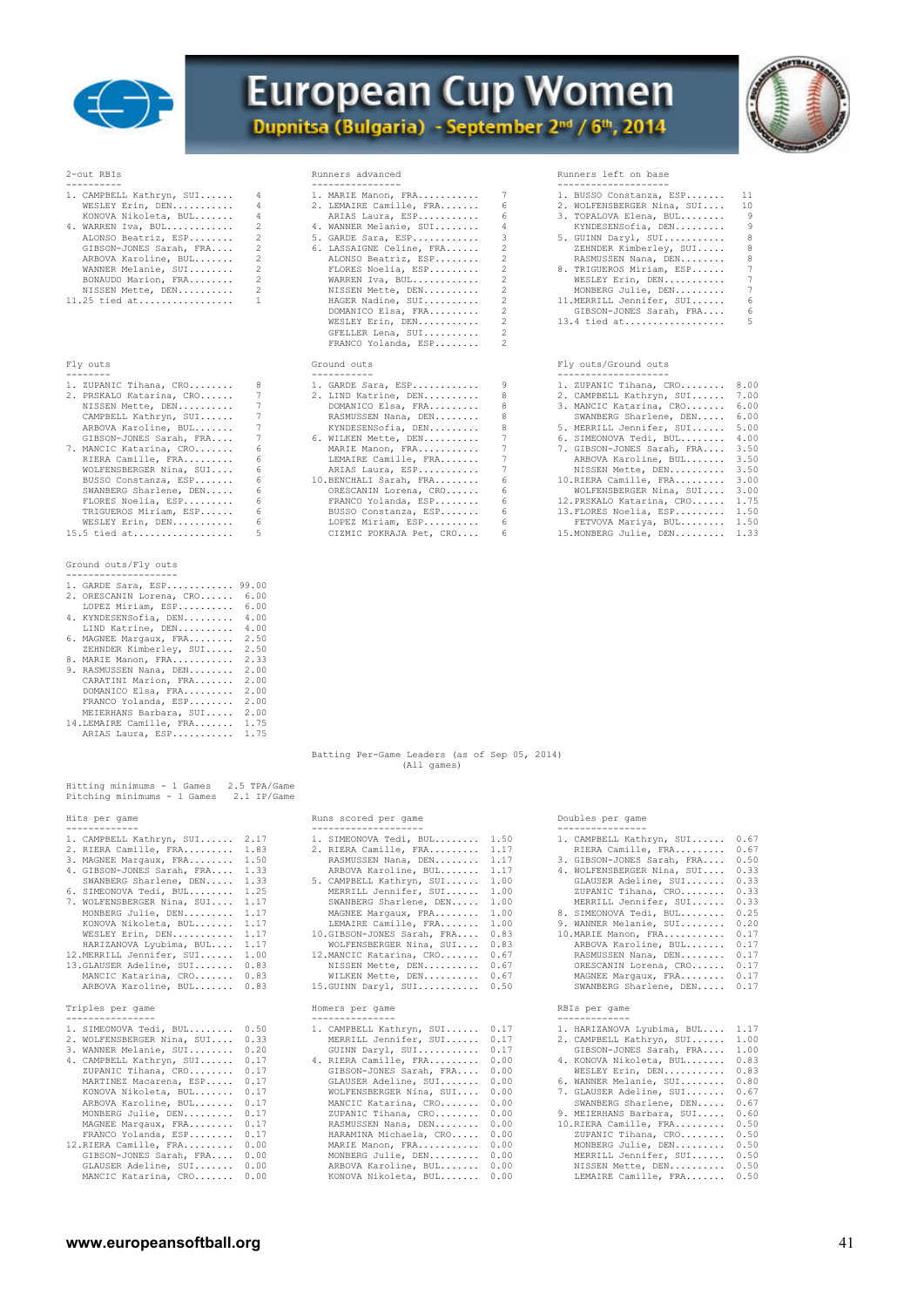



| 1. CAMPBELL Kathryn, SUI |
|--------------------------|
| WESLEY Erin, DEN         |
| KONOVA Nikoleta, BUL     |
| 4. WARREN Iva, BUL       |
| ALONSO Beatriz, ESP      |
| GIBSON-JONES Sarah, FRA  |
| ARBOVA Karoline, BUL     |
| WANNER Melanie, SUI      |
| BONAUDO Marion, FRA      |
| NISSEN Mette, DEN        |
| 11.25 tied at            |

### Fly outs

| 1. ZUPANIC Tihana, CRO   |
|--------------------------|
| 2. PRSKALO Katarina, CRO |
| NISSEN Mette, DEN        |
| CAMPBELL Kathryn, SUI    |
| ARBOVA Karoline, BUL     |
| GIBSON-JONES Sarah, FRA  |
| 7. MANCIC Katarina, CRO  |
| RIERA Camille, FRA       |
| WOLFENSBERGER Nina, SUI  |
| BUSSO Constanza, ESP     |
| SWANBERG Sharlene, DEN   |
| FLORES Noelia, ESP       |
| TRIGUEROS Miriam, ESP    |
| ואסת אנציטיס עסופטמא     |

### Ground outs/Fly outs --------------------

| 1. GARDE Sara, ESP 99.00      |  |
|-------------------------------|--|
| 2. ORESCANIN Lorena, CRO 6.00 |  |
| LOPEZ Miriam, ESP 6.00        |  |
| 4. KYNDESENSofia, DEN 4.00    |  |

|  | t. KINDBOBNOVIIC, DBN |  |  |  |  |  | 7. 7 |  |  |
|--|-----------------------|--|--|--|--|--|------|--|--|
|  | LIND Katrine, DEN     |  |  |  |  |  | 4.00 |  |  |

- LIND Katrine, DEN.......... 4.00<br>
6. MAGNEE Margaux, FRA........ 2.50<br>
8. MARIE Manon, FRA........... 2.33<br>
9. RASMUSSEN Nana, DEN....... 2.00<br>
CARATINI Marion, FRA....... 2.00
- 
- 
- 
- DOMANICO Elsa, FRA......... 2.00 FRANCO Yolanda, ESP........ 2.00 MEIERHANS Barbara, SUI..... 2.00 14.LEMAIRE Camille, FRA....... 1.75 ARIAS Laura, ESP........... 1.75

| Hitting minimums - 1 Games 2.5 TPA/Game<br>Pitching minimums - 1 Games                                                                                                                                                                                                                                                                                                                                                                                                | 2.1 IP/Game                                                                                  |                                                                                                                                                                                                                                                                                                                                                                                         |                                                                                                                      |                                                                                                                                                                                                                                                                                                                                                                                                         |                                                                                              |
|-----------------------------------------------------------------------------------------------------------------------------------------------------------------------------------------------------------------------------------------------------------------------------------------------------------------------------------------------------------------------------------------------------------------------------------------------------------------------|----------------------------------------------------------------------------------------------|-----------------------------------------------------------------------------------------------------------------------------------------------------------------------------------------------------------------------------------------------------------------------------------------------------------------------------------------------------------------------------------------|----------------------------------------------------------------------------------------------------------------------|---------------------------------------------------------------------------------------------------------------------------------------------------------------------------------------------------------------------------------------------------------------------------------------------------------------------------------------------------------------------------------------------------------|----------------------------------------------------------------------------------------------|
| Hits per game<br>-------------                                                                                                                                                                                                                                                                                                                                                                                                                                        |                                                                                              | Runs scored per game<br>--------------------                                                                                                                                                                                                                                                                                                                                            |                                                                                                                      | Doubles per game<br>----------------                                                                                                                                                                                                                                                                                                                                                                    |                                                                                              |
| 1. CAMPBELL Kathryn, SUI 2.17<br>2. RIERA Camille, FRA 1.83<br>3. MAGNEE Margaux, FRA 1.50<br>4. GIBSON-JONES Sarah, FRA 1.33<br>SWANBERG Sharlene, DEN 1.33<br>6. SIMEONOVA Tedi, BUL 1.25<br>7. WOLFENSBERGER Nina, SUI 1.17<br>MONBERG Julie, DEN 1.17<br>KONOVA Nikoleta, BUL 1.17<br>WESLEY Erin, DEN 1.17<br>HARIZANOVA Lyubima, BUL 1.17<br>12.MERRILL Jennifer, SUI 1.00<br>13.GLAUSER Adeline, SUI<br>MANCIC Katarina, CRO 0.83<br>ARBOVA Karoline, BUL 0.83 | 0.83                                                                                         | 1. SIMEONOVA Tedi, BUL 1.50<br>2. RIERA Camille, FRA<br>RASMUSSEN Nana, DEN<br>ARBOVA Karoline, BUL<br>5. CAMPBELL Kathryn, SUI<br>MERRILL Jennifer, SUI<br>SWANBERG Sharlene, DEN<br>MAGNEE Margaux, FRA<br>LEMAIRE Camille, FRA<br>10.GIBSON-JONES Sarah, FRA<br>WOLFENSBERGER Nina, SUI<br>12. MANCIC Katarina, CRO<br>NISSEN Mette, DEN<br>WILKEN Mette, DEN<br>15.GUINN Daryl, SUI | 1.17<br>1.17<br>1.17<br>1.00<br>1.00<br>1.00<br>1.00<br>1.00<br>0.83<br>0.83<br>0.67<br>0.67<br>0.67<br>0.50         | 1. CAMPBELL Kathryn, SUI<br>RIERA Camille, FRA<br>3. GIBSON-JONES Sarah, FRA<br>4. WOLFENSBERGER Nina, SUI<br>GLAUSER Adeline, SUI<br>ZUPANIC Tihana, CRO<br>MERRILL Jennifer, SUI<br>8. SIMEONOVA Tedi, BUL<br>9. WANNER Melanie, SUI<br>10. MARIE Manon, FRA<br>ARBOVA Karoline, BUL<br>RASMUSSEN Nana, DEN<br>ORESCANIN Lorena, CRO 0.17<br>MAGNEE Margaux, FRA 0.17<br>SWANBERG Sharlene, DEN 0.17  | 0.67<br>0.67<br>0.50<br>0.33<br>0.33<br>0.33<br>0.33<br>0.25<br>0.20<br>0.17<br>0.17<br>0.17 |
| Triples per game<br>---------------                                                                                                                                                                                                                                                                                                                                                                                                                                   |                                                                                              | Homers per game<br>---------------                                                                                                                                                                                                                                                                                                                                                      |                                                                                                                      | RBIs per game<br>-------------                                                                                                                                                                                                                                                                                                                                                                          |                                                                                              |
| 1. SIMEONOVA Tedi, BUL 0.50<br>2. WOLFENSBERGER Nina, SUI<br>3. WANNER Melanie, SUI<br>4. CAMPBELL Kathryn, SUI<br>ZUPANIC Tihana, CRO<br>MARTINEZ Macarena, ESP<br>KONOVA Nikoleta, BUL<br>ARBOVA Karoline, BUL<br>MONBERG Julie, DEN<br>MAGNEE Margaux, FRA<br>FRANCO Yolanda, ESP<br>12. RIERA Camille, FRA<br>GIBSON-JONES Sarah, FRA 0.00<br>GLAUSER Adeline, SUI 0.00<br>MANCIC Katarina, CRO                                                                   | 0.33<br>0.20<br>0.17<br>0.17<br>0.17<br>0.17<br>0.17<br>0.17<br>0.17<br>0.17<br>0.00<br>0.00 | 1. CAMPBELL Kathryn, SUI<br>MERRILL Jennifer, SUI<br>GUINN Daryl, SUI<br>4. RIERA Camille, FRA<br>GIBSON-JONES Sarah, FRA<br>GLAUSER Adeline, SUI<br>WOLFENSBERGER Nina, SUI<br>MANCIC Katarina, CRO<br>ZUPANIC Tihana, CRO<br>RASMUSSEN Nana, DEN<br>HARAMINA Michaela, CRO<br>MARIE Manon, FRA<br>MONBERG Julie, DEN<br>ARBOVA Karoline, BUL<br>KONOVA Nikoleta, BUL                  | 0.17<br>0.17<br>0.17<br>0.00<br>0.00<br>0.00<br>0.00<br>0.00<br>0.00<br>0.00<br>0.00<br>0.00<br>0.00<br>0.00<br>0.00 | 1. HARIZANOVA Lyubima, BUL 1.17<br>2. CAMPBELL Kathryn, SUI<br>GIBSON-JONES Sarah, FRA<br>4. KONOVA Nikoleta, BUL<br>WESLEY Erin, DEN<br>6. WANNER Melanie, SUI<br>7. GLAUSER Adeline, SUI<br>SWANBERG Sharlene, DEN<br>9. MEIERHANS Barbara, SUI<br>10.RIERA Camille, FRA<br>ZUPANIC Tihana, CRO<br>MONBERG Julie, DEN<br>MERRILL Jennifer, SUI<br>NISSEN Mette, DEN 0.50<br>LEMAIRE Camille, FRA 0.50 | 1.00<br>1.00<br>0.83<br>0.83<br>0.80<br>0.67<br>0.67<br>0.60<br>0.50<br>0.50<br>0.50<br>0.50 |

| ----------<br>1. CAMPBELL Kathryn, SUI 4<br>WESLEY Erin, DEN<br>KONOVA Nikoleta, BUL<br>4. WARREN Iva, BUL<br>ALONSO Beatriz, ESP<br>GIBSON-JONES Sarah, FRA<br>ARBOVA Karoline, BUL<br>WANNER Melanie, SUI<br>BONAUDO Marion, FRA<br>NISSEN Mette, DEN<br>$11.25$ tied at | $\overline{4}$<br>$\overline{4}$<br>2<br>2<br>$\overline{2}$<br>2<br>$\overline{\phantom{0}}$<br>2<br>$\mathbf{1}$ | ----------------<br>1. MARIE Manon, FRA 7<br>2. LEMAIRE Camille, FRA<br>ARIAS Laura, ESP<br>4. WANNER Melanie, SUI<br>5. GARDE Sara, ESP<br>6. LASSAIGNE Celine, FRA<br>ALONSO Beatriz, ESP<br>FLORES Noelia, ESP<br>WARREN Iva, BUL<br>NISSEN Mette, DEN<br>HAGER Nadine, SUI<br>DOMANICO Elsa, FRA | 6<br>6<br>4<br>3<br>2<br>$\mathfrak{D}$<br>2<br>2<br>2<br>2<br>2 | --------------------<br>1. BUSSO Constanza, E<br>2. WOLFENSBERGER Nina<br>3. TOPALOVA Elena, BU<br>KYNDESENSofia, DEN<br>5. GUINN Daryl, SUI<br>ZEHNDER Kimberley,<br>RASMUSSEN Nana, DE<br>8. TRIGUEROS Miriam,<br>WESLEY Erin, DEN<br>MONBERG Julie, DEN<br>11.MERRILL Jennifer,<br>GIBSON-JONES Sarah |
|----------------------------------------------------------------------------------------------------------------------------------------------------------------------------------------------------------------------------------------------------------------------------|--------------------------------------------------------------------------------------------------------------------|------------------------------------------------------------------------------------------------------------------------------------------------------------------------------------------------------------------------------------------------------------------------------------------------------|------------------------------------------------------------------|----------------------------------------------------------------------------------------------------------------------------------------------------------------------------------------------------------------------------------------------------------------------------------------------------------|
|                                                                                                                                                                                                                                                                            |                                                                                                                    | WESLEY Erin, DEN<br>GFELLER Lena, SUI<br>FRANCO Yolanda, ESP                                                                                                                                                                                                                                         | 2<br>2                                                           | $13.4$ tied at                                                                                                                                                                                                                                                                                           |
| Fly outs<br>--------                                                                                                                                                                                                                                                       |                                                                                                                    | Ground outs<br>------------                                                                                                                                                                                                                                                                          |                                                                  | Fly outs/Ground outs<br>-------------------                                                                                                                                                                                                                                                              |
| 1. ZUPANIC Tihana, CRO<br>2. PRSKALO Katarina, CRO<br>NISSEN Mette, DEN<br>CAMPBELL Kathryn, SUI<br>ARBOVA Karoline, BUL                                                                                                                                                   | -8<br>-7<br>$\overline{7}$<br>7<br>7                                                                               | 1. GARDE Sara, ESP<br>2. LIND Katrine, DEN<br>DOMANICO Elsa, FRA<br>RASMUSSEN Nana, DEN<br>KYNDESENSofia, DEN                                                                                                                                                                                        | 9<br>-8<br>8<br>8<br>$8 - 1$                                     | 1. ZUPANIC Tihana, CR<br>2. CAMPBELL Kathryn,<br>3. MANCIC Katarina, C<br>SWANBERG Sharlene,<br>5. MERRILL Jennifer,                                                                                                                                                                                     |
| GIBSON-JONES Sarah, FRA<br>7. MANCIC Katarina, CRO<br>RIERA Camille, FRA                                                                                                                                                                                                   | -7<br>-6                                                                                                           | 6. WILKEN Mette, DEN<br>MARIE Manon, FRA<br>LEMAIRE Camille, FRA                                                                                                                                                                                                                                     | $7$ and $7$<br>7                                                 | 6. SIMEONOVA Tedi, BU<br>7. GIBSON-JONES Sarah<br>ARBOVA Karoline, B                                                                                                                                                                                                                                     |

| RGER Nina, SUI | 6 | ARIAS Laura, ESP        | 7          |
|----------------|---|-------------------------|------------|
| stanza, ESP    |   | 10. BENCHALI Sarah, FRA | $\epsilon$ |
| Sharlene, DEN  |   | ORESCANIN Lorena, CRO   | $\epsilon$ |
| elia, ESP      | 6 | FRANCO Yolanda, ESP     | $\epsilon$ |
| Miriam, ESP    |   | BUSSO Constanza, ESP    | $\epsilon$ |
| in, DEN        | 6 | LOPEZ Miriam, ESP       | $\epsilon$ |
| .              |   | CIZMIC POKRAJA Pet, CRO | 6          |

#### 2-out RBIs Runners advanced Runners left on base

| 1. CAMPBELL Kathryn, SUI 4 | 1. MARIE Manon, FRA 7      | 1. BUSSO Constanza, ESP 11    |     |
|----------------------------|----------------------------|-------------------------------|-----|
| WESLEY Erin, DEN 4         | 2. LEMAIRE Camille, FRA 6  | 2. WOLFENSBERGER Nina, SUI 10 |     |
| KONOVA Nikoleta, BUL 4     | ARIAS Laura, ESP 6         | 3. TOPALOVA Elena, BUL        | - 9 |
| 4. WARREN Iva, BUL $2$     | 4. WANNER Melanie, SUI 4   | KYNDESENSofia, DEN            | -9  |
| ALONSO Beatriz, ESP 2      | $5.$ GARDE Sara, ESP 3     | 5. GUINN Daryl, SUI           | 8   |
| GIBSON-JONES Sarah, FRA 2  | 6. LASSAIGNE Celine, FRA 2 | ZEHNDER Kimberley, SUI        | 8   |
| ARBOVA Karoline, BUL 2     | ALONSO Beatriz, ESP 2      | RASMUSSEN Nana, DEN           | 8   |
| WANNER Melanie, SUI 2      | FLORES Noelia, ESP 2       | 8. TRIGUEROS Miriam, ESP      | -7  |
| BONAUDO Marion, FRA 2      | WARREN Iva, BUL 2          | WESLEY Erin, DEN              | 7   |
| NISSEN Mette, DEN 2        | NISSEN Mette, DEN 2        | MONBERG Julie, DEN            | 7   |
| 11.25 tied at 1            | HAGER Nadine, SUI 2        | 11.MERRILL Jennifer, SUI      | -6  |
|                            | DOMANICO Elsa, FRA 2       | GIBSON-JONES Sarah, FRA       | 6   |
|                            |                            |                               | -5. |
|                            | GFELLER Lena, SUI          |                               |     |

### Fly outs/Ground outs

| 1. ZUPANIC Tihana, CRO 8  |                | 1. GARDE Sara, ESP      | 9              | 1. ZUPANIC Tihana, CRO 8.00     |      |
|---------------------------|----------------|-------------------------|----------------|---------------------------------|------|
| 2. PRSKALO Katarina, CRO  | 7              | 2. LIND Katrine, DEN    | 8              | 2. CAMPBELL Kathryn, SUI 7.00   |      |
| NISSEN Mette, DEN         | $7\phantom{0}$ | DOMANICO Elsa, FRA      | 8              | 3. MANCIC Katarina, CRO 6.00    |      |
| CAMPBELL Kathryn, SUI     | $7\degree$     | RASMUSSEN Nana, DEN     | 8.             | SWANBERG Sharlene, DEN          | 6.00 |
| ARBOVA Karoline, BUL      | 7              | KYNDESENSofia, DEN      | 8              | 5. MERRILL Jennifer, SUI 5.00   |      |
| GIBSON-JONES Sarah, FRA 7 |                | 6. WILKEN Mette, DEN    |                | 6. SIMEONOVA Tedi, BUL 4.00     |      |
| 7. MANCIC Katarina, CRO   | 6              | MARIE Manon, FRA        | 7              | 7. GIBSON-JONES Sarah, FRA 3.50 |      |
| RIERA Camille, FRA        | 6.             | LEMAIRE Camille, FRA    |                | ARBOVA Karoline, BUL 3.50       |      |
| WOLFENSBERGER Nina, SUI   | -6             | ARIAS Laura, ESP        | $7\phantom{0}$ | NISSEN Mette, DEN 3.50          |      |
| BUSSO Constanza, ESP      | 6.             | 10.BENCHALI Sarah, FRA  | -6             | 10. RIERA Camille, FRA 3.00     |      |
| SWANBERG Sharlene, DEN    | -6             | ORESCANIN Lorena, CRO   | 6              | WOLFENSBERGER Nina, SUI 3.00    |      |
| FLORES Noelia, ESP        | 6              | FRANCO Yolanda, ESP     | 6              | 12. PRSKALO Katarina, CRO 1.75  |      |
| TRIGUEROS Miriam, ESP     | 6.             | BUSSO Constanza, ESP    | -6             | 13. FLORES Noelia, ESP 1.50     |      |
| WESLEY Erin, DEN          | 6              | LOPEZ Miriam, ESP       | 6              | FETVOVA Mariya, BUL 1.50        |      |
| 15.5 tied at              | 5              | CIZMIC POKRAJA Pet, CRO | -6             | 15. MONBERG Julie, DEN 1.33     |      |
|                           |                |                         |                |                                 |      |

 Batting Per-Game Leaders (as of Sep 05, 2014) (All games)

#### Runs scored per game  $\qquad \qquad \qquad$  Doubles per game

| 1. CAMPBELL Kathryn, SUI 2.17   |      | 1. SIMEONOVA Tedi, BUL $1.50$   |      | 1. CAMPBELL Kathryn, SUI 0.67   |      |
|---------------------------------|------|---------------------------------|------|---------------------------------|------|
| 2. RIERA Camille, FRA 1.83      |      | 2. RIERA Camille, FRA 1.17      |      | RIERA Camille, FRA              | 0.67 |
| 3. MAGNEE Margaux, FRA 1.50     |      | RASMUSSEN Nana, DEN 1.17        |      | 3. GIBSON-JONES Sarah, FRA      | 0.50 |
| 4. GIBSON-JONES Sarah, FRA 1.33 |      | ARBOVA Karoline, BUL 1.17       |      | 4. WOLFENSBERGER Nina, SUI      | 0.33 |
| SWANBERG Sharlene, DEN 1.33     |      | 5. CAMPBELL Kathryn, SUI 1.00   |      | GLAUSER Adeline, SUI            | 0.33 |
| 6. SIMEONOVA Tedi, BUL 1.25     |      | MERRILL Jennifer, SUI 1.00      |      | ZUPANIC Tihana, CRO             | 0.33 |
| 7. WOLFENSBERGER Nina, SUI 1.17 |      | SWANBERG Sharlene, DEN 1.00     |      | MERRILL Jennifer, SUI           | 0.33 |
| MONBERG Julie, DEN 1.17         |      | MAGNEE Margaux, FRA 1.00        |      | 8. SIMEONOVA Tedi, BUL          | 0.25 |
| KONOVA Nikoleta, BUL 1.17       |      | LEMAIRE Camille, FRA 1.00       |      | 9. WANNER Melanie, SUI          | 0.20 |
| WESLEY Erin, DEN 1.17           |      | 10.GIBSON-JONES Sarah, FRA 0.83 |      | 10. MARIE Manon, FRA            | 0.17 |
| HARIZANOVA Lyubima, BUL 1.17    |      | WOLFENSBERGER Nina, SUI 0.83    |      | ARBOVA Karoline, BUL            | 0.17 |
| 12.MERRILL Jennifer, SUI 1.00   |      | 12. MANCIC Katarina, CRO 0.67   |      | RASMUSSEN Nana, DEN             | 0.17 |
| 13. GLAUSER Adeline, SUI 0.83   |      | NISSEN Mette, DEN 0.67          |      | ORESCANIN Lorena, CRO 0.17      |      |
| MANCIC Katarina, CRO 0.83       |      | WILKEN Mette, DEN 0.67          |      | MAGNEE Margaux, FRA             | 0.17 |
| ARBOVA Karoline, BUL 0.83       |      | 15. GUINN Darvl, SUI 0.50       |      | SWANBERG Sharlene, DEN 0.17     |      |
|                                 |      |                                 |      |                                 |      |
| Triples per game                |      | Homers per game                 |      | RBIs per game                   |      |
| ----------------                |      |                                 |      |                                 |      |
| 1. SIMEONOVA Tedi, BUL 0.50     |      | 1. CAMPBELL Kathryn, SUI 0.17   |      | 1. HARIZANOVA Lyubima, BUL 1.17 |      |
| 2. WOLFENSBERGER Nina, SUI 0.33 |      | MERRILL Jennifer, SUI 0.17      |      | 2. CAMPBELL Kathryn, SUI        | 1.00 |
| 3. WANNER Melanie, SUI          | 0.20 | GUINN Daryl, SUI                | 0.17 | GIBSON-JONES Sarah, FRA         | 1.00 |
| 4. CAMPBELL Kathryn, SUI        | 0.17 | 4. RIERA Camille, FRA           | 0.00 | 4. KONOVA Nikoleta, BUL         | 0.83 |
| ZUPANIC Tihana, CRO             | 0.17 | GIBSON-JONES Sarah, FRA         | 0.00 | WESLEY Erin, DEN                | 0.83 |
| MARTINEZ Macarena, ESP          | 0.17 | GLAUSER Adeline, SUI            | 0.00 | 6. WANNER Melanie, SUI          | 0.80 |
| KONOVA Nikoleta, BUL            | 0.17 | WOLFENSBERGER Nina, SUI         | 0.00 | 7. GLAUSER Adeline, SUI         | 0.67 |
| ARBOVA Karoline, BUL            | 0.17 | MANCIC Katarina, CRO            | 0.00 | SWANBERG Sharlene, DEN          | 0.67 |
| MONBERG Julie, DEN              | 0.17 | ZUPANIC Tihana, CRO 0.00        |      | 9. MEIERHANS Barbara, SUI       | 0.60 |
| MAGNEE Margaux, FRA 0.17        |      | RASMUSSEN Nana, DEN 0.00        |      | 10.RIERA Camille, FRA           | 0.50 |
|                                 |      |                                 |      |                                 |      |
| FRANCO Yolanda, ESP 0.17        |      | HARAMINA Michaela, CRO 0.00     |      | ZUPANIC Tihana, CRO 0.50        |      |

| 1. CAMPBELL Kathryn, SUI   | 0.67 |
|----------------------------|------|
| RIERA Camille, FRA         | 0.67 |
| 3. GIBSON-JONES Sarah, FRA | 0.50 |
| 4. WOLFENSBERGER Nina, SUI | 0.33 |
| GLAUSER Adeline, SUI       | 0.33 |
| ZUPANIC Tihana, CRO        | 0.33 |
| MERRILL Jennifer, SUI      | 0.33 |
| 8. SIMEONOVA Tedi, BUL     | 0.25 |
| 9. WANNER Melanie, SUI     | 0.20 |
| 10. MARIE Manon, FRA       | 0.17 |
| ARBOVA Karoline, BUL       | 0.17 |
| RASMUSSEN Nana, DEN        | 0.17 |
| ORESCANIN Lorena, CRO      | 0.17 |
| MAGNEE Margaux, FRA        | 0.17 |
| SWANBERG Sharlene, DEN     | 0.17 |
| RBIs per game              |      |
| ------------               |      |
| 1. HARIZANOVA Lyubima, BUL | 1.17 |
| 2. CAMPBELL Kathryn, SUI   | 1.00 |
| GIBSON-JONES Sarah, FRA    | 1.00 |
| 4. KONOVA Nikoleta, BUL    | 0.83 |
| WESLEY Erin, DEN           | 0.83 |
| 6. WANNER Melanie, SUI     | 0.80 |
| 7. GLAUSER Adeline, SUI    | 0.67 |
| SWANBERG Sharlene, DEN     | 0.67 |
| 9. MEIERHANS Barbara, SUI  | 0.60 |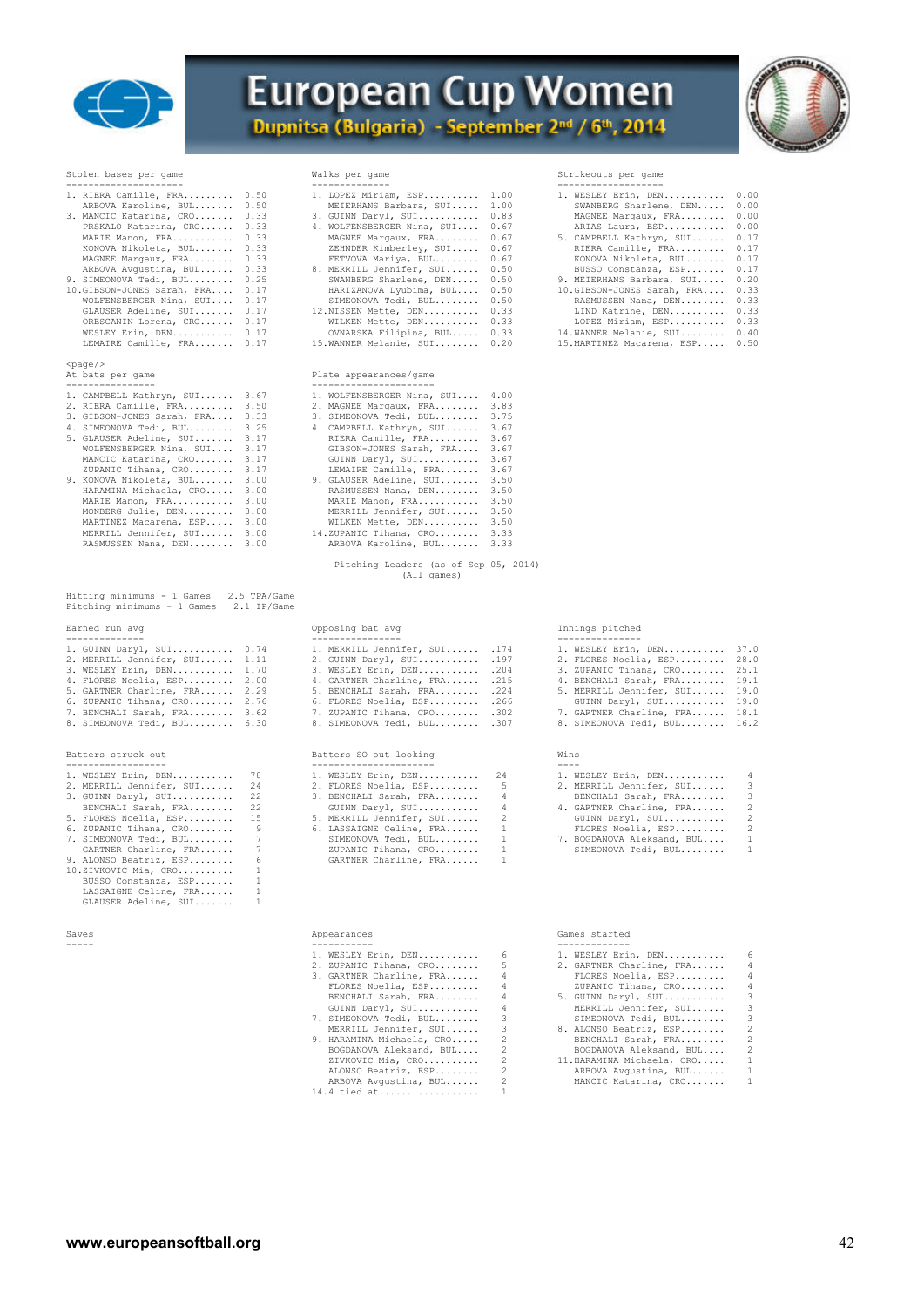

### **European Cup Women** Dupnitsa (Bulgaria) - September 2nd / 6th, 2014



| Stolen bases per game                                                                                                                                                                                                                                                                                                                                                         |                                                                                                                      | Walks per game                                                                                                                                                                                                                                                                                                                                                           |
|-------------------------------------------------------------------------------------------------------------------------------------------------------------------------------------------------------------------------------------------------------------------------------------------------------------------------------------------------------------------------------|----------------------------------------------------------------------------------------------------------------------|--------------------------------------------------------------------------------------------------------------------------------------------------------------------------------------------------------------------------------------------------------------------------------------------------------------------------------------------------------------------------|
| 1. RIERA Camille, FRA<br>ARBOVA Karoline, BUL<br>3. MANCIC Katarina, CRO<br>PRSKALO Katarina, CRO<br>MARIE Manon, FRA<br>KONOVA Nikoleta, BUL<br>MAGNEE Margaux, FRA<br>ARBOVA Avqustina, BUL<br>9. SIMEONOVA Tedi, BUL<br>10.GIBSON-JONES Sarah, FRA<br>WOLFENSBERGER Nina, SUI<br>GLAUSER Adeline, SUI<br>ORESCANIN Lorena, CRO<br>WESLEY Erin, DEN<br>LEMAIRE Camille, FRA | 0.50<br>0.50<br>0.33<br>0.33<br>0.33<br>0.33<br>0.33<br>0.33<br>0.25<br>0.17<br>0.17<br>0.17<br>0.17<br>0.17<br>0.17 | 1. LOPEZ Miriam, ESP<br>MEIERHANS Barbara, S<br>3. GUINN Daryl, SUI<br>4. WOLFENSBERGER Nina,<br>MAGNEE Margaux, FRA.<br>ZEHNDER Kimberley, S<br>FETVOVA Mariya, BUL.<br>8. MERRILL Jennifer, SU<br>SWANBERG Sharlene, D<br>HARIZANOVA Lyubima,<br>SIMEONOVA Tedi, BUL.<br>12.NISSEN Mette, DEN<br>WILKEN Mette, DEN<br>OVNARSKA Filipina, B<br>15. WANNER Melanie, SUI. |
| $<$ page $/$<br>At bats per game<br>---------------                                                                                                                                                                                                                                                                                                                           |                                                                                                                      | Plate appearances/game<br>_______________________                                                                                                                                                                                                                                                                                                                        |
| 1. CAMPBELL Kathryn, SUI<br>2. RIERA Camille, FRA<br>3. GIBSON-JONES Sarah, FRA<br>4. SIMEONOVA Tedi, BUL<br>5. GLAUSER Adeline, SUI<br>WOLFENSBERGER Nina, SUI<br>MANCIC Katarina, CRO<br>ZUPANIC Tihana, CRO<br>9. KONOVA Nikoleta, BUL<br>HARAMINA Michaela, CRO<br>MARIE Manon, FRA<br>MONBERG Julie, DEN<br>$\frac{1}{2}$                                                | 3.67<br>3.50<br>3.33<br>3.25<br>3.17<br>3.17<br>3.17<br>3.17<br>3.00<br>3.00<br>3.00<br>3.00<br>$\sim$ $\sim$ $\sim$ | 1. WOLFENSBERGER Nina,<br>2. MAGNEE Margaux, FRA.<br>3. SIMEONOVA Tedi, BUL.<br>4. CAMPBELL Kathryn, SU<br>RIERA Camille, FRA<br>GIBSON-JONES Sarah,<br>GUINN Daryl, SUI<br>LEMAIRE Camille, FRA<br>9. GLAUSER Adeline, SUI<br>RASMUSSEN Nana, DEN.<br>MARIE Manon, FRA<br>MERRILL Jennifer, SU                                                                          |

|                                                                                    |      | Pitching Leaders (as of Sep 05, 2014)<br>(All games) |     |                 |
|------------------------------------------------------------------------------------|------|------------------------------------------------------|-----|-----------------|
| Hitting minimums - 1 Games 2.5 TPA/Game<br>Pitching minimums - 1 Games 2.1 IP/Game |      |                                                      |     |                 |
| Earned run avg                                                                     |      | Opposing bat avg                                     |     | Innings pitched |
| 1 CIITNN Darvi SIIT                                                                | 0 74 | MERRILL Jonnifor SIIT                                | 174 | MESLEY Erin     |

### Batters struck out Batters SO out looking Wins

| 1. WESLEY Erin, DEN      | 78. | 1. WESLEY Erin, DEN      | 24             |
|--------------------------|-----|--------------------------|----------------|
| 2. MERRILL Jennifer, SUI | 24  | 2. FLORES Noelia, ESP    | -5.            |
| 3. GUINN Daryl, SUI      | 22  | 3. BENCHALI Sarah, FRA   | 4              |
| BENCHALI Sarah, FRA      | 22  | GUINN Daryl, SUI         | 4              |
| 5. FLORES Noelia, ESP 15 |     | 5. MERRILL Jennifer, SUI | 2              |
| 6. ZUPANIC Tihana, CRO   | - 9 | 6. LASSAIGNE Celine, FRA | $\mathbf{1}$   |
| 7. SIMEONOVA Tedi, BUL   | 7   | SIMEONOVA Tedi, BUL      | $\mathbf{1}$   |
| GARTNER Charline, FRA    | 7   | ZUPANIC Tihana, CRO      | 1              |
| 9. ALONSO Beatriz, ESP   | 6   | GARTNER Charline, FRA    | $\overline{1}$ |
| 10.ZIVKOVIC Mia, CRO     |     |                          |                |
| BUSSO Constanza, ESP     |     |                          |                |
| LASSAIGNE Celine, FRA    |     |                          |                |
| GLAUSER Adeline, SUI     |     |                          |                |

| ------------------              |                                 |                                 |      |
|---------------------------------|---------------------------------|---------------------------------|------|
| 1. RIERA Camille, FRA 0.50      | 1. LOPEZ Miriam, ESP 1.00       | 1. WESLEY Erin, DEN 0.00        |      |
| ARBOVA Karoline, BUL 0.50       | MEIERHANS Barbara, SUI 1.00     | SWANBERG Sharlene, DEN          | 0.00 |
| 3. MANCIC Katarina, CRO 0.33    | 3. GUINN Daryl, SUI 0.83        | MAGNEE Margaux, FRA 0.00        |      |
| PRSKALO Katarina, CRO 0.33      | 4. WOLFENSBERGER Nina, SUI 0.67 | ARIAS Laura, ESP 0.00           |      |
| MARIE Manon, FRA 0.33           | MAGNEE Margaux, FRA 0.67        | 5. CAMPBELL Kathryn, SUI 0.17   |      |
| KONOVA Nikoleta, BUL 0.33       | ZEHNDER Kimberley, SUI 0.67     | RIERA Camille, FRA 0.17         |      |
| MAGNEE Margaux, FRA 0.33        | FETVOVA Mariya, BUL 0.67        | KONOVA Nikoleta, BUL 0.17       |      |
| ARBOVA Avqustina, BUL 0.33      | 8. MERRILL Jennifer, SUI 0.50   | BUSSO Constanza, ESP 0.17       |      |
| 9. SIMEONOVA Tedi, BUL 0.25     | SWANBERG Sharlene, DEN 0.50     | 9. MEIERHANS Barbara, SUI 0.20  |      |
| 10.GIBSON-JONES Sarah, FRA 0.17 | HARIZANOVA Lyubima, BUL 0.50    | 10.GIBSON-JONES Sarah, FRA 0.33 |      |
| WOLFENSBERGER Nina, SUI 0.17    | SIMEONOVA Tedi, BUL 0.50        | RASMUSSEN Nana, DEN 0.33        |      |
| GLAUSER Adeline, SUI 0.17       | 12. NISSEN Mette, DEN 0.33      | LIND Katrine, DEN 0.33          |      |
| ORESCANIN Lorena, CRO 0.17      | WILKEN Mette, DEN 0.33          | LOPEZ Miriam, ESP 0.33          |      |
| WESLEY Erin, DEN 0.17           | OVNARSKA Filipina, BUL 0.33     | 14. WANNER Melanie, SUI 0.40    |      |
| LEMAIRE Camille, FRA 0.17       | 15. WANNER Melanie, SUI 0.20    | 15. MARTINEZ Macarena, ESP 0.50 |      |
|                                 |                                 |                                 |      |

#### Plate appearances/game

| 1. CAMPBELL Kathryn, SUI   | 3.67 | 1. WOLFENSBERGER Nina, SUI | 4.00 |
|----------------------------|------|----------------------------|------|
| 2. RIERA Camille, FRA      | 3.50 | 2. MAGNEE Margaux, FRA     | 3.83 |
| 3. GIBSON-JONES Sarah, FRA | 3.33 | 3. SIMEONOVA Tedi, BUL     | 3.75 |
| 4. SIMEONOVA Tedi, BUL     | 3.25 | 4. CAMPBELL Kathryn, SUI   | 3.67 |
| 5. GLAUSER Adeline, SUI    | 3.17 | RIERA Camille, FRA         | 3.67 |
| WOLFENSBERGER Nina, SUI    | 3.17 | GIBSON-JONES Sarah, FRA    | 3.67 |
| MANCIC Katarina, CRO       | 3.17 | GUINN Daryl, SUI           | 3.67 |
| ZUPANIC Tihana, CRO        | 3.17 | LEMAIRE Camille, FRA       | 3.67 |
| 9. KONOVA Nikoleta, BUL    | 3.00 | 9. GLAUSER Adeline, SUI    | 3.50 |
| HARAMINA Michaela, CRO     | 3.00 | RASMUSSEN Nana, DEN        | 3.50 |
| MARIE Manon, FRA           | 3.00 | MARIE Manon, FRA           | 3.50 |
| MONBERG Julie, DEN         | 3,00 | MERRILL Jennifer, SUI      | 3.50 |
| MARTINEZ Macarena, ESP     | 3.00 | WILKEN Mette, DEN          | 3.50 |
| MERRILL Jennifer, SUI      | 3.00 | 14.ZUPANIC Tihana, CRO     | 3.33 |
| RASMUSSEN Nana, DEN        | 3.00 | ARBOVA Karoline, BUL       | 3.33 |
|                            |      |                            |      |

#### Opposing bat avg **Innings** pitched

| 1. GUINN Daryl, SUI 0.74      | 1. MERRILL Jennifer, SUI . 174 | 1. WESLEY Erin, DEN 37.0      |  |
|-------------------------------|--------------------------------|-------------------------------|--|
| 2. MERRILL Jennifer, SUI 1.11 | 2. GUINN Daryl, SUI .197       | 2. FLORES Noelia, ESP 28.0    |  |
| 3. WESLEY Erin, DEN 1.70      | 3. WESLEY Erin, DEN . 204      | 3. ZUPANIC Tihana, CRO 25.1   |  |
| 4. FLORES Noelia, ESP 2.00    | 4. GARTNER Charline, FRA .215  | 4. BENCHALI Sarah, FRA 19.1   |  |
| 5. GARTNER Charline, FRA 2.29 | 5. BENCHALI Sarah, FRA .224    | 5. MERRILL Jennifer, SUI 19.0 |  |
| 6. ZUPANIC Tihana, CRO 2.76   | 6. FLORES Noelia, ESP .266     | GUINN Daryl, SUI 19.0         |  |
| 7. BENCHALI Sarah, FRA 3.62   | 7. ZUPANIC Tihana, CRO .302    | 7. GARTNER Charline, FRA 18.1 |  |
| 8. SIMEONOVA Tedi, BUL 6.30   | 8. SIMEONOVA Tedi, BUL .307    | 8. SIMEONOVA Tedi, BUL 16.2   |  |

| Batters SO out looking |  |  |
|------------------------|--|--|
|                        |  |  |

| 1. WESLEY Erin, DEN 78      | 1. WESLEY Erin, DEN 24     | 1. WESLEY Erin, DEN 4      |                |
|-----------------------------|----------------------------|----------------------------|----------------|
| 2. MERRILL Jennifer, SUI 24 | 2. FLORES Noelia, ESP 5    | 2. MERRILL Jennifer, SUI 3 |                |
| 3. GUINN Daryl, SUI 22      | 3. BENCHALI Sarah, FRA 4   | BENCHALI Sarah, FRA 3      |                |
| BENCHALI Sarah, FRA 22      | GUINN Daryl, SUI 4         | 4. GARTNER Charline, FRA 2 |                |
| 5. FLORES Noelia, ESP 15    | 5. MERRILL Jennifer, SUI 2 | GUINN Daryl, SUI 2         |                |
| 6. ZUPANIC Tihana, CRO 9    | 6. LASSAIGNE Celine, FRA 1 | FLORES Noelia, ESP 2       |                |
| 7. SIMEONOVA Tedi, BUL 7    | SIMEONOVA Tedi, BUL 1      | 7. BOGDANOVA Aleksand, BUL | $\overline{1}$ |
| GARTNER Charline, FRA 7     | ZUPANIC Tihana, CRO 1      | SIMEONOVA Tedi, BUL 1      |                |
| 9. ALONSO Beatriz, ESP 6    | GARTNER Charline, FRA 1    |                            |                |

- 
- MERRILL Jennifer, SUI...... 3 8. ALONSO Beatriz, ESP........ 2 9. HARAMINA Michaela, CRO..... 2<br>BOGDANOVA Aleksand, BUL.... 2<br>2 21VKOVIC Mia, CRO......... 2 2 211.HARAMINA Michaela, CRO...... 2<br>2 11.HARAMINA Michaela, CRO........ 2 2 11.HARAMINA Michaela, CRO....... 1<br>2 2 21.HARAMINA 14.4 tied at....................

### Strikeouts per game

| 1. WESLEY Erin, DEN<br>SWANBERG Sharlene, DEN | 0.00<br>0.00 |
|-----------------------------------------------|--------------|
|                                               |              |
| MAGNEE Margaux, FRA                           | 0.00         |
| ARIAS Laura, ESP                              | 0.00         |
| 5. CAMPBELL Kathryn, SUI                      | 0.17         |
| RIERA Camille, FRA                            | 0.17         |
| KONOVA Nikoleta, BUL                          | 0.17         |
| BUSSO Constanza, ESP                          | 0.17         |
| 9. MEIERHANS Barbara, SUI                     | 0.20         |
| 10.GIBSON-JONES Sarah, FRA                    | 0.33         |
| RASMUSSEN Nana, DEN                           | 0.33         |
| LIND Katrine, DEN                             | 0.33         |
| LOPEZ Miriam, ESP                             | 0.33         |
| 14. WANNER Melanie, SUI                       | 0.40         |

|  | 1. WESLEY Erin, DEN      | 37.0 |
|--|--------------------------|------|
|  | 2. FLORES Noelia, ESP    | 28.0 |
|  | 3. ZUPANIC Tihana, CRO   | 25.1 |
|  | 4. BENCHALI Sarah, FRA   | 19.1 |
|  | 5. MERRILL Jennifer, SUI | 19.0 |
|  | GUINN Daryl, SUI         | 19.0 |
|  | 7. GARTNER Charline, FRA | 18.1 |
|  |                          |      |

### 8. SIMEONOVA Tedi, BUL........ 16.2

| 1. WESLEY Erin, DEN        | 4              |
|----------------------------|----------------|
| 2. MERRILL Jennifer, SUI   | 3              |
| BENCHALI Sarah, FRA        | 3              |
| 4. GARTNER Charline, FRA   | 2              |
| GUINN Daryl, SUI           | $\mathfrak{D}$ |
| FLORES Noelia, ESP         | $\mathfrak{D}$ |
| 7. BOGDANOVA Aleksand, BUL | 1              |
| SIMEONOVA Tedi, BUL        | 1              |

### Saves Appearances Games started

| ----- |                          |                            |  |
|-------|--------------------------|----------------------------|--|
|       | 1. WESLEY Erin, DEN 6    | 1. WESLEY Erin, DEN        |  |
|       | 2. ZUPANIC Tihana, CRO 5 | 2. GARTNER Charline, FRA 4 |  |
|       | 3. GARTNER Charline, FRA | FLORES Noelia, ESP 4       |  |
|       | FLORES Noelia. ESP       | ZUPANIC Tihana, CRO 4      |  |

- FLORES Noelia, ESP......... 4<br>BENCHALI Sarah, FRA........ 4 5. GUINN Daryl, SUI........... 3<br>GUINN Daryl, SUI.......... 4 5. GUINN Daryl, SUI.......... 3<br>7. SIMEONOVA Tedi, BUL........ 4 5.IMEONOVA Tedi, BUL....... 3
	-
	-
	-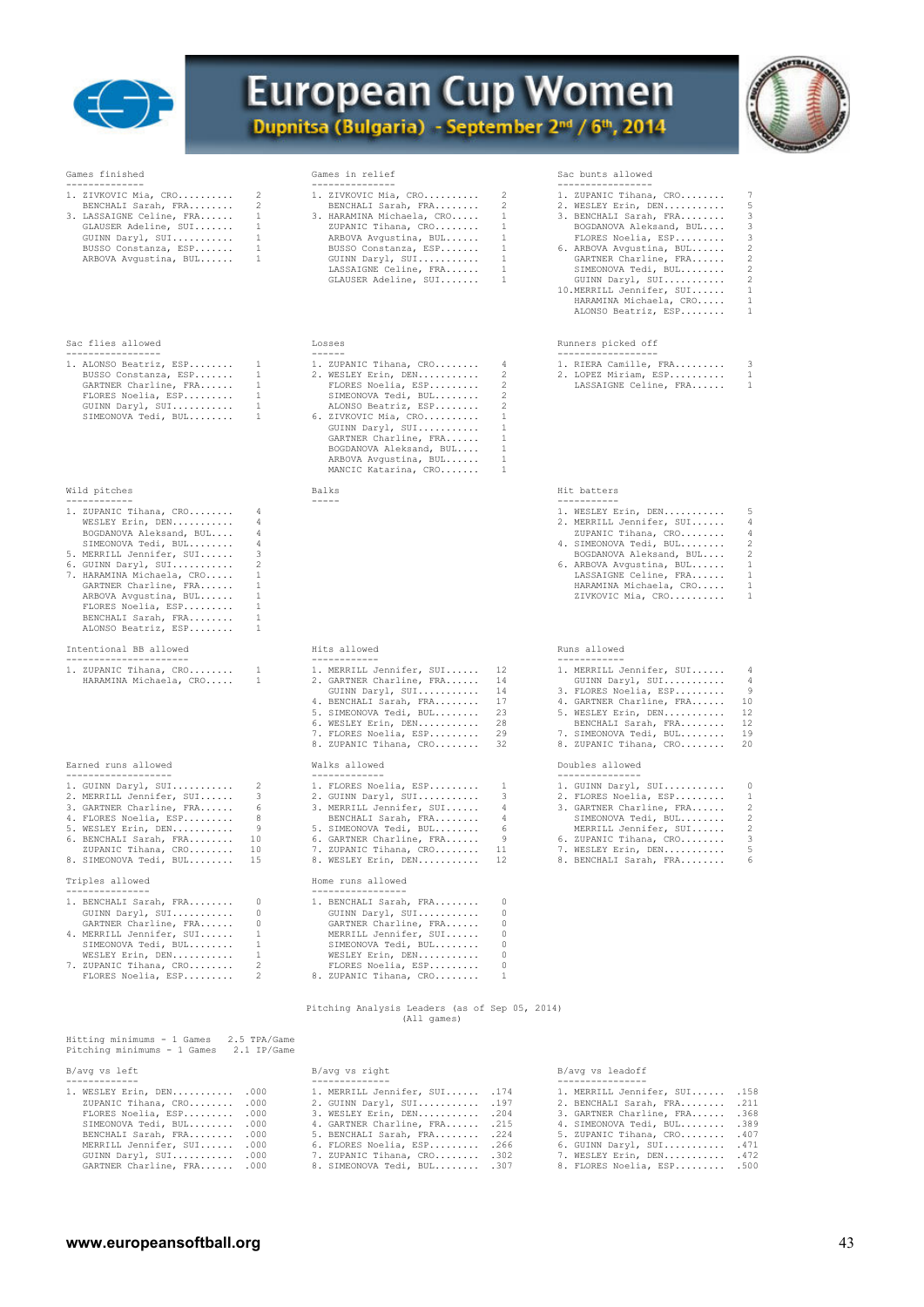



-------------- --------------- ----------------- 1. ZIVKOVIC Mia, CRO.......... 2 1. ZIVKOVIC Mia, CRO.......... 2 1. ZUPANIC Tihana, CRO........ 7 BENCHALI Sarah, FRA........ 2 BENCHALI Sarah, FRA........ 2 2. WESLEY Erin, DEN........... 5

#### Sac flies allowed  $\qquad \qquad \qquad$  Losses  $\qquad \qquad$  Losses  $\qquad \qquad$  Runners picked off

| 1. ALONSO Beatriz, ESP | 1. ZUPANIC Tihana, CRO |                |
|------------------------|------------------------|----------------|
| BUSSO Constanza, ESP   | 2. WESLEY Erin, DEN    |                |
| GARTNER Charline, FRA  | FLORES Noelia, ESP     |                |
| FLORES Noelia, ESP     | SIMEONOVA Tedi, BUL    |                |
| GUINN Daryl, SUI       | ALONSO Beatriz, ESP    |                |
| SIMEONOVA Tedi, BUL    | 6. ZIVKOVIC Mia, CRO   | $\overline{1}$ |

#### Wild pitches Wild pitches **Example 2018** Hit batters Balks Hit batters Hit batters Hit batters

| 1. ZUPANIC Tihana, CRO 4  |  | 1. WESLEY Er |
|---------------------------|--|--------------|
| WESLEY Erin, DEN 4        |  | 2. MERRILL J |
| BOGDANOVA Aleksand, BUL 4 |  | ZUPANIC T    |
| SIMEONOVA Tedi, BUL 4     |  | 4. SIMEONOVA |

| 5. MERRILL Jennifer, SUI  | 3  |
|---------------------------|----|
| 6. GUINN Daryl, SUI       | 2  |
| 7. HARAMINA Michaela, CRO | 1  |
| GARTNER Charline, FRA     | 1  |
| ARBOVA Avqustina, BUL     | 1. |
| FLORES Noelia, ESP        | 1  |
| BENCHALI Sarah, FRA       | 1  |
| ALONSO Beatriz, ESP       | 1  |

### Intentional BB allowed Hits allowed Runs allowed

| 1. ZUPANIC Tihana, CRO |  |
|------------------------|--|
| HARAMINA Michaela, CRO |  |

#### Earned runs allowed Walks allowed Doubles allowed

| 1. GUINN Daryl, SUI      |
|--------------------------|
| 2. MERRILL Jennifer, SUI |
| 3. GARTNER Charline, FRA |
| 4. FLORES Noelia, ESP    |
| 5. WESLEY Erin, DEN      |
| 6. BENCHALT Sarah, FRA 1 |

#### Triples allowed

| 1. BENCHALI Sarah, FRA   |
|--------------------------|
| GUINN Daryl, SUI         |
| GARTNER Charline, FRA    |
| 4. MERRILL Jennifer, SUI |
| SIMEONOVA Tedi, BUL      |

3. LASSAIGNE Celine, FRA...... 1 3. HARAMINA Michaela, CRO..... 1 3. BENCHALI Sarah, FRA........ 3 GLAUSER Adeline, SUI....... 1 ZUPANIC Tihana, CRO........ 1 BOGDANOVA Aleksand, BUL.... 3 GUINN Daryl, SUI........... 1 ARBOVA Avgustina, BUL...... 1 FLORES Noelia, ESP......... 3 BUSSO Constanza, ESP....... 1 BUSSO Constanza, ESP....... 1 6. ARBOVA Avgustina, BUL...... 2 ARBOVA Avgustina, BUL...... 1 GUINN Daryl, SUI........... 1 GARTNER Charline, FRA...... 2 LASSAIGNE Celine, FRA...... 1 SIMEONOVA Tedi, BUL........ 2 GLAUSER Adeline, SUI....... 1 GUINN Daryl, SUI........... 2

|                         |  | 1. ALONSO Beatriz, $ESP$ 1 1. ZUPANIC Tihana, CRO 4 |  | 1. RIERA Camille, F |
|-------------------------|--|-----------------------------------------------------|--|---------------------|
|                         |  | BUSSO Constanza, ESP 1 2. WESLEY Erin, DEN 2        |  | 2. LOPEZ Miriam, ES |
| GARTNER Charline, FRA 1 |  | FLORES Noelia, ESP 2                                |  | LASSAIGNE Celine    |
|                         |  | FLORES Noelia, ESP 1 SIMEONOVA Tedi, BUL 2          |  |                     |
|                         |  | GUINN Daryl, SUI 1 ALONSO Beatriz, ESP 2            |  |                     |
|                         |  | SIMEONOVA Tedi, BUL 1 6. ZIVKOVIC Mia, CRO 1        |  |                     |
|                         |  | GUINN Daryl, SUI 1                                  |  |                     |
|                         |  | GARTNER Charline, FRA 1                             |  |                     |
|                         |  | BOGDANOVA Aleksand, BUL 1                           |  |                     |
|                         |  | ARBOVA Avqustina, BUL 1                             |  |                     |
|                         |  | MANCIC Katarina, CRO 1                              |  |                     |
|                         |  |                                                     |  |                     |

| allowe |
|--------|

| 1. ZUPANIC Tihana, CRO 1 | 1. MERRILL Jennifer, SUI 12 | 1. MERRILL Jennifer, SUI 4  |    |
|--------------------------|-----------------------------|-----------------------------|----|
| HARAMINA Michaela, CRO 1 | 2. GARTNER Charline, FRA 14 | GUINN Daryl, SUI 4          |    |
|                          | GUINN Daryl, SUI 14         | 3. FLORES Noelia, ESP 9     |    |
|                          | 4. BENCHALI Sarah, FRA 17   | 4. GARTNER Charline, FRA 10 |    |
|                          | 5. SIMEONOVA Tedi, BUL 23   | 5. WESLEY Erin, DEN 12      |    |
|                          | 6. WESLEY Erin, DEN 28      | BENCHALI Sarah, FRA 12      |    |
|                          | 7. FLORES Noelia, ESP 29    | 7. SIMEONOVA Tedi, BUL 19   |    |
|                          | 8 ZUPANIC Tibana CRO        | 8 ZUPANIC Tibana CRO        | 20 |

| 1. GUINN Daryl, SUI 2      | 1. FLORES Noelia, ESP 1    | 1. GUINN Daryl, SUI 0      |  |
|----------------------------|----------------------------|----------------------------|--|
| 2. MERRILL Jennifer, SUI 3 | 2. GUINN Daryl, SUI 3      | 2. FLORES Noelia, ESP 1    |  |
| 3. GARTNER Charline, FRA 6 | 3. MERRILL Jennifer, SUI 4 | 3. GARTNER Charline, FRA 2 |  |
| 4. FLORES Noelia, ESP 8    | BENCHALI Sarah, FRA 4      | SIMEONOVA Tedi, BUL 2      |  |
| 5. WESLEY Erin, DEN 9      | 5. SIMEONOVA Tedi, BUL 6   | MERRILL Jennifer, SUI 2    |  |
| 6. BENCHALI Sarah, FRA 10  | 6. GARTNER Charline, FRA 9 | 6. ZUPANIC Tihana, CRO 3   |  |
| ZUPANIC Tihana, CRO 10     | 7. ZUPANIC Tihana, CRO 11  | 7. WESLEY Erin, DEN 5      |  |
| 8. SIMEONOVA Tedi, BUL 15  | 8. WESLEY Erin, DEN 12     | 8. BENCHALI Sarah, FRA 6   |  |
|                            |                            |                            |  |

### Home runs allowed

| 1. BENCHALI Sarah, FRA   |     | 1. BENCHALI Sarah, FRA |  |
|--------------------------|-----|------------------------|--|
| GUINN Daryl, SUI         | 0   | GUINN Daryl, SUI       |  |
| GARTNER Charline, FRA    | 0   | GARTNER Charline, FRA  |  |
| 4. MERRILL Jennifer, SUI |     | MERRILL Jennifer, SUI  |  |
| SIMEONOVA Tedi, BUL      |     | SIMEONOVA Tedi, BUL    |  |
| WESLEY Erin, DEN         |     | WESLEY Erin, DEN       |  |
| 7. ZUPANIC Tihana, CRO   | 2   | FLORES Noelia, ESP     |  |
| FLORES Noelia, ESP       | -2. | 8. ZUPANIC Tihana, CRO |  |

### Pitching Analysis Leaders (as of Sep 05, 2014) (All games)

### Hitting minimums - 1 Games 2.5 TPA/Game Pitching minimums - 1 Games 2.1 IP/Game  $\,$  B/avg vs right B/avg vs right B/avg vs leadoff

#### ------------- -------------- ----------------

| . WESLEY Erin, DEN            | .000 |  |
|-------------------------------|------|--|
| ZUPANIC Tihana, CRO           | .000 |  |
| FLORES Noelia, ESP            | .000 |  |
| SIMEONOVA Tedi, BUL           | .000 |  |
| BENCHALI Sarah, FRA           | .000 |  |
| MERRILL Jennifer, SUI         | .000 |  |
| GUINN Daryl, SUI              | .000 |  |
| CAPTNER Charling FRA CARD 000 |      |  |

| 1. WESLEY Erin, DEN .000   |  | 1. MERRILL Jennifer, SUI . 174 |  | 1. MERRILL Jennifer, SUI . 158 |  |
|----------------------------|--|--------------------------------|--|--------------------------------|--|
| ZUPANIC Tihana, CRO .000   |  | 2. GUINN Daryl, SUI .197       |  | 2. BENCHALI Sarah, FRA . 211   |  |
| FLORES Noelia, ESP .000    |  | 3. WESLEY Erin, DEN . 204      |  | 3. GARTNER Charline, FRA .368  |  |
| SIMEONOVA Tedi, BUL .000   |  | 4. GARTNER Charline, FRA .215  |  | 4. SIMEONOVA Tedi, BUL .389    |  |
| BENCHALI Sarah, FRA .000   |  | 5. BENCHALI Sarah, FRA .224    |  | 5. ZUPANIC Tihana, CRO . 407   |  |
| MERRILL Jennifer, SUI .000 |  | 6. FLORES Noelia, ESP . 266    |  | 6. GUINN Daryl, SUI . 471      |  |
| GUINN Daryl, SUI .000      |  | 7. ZUPANIC Tihana, CRO .302    |  | 7. WESLEY Erin, DEN . 472      |  |
| GARTNER Charline, FRA .000 |  | 8. SIMEONOVA Tedi, BUL .307    |  | 8. FLORES Noelia, ESP .500     |  |

### Games finished Games in relief Sac bunts allowed

| 1. ZUPANIC Tihana, CRO |  |
|------------------------|--|
| 2. WESLEY Erin, DEN    |  |
| 3 BENCHALT Sarah FRA   |  |

- -
- 10.MERRILL Jennifer, SUI....... 1<br>HARAMINA Michaela, CRO...... 1<br>ALONSO Beatriz, ESP........ 1

| 1. ALONSO Beatriz, ESP 1 |  | 1. ZUPANIC Tihana, CRO | 1. RIERA Camille, FRA |  |
|--------------------------|--|------------------------|-----------------------|--|
| BUSSO Constanza, ESP 1   |  | 2. WESLEY Erin, DEN    | 2. LOPEZ Miriam, ESP  |  |
| GARTNER Charline, FRA 1  |  | FLORES Noelia, ESP 2   | LASSAIGNE Celine, FRA |  |

| 1. ZUPANIC Tihana, CRO 4    |  | 1. WESLEY Erin, DEN 5      |  |
|-----------------------------|--|----------------------------|--|
| WESLEY Erin, DEN 4          |  | 2. MERRILL Jennifer, SUI 4 |  |
| BOGDANOVA Aleksand, BUL 4   |  | ZUPANIC Tihana, CRO 4      |  |
| SIMEONOVA Tedi, BUL 4       |  | 4. SIMEONOVA Tedi, BUL 2   |  |
| 5. MERRILL Jennifer, SUI 3  |  | BOGDANOVA Aleksand, BUL 2  |  |
| 6. GUINN Daryl, SUI 2       |  | 6. ARBOVA Avqustina, BUL 1 |  |
| 7. HARAMINA Michaela, CRO 1 |  | LASSAIGNE Celine, FRA 1    |  |

 GARTNER Charline, FRA...... 1 HARAMINA Michaela, CRO..... 1 ARBOVA Avgustina, BUL...... 1 ZIVKOVIC Mia, CRO.......... 1

| 1. ZUPANIC Tihana, CRO 1<br>HARAMINA Michaela, CRO 1 | 1. MERRILL Jennifer, SUI 12<br>2. GARTNER Charline, FRA 14<br>GUINN Daryl, SUI 14 | 1. MERRILL Jennifer, SUI 4<br>GUINN Daryl, SUI 4<br>3. FLORES Noelia, ESP 9 |
|------------------------------------------------------|-----------------------------------------------------------------------------------|-----------------------------------------------------------------------------|
|                                                      | 4. BENCHALI Sarah, FRA 17                                                         | 4. GARTNER Charline, FRA 10                                                 |
|                                                      | 5. SIMEONOVA Tedi, BUL 23                                                         | 5. WESLEY Erin, DEN 12                                                      |
|                                                      | 6. WESLEY Erin, DEN 28                                                            | BENCHALI Sarah, FRA 12                                                      |
|                                                      | 7. FLORES Noelia, ESP 29                                                          | 7. SIMEONOVA Tedi, BUL 19                                                   |
|                                                      | 8. ZUPANIC Tihana, CRO 32                                                         | 8. ZUPANIC Tihana, CRO 20                                                   |
|                                                      |                                                                                   |                                                                             |

| 1. GUINN Daryl, SUI      | 0  |
|--------------------------|----|
| 2. FLORES Noelia, ESP    | 1. |
| 3. GARTNER Charline, FRA | 2  |
| SIMEONOVA Tedi, BUL      | 2  |
| MERRILL Jennifer, SUI    | 2  |
| 6. ZUPANIC Tihana, CRO   | २  |
| 7. WESLEY Erin, DEN      | 5  |
| 8. BENCHALI Sarah, FRA   | 6  |
|                          |    |

**www.europeansoftball.org** 43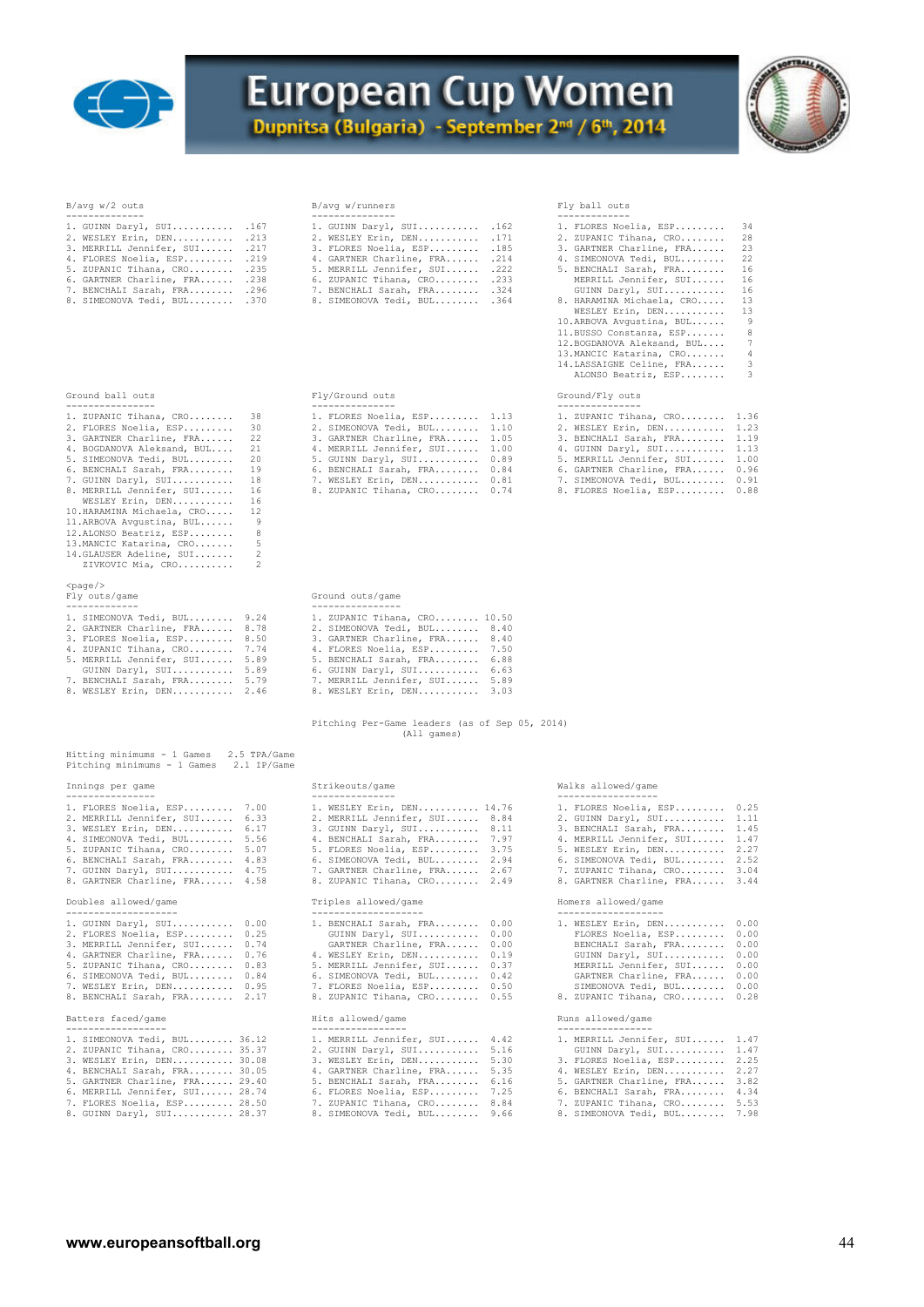

### **European Cup Women** Dupnitsa (Bulgaria) - September 2nd / 6th, 2014



| 1. GUINN Daryl, SUI      | .167 |
|--------------------------|------|
| 2. WESLEY Erin, DEN      | .213 |
| 3. MERRILL Jennifer, SUI | .217 |
| 4. FLORES Noelia, ESP    | .219 |
| 5. ZUPANIC Tihana, CRO   | .235 |
| 6. GARTNER Charline, FRA | .238 |
| 7. BENCHALI Sarah, FRA   | .296 |
|                          |      |

| Ground ball- | OUT S |
|--------------|-------|
|              |       |

- 
- WESLEY Erin, DEN.............. 16<br>10.HARAMINA Michaela, CRO...... 12<br>11.ARBOVA Avgustina, BUL....... 9<br>12.ALONSO Beatriz, ESP........ 8
- 13.MANCIC Katarina, CRO....... 5 14.GLAUSER Adeline, SUI....... 2 ZIVKOVIC Mia, CRO.......... 2 <page/>
- 
- 

| 1. SIMEONOVA Tedi, BUL 9.24   |      | 1. ZUPANIC Tihana, CRO 10.50     |
|-------------------------------|------|----------------------------------|
| 2. GARTNER Charline, FRA 8.78 |      | 2. SIMEONOVA Tedi, BUL 8.40      |
| 3. FLORES Noelia, ESP 8.50    |      | 3. GARTNER Charline, FRA 8.40    |
| 4. ZUPANIC Tihana, CRO 7.74   |      | 4. FLORES Noelia, ESP 7.50       |
| 5. MERRILL Jennifer, SUI      | 5.89 | 5. BENCHALI Sarah, FRA 6.88      |
| GUINN Daryl, SUI              | 5.89 | 6. GUINN Daryl, SUI<br>6.63      |
| 7. BENCHALI Sarah, FRA        | 5.79 | 7. MERRILL Jennifer, SUI<br>5.89 |
| 8. WESLEY Erin, DEN 2.46      |      | 8. WESLEY Erin, DEN 3.03         |

| Hitting minimums - 1 Games  |  | 2.5 TPA/Game |  |
|-----------------------------|--|--------------|--|
| Pitching minimums - 1 Games |  | 2.1 IP/Game  |  |

| 1. FLORES Noelia, ESP    | 7.00 |
|--------------------------|------|
| 2. MERRILL Jennifer, SUI | 6.33 |
| 3. WESLEY Erin, DEN      | 6.17 |
| 4. SIMEONOVA Tedi, BUL   | 5.56 |
| 5. ZUPANIC Tihana, CRO   | 5.07 |
| 6. BENCHALI Sarah, FRA   | 4.83 |
| 7. GUINN Daryl, SUI      | 4.75 |
| 8. GARTNER Charline, FRA | 4.58 |

#### Doubles allowed/game

| 1. GUINN Daryl, SUI<br>2. FLORES Noelia, ESP<br>3. MERRILL Jennifer, SUI<br>4. GARTNER Charline, FRA<br>5. ZUPANIC Tihana, CRO | 0.00<br>0.25<br>0.74<br>0.76<br>0.83 |
|--------------------------------------------------------------------------------------------------------------------------------|--------------------------------------|
| 6. SIMEONOVA Tedi, BUL                                                                                                         | 0.84                                 |
| 7. WESLEY Erin, DEN<br>8. BENCHALI Sarah, FRA                                                                                  | 0.95<br>2.17                         |
|                                                                                                                                |                                      |

#### Batters faced/game

| 1. SIMEONOVA Tedi, BUL 36.12   |  |
|--------------------------------|--|
| 2. ZUPANIC Tihana, CRO 35.37   |  |
| 3. WESLEY Erin, DEN 30.08      |  |
| 4. BENCHALI Sarah, FRA 30.05   |  |
| 5. GARTNER Charline, FRA 29.40 |  |
|                                |  |

### B/avg w/2 outs B/avg w/runners Fly ball outs

| -------------- |                                |  |                                |  |                              |  |
|----------------|--------------------------------|--|--------------------------------|--|------------------------------|--|
|                | 1. GUINN Daryl, SUI .167       |  | 1. GUINN Daryl, SUI .162       |  | 1. FLORES Noelia, ESP 34     |  |
|                | 2. WESLEY Erin, DEN .213       |  | 2. WESLEY Erin, DEN .171       |  | 2. ZUPANIC Tihana, CRO 28    |  |
|                | 3. MERRILL Jennifer, SUI . 217 |  | 3. FLORES Noelia, ESP .185     |  | 3. GARTNER Charline, FRA 23  |  |
|                | 4. FLORES Noelia, ESP .219     |  | 4. GARTNER Charline, FRA .214  |  | 4. SIMEONOVA Tedi, BUL 22    |  |
|                | 5. ZUPANIC Tihana, CRO . 235   |  | 5. MERRILL Jennifer, SUI . 222 |  | 5. BENCHALI Sarah, FRA 16    |  |
|                | 6. GARTNER Charline, FRA .238  |  | 6. ZUPANIC Tihana, CRO .233    |  | MERRILL Jennifer, SUI 16     |  |
|                | 7. BENCHALI Sarah, FRA . 296   |  | 7. BENCHALI Sarah, FRA .324    |  | GUINN Daryl, SUI 16          |  |
|                | 8. SIMEONOVA Tedi, BUL .370    |  | 8. SIMEONOVA Tedi, BUL .364    |  | 8. HARAMINA Michaela, CRO 13 |  |

| Fly ball outs |  |
|---------------|--|

| 1. GUINN Daryl, SUI .167       |  | 1. GUINN Daryl, SUI .162       |  | 1. FLORES Noelia, ESP 34      |                         |
|--------------------------------|--|--------------------------------|--|-------------------------------|-------------------------|
| 2. WESLEY Erin, DEN .213       |  | 2. WESLEY Erin, DEN . 171      |  | 2. ZUPANIC Tihana, CRO 28     |                         |
| 3. MERRILL Jennifer, SUI . 217 |  | 3. FLORES Noelia, ESP .185     |  | 3. GARTNER Charline, FRA 23   |                         |
| 4. FLORES Noelia, ESP .219     |  | 4. GARTNER Charline, FRA .214  |  | 4. SIMEONOVA Tedi, BUL 22     |                         |
| $5.$ ZUPANIC Tihana, CRO .235  |  | 5. MERRILL Jennifer, SUI . 222 |  | 5. BENCHALI Sarah, FRA 16     |                         |
| 6. GARTNER Charline, FRA .238  |  | 6. ZUPANIC Tihana, CRO .233    |  | MERRILL Jennifer, SUI 16      |                         |
| 7. BENCHALI Sarah, FRA .296    |  | 7. BENCHALI Sarah, FRA .324    |  | GUINN Daryl, SUI 16           |                         |
| 8. SIMEONOVA Tedi, BUL .370    |  | 8. SIMEONOVA Tedi, BUL .364    |  | 8. HARAMINA Michaela, CRO 13  |                         |
|                                |  |                                |  | WESLEY Erin, DEN 13           |                         |
|                                |  |                                |  | 10.ARBOVA Avqustina, BUL 9    |                         |
|                                |  |                                |  | 11.BUSSO Constanza, ESP 8     |                         |
|                                |  |                                |  | 12. BOGDANOVA Aleksand, BUL 7 |                         |
|                                |  |                                |  | 13. MANCIC Katarina, CRO      | 4                       |
|                                |  |                                |  | 14.LASSAIGNE Celine, FRA      | $\overline{\mathbf{3}}$ |
|                                |  |                                |  |                               |                         |

ALONSO Beatriz, ESP........ 3

### Fly/Ground outs Ground/Fly outs

| ----------------              |  |                               |  |                               |  |
|-------------------------------|--|-------------------------------|--|-------------------------------|--|
| 1. ZUPANIC Tihana, CRO 38     |  | 1. FLORES Noelia, ESP 1.13    |  | 1. ZUPANIC Tihana, CRO 1.36   |  |
| 2. FLORES Noelia, ESP 30      |  | 2. SIMEONOVA Tedi, BUL 1.10   |  | 2. WESLEY Erin, DEN 1.23      |  |
| 3. GARTNER Charline, FRA 22   |  | 3. GARTNER Charline, FRA 1.05 |  | 3. BENCHALI Sarah, FRA 1.19   |  |
| 4. BOGDANOVA Aleksand, BUL 21 |  | 4. MERRILL Jennifer, SUI 1.00 |  | 4. GUINN Daryl, SUI 1.13      |  |
| 5. SIMEONOVA Tedi, BUL 20     |  | 5. GUINN Daryl, SUI 0.89      |  | 5. MERRILL Jennifer, SUI 1.00 |  |
| 6. BENCHALI Sarah, FRA 19     |  | 6. BENCHALI Sarah, FRA 0.84   |  | 6. GARTNER Charline, FRA 0.96 |  |
| 7. GUINN Daryl, SUI 18        |  | 7. WESLEY Erin, DEN 0.81      |  | 7. SIMEONOVA Tedi, BUL 0.91   |  |
| 8. MERRILL Jennifer, SUI 16   |  | 8. ZUPANIC Tihana, CRO 0.74   |  | 8. FLORES Noelia, ESP 0.88    |  |

### Ground outs/game

| 1. ZUPANIC Tihana, CRO 10.50  |  |
|-------------------------------|--|
| 2. SIMEONOVA Tedi, BUL 8.40   |  |
| 3. GARTNER Charline, FRA 8.40 |  |
| 1. FLORES Noelia, ESP 7.50    |  |
| . BENCHALI Sarah, FRA 6.88    |  |
| 6. GUINN Daryl, SUI 6.63      |  |
| . MERRILL Jennifer, SUI 5.89  |  |
| 8. WESLEY Erin, DEN 3.03      |  |

#### Pitching Per-Game leaders (as of Sep 05, 2014) (All games)

#### Innings per game Strikeouts/game Walks allowed/game

| ----------------              |                               |                               |  |
|-------------------------------|-------------------------------|-------------------------------|--|
| 1. FLORES Noelia, ESP 7.00    | 1. WESLEY Erin, DEN 14.76     | 1. FLORES Noelia, ESP 0.25    |  |
| 2. MERRILL Jennifer, SUI 6.33 | 2. MERRILL Jennifer, SUI 8.84 | 2. GUINN Daryl, SUI 1.11      |  |
| 3. WESLEY Erin, DEN 6.17      | 3. GUINN Daryl, SUI 8.11      | 3. BENCHALI Sarah, FRA 1.45   |  |
| 4. SIMEONOVA Tedi, BUL 5.56   | 4. BENCHALI Sarah, FRA 7.97   | 4. MERRILL Jennifer, SUI 1.47 |  |
| 5. ZUPANIC Tihana, CRO 5.07   | 5. FLORES Noelia, ESP 3.75    | 5. WESLEY Erin, DEN 2.27      |  |
| 6. BENCHALI Sarah, FRA 4.83   | 6. SIMEONOVA Tedi, BUL 2.94   | 6. SIMEONOVA Tedi, BUL 2.52   |  |
| 7. GUINN Daryl, SUI 4.75      | 7. GARTNER Charline, FRA 2.67 | 7. ZUPANIC Tihana, CRO 3.04   |  |
| 8. GARTNER Charline, FRA 4.58 | 8. ZUPANIC Tihana, CRO 2.49   | 8. GARTNER Charline, FRA 3.44 |  |

#### Doubles allowed/game Triples allowed/game Homers allowed/game

| --------------------- |                               |                               |                             |  |
|-----------------------|-------------------------------|-------------------------------|-----------------------------|--|
|                       | 1. GUINN Daryl, SUI 0.00      | 1. BENCHALI Sarah, FRA 0.00   | 1. WESLEY Erin, DEN 0.00    |  |
|                       | 2. FLORES Noelia, ESP 0.25    | GUINN Daryl, SUI 0.00         | FLORES Noelia, ESP 0.00     |  |
|                       | 3. MERRILL Jennifer, SUI 0.74 | GARTNER Charline, FRA 0.00    | BENCHALI Sarah, FRA 0.00    |  |
|                       | 4. GARTNER Charline, FRA 0.76 | 4. WESLEY Erin, DEN 0.19      | GUINN Daryl, SUI 0.00       |  |
|                       | 5. ZUPANIC Tihana, CRO 0.83   | 5. MERRILL Jennifer, SUI 0.37 | MERRILL Jennifer, SUI 0.00  |  |
|                       | 6. SIMEONOVA Tedi, BUL 0.84   | 6. SIMEONOVA Tedi, BUL 0.42   | GARTNER Charline, FRA 0.00  |  |
|                       | 7. WESLEY Erin, DEN 0.95      | 7. FLORES Noelia, ESP 0.50    | SIMEONOVA Tedi, BUL 0.00    |  |
|                       | 8. BENCHALI Sarah, FRA 2.17   | 8. ZUPANIC Tihana, CRO 0.55   | 8. ZUPANIC Tihana, CRO 0.28 |  |
|                       |                               |                               |                             |  |

| ------------------             |                                                                |  |
|--------------------------------|----------------------------------------------------------------|--|
| 1. SIMEONOVA Tedi, BUL 36.12   | 1. MERRILL Jennifer, SUI 1.47<br>1. MERRILL Jennifer, SUI 4.42 |  |
| 2. ZUPANIC Tihana, CRO 35.37   | 2. GUINN Daryl, SUI 5.16<br>GUINN Daryl, SUI 1.47              |  |
| 3. WESLEY Erin, DEN 30.08      | 3. WESLEY Erin, DEN 5.30<br>3. FLORES Noelia, ESP 2.25         |  |
| 4. BENCHALI Sarah, FRA 30.05   | 4. WESLEY Erin, DEN 2.27<br>4. GARTNER Charline, FRA 5.35      |  |
| 5. GARTNER Charline, FRA 29.40 | 5. GARTNER Charline, FRA 3.82<br>5. BENCHALI Sarah, FRA 6.16   |  |
| 6. MERRILL Jennifer, SUI 28.74 | 6. FLORES Noelia, ESP 7.25<br>6. BENCHALI Sarah, FRA 4.34      |  |
| 7. FLORES Noelia, ESP 28.50    | 7. ZUPANIC Tihana, CRO 8.84<br>7. ZUPANIC Tihana, CRO 5.53     |  |
| 8. GUINN Daryl, SUI 28.37      | 8. SIMEONOVA Tedi, BUL 9.66<br>8. SIMEONOVA Tedi, BUL 7.98     |  |

| 1. FLORES Noelia, ESP    | 0.25 |
|--------------------------|------|
| 2. GUINN Daryl, SUI      | 1.11 |
| 3. BENCHALI Sarah, FRA   | 1.45 |
| 4. MERRILL Jennifer, SUI | 1.47 |
| 5. WESLEY Erin, DEN      | 2.27 |
| 6. SIMEONOVA Tedi, BUL   | 2.52 |
| 7. ZUPANIC Tihana, CRO   | 3.04 |
| 8. GARTNER Charline, FRA | 3.44 |

| 1. WESLEY Erin, DEN    | 0.00 |
|------------------------|------|
| FLORES Noelia, ESP     | 0.00 |
| BENCHALI Sarah, FRA    | 0.00 |
| GUINN Daryl, SUI       | 0.00 |
| MERRILL Jennifer, SUI  | 0.00 |
| GARTNER Charline, FRA  | 0.00 |
| SIMEONOVA Tedi, BUL    | 0.00 |
| 8. ZUPANIC Tihana, CRO | 0.28 |

#### Batters faced/game Hits allowed/game Runs allowed/game

| 1. SIMEONOVA Tedi, BUL 36.12   |  | 1. MERRILL Jennifer, SUI 4.42 |  | 1. MERRILL Jennifer, SUI 1.47 |  |
|--------------------------------|--|-------------------------------|--|-------------------------------|--|
| 2. ZUPANIC Tihana, CRO 35.37   |  | 2. GUINN Daryl, SUI 5.16      |  | GUINN Daryl, SUI 1.47         |  |
| 3. WESLEY Erin, DEN 30.08      |  | 3. WESLEY Erin, DEN 5.30      |  | 3. FLORES Noelia, ESP 2.25    |  |
| 4. BENCHALI Sarah, FRA 30.05   |  | 4. GARTNER Charline, FRA 5.35 |  | 4. WESLEY Erin, DEN 2.27      |  |
| 5. GARTNER Charline, FRA 29.40 |  | 5. BENCHALI Sarah, FRA 6.16   |  | 5. GARTNER Charline, FRA 3.82 |  |
| 6. MERRILL Jennifer, SUI 28.74 |  | 6. FLORES Noelia, ESP 7.25    |  | 6. BENCHALI Sarah, FRA 4.34   |  |
| 7. FLORES Noelia, ESP 28.50    |  | 7. ZUPANIC Tihana, CRO 8.84   |  | 7. ZUPANIC Tihana, CRO 5.53   |  |
| 8 CIITNN Dary) SIIT 28 37      |  | R STMRONOVA TAH RIII. A GG    |  | R STMRONOVA TAGI RIII. 2 GR   |  |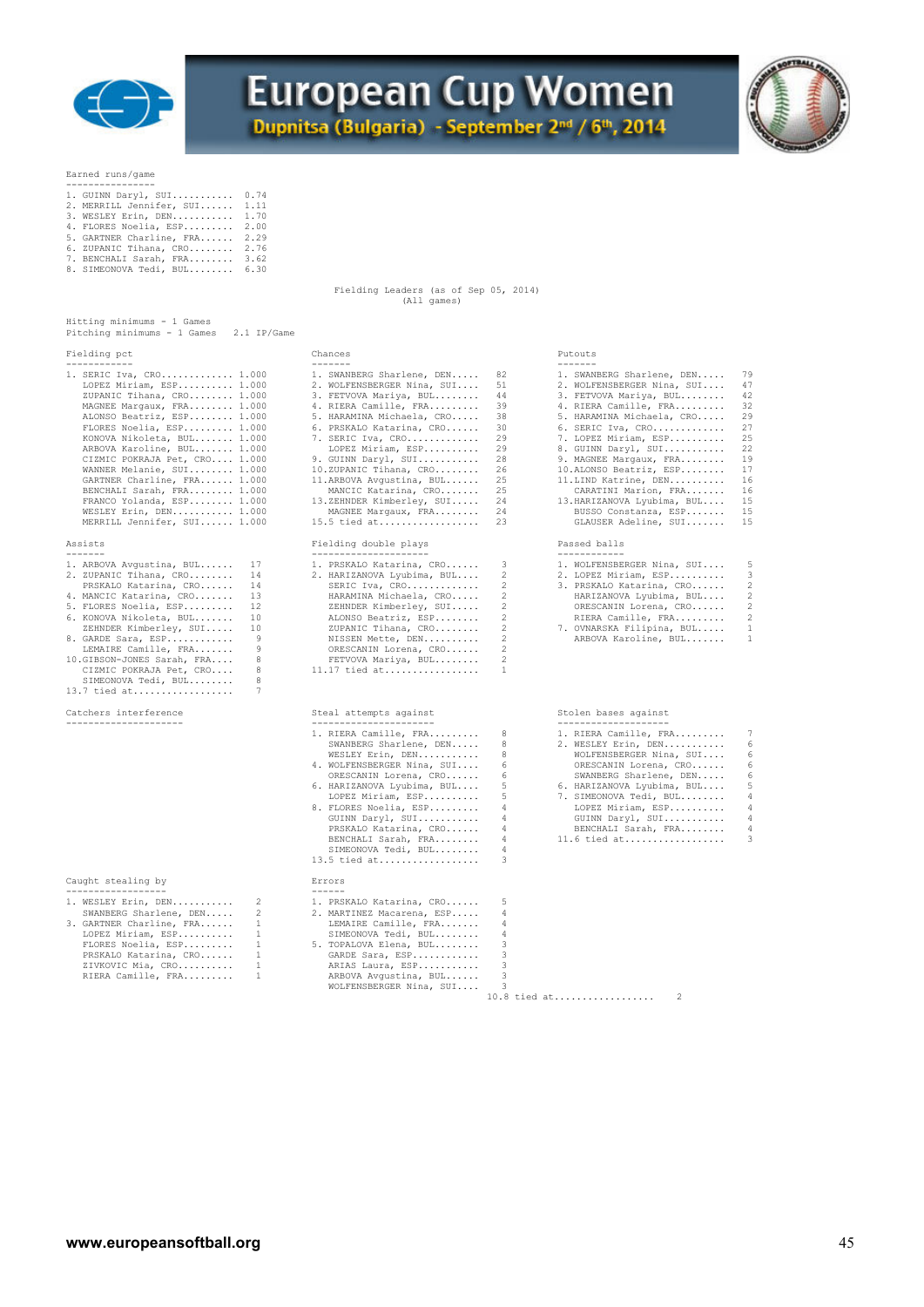

# **European Cup Women**

Dupnitsa (Bulgaria) - September 2nd / 6th, 2014



### Earned runs/game

---------------<br>1. GUINN Daryl, SUI............ 0.74<br>2. MERRILL Jennifer, SUI........ 1.70<br>3. WESLEY Erin, DEN........... 1.70<br>4. FLORES Noelia, ESP......... 2.00 5. GARTNER Charline, FRA...... 2.29 6. ZUPANIC Tihana, CRO........ 2.76 7. BENCHALI Sarah, FRA........ 3.62 8. SIMEONOVA Tedi, BUL........ 6.30

 Fielding Leaders (as of Sep 05, 2014) (All games)

13.5 tied at.................. 3

| Hitting minimums - 1 Games<br>Pitching minimums - 1 Games<br>2.1 IP/Game                                                                                                                                                                                                                                                                                                                                                                          |                                                                                                                                                                                                                                                                                                                                                                                          |                                                                                        |                                                                                                                                                                                                                                                                                                                                                                                                     |                                                                                        |
|---------------------------------------------------------------------------------------------------------------------------------------------------------------------------------------------------------------------------------------------------------------------------------------------------------------------------------------------------------------------------------------------------------------------------------------------------|------------------------------------------------------------------------------------------------------------------------------------------------------------------------------------------------------------------------------------------------------------------------------------------------------------------------------------------------------------------------------------------|----------------------------------------------------------------------------------------|-----------------------------------------------------------------------------------------------------------------------------------------------------------------------------------------------------------------------------------------------------------------------------------------------------------------------------------------------------------------------------------------------------|----------------------------------------------------------------------------------------|
| Fielding pct<br>------------                                                                                                                                                                                                                                                                                                                                                                                                                      | Chances<br>-------                                                                                                                                                                                                                                                                                                                                                                       |                                                                                        | Putouts<br>-------                                                                                                                                                                                                                                                                                                                                                                                  |                                                                                        |
| 1. SERIC Iva, CRO 1.000<br>LOPEZ Miriam, ESP 1.000<br>ZUPANIC Tihana, CRO 1.000<br>MAGNEE Margaux, FRA 1.000<br>ALONSO Beatriz, ESP 1.000<br>FLORES Noelia, ESP 1.000<br>KONOVA Nikoleta, BUL 1.000<br>ARBOVA Karoline, BUL 1.000<br>CIZMIC POKRAJA Pet, CRO 1.000<br>WANNER Melanie, SUI 1.000<br>GARTNER Charline, FRA 1.000<br>BENCHALI Sarah, FRA 1.000<br>FRANCO Yolanda, ESP 1.000<br>WESLEY Erin, DEN 1.000<br>MERRILL Jennifer, SUI 1.000 | 1. SWANBERG Sharlene, DEN<br>2. WOLFENSBERGER Nina, SUI<br>3. FETVOVA Mariya, BUL<br>4. RIERA Camille, FRA<br>5. HARAMINA Michaela, CRO<br>6. PRSKALO Katarina, CRO<br>7. SERIC Iva, CRO<br>LOPEZ Miriam, ESP<br>9. GUINN Daryl, SUI<br>10.ZUPANIC Tihana, CRO<br>11.ARBOVA Avqustina, BUL<br>MANCIC Katarina, CRO<br>13.ZEHNDER Kimberley, SUI<br>MAGNEE Margaux, FRA<br>$15.5$ tied at | 82<br>51<br>44<br>39<br>38<br>30<br>29<br>29<br>28<br>26<br>25<br>25<br>24<br>24<br>23 | 1. SWANBERG Sharlene, DEN<br>2. WOLFENSBERGER Nina, SUI<br>3. FETVOVA Mariya, BUL<br>4. RIERA Camille, FRA<br>5. HARAMINA Michaela, CRO<br>$6.$ SERIC Iva, $CRO$<br>7. LOPEZ Miriam, ESP<br>8. GUINN Daryl, SUI<br>9. MAGNEE Margaux, FRA<br>10.ALONSO Beatriz, ESP<br>11. LIND Katrine, DEN<br>CARATINI Marion, FRA<br>13. HARIZANOVA Lyubima, BUL<br>BUSSO Constanza, ESP<br>GLAUSER Adeline, SUI | 79<br>47<br>42<br>32<br>29<br>27<br>25<br>22<br>19<br>17<br>16<br>16<br>15<br>15<br>15 |
| Assists<br>--------                                                                                                                                                                                                                                                                                                                                                                                                                               | Fielding double plays                                                                                                                                                                                                                                                                                                                                                                    |                                                                                        | Passed balls<br>------------                                                                                                                                                                                                                                                                                                                                                                        |                                                                                        |
| 1. ARBOVA Avqustina, BUL<br>17<br>2. ZUPANIC Tihana, CRO<br>14<br>PRSKALO Katarina, CRO<br>14<br>13<br>4. MANCIC Katarina, CRO<br>5. FLORES Noelia, ESP<br>12<br>6. KONOVA Nikoleta, BUL<br>10<br>10<br>ZEHNDER Kimberley, SUI<br>9<br>8. GARDE Sara, ESP<br>LEMAIRE Camille, FRA<br>9<br>8<br>10.GIBSON-JONES Sarah, FRA<br>8<br>CIZMIC POKRAJA Pet, CRO<br>8<br>SIMEONOVA Tedi, BUL<br>$13.7$ tied at<br>7                                      | ---------------------<br>1. PRSKALO Katarina, CRO<br>2. HARIZANOVA Lyubima, BUL<br>SERIC Iva, CRO<br>HARAMINA Michaela, CRO<br>ZEHNDER Kimberley, SUI<br>ALONSO Beatriz, ESP<br>ZUPANIC Tihana, CRO<br>NISSEN Mette, DEN<br>ORESCANIN Lorena, CRO<br>FETVOVA Mariya, BUL<br>$11.17$ tied at                                                                                              | 3<br>2<br>2<br>2<br>2<br>2<br>2<br>2<br>2<br>2<br>$\mathbf{1}$                         | 1. WOLFENSBERGER Nina, SUI<br>2. LOPEZ Miriam, ESP<br>3. PRSKALO Katarina, CRO<br>HARIZANOVA Lyubima, BUL<br>ORESCANIN Lorena, CRO<br>RIERA Camille, FRA<br>7. OVNARSKA Filipina, BUL<br>ARBOVA Karoline, BUL                                                                                                                                                                                       | 5<br>3<br>$\overline{c}$<br>$\overline{c}$<br>2<br>2<br>$\mathbf{1}$<br>$\mathbf{1}$   |
| Catchers interference<br>---------------------                                                                                                                                                                                                                                                                                                                                                                                                    | Steal attempts against<br>________________________                                                                                                                                                                                                                                                                                                                                       |                                                                                        | Stolen bases against<br>---------------------                                                                                                                                                                                                                                                                                                                                                       |                                                                                        |
|                                                                                                                                                                                                                                                                                                                                                                                                                                                   | 1. RIERA Camille, FRA                                                                                                                                                                                                                                                                                                                                                                    | 8                                                                                      | 1. RIERA Camille, FRA                                                                                                                                                                                                                                                                                                                                                                               | 7<br><b>Contract Contract Contract</b>                                                 |

|                            | 17 |
|----------------------------|----|
| 1. ARBOVA Avqustina, BUL   |    |
| 2. ZUPANIC Tihana, CRO     | 14 |
| PRSKALO Katarina, CRO      | 14 |
| 4. MANCIC Katarina, CRO    | 13 |
| 5. FLORES Noelia, ESP      | 12 |
| 6. KONOVA Nikoleta, BUL    | 10 |
| ZEHNDER Kimberley, SUI     | 10 |
| 8. GARDE Sara, ESP         | -9 |
| LEMAIRE Camille, FRA       | 9  |
| 10.GIBSON-JONES Sarah, FRA | 8  |
| CIZMIC POKRAJA Pet, CRO    | 8  |
| SIMEONOVA Tedi, BUL        | я  |

### Caught stealing by Errors

| 1. WESLEY Erin, DEN      | -2           | 1. PRSKALO Katarina, CRO  | .5. |
|--------------------------|--------------|---------------------------|-----|
| SWANBERG Sharlene, DEN   | 2            | 2. MARTINEZ Macarena, ESP | 4   |
| 3. GARTNER Charline, FRA | $\mathbf{1}$ | LEMAIRE Camille, FRA      | 4   |
| LOPEZ Miriam, ESP        |              | SIMEONOVA Tedi, BUL       | 4   |
| FLORES Noelia, ESP       | -1           | 5. TOPALOVA Elena, BUL    | 3   |
| PRSKALO Katarina, CRO    | $\mathbf{1}$ | GARDE Sara, ESP           | २   |
| ZIVKOVIC Mia, CRO        |              | ARIAS Laura, ESP          |     |
| RIERA Camille, FRA       | -1           | ARBOVA Avqustina, BUL     |     |

| 1. RIERA Camille, FRA 8      | 1. RIERA Camille, FRA 7      |  |
|------------------------------|------------------------------|--|
| SWANBERG Sharlene, DEN 8     | 2. WESLEY Erin, DEN 6        |  |
| WESLEY Erin, DEN 8           | WOLFENSBERGER Nina, SUI 6    |  |
| 4. WOLFENSBERGER Nina, SUI 6 | ORESCANIN Lorena, CRO 6      |  |
| ORESCANIN Lorena, CRO 6      | SWANBERG Sharlene, DEN 6     |  |
| 6. HARIZANOVA Lyubima, BUL 5 | 6. HARIZANOVA Lyubima, BUL 5 |  |

|                              | SWANBERG Sharlene, DEN 6             |  |
|------------------------------|--------------------------------------|--|
| 6. HARIZANOVA Lyubima, BUL 5 | 6. HARIZANOVA Lyubima, BUL 5         |  |
| LOPEZ Miriam, ESP 5          | 7. SIMEONOVA Tedi, BUL 4             |  |
| 8. FLORES Noelia, ESP 4      | LOPEZ Miriam, ESP 4                  |  |
| GUINN Daryl, SUI 4           | GUINN Daryl, SUI 4                   |  |
| PRSKALO Katarina, CRO 4      | BENCHALI Sarah, FRA 4                |  |
|                              | BENCHALI Sarah, FRA 4 11.6 tied at 3 |  |
| SIMEONOVA Tedi, BUL 4        |                                      |  |

RIERA Camille, FRA......... 1 ARBOVA Avgustina, BUL...... 3 WOLFENSBERGER Nina, SUI.... 3 10.8 tied at.................. 2